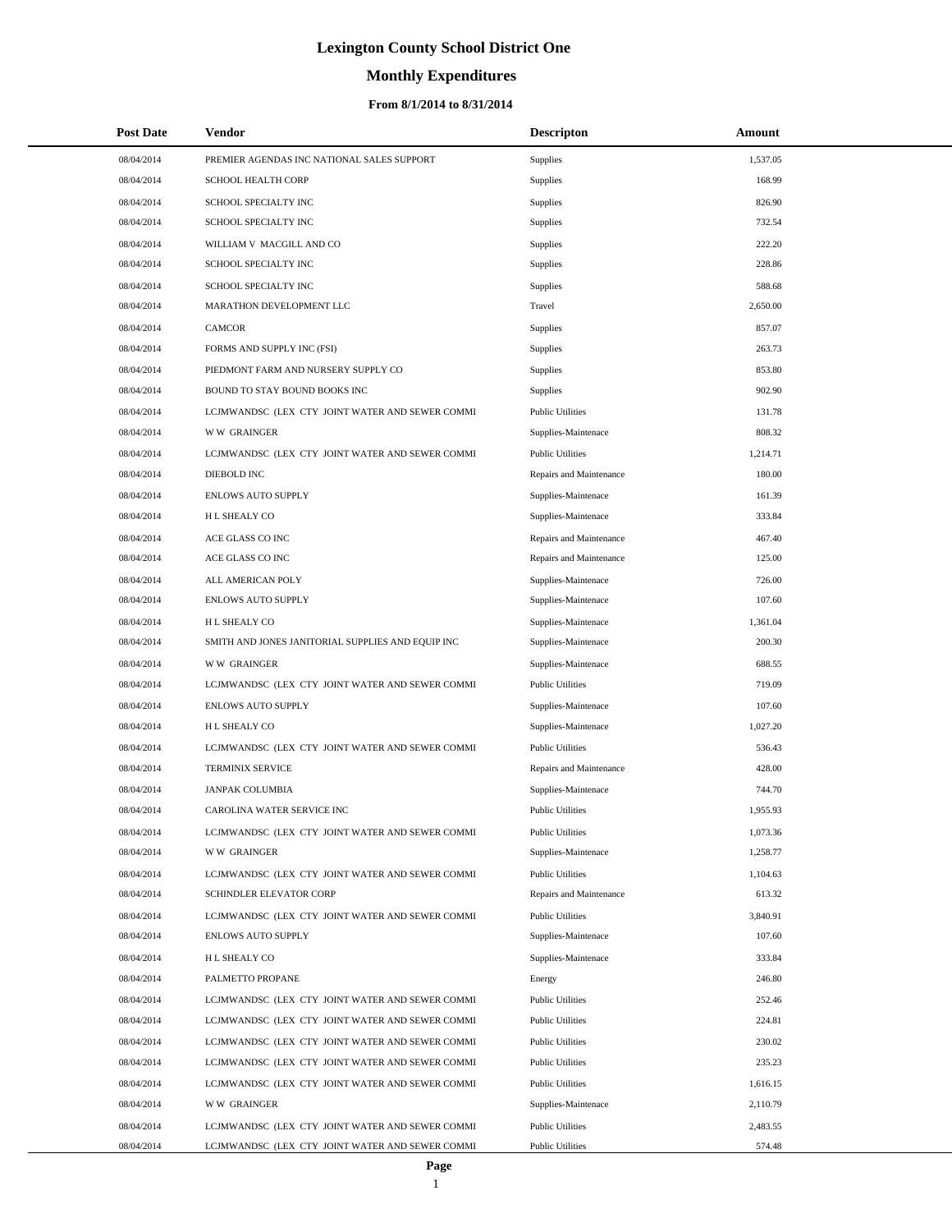# **Monthly Expenditures**

| <b>Post Date</b>         | Vendor                                                                                             | <b>Descripton</b>                                  | Amount           |
|--------------------------|----------------------------------------------------------------------------------------------------|----------------------------------------------------|------------------|
| 08/04/2014               | PREMIER AGENDAS INC NATIONAL SALES SUPPORT                                                         | Supplies                                           | 1,537.05         |
| 08/04/2014               | <b>SCHOOL HEALTH CORP</b>                                                                          | Supplies                                           | 168.99           |
| 08/04/2014               | SCHOOL SPECIALTY INC                                                                               | Supplies                                           | 826.90           |
| 08/04/2014               | SCHOOL SPECIALTY INC                                                                               | Supplies                                           | 732.54           |
| 08/04/2014               | WILLIAM V MACGILL AND CO                                                                           | Supplies                                           | 222.20           |
| 08/04/2014               | SCHOOL SPECIALTY INC                                                                               | Supplies                                           | 228.86           |
| 08/04/2014               | SCHOOL SPECIALTY INC                                                                               | Supplies                                           | 588.68           |
| 08/04/2014               | MARATHON DEVELOPMENT LLC                                                                           | Travel                                             | 2,650.00         |
| 08/04/2014               | <b>CAMCOR</b>                                                                                      | Supplies                                           | 857.07           |
| 08/04/2014               | FORMS AND SUPPLY INC (FSI)                                                                         | Supplies                                           | 263.73           |
| 08/04/2014               | PIEDMONT FARM AND NURSERY SUPPLY CO                                                                | Supplies                                           | 853.80           |
| 08/04/2014               | BOUND TO STAY BOUND BOOKS INC                                                                      | Supplies                                           | 902.90           |
| 08/04/2014               | LCJMWANDSC (LEX CTY JOINT WATER AND SEWER COMMI                                                    | <b>Public Utilities</b>                            | 131.78           |
| 08/04/2014               | <b>WW GRAINGER</b>                                                                                 | Supplies-Maintenace                                | 808.32           |
| 08/04/2014               | LCJMWANDSC (LEX CTY JOINT WATER AND SEWER COMMI                                                    | <b>Public Utilities</b>                            | 1,214.71         |
| 08/04/2014               | DIEBOLD INC                                                                                        | Repairs and Maintenance                            | 180.00           |
| 08/04/2014               | <b>ENLOWS AUTO SUPPLY</b>                                                                          | Supplies-Maintenace                                | 161.39           |
| 08/04/2014               | H L SHEALY CO                                                                                      | Supplies-Maintenace                                | 333.84           |
| 08/04/2014               | ACE GLASS CO INC                                                                                   | Repairs and Maintenance                            | 467.40           |
| 08/04/2014               | ACE GLASS CO INC                                                                                   | Repairs and Maintenance                            | 125.00           |
| 08/04/2014               | ALL AMERICAN POLY                                                                                  | Supplies-Maintenace                                | 726.00           |
| 08/04/2014               | <b>ENLOWS AUTO SUPPLY</b>                                                                          | Supplies-Maintenace                                | 107.60           |
| 08/04/2014               | H L SHEALY CO                                                                                      | Supplies-Maintenace                                | 1,361.04         |
| 08/04/2014               | SMITH AND JONES JANITORIAL SUPPLIES AND EQUIP INC                                                  | Supplies-Maintenace                                | 200.30           |
| 08/04/2014               | <b>WW GRAINGER</b>                                                                                 | Supplies-Maintenace                                | 688.55           |
| 08/04/2014               | LCJMWANDSC (LEX CTY JOINT WATER AND SEWER COMMI                                                    | <b>Public Utilities</b>                            | 719.09           |
| 08/04/2014               | <b>ENLOWS AUTO SUPPLY</b>                                                                          | Supplies-Maintenace                                | 107.60           |
| 08/04/2014               | H L SHEALY CO                                                                                      | Supplies-Maintenace                                | 1,027.20         |
| 08/04/2014               | LCJMWANDSC (LEX CTY JOINT WATER AND SEWER COMMI                                                    | <b>Public Utilities</b>                            | 536.43           |
| 08/04/2014               | <b>TERMINIX SERVICE</b>                                                                            | Repairs and Maintenance                            | 428.00           |
| 08/04/2014               | <b>JANPAK COLUMBIA</b>                                                                             | Supplies-Maintenace                                | 744.70           |
| 08/04/2014               | CAROLINA WATER SERVICE INC                                                                         | <b>Public Utilities</b>                            | 1,955.93         |
| 08/04/2014               | LCJMWANDSC (LEX CTY JOINT WATER AND SEWER COMMI                                                    | <b>Public Utilities</b>                            | 1,073.36         |
| 08/04/2014               | <b>WW GRAINGER</b>                                                                                 | Supplies-Maintenace                                | 1,258.77         |
| 08/04/2014               | LCJMWANDSC (LEX CTY JOINT WATER AND SEWER COMMI                                                    | <b>Public Utilities</b>                            | 1,104.63         |
| 08/04/2014               | SCHINDLER ELEVATOR CORP                                                                            | Repairs and Maintenance                            | 613.32           |
| 08/04/2014               | LCJMWANDSC (LEX CTY JOINT WATER AND SEWER COMMI<br><b>ENLOWS AUTO SUPPLY</b>                       | <b>Public Utilities</b>                            | 3,840.91         |
| 08/04/2014               |                                                                                                    | Supplies-Maintenace                                | 107.60           |
| 08/04/2014               | H L SHEALY CO                                                                                      | Supplies-Maintenace                                | 333.84           |
| 08/04/2014               | PALMETTO PROPANE                                                                                   | Energy                                             | 246.80           |
| 08/04/2014<br>08/04/2014 | LCJMWANDSC (LEX CTY JOINT WATER AND SEWER COMMI<br>LCJMWANDSC (LEX CTY JOINT WATER AND SEWER COMMI | <b>Public Utilities</b><br><b>Public Utilities</b> | 252.46<br>224.81 |
| 08/04/2014               |                                                                                                    | <b>Public Utilities</b>                            | 230.02           |
| 08/04/2014               | LCJMWANDSC (LEX CTY JOINT WATER AND SEWER COMMI<br>LCJMWANDSC (LEX CTY JOINT WATER AND SEWER COMMI | <b>Public Utilities</b>                            | 235.23           |
| 08/04/2014               | LCJMWANDSC (LEX CTY JOINT WATER AND SEWER COMMI                                                    | <b>Public Utilities</b>                            | 1,616.15         |
| 08/04/2014               | <b>WW GRAINGER</b>                                                                                 | Supplies-Maintenace                                | 2,110.79         |
| 08/04/2014               | LCJMWANDSC (LEX CTY JOINT WATER AND SEWER COMMI                                                    | <b>Public Utilities</b>                            | 2,483.55         |
| 08/04/2014               | LCJMWANDSC (LEX CTY JOINT WATER AND SEWER COMMI                                                    | <b>Public Utilities</b>                            | 574.48           |
|                          |                                                                                                    |                                                    |                  |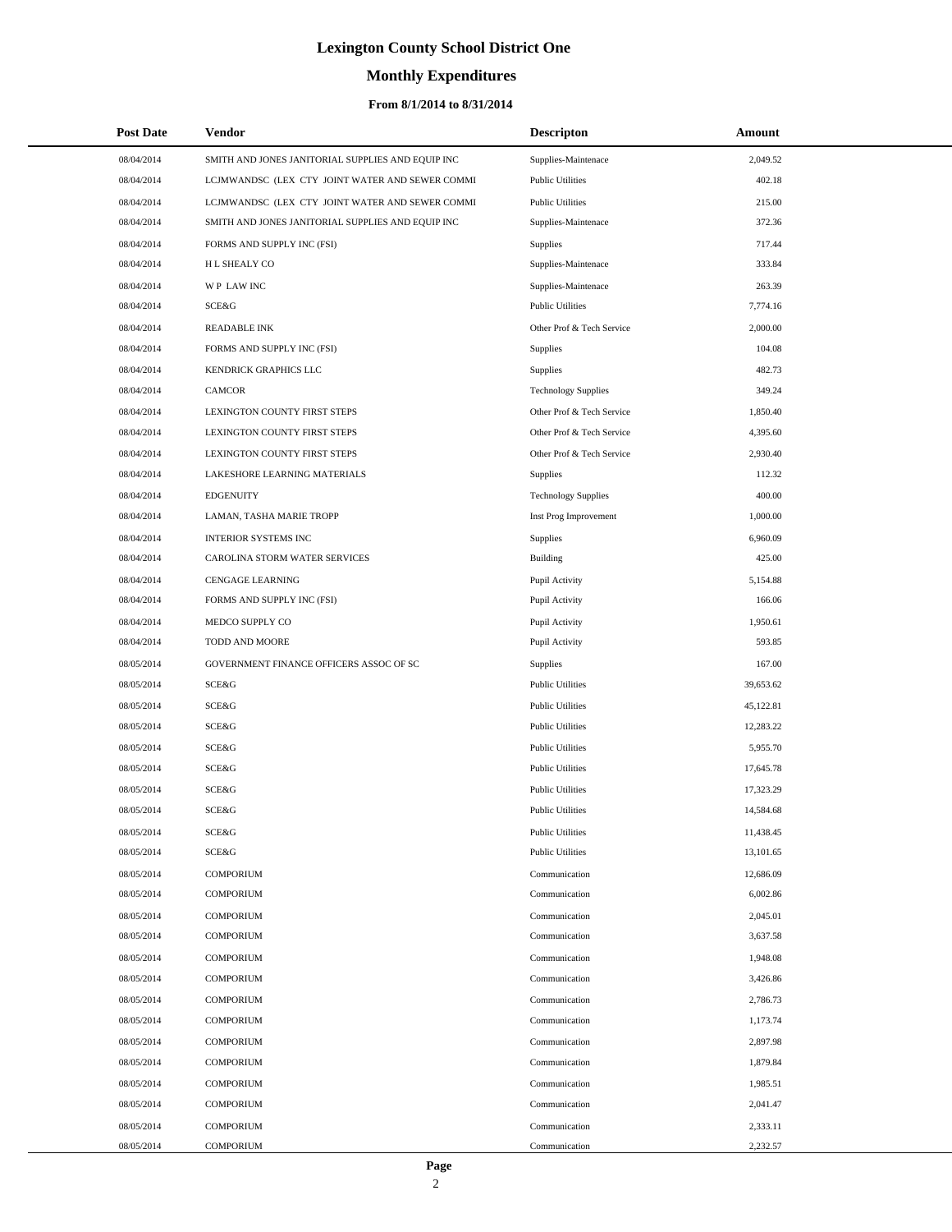# **Monthly Expenditures**

| <b>Post Date</b> | <b>Vendor</b>                                     | <b>Descripton</b>          | Amount    |
|------------------|---------------------------------------------------|----------------------------|-----------|
| 08/04/2014       | SMITH AND JONES JANITORIAL SUPPLIES AND EQUIP INC | Supplies-Maintenace        | 2,049.52  |
| 08/04/2014       | LCJMWANDSC (LEX CTY JOINT WATER AND SEWER COMMI   | <b>Public Utilities</b>    | 402.18    |
| 08/04/2014       | LCJMWANDSC (LEX CTY JOINT WATER AND SEWER COMMI   | <b>Public Utilities</b>    | 215.00    |
| 08/04/2014       | SMITH AND JONES JANITORIAL SUPPLIES AND EQUIP INC | Supplies-Maintenace        | 372.36    |
| 08/04/2014       | FORMS AND SUPPLY INC (FSI)                        | <b>Supplies</b>            | 717.44    |
| 08/04/2014       | H L SHEALY CO                                     | Supplies-Maintenace        | 333.84    |
| 08/04/2014       | WP LAW INC                                        | Supplies-Maintenace        | 263.39    |
| 08/04/2014       | SCE&G                                             | <b>Public Utilities</b>    | 7,774.16  |
| 08/04/2014       | <b>READABLE INK</b>                               | Other Prof & Tech Service  | 2,000.00  |
| 08/04/2014       | FORMS AND SUPPLY INC (FSI)                        | Supplies                   | 104.08    |
| 08/04/2014       | KENDRICK GRAPHICS LLC                             | <b>Supplies</b>            | 482.73    |
| 08/04/2014       | <b>CAMCOR</b>                                     | <b>Technology Supplies</b> | 349.24    |
| 08/04/2014       | LEXINGTON COUNTY FIRST STEPS                      | Other Prof & Tech Service  | 1,850.40  |
| 08/04/2014       | LEXINGTON COUNTY FIRST STEPS                      | Other Prof & Tech Service  | 4,395.60  |
| 08/04/2014       | LEXINGTON COUNTY FIRST STEPS                      | Other Prof & Tech Service  | 2,930.40  |
| 08/04/2014       | LAKESHORE LEARNING MATERIALS                      | Supplies                   | 112.32    |
| 08/04/2014       | <b>EDGENUITY</b>                                  | <b>Technology Supplies</b> | 400.00    |
| 08/04/2014       | LAMAN, TASHA MARIE TROPP                          | Inst Prog Improvement      | 1,000.00  |
| 08/04/2014       | <b>INTERIOR SYSTEMS INC</b>                       | Supplies                   | 6,960.09  |
| 08/04/2014       | CAROLINA STORM WATER SERVICES                     | Building                   | 425.00    |
| 08/04/2014       | <b>CENGAGE LEARNING</b>                           | Pupil Activity             | 5,154.88  |
| 08/04/2014       | FORMS AND SUPPLY INC (FSI)                        | Pupil Activity             | 166.06    |
| 08/04/2014       | MEDCO SUPPLY CO                                   | Pupil Activity             | 1,950.61  |
| 08/04/2014       | TODD AND MOORE                                    | Pupil Activity             | 593.85    |
| 08/05/2014       | GOVERNMENT FINANCE OFFICERS ASSOC OF SC           | Supplies                   | 167.00    |
| 08/05/2014       | SCE&G                                             | <b>Public Utilities</b>    | 39,653.62 |
| 08/05/2014       | SCE&G                                             | <b>Public Utilities</b>    | 45,122.81 |
| 08/05/2014       | SCE&G                                             | <b>Public Utilities</b>    | 12,283.22 |
| 08/05/2014       | SCE&G                                             | <b>Public Utilities</b>    | 5,955.70  |
| 08/05/2014       | SCE&G                                             | <b>Public Utilities</b>    | 17,645.78 |
| 08/05/2014       | SCE&G                                             | <b>Public Utilities</b>    | 17,323.29 |
| 08/05/2014       | SCE&G                                             | <b>Public Utilities</b>    | 14,584.68 |
| 08/05/2014       | SCE&G                                             | <b>Public Utilities</b>    | 11,438.45 |
| 08/05/2014       | <b>SCE&amp;G</b>                                  | <b>Public Utilities</b>    | 13,101.65 |
| 08/05/2014       | <b>COMPORIUM</b>                                  | Communication              | 12,686.09 |
| 08/05/2014       | <b>COMPORIUM</b>                                  | Communication              | 6,002.86  |
| 08/05/2014       | <b>COMPORIUM</b>                                  | Communication              | 2,045.01  |
| 08/05/2014       | <b>COMPORIUM</b>                                  | Communication              | 3,637.58  |
| 08/05/2014       | <b>COMPORIUM</b>                                  | Communication              | 1,948.08  |
| 08/05/2014       | <b>COMPORIUM</b>                                  | Communication              | 3,426.86  |
| 08/05/2014       | <b>COMPORIUM</b>                                  | Communication              | 2,786.73  |
| 08/05/2014       | <b>COMPORIUM</b>                                  | Communication              | 1,173.74  |
| 08/05/2014       | <b>COMPORIUM</b>                                  | Communication              | 2,897.98  |
| 08/05/2014       | <b>COMPORIUM</b>                                  | Communication              | 1,879.84  |
| 08/05/2014       | <b>COMPORIUM</b>                                  | Communication              | 1,985.51  |
| 08/05/2014       | <b>COMPORIUM</b>                                  | Communication              | 2,041.47  |
| 08/05/2014       | <b>COMPORIUM</b>                                  | Communication              | 2,333.11  |
| 08/05/2014       | <b>COMPORIUM</b>                                  | Communication              | 2,232.57  |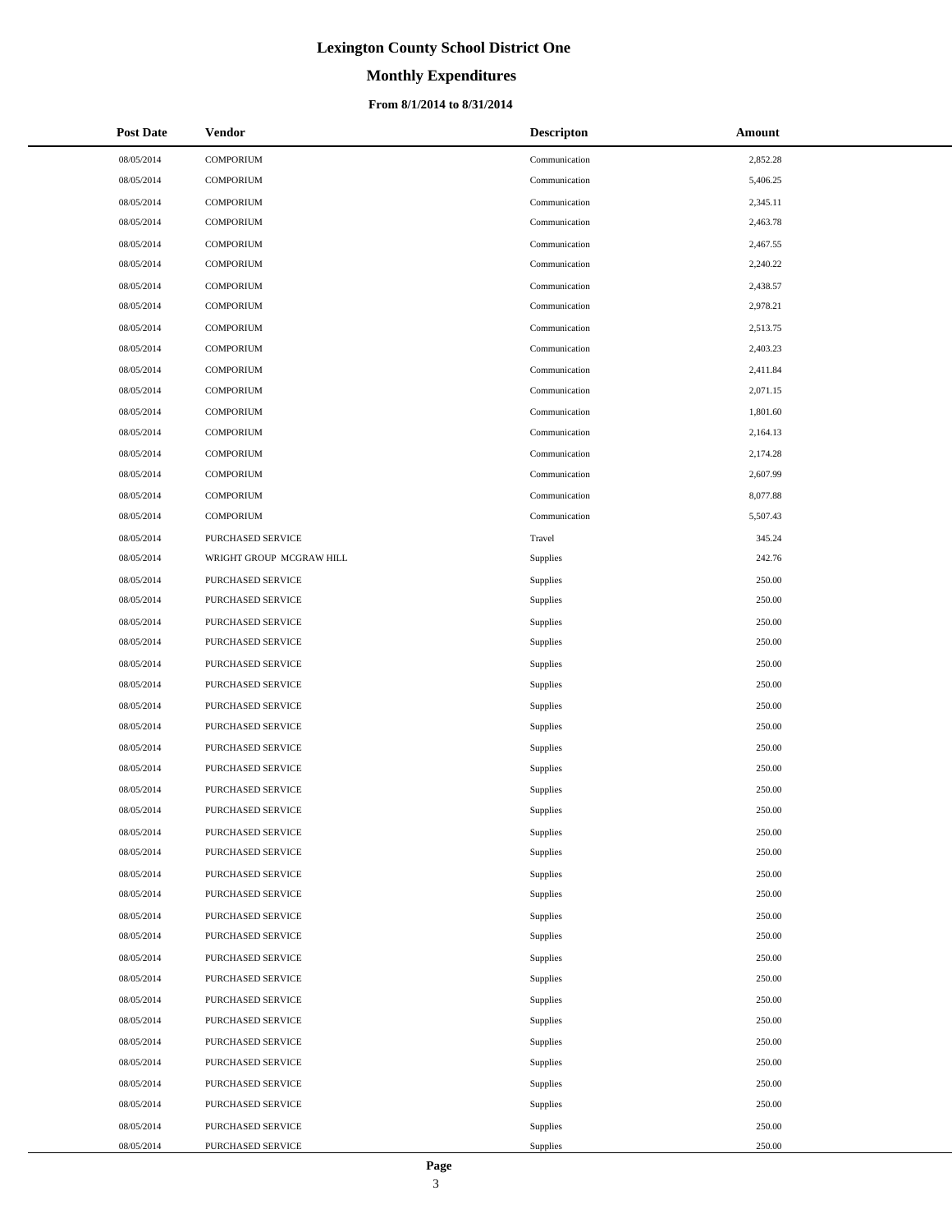# **Monthly Expenditures**

#### **From 8/1/2014 to 8/31/2014**

| <b>Post Date</b> | <b>Vendor</b>            | <b>Descripton</b> | Amount   |
|------------------|--------------------------|-------------------|----------|
| 08/05/2014       | <b>COMPORIUM</b>         | Communication     | 2,852.28 |
| 08/05/2014       | <b>COMPORIUM</b>         | Communication     | 5,406.25 |
| 08/05/2014       | <b>COMPORIUM</b>         | Communication     | 2,345.11 |
| 08/05/2014       | <b>COMPORIUM</b>         | Communication     | 2,463.78 |
| 08/05/2014       | <b>COMPORIUM</b>         | Communication     | 2,467.55 |
| 08/05/2014       | <b>COMPORIUM</b>         | Communication     | 2,240.22 |
| 08/05/2014       | <b>COMPORIUM</b>         | Communication     | 2,438.57 |
| 08/05/2014       | <b>COMPORIUM</b>         | Communication     | 2,978.21 |
| 08/05/2014       | <b>COMPORIUM</b>         | Communication     | 2,513.75 |
| 08/05/2014       | <b>COMPORIUM</b>         | Communication     | 2,403.23 |
| 08/05/2014       | <b>COMPORIUM</b>         | Communication     | 2,411.84 |
| 08/05/2014       | <b>COMPORIUM</b>         | Communication     | 2,071.15 |
| 08/05/2014       | <b>COMPORIUM</b>         | Communication     | 1,801.60 |
| 08/05/2014       | <b>COMPORIUM</b>         | Communication     | 2,164.13 |
| 08/05/2014       | <b>COMPORIUM</b>         | Communication     | 2,174.28 |
| 08/05/2014       | <b>COMPORIUM</b>         | Communication     | 2,607.99 |
| 08/05/2014       | <b>COMPORIUM</b>         | Communication     | 8,077.88 |
| 08/05/2014       | <b>COMPORIUM</b>         | Communication     | 5,507.43 |
| 08/05/2014       | PURCHASED SERVICE        | Travel            | 345.24   |
| 08/05/2014       | WRIGHT GROUP MCGRAW HILL | <b>Supplies</b>   | 242.76   |
| 08/05/2014       | PURCHASED SERVICE        | Supplies          | 250.00   |
| 08/05/2014       | PURCHASED SERVICE        | <b>Supplies</b>   | 250.00   |
| 08/05/2014       | PURCHASED SERVICE        | <b>Supplies</b>   | 250.00   |
| 08/05/2014       | PURCHASED SERVICE        | <b>Supplies</b>   | 250.00   |
| 08/05/2014       | PURCHASED SERVICE        | Supplies          | 250.00   |
| 08/05/2014       | PURCHASED SERVICE        | <b>Supplies</b>   | 250.00   |
| 08/05/2014       | PURCHASED SERVICE        | <b>Supplies</b>   | 250.00   |
| 08/05/2014       | PURCHASED SERVICE        | Supplies          | 250.00   |
| 08/05/2014       | PURCHASED SERVICE        | Supplies          | 250.00   |
| 08/05/2014       | PURCHASED SERVICE        | Supplies          | 250.00   |
| 08/05/2014       | PURCHASED SERVICE        | <b>Supplies</b>   | 250.00   |
| 08/05/2014       | PURCHASED SERVICE        | <b>Supplies</b>   | 250.00   |
| 08/05/2014       | PURCHASED SERVICE        | Supplies          | 250.00   |
| 08/05/2014       | PURCHASED SERVICE        | Supplies          | 250.00   |
| 08/05/2014       | PURCHASED SERVICE        | Supplies          | 250.00   |
| 08/05/2014       | PURCHASED SERVICE        | Supplies          | 250.00   |
| 08/05/2014       | PURCHASED SERVICE        | Supplies          | 250.00   |
| 08/05/2014       | PURCHASED SERVICE        | Supplies          | 250.00   |
| 08/05/2014       | PURCHASED SERVICE        | Supplies          | 250.00   |
| 08/05/2014       | PURCHASED SERVICE        | Supplies          | 250.00   |
| 08/05/2014       | PURCHASED SERVICE        | <b>Supplies</b>   | 250.00   |
| 08/05/2014       | PURCHASED SERVICE        | Supplies          | 250.00   |
| 08/05/2014       | PURCHASED SERVICE        | Supplies          | 250.00   |
| 08/05/2014       | PURCHASED SERVICE        | Supplies          | 250.00   |
| 08/05/2014       | PURCHASED SERVICE        | Supplies          | 250.00   |
| 08/05/2014       | PURCHASED SERVICE        | Supplies          | 250.00   |
| 08/05/2014       | PURCHASED SERVICE        | Supplies          | 250.00   |
| 08/05/2014       | PURCHASED SERVICE        | Supplies          | 250.00   |

 $\overline{a}$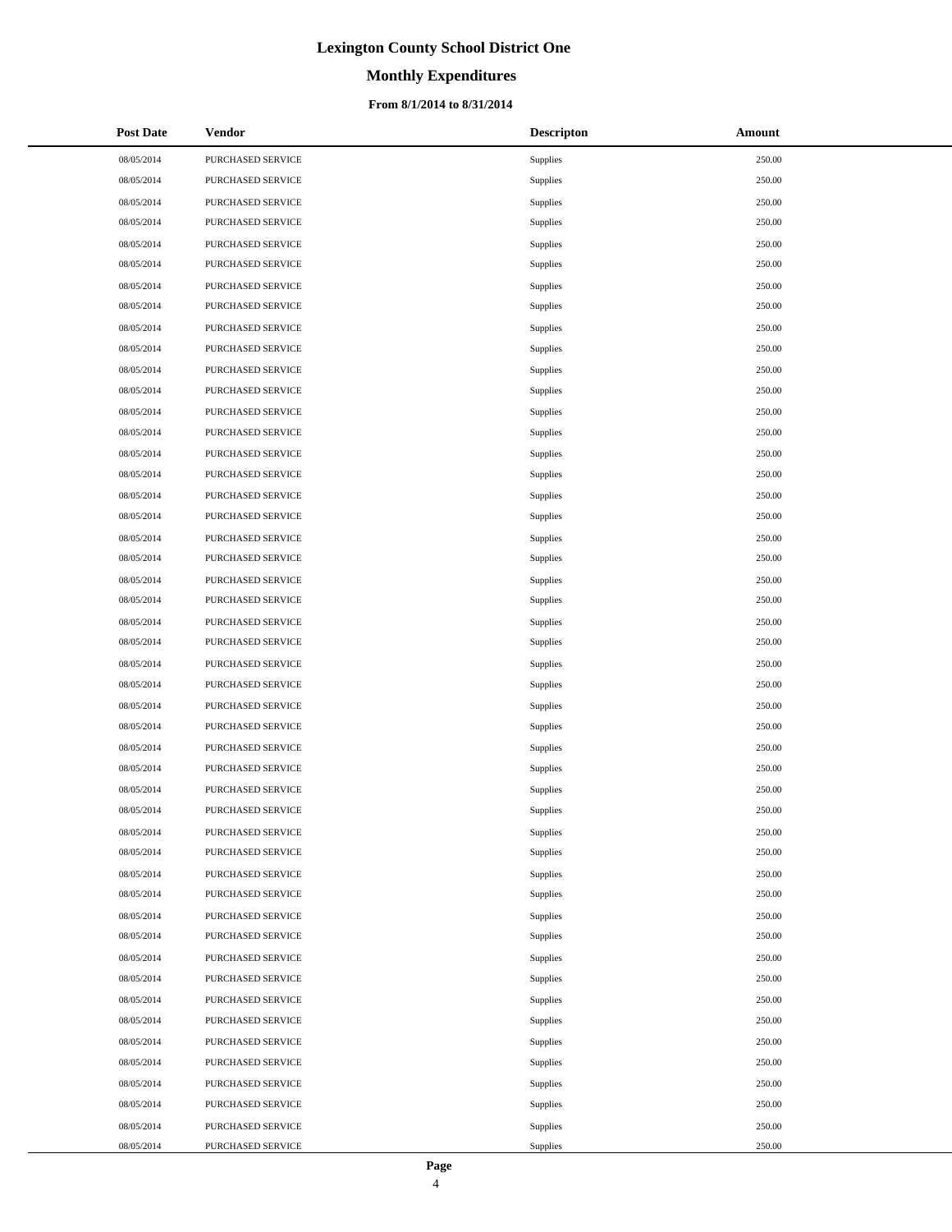# **Monthly Expenditures**

#### **From 8/1/2014 to 8/31/2014**

| <b>Post Date</b> | Vendor                   | <b>Descripton</b> | Amount |
|------------------|--------------------------|-------------------|--------|
| 08/05/2014       | PURCHASED SERVICE        | Supplies          | 250.00 |
| 08/05/2014       | PURCHASED SERVICE        | Supplies          | 250.00 |
| 08/05/2014       | PURCHASED SERVICE        | Supplies          | 250.00 |
| 08/05/2014       | <b>PURCHASED SERVICE</b> | Supplies          | 250.00 |
| 08/05/2014       | PURCHASED SERVICE        | Supplies          | 250.00 |
| 08/05/2014       | PURCHASED SERVICE        | Supplies          | 250.00 |
| 08/05/2014       | PURCHASED SERVICE        | Supplies          | 250.00 |
| 08/05/2014       | PURCHASED SERVICE        | Supplies          | 250.00 |
| 08/05/2014       | PURCHASED SERVICE        | Supplies          | 250.00 |
| 08/05/2014       | PURCHASED SERVICE        | Supplies          | 250.00 |
| 08/05/2014       | PURCHASED SERVICE        | Supplies          | 250.00 |
| 08/05/2014       | PURCHASED SERVICE        | Supplies          | 250.00 |
| 08/05/2014       | PURCHASED SERVICE        | Supplies          | 250.00 |
| 08/05/2014       | PURCHASED SERVICE        | Supplies          | 250.00 |
| 08/05/2014       | PURCHASED SERVICE        | Supplies          | 250.00 |
| 08/05/2014       | PURCHASED SERVICE        | Supplies          | 250.00 |
| 08/05/2014       | PURCHASED SERVICE        | Supplies          | 250.00 |
| 08/05/2014       | PURCHASED SERVICE        | Supplies          | 250.00 |
| 08/05/2014       | PURCHASED SERVICE        | Supplies          | 250.00 |
| 08/05/2014       | PURCHASED SERVICE        | Supplies          | 250.00 |
| 08/05/2014       | PURCHASED SERVICE        | Supplies          | 250.00 |
| 08/05/2014       | PURCHASED SERVICE        | Supplies          | 250.00 |
| 08/05/2014       | PURCHASED SERVICE        | Supplies          | 250.00 |
| 08/05/2014       | PURCHASED SERVICE        | Supplies          | 250.00 |
| 08/05/2014       | PURCHASED SERVICE        | Supplies          | 250.00 |
| 08/05/2014       | PURCHASED SERVICE        | Supplies          | 250.00 |
| 08/05/2014       | PURCHASED SERVICE        | Supplies          | 250.00 |
| 08/05/2014       | PURCHASED SERVICE        | Supplies          | 250.00 |
| 08/05/2014       | PURCHASED SERVICE        | Supplies          | 250.00 |
| 08/05/2014       | PURCHASED SERVICE        | Supplies          | 250.00 |
| 08/05/2014       | PURCHASED SERVICE        | Supplies          | 250.00 |
| 08/05/2014       | PURCHASED SERVICE        | Supplies          | 250.00 |
| 08/05/2014       | PURCHASED SERVICE        | Supplies          | 250.00 |
| 08/05/2014       | <b>PURCHASED SERVICE</b> | Supplies          | 250.00 |
| 08/05/2014       | PURCHASED SERVICE        | Supplies          | 250.00 |
| 08/05/2014       | PURCHASED SERVICE        | Supplies          | 250.00 |
| 08/05/2014       | PURCHASED SERVICE        | Supplies          | 250.00 |
| 08/05/2014       | PURCHASED SERVICE        | Supplies          | 250.00 |
| 08/05/2014       | PURCHASED SERVICE        | Supplies          | 250.00 |
| 08/05/2014       | PURCHASED SERVICE        | Supplies          | 250.00 |
| 08/05/2014       | PURCHASED SERVICE        | Supplies          | 250.00 |
| 08/05/2014       | PURCHASED SERVICE        | Supplies          | 250.00 |
| 08/05/2014       | PURCHASED SERVICE        | Supplies          | 250.00 |
| 08/05/2014       | PURCHASED SERVICE        | Supplies          | 250.00 |
| 08/05/2014       | PURCHASED SERVICE        | Supplies          | 250.00 |
| 08/05/2014       | PURCHASED SERVICE        | Supplies          | 250.00 |
| 08/05/2014       | PURCHASED SERVICE        | Supplies          | 250.00 |
| 08/05/2014       | PURCHASED SERVICE        | Supplies          | 250.00 |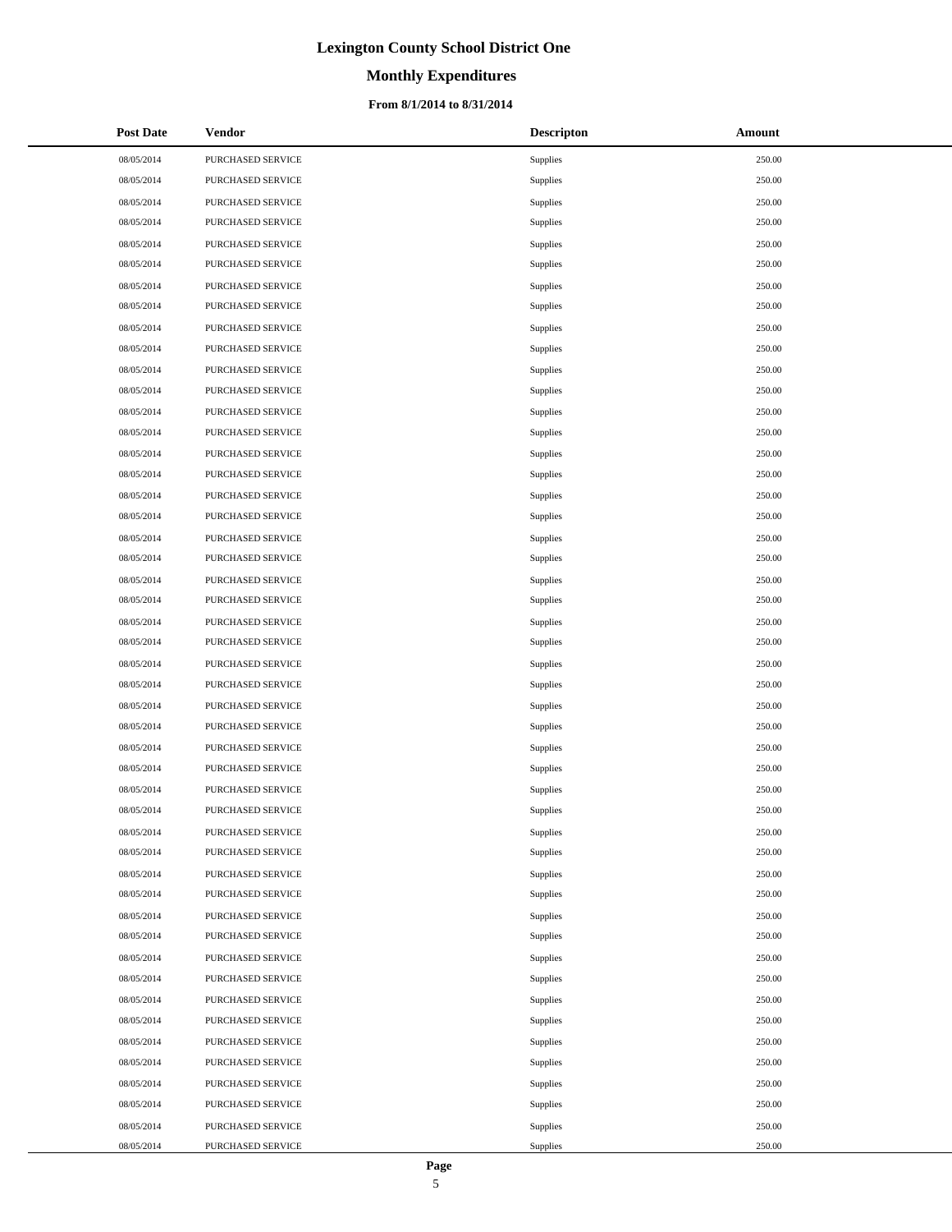# **Monthly Expenditures**

#### **From 8/1/2014 to 8/31/2014**

| <b>Post Date</b> | Vendor            | <b>Descripton</b> | Amount |
|------------------|-------------------|-------------------|--------|
| 08/05/2014       | PURCHASED SERVICE | Supplies          | 250.00 |
| 08/05/2014       | PURCHASED SERVICE | Supplies          | 250.00 |
| 08/05/2014       | PURCHASED SERVICE | Supplies          | 250.00 |
| 08/05/2014       | PURCHASED SERVICE | Supplies          | 250.00 |
| 08/05/2014       | PURCHASED SERVICE | Supplies          | 250.00 |
| 08/05/2014       | PURCHASED SERVICE | Supplies          | 250.00 |
| 08/05/2014       | PURCHASED SERVICE | Supplies          | 250.00 |
| 08/05/2014       | PURCHASED SERVICE | Supplies          | 250.00 |
| 08/05/2014       | PURCHASED SERVICE | Supplies          | 250.00 |
| 08/05/2014       | PURCHASED SERVICE | Supplies          | 250.00 |
| 08/05/2014       | PURCHASED SERVICE | Supplies          | 250.00 |
| 08/05/2014       | PURCHASED SERVICE | Supplies          | 250.00 |
| 08/05/2014       | PURCHASED SERVICE | Supplies          | 250.00 |
| 08/05/2014       | PURCHASED SERVICE | Supplies          | 250.00 |
| 08/05/2014       | PURCHASED SERVICE | Supplies          | 250.00 |
| 08/05/2014       | PURCHASED SERVICE | Supplies          | 250.00 |
| 08/05/2014       | PURCHASED SERVICE | Supplies          | 250.00 |
| 08/05/2014       | PURCHASED SERVICE | Supplies          | 250.00 |
| 08/05/2014       | PURCHASED SERVICE | Supplies          | 250.00 |
| 08/05/2014       | PURCHASED SERVICE | Supplies          | 250.00 |
| 08/05/2014       | PURCHASED SERVICE | Supplies          | 250.00 |
| 08/05/2014       | PURCHASED SERVICE | Supplies          | 250.00 |
| 08/05/2014       | PURCHASED SERVICE | Supplies          | 250.00 |
| 08/05/2014       | PURCHASED SERVICE | Supplies          | 250.00 |
| 08/05/2014       | PURCHASED SERVICE | Supplies          | 250.00 |
| 08/05/2014       | PURCHASED SERVICE | Supplies          | 250.00 |
| 08/05/2014       | PURCHASED SERVICE | Supplies          | 250.00 |
| 08/05/2014       | PURCHASED SERVICE | Supplies          | 250.00 |
| 08/05/2014       | PURCHASED SERVICE | Supplies          | 250.00 |
| 08/05/2014       | PURCHASED SERVICE | Supplies          | 250.00 |
| 08/05/2014       | PURCHASED SERVICE | Supplies          | 250.00 |
| 08/05/2014       | PURCHASED SERVICE | Supplies          | 250.00 |
| 08/05/2014       | PURCHASED SERVICE | Supplies          | 250.00 |
| 08/05/2014       | PURCHASED SERVICE | Supplies          | 250.00 |
| 08/05/2014       | PURCHASED SERVICE | Supplies          | 250.00 |
| 08/05/2014       | PURCHASED SERVICE | Supplies          | 250.00 |
| 08/05/2014       | PURCHASED SERVICE | Supplies          | 250.00 |
| 08/05/2014       | PURCHASED SERVICE | Supplies          | 250.00 |
| 08/05/2014       | PURCHASED SERVICE | Supplies          | 250.00 |
| 08/05/2014       | PURCHASED SERVICE | Supplies          | 250.00 |
| 08/05/2014       | PURCHASED SERVICE | Supplies          | 250.00 |
| 08/05/2014       | PURCHASED SERVICE | Supplies          | 250.00 |
| 08/05/2014       | PURCHASED SERVICE | Supplies          | 250.00 |
| 08/05/2014       | PURCHASED SERVICE | Supplies          | 250.00 |
| 08/05/2014       | PURCHASED SERVICE | Supplies          | 250.00 |
| 08/05/2014       | PURCHASED SERVICE | Supplies          | 250.00 |
| 08/05/2014       | PURCHASED SERVICE | Supplies          | 250.00 |
| 08/05/2014       | PURCHASED SERVICE | Supplies          | 250.00 |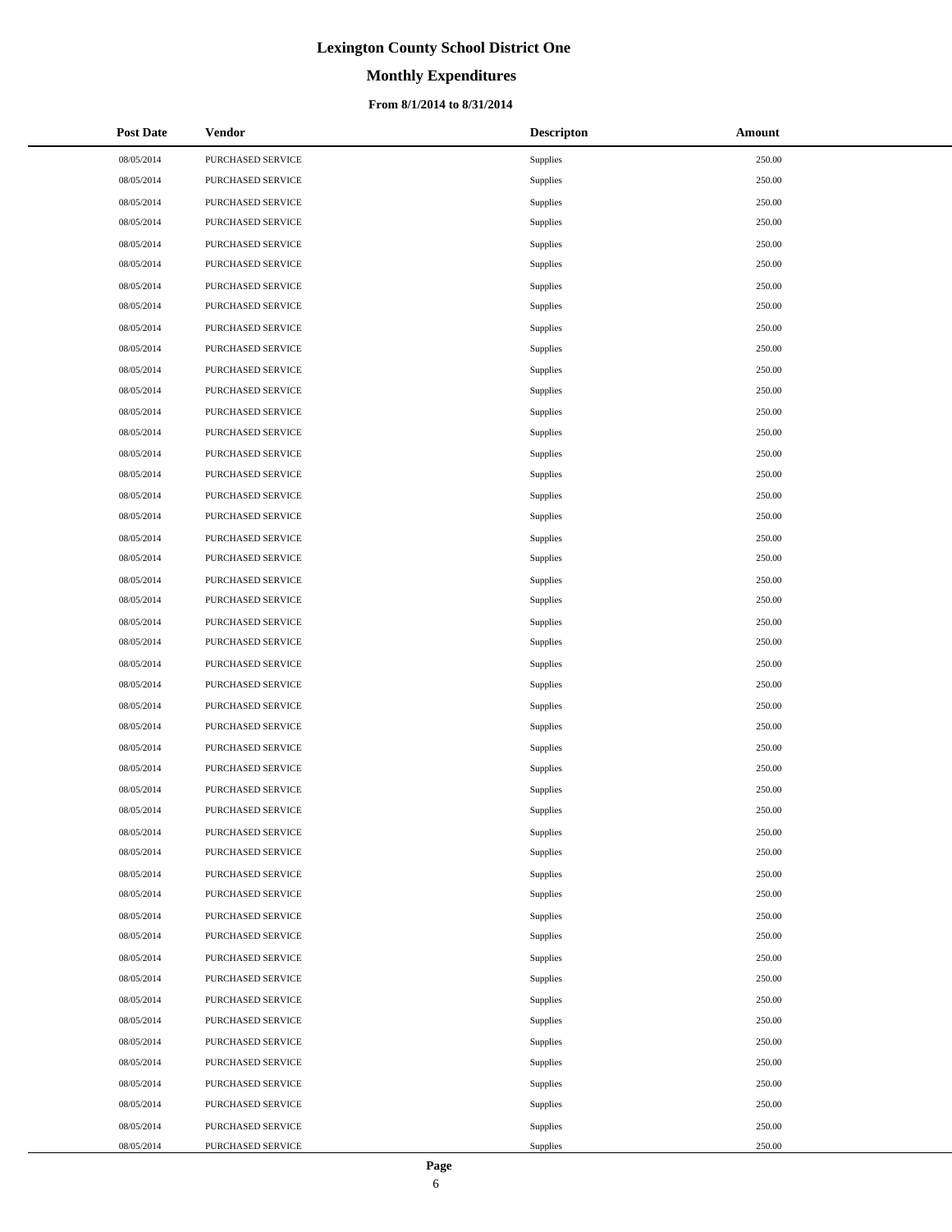# **Monthly Expenditures**

#### **From 8/1/2014 to 8/31/2014**

| <b>Post Date</b> | <b>Vendor</b>            | <b>Descripton</b> | Amount |
|------------------|--------------------------|-------------------|--------|
| 08/05/2014       | PURCHASED SERVICE        | Supplies          | 250.00 |
| 08/05/2014       | PURCHASED SERVICE        | Supplies          | 250.00 |
| 08/05/2014       | PURCHASED SERVICE        | Supplies          | 250.00 |
| 08/05/2014       | PURCHASED SERVICE        | Supplies          | 250.00 |
| 08/05/2014       | PURCHASED SERVICE        | Supplies          | 250.00 |
| 08/05/2014       | PURCHASED SERVICE        | Supplies          | 250.00 |
| 08/05/2014       | PURCHASED SERVICE        | Supplies          | 250.00 |
| 08/05/2014       | PURCHASED SERVICE        | Supplies          | 250.00 |
| 08/05/2014       | PURCHASED SERVICE        | Supplies          | 250.00 |
| 08/05/2014       | PURCHASED SERVICE        | Supplies          | 250.00 |
| 08/05/2014       | PURCHASED SERVICE        | Supplies          | 250.00 |
| 08/05/2014       | PURCHASED SERVICE        | Supplies          | 250.00 |
| 08/05/2014       | PURCHASED SERVICE        | Supplies          | 250.00 |
| 08/05/2014       | PURCHASED SERVICE        | Supplies          | 250.00 |
| 08/05/2014       | PURCHASED SERVICE        | Supplies          | 250.00 |
| 08/05/2014       | PURCHASED SERVICE        | Supplies          | 250.00 |
| 08/05/2014       | PURCHASED SERVICE        | Supplies          | 250.00 |
| 08/05/2014       | PURCHASED SERVICE        | Supplies          | 250.00 |
| 08/05/2014       | PURCHASED SERVICE        | Supplies          | 250.00 |
| 08/05/2014       | PURCHASED SERVICE        | Supplies          | 250.00 |
| 08/05/2014       | PURCHASED SERVICE        | Supplies          | 250.00 |
| 08/05/2014       | PURCHASED SERVICE        | Supplies          | 250.00 |
| 08/05/2014       | PURCHASED SERVICE        | Supplies          | 250.00 |
| 08/05/2014       | PURCHASED SERVICE        | Supplies          | 250.00 |
| 08/05/2014       | PURCHASED SERVICE        | Supplies          | 250.00 |
| 08/05/2014       | PURCHASED SERVICE        | Supplies          | 250.00 |
| 08/05/2014       | PURCHASED SERVICE        | Supplies          | 250.00 |
| 08/05/2014       | PURCHASED SERVICE        | Supplies          | 250.00 |
| 08/05/2014       | PURCHASED SERVICE        | Supplies          | 250.00 |
| 08/05/2014       | PURCHASED SERVICE        | Supplies          | 250.00 |
| 08/05/2014       | PURCHASED SERVICE        | Supplies          | 250.00 |
| 08/05/2014       | <b>PURCHASED SERVICE</b> | Supplies          | 250.00 |
| 08/05/2014       | PURCHASED SERVICE        | Supplies          | 250.00 |
| 08/05/2014       | PURCHASED SERVICE        | Supplies          | 250.00 |
| 08/05/2014       | PURCHASED SERVICE        | Supplies          | 250.00 |
| 08/05/2014       | PURCHASED SERVICE        | Supplies          | 250.00 |
| 08/05/2014       | PURCHASED SERVICE        | Supplies          | 250.00 |
| 08/05/2014       | PURCHASED SERVICE        | Supplies          | 250.00 |
| 08/05/2014       | PURCHASED SERVICE        | Supplies          | 250.00 |
| 08/05/2014       | PURCHASED SERVICE        | Supplies          | 250.00 |
| 08/05/2014       | PURCHASED SERVICE        | Supplies          | 250.00 |
| 08/05/2014       | PURCHASED SERVICE        | Supplies          | 250.00 |
| 08/05/2014       | PURCHASED SERVICE        | Supplies          | 250.00 |
| 08/05/2014       | PURCHASED SERVICE        | Supplies          | 250.00 |
| 08/05/2014       | PURCHASED SERVICE        | Supplies          | 250.00 |
| 08/05/2014       | PURCHASED SERVICE        | Supplies          | 250.00 |
| 08/05/2014       | PURCHASED SERVICE        | Supplies          | 250.00 |
| 08/05/2014       | PURCHASED SERVICE        | Supplies          | 250.00 |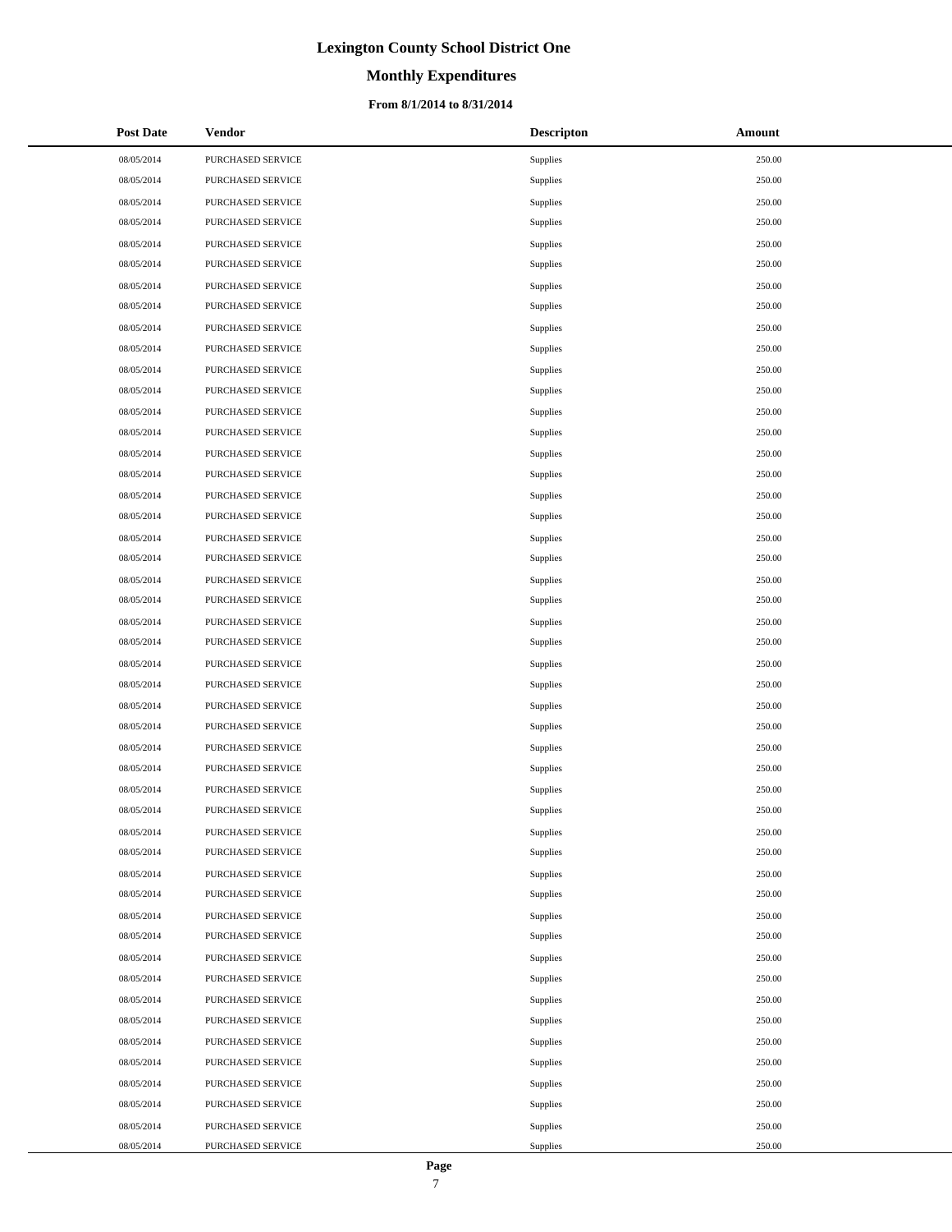# **Monthly Expenditures**

#### **From 8/1/2014 to 8/31/2014**

| <b>Post Date</b> | Vendor            | <b>Descripton</b> | Amount |
|------------------|-------------------|-------------------|--------|
| 08/05/2014       | PURCHASED SERVICE | Supplies          | 250.00 |
| 08/05/2014       | PURCHASED SERVICE | Supplies          | 250.00 |
| 08/05/2014       | PURCHASED SERVICE | Supplies          | 250.00 |
| 08/05/2014       | PURCHASED SERVICE | Supplies          | 250.00 |
| 08/05/2014       | PURCHASED SERVICE | Supplies          | 250.00 |
| 08/05/2014       | PURCHASED SERVICE | Supplies          | 250.00 |
| 08/05/2014       | PURCHASED SERVICE | Supplies          | 250.00 |
| 08/05/2014       | PURCHASED SERVICE | Supplies          | 250.00 |
| 08/05/2014       | PURCHASED SERVICE | Supplies          | 250.00 |
| 08/05/2014       | PURCHASED SERVICE | Supplies          | 250.00 |
| 08/05/2014       | PURCHASED SERVICE | Supplies          | 250.00 |
| 08/05/2014       | PURCHASED SERVICE | Supplies          | 250.00 |
| 08/05/2014       | PURCHASED SERVICE | Supplies          | 250.00 |
| 08/05/2014       | PURCHASED SERVICE | Supplies          | 250.00 |
| 08/05/2014       | PURCHASED SERVICE | Supplies          | 250.00 |
| 08/05/2014       | PURCHASED SERVICE | Supplies          | 250.00 |
| 08/05/2014       | PURCHASED SERVICE | Supplies          | 250.00 |
| 08/05/2014       | PURCHASED SERVICE | Supplies          | 250.00 |
| 08/05/2014       | PURCHASED SERVICE | Supplies          | 250.00 |
| 08/05/2014       | PURCHASED SERVICE | Supplies          | 250.00 |
| 08/05/2014       | PURCHASED SERVICE | Supplies          | 250.00 |
| 08/05/2014       | PURCHASED SERVICE | Supplies          | 250.00 |
| 08/05/2014       | PURCHASED SERVICE | Supplies          | 250.00 |
| 08/05/2014       | PURCHASED SERVICE | Supplies          | 250.00 |
| 08/05/2014       | PURCHASED SERVICE | Supplies          | 250.00 |
| 08/05/2014       | PURCHASED SERVICE | Supplies          | 250.00 |
| 08/05/2014       | PURCHASED SERVICE | Supplies          | 250.00 |
| 08/05/2014       | PURCHASED SERVICE | Supplies          | 250.00 |
| 08/05/2014       | PURCHASED SERVICE | Supplies          | 250.00 |
| 08/05/2014       | PURCHASED SERVICE | Supplies          | 250.00 |
| 08/05/2014       | PURCHASED SERVICE | Supplies          | 250.00 |
| 08/05/2014       | PURCHASED SERVICE | Supplies          | 250.00 |
| 08/05/2014       | PURCHASED SERVICE | Supplies          | 250.00 |
| 08/05/2014       | PURCHASED SERVICE | Supplies          | 250.00 |
| 08/05/2014       | PURCHASED SERVICE | Supplies          | 250.00 |
| 08/05/2014       | PURCHASED SERVICE | Supplies          | 250.00 |
| 08/05/2014       | PURCHASED SERVICE | Supplies          | 250.00 |
| 08/05/2014       | PURCHASED SERVICE | Supplies          | 250.00 |
| 08/05/2014       | PURCHASED SERVICE | Supplies          | 250.00 |
| 08/05/2014       | PURCHASED SERVICE | Supplies          | 250.00 |
| 08/05/2014       | PURCHASED SERVICE | Supplies          | 250.00 |
| 08/05/2014       | PURCHASED SERVICE | Supplies          | 250.00 |
| 08/05/2014       | PURCHASED SERVICE | Supplies          | 250.00 |
| 08/05/2014       | PURCHASED SERVICE | Supplies          | 250.00 |
| 08/05/2014       | PURCHASED SERVICE | Supplies          | 250.00 |
| 08/05/2014       | PURCHASED SERVICE | Supplies          | 250.00 |
| 08/05/2014       | PURCHASED SERVICE | Supplies          | 250.00 |
| 08/05/2014       | PURCHASED SERVICE | Supplies          | 250.00 |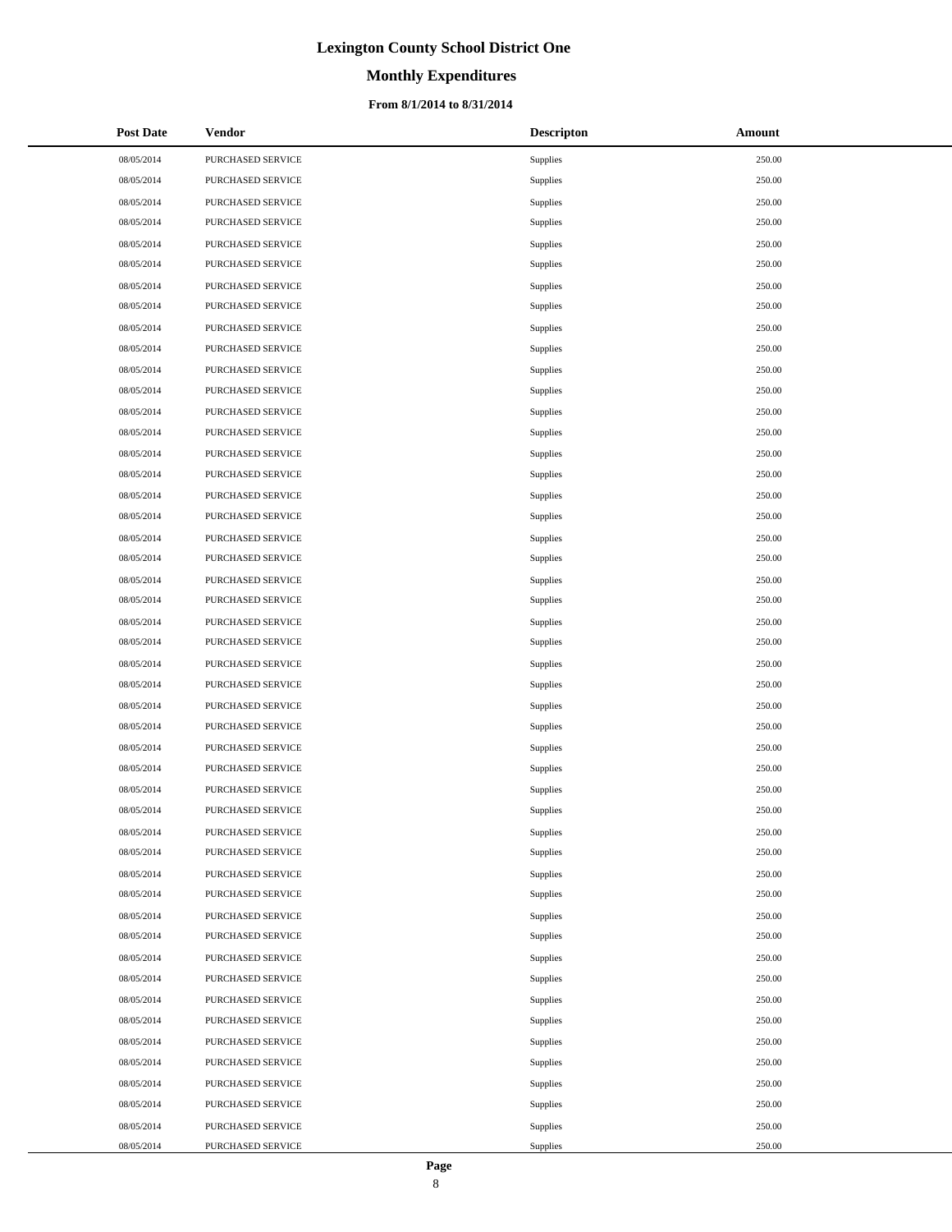# **Monthly Expenditures**

#### **From 8/1/2014 to 8/31/2014**

| <b>Post Date</b> | <b>Vendor</b>            | <b>Descripton</b> | Amount |
|------------------|--------------------------|-------------------|--------|
| 08/05/2014       | PURCHASED SERVICE        | Supplies          | 250.00 |
| 08/05/2014       | PURCHASED SERVICE        | Supplies          | 250.00 |
| 08/05/2014       | PURCHASED SERVICE        | Supplies          | 250.00 |
| 08/05/2014       | PURCHASED SERVICE        | Supplies          | 250.00 |
| 08/05/2014       | PURCHASED SERVICE        | Supplies          | 250.00 |
| 08/05/2014       | PURCHASED SERVICE        | Supplies          | 250.00 |
| 08/05/2014       | PURCHASED SERVICE        | Supplies          | 250.00 |
| 08/05/2014       | PURCHASED SERVICE        | Supplies          | 250.00 |
| 08/05/2014       | PURCHASED SERVICE        | Supplies          | 250.00 |
| 08/05/2014       | PURCHASED SERVICE        | Supplies          | 250.00 |
| 08/05/2014       | PURCHASED SERVICE        | Supplies          | 250.00 |
| 08/05/2014       | PURCHASED SERVICE        | Supplies          | 250.00 |
| 08/05/2014       | PURCHASED SERVICE        | Supplies          | 250.00 |
| 08/05/2014       | PURCHASED SERVICE        | Supplies          | 250.00 |
| 08/05/2014       | <b>PURCHASED SERVICE</b> | Supplies          | 250.00 |
| 08/05/2014       | PURCHASED SERVICE        | Supplies          | 250.00 |
| 08/05/2014       | PURCHASED SERVICE        | Supplies          | 250.00 |
| 08/05/2014       | PURCHASED SERVICE        | Supplies          | 250.00 |
| 08/05/2014       | PURCHASED SERVICE        | Supplies          | 250.00 |
| 08/05/2014       | PURCHASED SERVICE        | Supplies          | 250.00 |
| 08/05/2014       | PURCHASED SERVICE        | Supplies          | 250.00 |
| 08/05/2014       | PURCHASED SERVICE        | Supplies          | 250.00 |
| 08/05/2014       | PURCHASED SERVICE        | Supplies          | 250.00 |
| 08/05/2014       | PURCHASED SERVICE        | Supplies          | 250.00 |
| 08/05/2014       | PURCHASED SERVICE        | Supplies          | 250.00 |
| 08/05/2014       | PURCHASED SERVICE        | Supplies          | 250.00 |
| 08/05/2014       | PURCHASED SERVICE        | Supplies          | 250.00 |
| 08/05/2014       | PURCHASED SERVICE        | Supplies          | 250.00 |
| 08/05/2014       | PURCHASED SERVICE        | Supplies          | 250.00 |
| 08/05/2014       | PURCHASED SERVICE        | Supplies          | 250.00 |
| 08/05/2014       | PURCHASED SERVICE        | Supplies          | 250.00 |
| 08/05/2014       | PURCHASED SERVICE        | Supplies          | 250.00 |
| 08/05/2014       | PURCHASED SERVICE        | Supplies          | 250.00 |
| 08/05/2014       | PURCHASED SERVICE        | Supplies          | 250.00 |
| 08/05/2014       | PURCHASED SERVICE        | Supplies          | 250.00 |
| 08/05/2014       | PURCHASED SERVICE        | Supplies          | 250.00 |
| 08/05/2014       | PURCHASED SERVICE        | Supplies          | 250.00 |
| 08/05/2014       | <b>PURCHASED SERVICE</b> | Supplies          | 250.00 |
| 08/05/2014       | PURCHASED SERVICE        | Supplies          | 250.00 |
| 08/05/2014       | PURCHASED SERVICE        | Supplies          | 250.00 |
| 08/05/2014       | PURCHASED SERVICE        | Supplies          | 250.00 |
| 08/05/2014       | PURCHASED SERVICE        | Supplies          | 250.00 |
| 08/05/2014       | PURCHASED SERVICE        | Supplies          | 250.00 |
| 08/05/2014       | PURCHASED SERVICE        | Supplies          | 250.00 |
| 08/05/2014       | PURCHASED SERVICE        | Supplies          | 250.00 |
| 08/05/2014       | PURCHASED SERVICE        | Supplies          | 250.00 |
| 08/05/2014       | PURCHASED SERVICE        | Supplies          | 250.00 |
| 08/05/2014       | PURCHASED SERVICE        | Supplies          | 250.00 |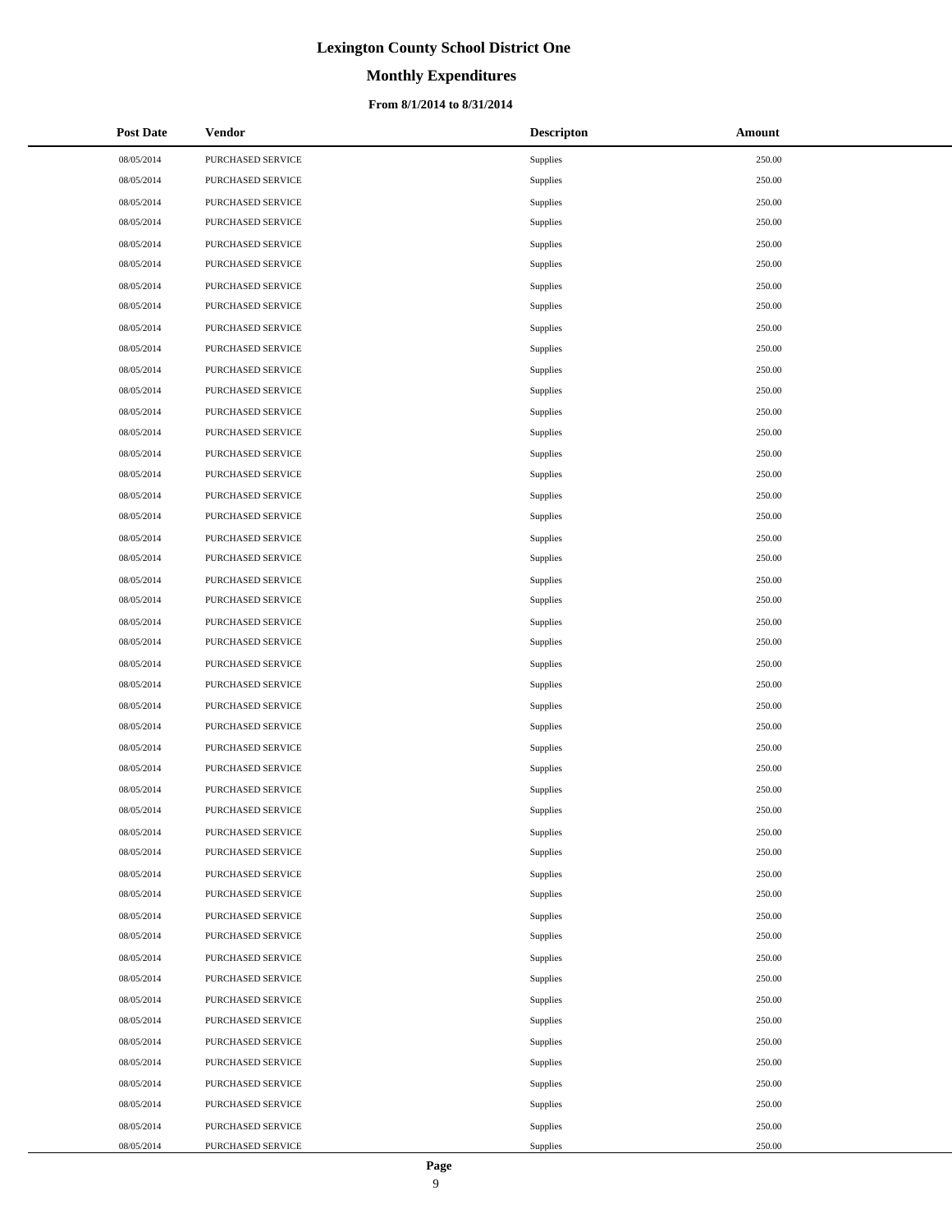### **Monthly Expenditures**

#### **From 8/1/2014 to 8/31/2014**

| <b>Post Date</b> | Vendor                   | <b>Descripton</b> | Amount |
|------------------|--------------------------|-------------------|--------|
| 08/05/2014       | PURCHASED SERVICE        | Supplies          | 250.00 |
| 08/05/2014       | PURCHASED SERVICE        | Supplies          | 250.00 |
| 08/05/2014       | PURCHASED SERVICE        | Supplies          | 250.00 |
| 08/05/2014       | PURCHASED SERVICE        | Supplies          | 250.00 |
| 08/05/2014       | PURCHASED SERVICE        | Supplies          | 250.00 |
| 08/05/2014       | PURCHASED SERVICE        | Supplies          | 250.00 |
| 08/05/2014       | PURCHASED SERVICE        | Supplies          | 250.00 |
| 08/05/2014       | PURCHASED SERVICE        | Supplies          | 250.00 |
| 08/05/2014       | PURCHASED SERVICE        | Supplies          | 250.00 |
| 08/05/2014       | PURCHASED SERVICE        | Supplies          | 250.00 |
| 08/05/2014       | PURCHASED SERVICE        | Supplies          | 250.00 |
| 08/05/2014       | PURCHASED SERVICE        | Supplies          | 250.00 |
| 08/05/2014       | PURCHASED SERVICE        | Supplies          | 250.00 |
| 08/05/2014       | PURCHASED SERVICE        | Supplies          | 250.00 |
| 08/05/2014       | PURCHASED SERVICE        | Supplies          | 250.00 |
| 08/05/2014       | PURCHASED SERVICE        | Supplies          | 250.00 |
| 08/05/2014       | PURCHASED SERVICE        | Supplies          | 250.00 |
| 08/05/2014       | PURCHASED SERVICE        | Supplies          | 250.00 |
| 08/05/2014       | PURCHASED SERVICE        | Supplies          | 250.00 |
| 08/05/2014       | PURCHASED SERVICE        | Supplies          | 250.00 |
| 08/05/2014       | PURCHASED SERVICE        | Supplies          | 250.00 |
| 08/05/2014       | PURCHASED SERVICE        | Supplies          | 250.00 |
| 08/05/2014       | PURCHASED SERVICE        | Supplies          | 250.00 |
| 08/05/2014       | PURCHASED SERVICE        | Supplies          | 250.00 |
| 08/05/2014       | PURCHASED SERVICE        | Supplies          | 250.00 |
| 08/05/2014       | PURCHASED SERVICE        | Supplies          | 250.00 |
| 08/05/2014       | PURCHASED SERVICE        | Supplies          | 250.00 |
| 08/05/2014       | PURCHASED SERVICE        | Supplies          | 250.00 |
| 08/05/2014       | PURCHASED SERVICE        | Supplies          | 250.00 |
| 08/05/2014       | PURCHASED SERVICE        | Supplies          | 250.00 |
| 08/05/2014       | PURCHASED SERVICE        | Supplies          | 250.00 |
| 08/05/2014       | PURCHASED SERVICE        | Supplies          | 250.00 |
| 08/05/2014       | PURCHASED SERVICE        | Supplies          | 250.00 |
| 08/05/2014       | <b>PURCHASED SERVICE</b> | Supplies          | 250.00 |
| 08/05/2014       | PURCHASED SERVICE        | Supplies          | 250.00 |
| 08/05/2014       | PURCHASED SERVICE        | Supplies          | 250.00 |
| 08/05/2014       | PURCHASED SERVICE        | Supplies          | 250.00 |
| 08/05/2014       | PURCHASED SERVICE        | Supplies          | 250.00 |
| 08/05/2014       | PURCHASED SERVICE        | Supplies          | 250.00 |
| 08/05/2014       | PURCHASED SERVICE        | Supplies          | 250.00 |
| 08/05/2014       | PURCHASED SERVICE        | Supplies          | 250.00 |
| 08/05/2014       | PURCHASED SERVICE        | Supplies          | 250.00 |
| 08/05/2014       | PURCHASED SERVICE        | Supplies          | 250.00 |
| 08/05/2014       | PURCHASED SERVICE        | Supplies          | 250.00 |
| 08/05/2014       | PURCHASED SERVICE        | Supplies          | 250.00 |
| 08/05/2014       | PURCHASED SERVICE        | Supplies          | 250.00 |
| 08/05/2014       | PURCHASED SERVICE        | Supplies          | 250.00 |
| 08/05/2014       | PURCHASED SERVICE        | Supplies          | 250.00 |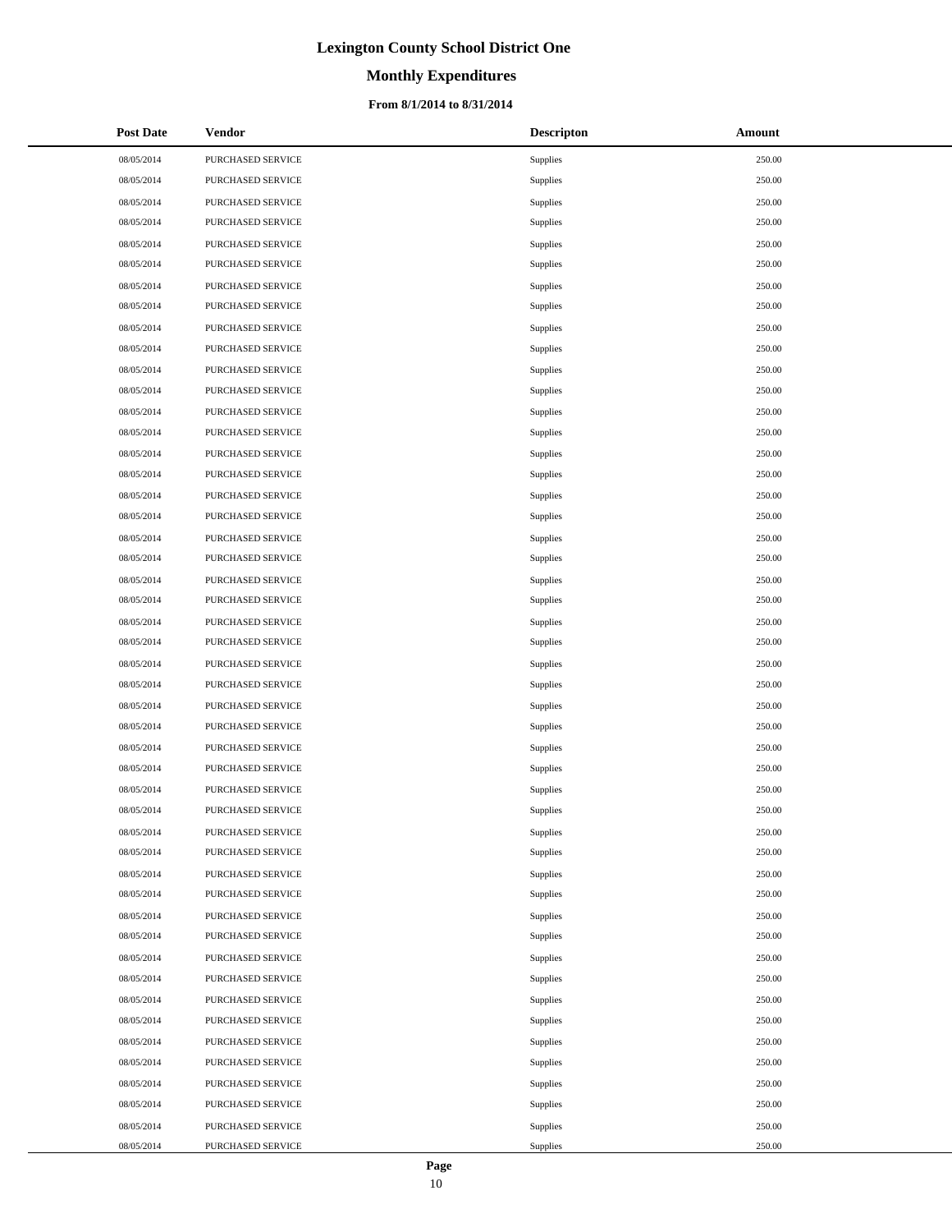# **Monthly Expenditures**

#### **From 8/1/2014 to 8/31/2014**

| <b>Post Date</b> | Vendor            | <b>Descripton</b> | Amount |
|------------------|-------------------|-------------------|--------|
| 08/05/2014       | PURCHASED SERVICE | Supplies          | 250.00 |
| 08/05/2014       | PURCHASED SERVICE | Supplies          | 250.00 |
| 08/05/2014       | PURCHASED SERVICE | Supplies          | 250.00 |
| 08/05/2014       | PURCHASED SERVICE | Supplies          | 250.00 |
| 08/05/2014       | PURCHASED SERVICE | Supplies          | 250.00 |
| 08/05/2014       | PURCHASED SERVICE | Supplies          | 250.00 |
| 08/05/2014       | PURCHASED SERVICE | Supplies          | 250.00 |
| 08/05/2014       | PURCHASED SERVICE | Supplies          | 250.00 |
| 08/05/2014       | PURCHASED SERVICE | Supplies          | 250.00 |
| 08/05/2014       | PURCHASED SERVICE | Supplies          | 250.00 |
| 08/05/2014       | PURCHASED SERVICE | Supplies          | 250.00 |
| 08/05/2014       | PURCHASED SERVICE | Supplies          | 250.00 |
| 08/05/2014       | PURCHASED SERVICE | Supplies          | 250.00 |
| 08/05/2014       | PURCHASED SERVICE | Supplies          | 250.00 |
| 08/05/2014       | PURCHASED SERVICE | Supplies          | 250.00 |
| 08/05/2014       | PURCHASED SERVICE | Supplies          | 250.00 |
| 08/05/2014       | PURCHASED SERVICE | Supplies          | 250.00 |
| 08/05/2014       | PURCHASED SERVICE | Supplies          | 250.00 |
| 08/05/2014       | PURCHASED SERVICE | Supplies          | 250.00 |
| 08/05/2014       | PURCHASED SERVICE | Supplies          | 250.00 |
| 08/05/2014       | PURCHASED SERVICE | Supplies          | 250.00 |
| 08/05/2014       | PURCHASED SERVICE | Supplies          | 250.00 |
| 08/05/2014       | PURCHASED SERVICE | Supplies          | 250.00 |
| 08/05/2014       | PURCHASED SERVICE | Supplies          | 250.00 |
| 08/05/2014       | PURCHASED SERVICE | Supplies          | 250.00 |
| 08/05/2014       | PURCHASED SERVICE | Supplies          | 250.00 |
| 08/05/2014       | PURCHASED SERVICE | Supplies          | 250.00 |
| 08/05/2014       | PURCHASED SERVICE | Supplies          | 250.00 |
| 08/05/2014       | PURCHASED SERVICE | Supplies          | 250.00 |
| 08/05/2014       | PURCHASED SERVICE | Supplies          | 250.00 |
| 08/05/2014       | PURCHASED SERVICE | Supplies          | 250.00 |
| 08/05/2014       | PURCHASED SERVICE | Supplies          | 250.00 |
| 08/05/2014       | PURCHASED SERVICE | Supplies          | 250.00 |
| 08/05/2014       | PURCHASED SERVICE | Supplies          | 250.00 |
| 08/05/2014       | PURCHASED SERVICE | Supplies          | 250.00 |
| 08/05/2014       | PURCHASED SERVICE | Supplies          | 250.00 |
| 08/05/2014       | PURCHASED SERVICE | Supplies          | 250.00 |
| 08/05/2014       | PURCHASED SERVICE | Supplies          | 250.00 |
| 08/05/2014       | PURCHASED SERVICE | Supplies          | 250.00 |
| 08/05/2014       | PURCHASED SERVICE | Supplies          | 250.00 |
| 08/05/2014       | PURCHASED SERVICE | Supplies          | 250.00 |
| 08/05/2014       | PURCHASED SERVICE | Supplies          | 250.00 |
| 08/05/2014       | PURCHASED SERVICE | Supplies          | 250.00 |
| 08/05/2014       | PURCHASED SERVICE | Supplies          | 250.00 |
| 08/05/2014       | PURCHASED SERVICE | Supplies          | 250.00 |
| 08/05/2014       | PURCHASED SERVICE | Supplies          | 250.00 |
| 08/05/2014       | PURCHASED SERVICE | Supplies          | 250.00 |
| 08/05/2014       | PURCHASED SERVICE | Supplies          | 250.00 |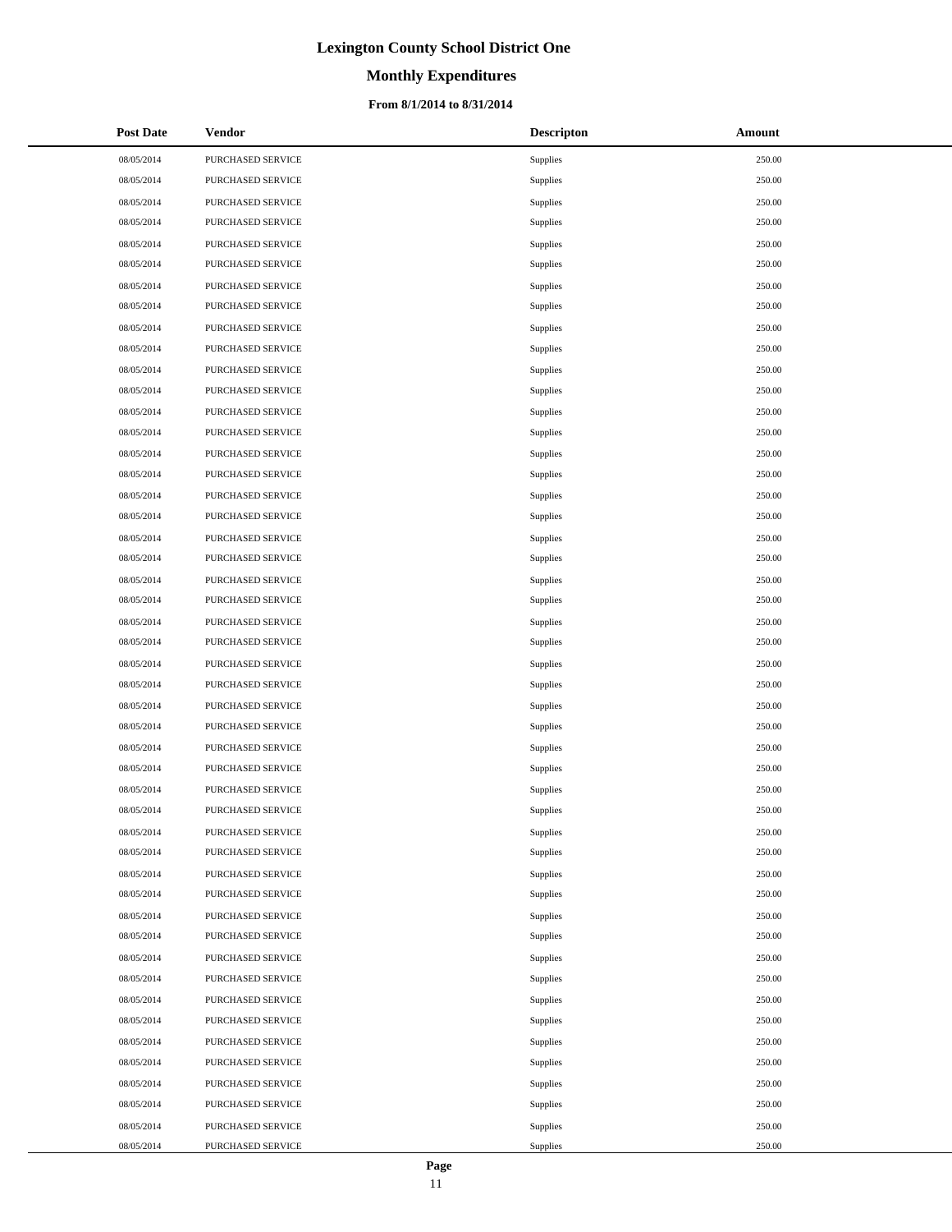# **Monthly Expenditures**

#### **From 8/1/2014 to 8/31/2014**

| <b>Post Date</b> | Vendor                   | <b>Descripton</b> | Amount |
|------------------|--------------------------|-------------------|--------|
| 08/05/2014       | PURCHASED SERVICE        | Supplies          | 250.00 |
| 08/05/2014       | PURCHASED SERVICE        | Supplies          | 250.00 |
| 08/05/2014       | PURCHASED SERVICE        | Supplies          | 250.00 |
| 08/05/2014       | PURCHASED SERVICE        | Supplies          | 250.00 |
| 08/05/2014       | PURCHASED SERVICE        | Supplies          | 250.00 |
| 08/05/2014       | PURCHASED SERVICE        | Supplies          | 250.00 |
| 08/05/2014       | PURCHASED SERVICE        | Supplies          | 250.00 |
| 08/05/2014       | PURCHASED SERVICE        | Supplies          | 250.00 |
| 08/05/2014       | PURCHASED SERVICE        | Supplies          | 250.00 |
| 08/05/2014       | PURCHASED SERVICE        | Supplies          | 250.00 |
| 08/05/2014       | PURCHASED SERVICE        | Supplies          | 250.00 |
| 08/05/2014       | PURCHASED SERVICE        | Supplies          | 250.00 |
| 08/05/2014       | PURCHASED SERVICE        | Supplies          | 250.00 |
| 08/05/2014       | PURCHASED SERVICE        | Supplies          | 250.00 |
| 08/05/2014       | PURCHASED SERVICE        | Supplies          | 250.00 |
| 08/05/2014       | PURCHASED SERVICE        | Supplies          | 250.00 |
| 08/05/2014       | PURCHASED SERVICE        | Supplies          | 250.00 |
| 08/05/2014       | PURCHASED SERVICE        | Supplies          | 250.00 |
| 08/05/2014       | PURCHASED SERVICE        | Supplies          | 250.00 |
| 08/05/2014       | PURCHASED SERVICE        | Supplies          | 250.00 |
| 08/05/2014       | PURCHASED SERVICE        | Supplies          | 250.00 |
| 08/05/2014       | PURCHASED SERVICE        | Supplies          | 250.00 |
| 08/05/2014       | PURCHASED SERVICE        | Supplies          | 250.00 |
| 08/05/2014       | PURCHASED SERVICE        | Supplies          | 250.00 |
| 08/05/2014       | PURCHASED SERVICE        | Supplies          | 250.00 |
| 08/05/2014       | PURCHASED SERVICE        | Supplies          | 250.00 |
| 08/05/2014       | PURCHASED SERVICE        | Supplies          | 250.00 |
| 08/05/2014       | PURCHASED SERVICE        | Supplies          | 250.00 |
| 08/05/2014       | PURCHASED SERVICE        | Supplies          | 250.00 |
| 08/05/2014       | PURCHASED SERVICE        | Supplies          | 250.00 |
| 08/05/2014       | PURCHASED SERVICE        | Supplies          | 250.00 |
| 08/05/2014       | PURCHASED SERVICE        | Supplies          | 250.00 |
| 08/05/2014       | PURCHASED SERVICE        | Supplies          | 250.00 |
| 08/05/2014       | <b>PURCHASED SERVICE</b> | Supplies          | 250.00 |
| 08/05/2014       | PURCHASED SERVICE        | Supplies          | 250.00 |
| 08/05/2014       | PURCHASED SERVICE        | Supplies          | 250.00 |
| 08/05/2014       | PURCHASED SERVICE        | Supplies          | 250.00 |
| 08/05/2014       | PURCHASED SERVICE        | Supplies          | 250.00 |
| 08/05/2014       | PURCHASED SERVICE        | Supplies          | 250.00 |
| 08/05/2014       | PURCHASED SERVICE        | Supplies          | 250.00 |
| 08/05/2014       | PURCHASED SERVICE        | Supplies          | 250.00 |
| 08/05/2014       | PURCHASED SERVICE        | Supplies          | 250.00 |
| 08/05/2014       | PURCHASED SERVICE        | Supplies          | 250.00 |
| 08/05/2014       | PURCHASED SERVICE        | Supplies          | 250.00 |
| 08/05/2014       | PURCHASED SERVICE        | Supplies          | 250.00 |
| 08/05/2014       | PURCHASED SERVICE        | Supplies          | 250.00 |
| 08/05/2014       | PURCHASED SERVICE        | Supplies          | 250.00 |
| 08/05/2014       | PURCHASED SERVICE        | Supplies          | 250.00 |

 $\overline{a}$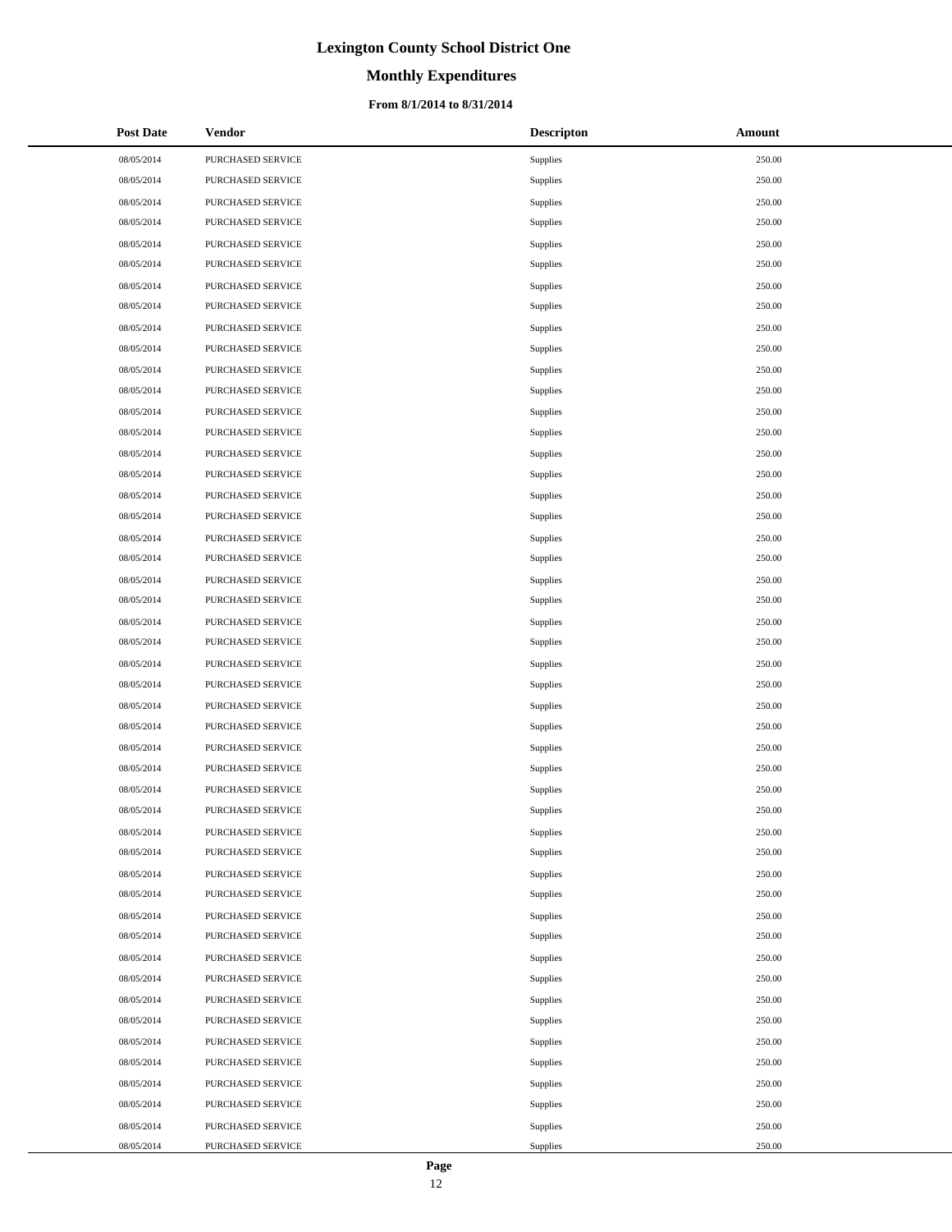# **Monthly Expenditures**

#### **From 8/1/2014 to 8/31/2014**

| <b>Post Date</b> | Vendor                   | <b>Descripton</b> | Amount |
|------------------|--------------------------|-------------------|--------|
| 08/05/2014       | PURCHASED SERVICE        | Supplies          | 250.00 |
| 08/05/2014       | PURCHASED SERVICE        | Supplies          | 250.00 |
| 08/05/2014       | PURCHASED SERVICE        | Supplies          | 250.00 |
| 08/05/2014       | PURCHASED SERVICE        | Supplies          | 250.00 |
| 08/05/2014       | PURCHASED SERVICE        | Supplies          | 250.00 |
| 08/05/2014       | PURCHASED SERVICE        | Supplies          | 250.00 |
| 08/05/2014       | PURCHASED SERVICE        | Supplies          | 250.00 |
| 08/05/2014       | PURCHASED SERVICE        | Supplies          | 250.00 |
| 08/05/2014       | PURCHASED SERVICE        | Supplies          | 250.00 |
| 08/05/2014       | PURCHASED SERVICE        | Supplies          | 250.00 |
| 08/05/2014       | PURCHASED SERVICE        | Supplies          | 250.00 |
| 08/05/2014       | PURCHASED SERVICE        | Supplies          | 250.00 |
| 08/05/2014       | PURCHASED SERVICE        | Supplies          | 250.00 |
| 08/05/2014       | PURCHASED SERVICE        | Supplies          | 250.00 |
| 08/05/2014       | PURCHASED SERVICE        | Supplies          | 250.00 |
| 08/05/2014       | PURCHASED SERVICE        | Supplies          | 250.00 |
| 08/05/2014       | PURCHASED SERVICE        | Supplies          | 250.00 |
| 08/05/2014       | PURCHASED SERVICE        | Supplies          | 250.00 |
| 08/05/2014       | PURCHASED SERVICE        | Supplies          | 250.00 |
| 08/05/2014       | PURCHASED SERVICE        | Supplies          | 250.00 |
| 08/05/2014       | PURCHASED SERVICE        | Supplies          | 250.00 |
| 08/05/2014       | PURCHASED SERVICE        | Supplies          | 250.00 |
| 08/05/2014       | PURCHASED SERVICE        | Supplies          | 250.00 |
| 08/05/2014       | PURCHASED SERVICE        | Supplies          | 250.00 |
| 08/05/2014       | PURCHASED SERVICE        | Supplies          | 250.00 |
| 08/05/2014       | PURCHASED SERVICE        | Supplies          | 250.00 |
| 08/05/2014       | PURCHASED SERVICE        | Supplies          | 250.00 |
| 08/05/2014       | PURCHASED SERVICE        | Supplies          | 250.00 |
| 08/05/2014       | PURCHASED SERVICE        | Supplies          | 250.00 |
| 08/05/2014       | PURCHASED SERVICE        | Supplies          | 250.00 |
| 08/05/2014       | PURCHASED SERVICE        | Supplies          | 250.00 |
| 08/05/2014       | PURCHASED SERVICE        | Supplies          | 250.00 |
| 08/05/2014       | PURCHASED SERVICE        | Supplies          | 250.00 |
| 08/05/2014       | <b>PURCHASED SERVICE</b> | Supplies          | 250.00 |
| 08/05/2014       | PURCHASED SERVICE        | Supplies          | 250.00 |
| 08/05/2014       | PURCHASED SERVICE        | Supplies          | 250.00 |
| 08/05/2014       | PURCHASED SERVICE        | Supplies          | 250.00 |
| 08/05/2014       | PURCHASED SERVICE        | Supplies          | 250.00 |
| 08/05/2014       | PURCHASED SERVICE        | Supplies          | 250.00 |
| 08/05/2014       | PURCHASED SERVICE        | Supplies          | 250.00 |
| 08/05/2014       | PURCHASED SERVICE        | Supplies          | 250.00 |
| 08/05/2014       | PURCHASED SERVICE        | Supplies          | 250.00 |
| 08/05/2014       | PURCHASED SERVICE        | Supplies          | 250.00 |
| 08/05/2014       | PURCHASED SERVICE        | Supplies          | 250.00 |
| 08/05/2014       | PURCHASED SERVICE        | Supplies          | 250.00 |
| 08/05/2014       | PURCHASED SERVICE        | Supplies          | 250.00 |
| 08/05/2014       | PURCHASED SERVICE        | Supplies          | 250.00 |
| 08/05/2014       | PURCHASED SERVICE        | Supplies          | 250.00 |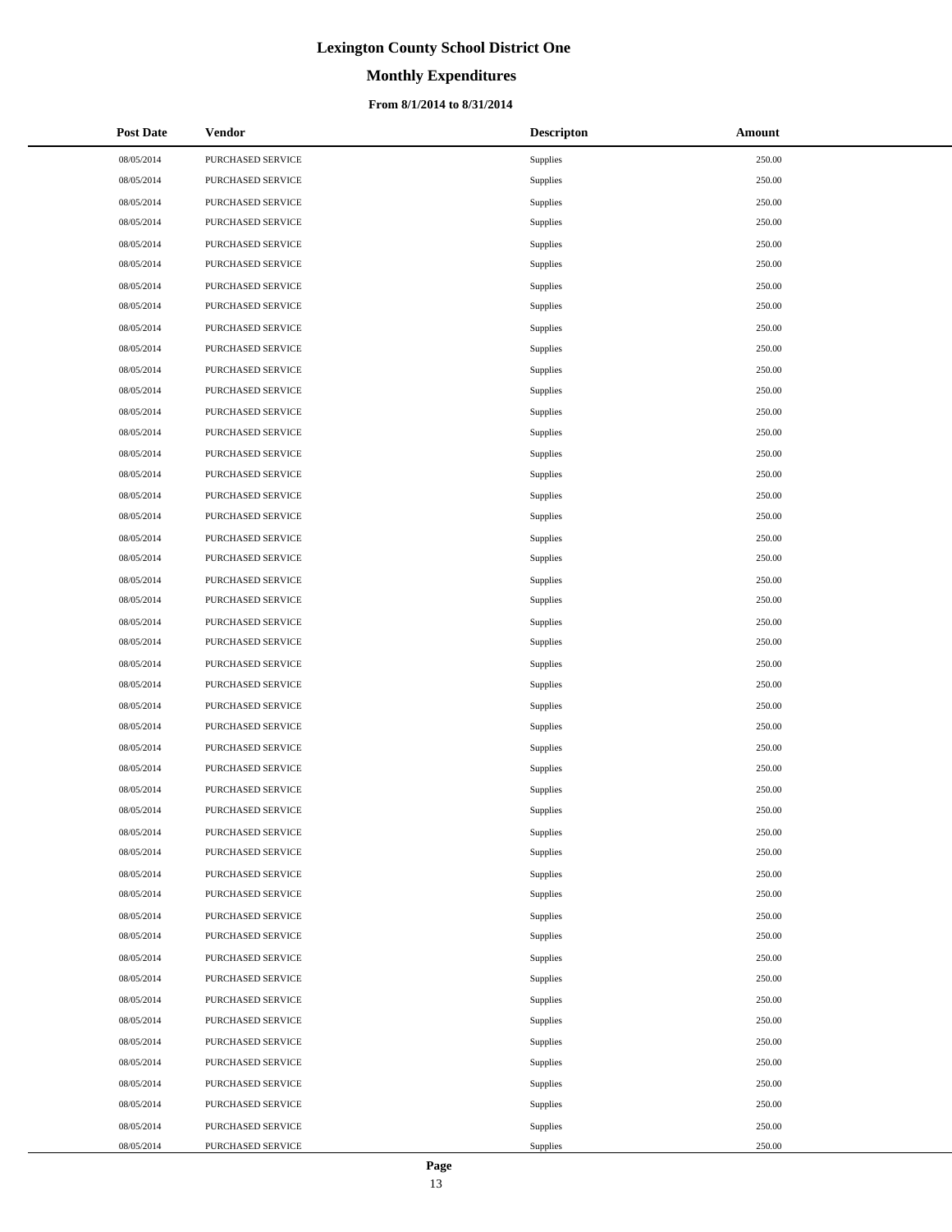# **Monthly Expenditures**

#### **From 8/1/2014 to 8/31/2014**

| <b>Post Date</b> | Vendor                   | <b>Descripton</b> | Amount |
|------------------|--------------------------|-------------------|--------|
| 08/05/2014       | PURCHASED SERVICE        | Supplies          | 250.00 |
| 08/05/2014       | PURCHASED SERVICE        | Supplies          | 250.00 |
| 08/05/2014       | PURCHASED SERVICE        | Supplies          | 250.00 |
| 08/05/2014       | PURCHASED SERVICE        | Supplies          | 250.00 |
| 08/05/2014       | PURCHASED SERVICE        | Supplies          | 250.00 |
| 08/05/2014       | PURCHASED SERVICE        | Supplies          | 250.00 |
| 08/05/2014       | PURCHASED SERVICE        | Supplies          | 250.00 |
| 08/05/2014       | PURCHASED SERVICE        | Supplies          | 250.00 |
| 08/05/2014       | PURCHASED SERVICE        | Supplies          | 250.00 |
| 08/05/2014       | PURCHASED SERVICE        | Supplies          | 250.00 |
| 08/05/2014       | PURCHASED SERVICE        | Supplies          | 250.00 |
| 08/05/2014       | PURCHASED SERVICE        | Supplies          | 250.00 |
| 08/05/2014       | PURCHASED SERVICE        | Supplies          | 250.00 |
| 08/05/2014       | PURCHASED SERVICE        | Supplies          | 250.00 |
| 08/05/2014       | PURCHASED SERVICE        | Supplies          | 250.00 |
| 08/05/2014       | PURCHASED SERVICE        | Supplies          | 250.00 |
| 08/05/2014       | PURCHASED SERVICE        | Supplies          | 250.00 |
| 08/05/2014       | PURCHASED SERVICE        | Supplies          | 250.00 |
| 08/05/2014       | PURCHASED SERVICE        | Supplies          | 250.00 |
| 08/05/2014       | PURCHASED SERVICE        | Supplies          | 250.00 |
| 08/05/2014       | PURCHASED SERVICE        | Supplies          | 250.00 |
| 08/05/2014       | PURCHASED SERVICE        | Supplies          | 250.00 |
| 08/05/2014       | PURCHASED SERVICE        | Supplies          | 250.00 |
| 08/05/2014       | PURCHASED SERVICE        | Supplies          | 250.00 |
| 08/05/2014       | PURCHASED SERVICE        | Supplies          | 250.00 |
| 08/05/2014       | PURCHASED SERVICE        | Supplies          | 250.00 |
| 08/05/2014       | PURCHASED SERVICE        | Supplies          | 250.00 |
| 08/05/2014       | PURCHASED SERVICE        | Supplies          | 250.00 |
| 08/05/2014       | PURCHASED SERVICE        | Supplies          | 250.00 |
| 08/05/2014       | PURCHASED SERVICE        | Supplies          | 250.00 |
| 08/05/2014       | PURCHASED SERVICE        | Supplies          | 250.00 |
| 08/05/2014       | PURCHASED SERVICE        | Supplies          | 250.00 |
| 08/05/2014       | PURCHASED SERVICE        | Supplies          | 250.00 |
| 08/05/2014       | <b>PURCHASED SERVICE</b> | Supplies          | 250.00 |
| 08/05/2014       | PURCHASED SERVICE        | Supplies          | 250.00 |
| 08/05/2014       | PURCHASED SERVICE        | Supplies          | 250.00 |
| 08/05/2014       | PURCHASED SERVICE        | Supplies          | 250.00 |
| 08/05/2014       | PURCHASED SERVICE        | Supplies          | 250.00 |
| 08/05/2014       | PURCHASED SERVICE        | Supplies          | 250.00 |
| 08/05/2014       | PURCHASED SERVICE        | Supplies          | 250.00 |
| 08/05/2014       | PURCHASED SERVICE        | Supplies          | 250.00 |
| 08/05/2014       | PURCHASED SERVICE        | Supplies          | 250.00 |
| 08/05/2014       | PURCHASED SERVICE        | Supplies          | 250.00 |
| 08/05/2014       | PURCHASED SERVICE        | Supplies          | 250.00 |
| 08/05/2014       | PURCHASED SERVICE        | Supplies          | 250.00 |
| 08/05/2014       | PURCHASED SERVICE        | Supplies          | 250.00 |
| 08/05/2014       | PURCHASED SERVICE        | Supplies          | 250.00 |
| 08/05/2014       | PURCHASED SERVICE        | Supplies          | 250.00 |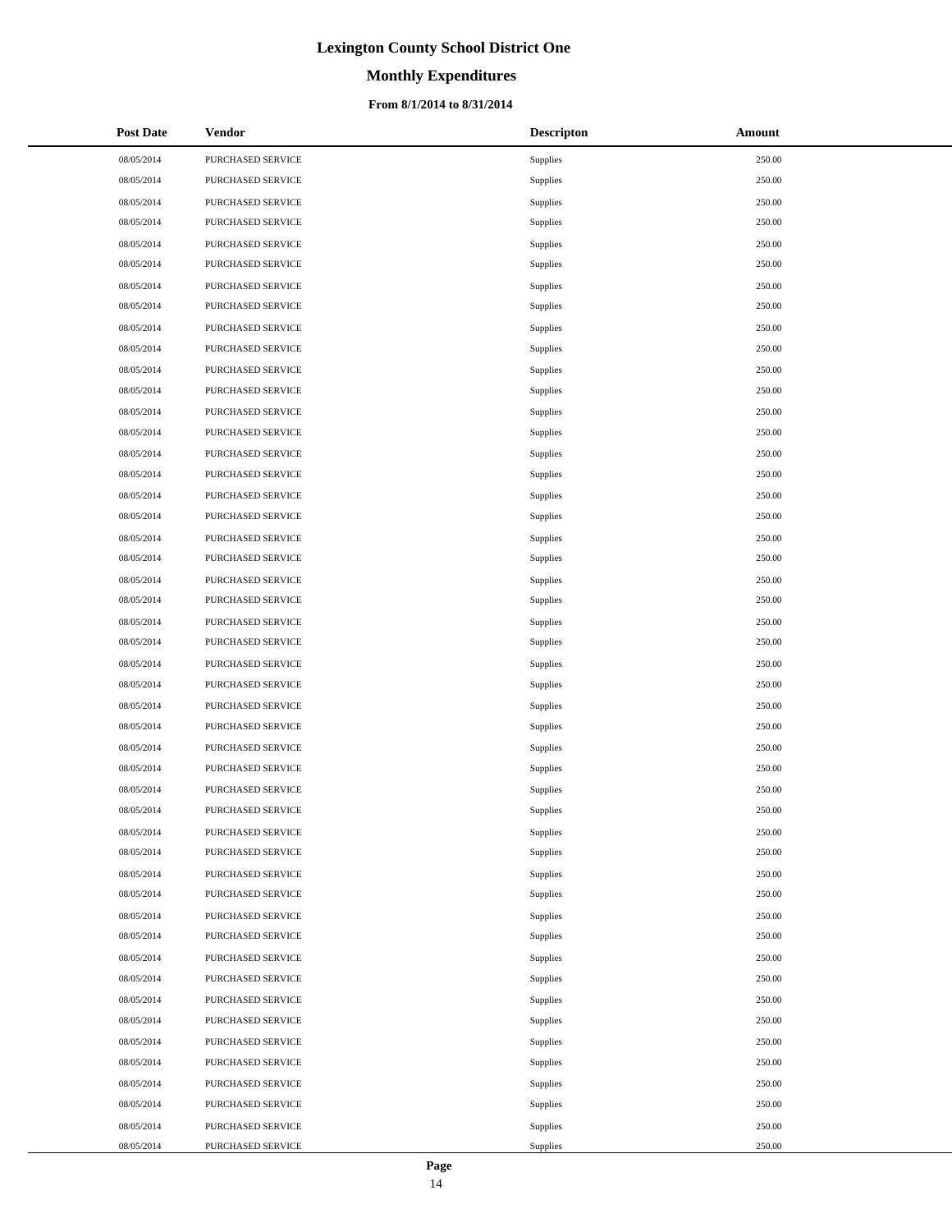# **Monthly Expenditures**

#### **From 8/1/2014 to 8/31/2014**

| <b>Post Date</b> | Vendor                   | <b>Descripton</b> | Amount |
|------------------|--------------------------|-------------------|--------|
| 08/05/2014       | PURCHASED SERVICE        | Supplies          | 250.00 |
| 08/05/2014       | PURCHASED SERVICE        | Supplies          | 250.00 |
| 08/05/2014       | PURCHASED SERVICE        | Supplies          | 250.00 |
| 08/05/2014       | PURCHASED SERVICE        | Supplies          | 250.00 |
| 08/05/2014       | PURCHASED SERVICE        | Supplies          | 250.00 |
| 08/05/2014       | PURCHASED SERVICE        | Supplies          | 250.00 |
| 08/05/2014       | PURCHASED SERVICE        | Supplies          | 250.00 |
| 08/05/2014       | PURCHASED SERVICE        | Supplies          | 250.00 |
| 08/05/2014       | PURCHASED SERVICE        | Supplies          | 250.00 |
| 08/05/2014       | PURCHASED SERVICE        | Supplies          | 250.00 |
| 08/05/2014       | PURCHASED SERVICE        | Supplies          | 250.00 |
| 08/05/2014       | PURCHASED SERVICE        | Supplies          | 250.00 |
| 08/05/2014       | PURCHASED SERVICE        | Supplies          | 250.00 |
| 08/05/2014       | PURCHASED SERVICE        | Supplies          | 250.00 |
| 08/05/2014       | PURCHASED SERVICE        | Supplies          | 250.00 |
| 08/05/2014       | PURCHASED SERVICE        | Supplies          | 250.00 |
| 08/05/2014       | PURCHASED SERVICE        | Supplies          | 250.00 |
| 08/05/2014       | PURCHASED SERVICE        | Supplies          | 250.00 |
| 08/05/2014       | PURCHASED SERVICE        | Supplies          | 250.00 |
| 08/05/2014       | PURCHASED SERVICE        | Supplies          | 250.00 |
| 08/05/2014       | PURCHASED SERVICE        | Supplies          | 250.00 |
| 08/05/2014       | PURCHASED SERVICE        | Supplies          | 250.00 |
| 08/05/2014       | PURCHASED SERVICE        | Supplies          | 250.00 |
| 08/05/2014       | PURCHASED SERVICE        | Supplies          | 250.00 |
| 08/05/2014       | PURCHASED SERVICE        | Supplies          | 250.00 |
| 08/05/2014       | PURCHASED SERVICE        | Supplies          | 250.00 |
| 08/05/2014       | PURCHASED SERVICE        | Supplies          | 250.00 |
| 08/05/2014       | PURCHASED SERVICE        | Supplies          | 250.00 |
| 08/05/2014       | PURCHASED SERVICE        | Supplies          | 250.00 |
| 08/05/2014       | PURCHASED SERVICE        | Supplies          | 250.00 |
| 08/05/2014       | PURCHASED SERVICE        | Supplies          | 250.00 |
| 08/05/2014       | PURCHASED SERVICE        | Supplies          | 250.00 |
| 08/05/2014       | PURCHASED SERVICE        | Supplies          | 250.00 |
| 08/05/2014       | <b>PURCHASED SERVICE</b> | Supplies          | 250.00 |
| 08/05/2014       | PURCHASED SERVICE        | Supplies          | 250.00 |
| 08/05/2014       | PURCHASED SERVICE        | Supplies          | 250.00 |
| 08/05/2014       | PURCHASED SERVICE        | Supplies          | 250.00 |
| 08/05/2014       | PURCHASED SERVICE        | Supplies          | 250.00 |
| 08/05/2014       | PURCHASED SERVICE        | Supplies          | 250.00 |
| 08/05/2014       | PURCHASED SERVICE        | Supplies          | 250.00 |
| 08/05/2014       | PURCHASED SERVICE        | Supplies          | 250.00 |
| 08/05/2014       | PURCHASED SERVICE        | Supplies          | 250.00 |
| 08/05/2014       | PURCHASED SERVICE        | Supplies          | 250.00 |
| 08/05/2014       | PURCHASED SERVICE        | Supplies          | 250.00 |
| 08/05/2014       | PURCHASED SERVICE        | Supplies          | 250.00 |
| 08/05/2014       | PURCHASED SERVICE        | Supplies          | 250.00 |
| 08/05/2014       | PURCHASED SERVICE        | Supplies          | 250.00 |
| 08/05/2014       | PURCHASED SERVICE        | Supplies          | 250.00 |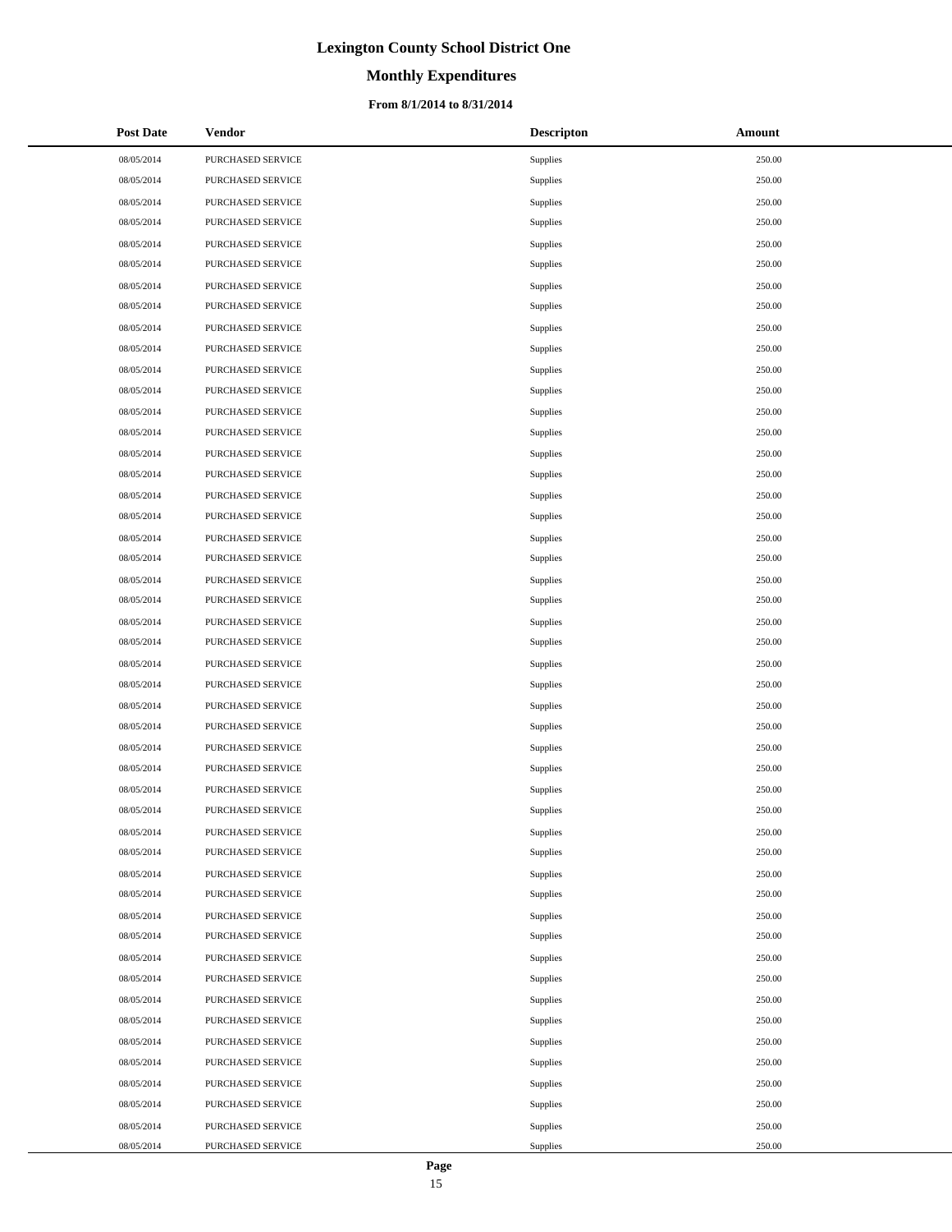# **Monthly Expenditures**

#### **From 8/1/2014 to 8/31/2014**

| <b>Post Date</b> | Vendor            | <b>Descripton</b> | Amount |
|------------------|-------------------|-------------------|--------|
| 08/05/2014       | PURCHASED SERVICE | Supplies          | 250.00 |
| 08/05/2014       | PURCHASED SERVICE | Supplies          | 250.00 |
| 08/05/2014       | PURCHASED SERVICE | Supplies          | 250.00 |
| 08/05/2014       | PURCHASED SERVICE | Supplies          | 250.00 |
| 08/05/2014       | PURCHASED SERVICE | Supplies          | 250.00 |
| 08/05/2014       | PURCHASED SERVICE | Supplies          | 250.00 |
| 08/05/2014       | PURCHASED SERVICE | Supplies          | 250.00 |
| 08/05/2014       | PURCHASED SERVICE | Supplies          | 250.00 |
| 08/05/2014       | PURCHASED SERVICE | Supplies          | 250.00 |
| 08/05/2014       | PURCHASED SERVICE | Supplies          | 250.00 |
| 08/05/2014       | PURCHASED SERVICE | Supplies          | 250.00 |
| 08/05/2014       | PURCHASED SERVICE | Supplies          | 250.00 |
| 08/05/2014       | PURCHASED SERVICE | Supplies          | 250.00 |
| 08/05/2014       | PURCHASED SERVICE | Supplies          | 250.00 |
| 08/05/2014       | PURCHASED SERVICE | Supplies          | 250.00 |
| 08/05/2014       | PURCHASED SERVICE | Supplies          | 250.00 |
| 08/05/2014       | PURCHASED SERVICE | Supplies          | 250.00 |
| 08/05/2014       | PURCHASED SERVICE | Supplies          | 250.00 |
| 08/05/2014       | PURCHASED SERVICE | Supplies          | 250.00 |
| 08/05/2014       | PURCHASED SERVICE | Supplies          | 250.00 |
| 08/05/2014       | PURCHASED SERVICE | Supplies          | 250.00 |
| 08/05/2014       | PURCHASED SERVICE | Supplies          | 250.00 |
| 08/05/2014       | PURCHASED SERVICE | Supplies          | 250.00 |
| 08/05/2014       | PURCHASED SERVICE | Supplies          | 250.00 |
| 08/05/2014       | PURCHASED SERVICE | Supplies          | 250.00 |
| 08/05/2014       | PURCHASED SERVICE | Supplies          | 250.00 |
| 08/05/2014       | PURCHASED SERVICE | Supplies          | 250.00 |
| 08/05/2014       | PURCHASED SERVICE | Supplies          | 250.00 |
| 08/05/2014       | PURCHASED SERVICE | Supplies          | 250.00 |
| 08/05/2014       | PURCHASED SERVICE | Supplies          | 250.00 |
| 08/05/2014       | PURCHASED SERVICE | Supplies          | 250.00 |
| 08/05/2014       | PURCHASED SERVICE | Supplies          | 250.00 |
| 08/05/2014       | PURCHASED SERVICE | Supplies          | 250.00 |
| 08/05/2014       | PURCHASED SERVICE | Supplies          | 250.00 |
| 08/05/2014       | PURCHASED SERVICE | Supplies          | 250.00 |
| 08/05/2014       | PURCHASED SERVICE | Supplies          | 250.00 |
| 08/05/2014       | PURCHASED SERVICE | Supplies          | 250.00 |
| 08/05/2014       | PURCHASED SERVICE | Supplies          | 250.00 |
| 08/05/2014       | PURCHASED SERVICE | Supplies          | 250.00 |
| 08/05/2014       | PURCHASED SERVICE | Supplies          | 250.00 |
| 08/05/2014       | PURCHASED SERVICE | Supplies          | 250.00 |
| 08/05/2014       | PURCHASED SERVICE | Supplies          | 250.00 |
| 08/05/2014       | PURCHASED SERVICE | Supplies          | 250.00 |
| 08/05/2014       | PURCHASED SERVICE | Supplies          | 250.00 |
| 08/05/2014       | PURCHASED SERVICE | Supplies          | 250.00 |
| 08/05/2014       | PURCHASED SERVICE | Supplies          | 250.00 |
| 08/05/2014       | PURCHASED SERVICE | Supplies          | 250.00 |
| 08/05/2014       | PURCHASED SERVICE | Supplies          | 250.00 |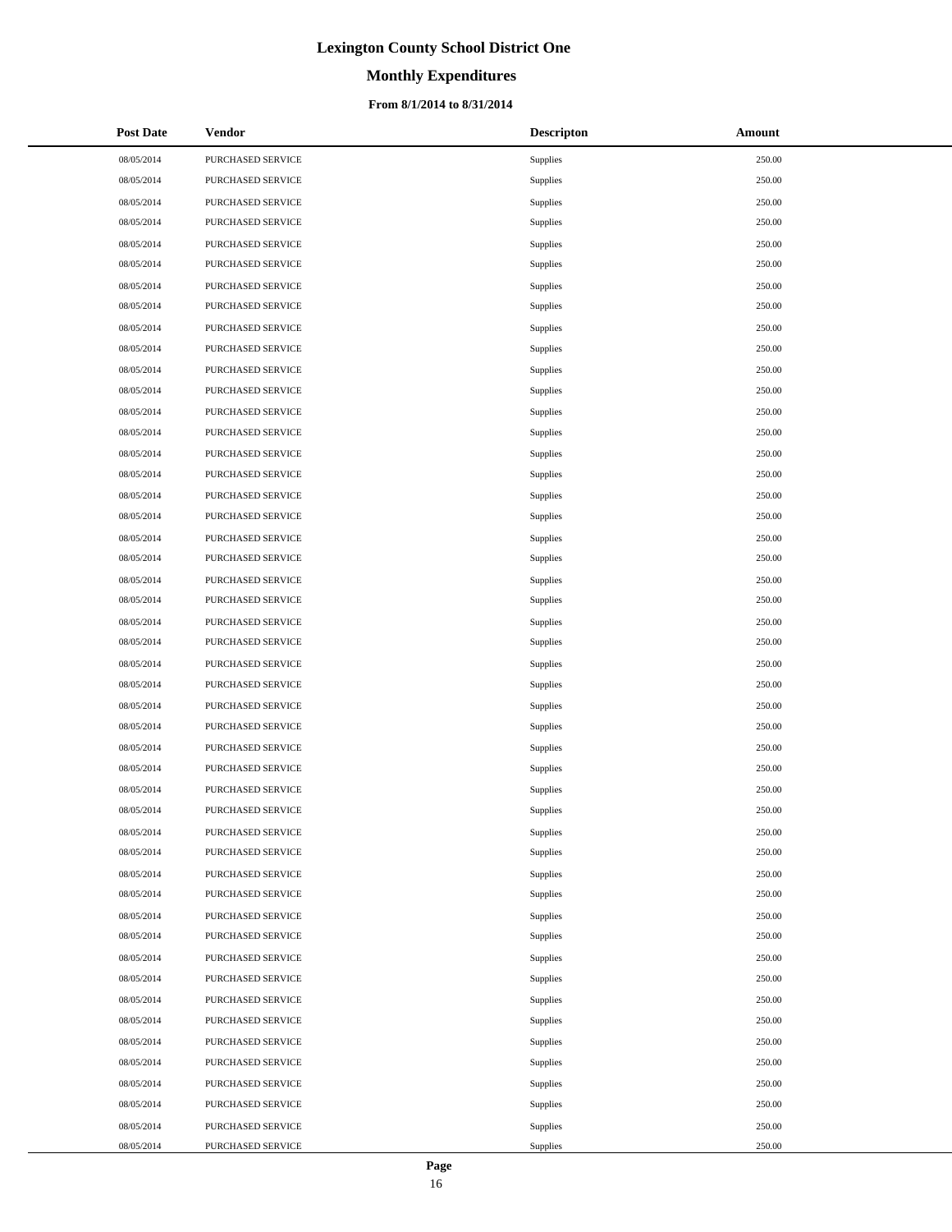# **Monthly Expenditures**

#### **From 8/1/2014 to 8/31/2014**

| <b>Post Date</b> | Vendor            | <b>Descripton</b> | Amount |
|------------------|-------------------|-------------------|--------|
| 08/05/2014       | PURCHASED SERVICE | Supplies          | 250.00 |
| 08/05/2014       | PURCHASED SERVICE | Supplies          | 250.00 |
| 08/05/2014       | PURCHASED SERVICE | Supplies          | 250.00 |
| 08/05/2014       | PURCHASED SERVICE | Supplies          | 250.00 |
| 08/05/2014       | PURCHASED SERVICE | Supplies          | 250.00 |
| 08/05/2014       | PURCHASED SERVICE | Supplies          | 250.00 |
| 08/05/2014       | PURCHASED SERVICE | Supplies          | 250.00 |
| 08/05/2014       | PURCHASED SERVICE | Supplies          | 250.00 |
| 08/05/2014       | PURCHASED SERVICE | Supplies          | 250.00 |
| 08/05/2014       | PURCHASED SERVICE | Supplies          | 250.00 |
| 08/05/2014       | PURCHASED SERVICE | Supplies          | 250.00 |
| 08/05/2014       | PURCHASED SERVICE | Supplies          | 250.00 |
| 08/05/2014       | PURCHASED SERVICE | Supplies          | 250.00 |
| 08/05/2014       | PURCHASED SERVICE | Supplies          | 250.00 |
| 08/05/2014       | PURCHASED SERVICE | Supplies          | 250.00 |
| 08/05/2014       | PURCHASED SERVICE | Supplies          | 250.00 |
| 08/05/2014       | PURCHASED SERVICE | Supplies          | 250.00 |
| 08/05/2014       | PURCHASED SERVICE | Supplies          | 250.00 |
| 08/05/2014       | PURCHASED SERVICE | Supplies          | 250.00 |
| 08/05/2014       | PURCHASED SERVICE | Supplies          | 250.00 |
| 08/05/2014       | PURCHASED SERVICE | Supplies          | 250.00 |
| 08/05/2014       | PURCHASED SERVICE | Supplies          | 250.00 |
| 08/05/2014       | PURCHASED SERVICE | Supplies          | 250.00 |
| 08/05/2014       | PURCHASED SERVICE | Supplies          | 250.00 |
| 08/05/2014       | PURCHASED SERVICE | Supplies          | 250.00 |
| 08/05/2014       | PURCHASED SERVICE | Supplies          | 250.00 |
| 08/05/2014       | PURCHASED SERVICE | Supplies          | 250.00 |
| 08/05/2014       | PURCHASED SERVICE | Supplies          | 250.00 |
| 08/05/2014       | PURCHASED SERVICE | Supplies          | 250.00 |
| 08/05/2014       | PURCHASED SERVICE | Supplies          | 250.00 |
| 08/05/2014       | PURCHASED SERVICE | Supplies          | 250.00 |
| 08/05/2014       | PURCHASED SERVICE | Supplies          | 250.00 |
| 08/05/2014       | PURCHASED SERVICE | Supplies          | 250.00 |
| 08/05/2014       | PURCHASED SERVICE | Supplies          | 250.00 |
| 08/05/2014       | PURCHASED SERVICE | Supplies          | 250.00 |
| 08/05/2014       | PURCHASED SERVICE | Supplies          | 250.00 |
| 08/05/2014       | PURCHASED SERVICE | Supplies          | 250.00 |
| 08/05/2014       | PURCHASED SERVICE | Supplies          | 250.00 |
| 08/05/2014       | PURCHASED SERVICE | Supplies          | 250.00 |
| 08/05/2014       | PURCHASED SERVICE | Supplies          | 250.00 |
| 08/05/2014       | PURCHASED SERVICE | Supplies          | 250.00 |
| 08/05/2014       | PURCHASED SERVICE | Supplies          | 250.00 |
| 08/05/2014       | PURCHASED SERVICE | Supplies          | 250.00 |
| 08/05/2014       | PURCHASED SERVICE | Supplies          | 250.00 |
| 08/05/2014       | PURCHASED SERVICE | Supplies          | 250.00 |
| 08/05/2014       | PURCHASED SERVICE | Supplies          | 250.00 |
| 08/05/2014       | PURCHASED SERVICE | Supplies          | 250.00 |
| 08/05/2014       | PURCHASED SERVICE | Supplies          | 250.00 |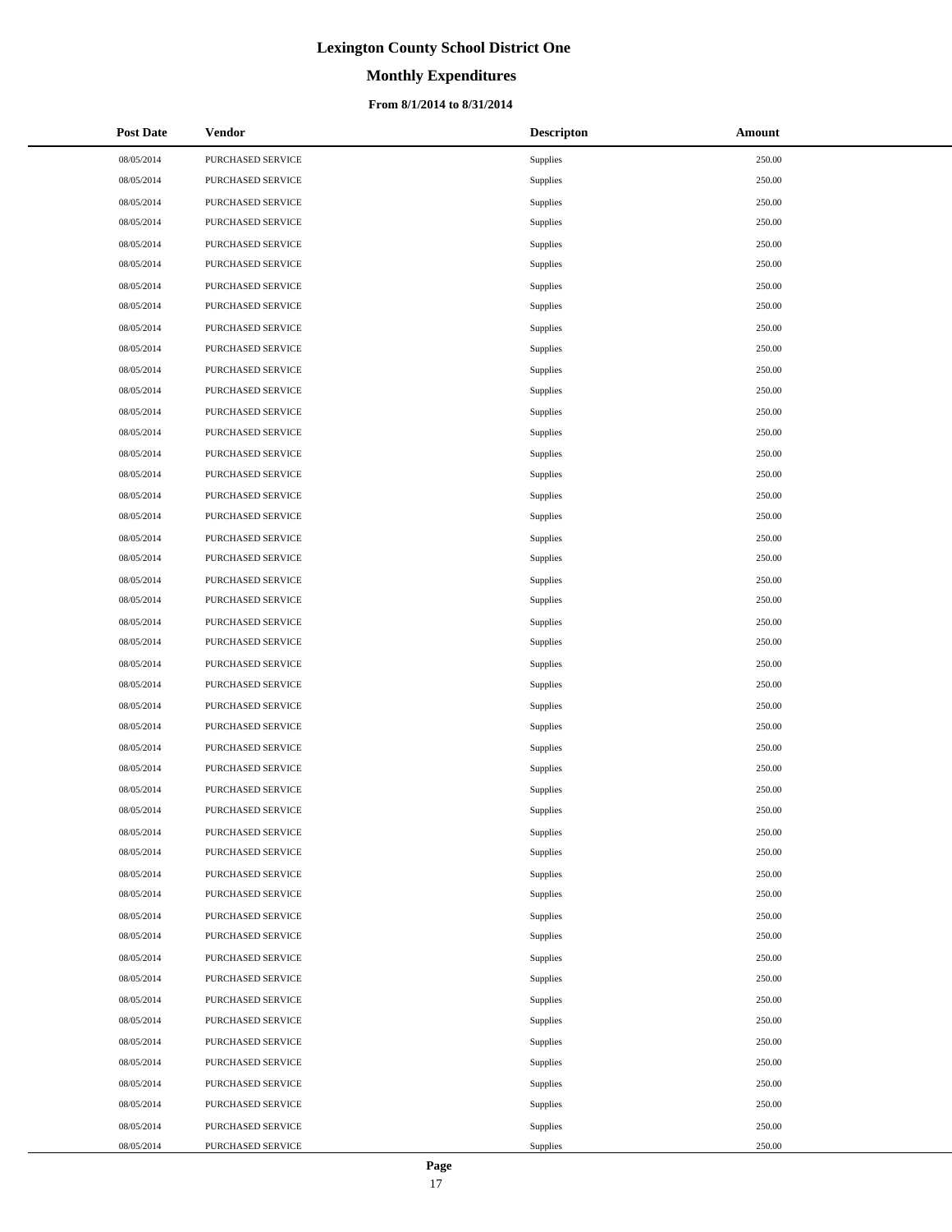# **Monthly Expenditures**

#### **From 8/1/2014 to 8/31/2014**

| <b>Post Date</b> | Vendor            | <b>Descripton</b> | Amount |
|------------------|-------------------|-------------------|--------|
| 08/05/2014       | PURCHASED SERVICE | Supplies          | 250.00 |
| 08/05/2014       | PURCHASED SERVICE | Supplies          | 250.00 |
| 08/05/2014       | PURCHASED SERVICE | Supplies          | 250.00 |
| 08/05/2014       | PURCHASED SERVICE | Supplies          | 250.00 |
| 08/05/2014       | PURCHASED SERVICE | Supplies          | 250.00 |
| 08/05/2014       | PURCHASED SERVICE | Supplies          | 250.00 |
| 08/05/2014       | PURCHASED SERVICE | Supplies          | 250.00 |
| 08/05/2014       | PURCHASED SERVICE | Supplies          | 250.00 |
| 08/05/2014       | PURCHASED SERVICE | Supplies          | 250.00 |
| 08/05/2014       | PURCHASED SERVICE | Supplies          | 250.00 |
| 08/05/2014       | PURCHASED SERVICE | Supplies          | 250.00 |
| 08/05/2014       | PURCHASED SERVICE | Supplies          | 250.00 |
| 08/05/2014       | PURCHASED SERVICE | Supplies          | 250.00 |
| 08/05/2014       | PURCHASED SERVICE | Supplies          | 250.00 |
| 08/05/2014       | PURCHASED SERVICE | Supplies          | 250.00 |
| 08/05/2014       | PURCHASED SERVICE | Supplies          | 250.00 |
| 08/05/2014       | PURCHASED SERVICE | Supplies          | 250.00 |
| 08/05/2014       | PURCHASED SERVICE | Supplies          | 250.00 |
| 08/05/2014       | PURCHASED SERVICE | Supplies          | 250.00 |
| 08/05/2014       | PURCHASED SERVICE | Supplies          | 250.00 |
| 08/05/2014       | PURCHASED SERVICE | Supplies          | 250.00 |
| 08/05/2014       | PURCHASED SERVICE | Supplies          | 250.00 |
| 08/05/2014       | PURCHASED SERVICE | Supplies          | 250.00 |
| 08/05/2014       | PURCHASED SERVICE | Supplies          | 250.00 |
| 08/05/2014       | PURCHASED SERVICE | Supplies          | 250.00 |
| 08/05/2014       | PURCHASED SERVICE | Supplies          | 250.00 |
| 08/05/2014       | PURCHASED SERVICE | Supplies          | 250.00 |
| 08/05/2014       | PURCHASED SERVICE | Supplies          | 250.00 |
| 08/05/2014       | PURCHASED SERVICE | Supplies          | 250.00 |
| 08/05/2014       | PURCHASED SERVICE | Supplies          | 250.00 |
| 08/05/2014       | PURCHASED SERVICE | Supplies          | 250.00 |
| 08/05/2014       | PURCHASED SERVICE | Supplies          | 250.00 |
| 08/05/2014       | PURCHASED SERVICE | Supplies          | 250.00 |
| 08/05/2014       | PURCHASED SERVICE | Supplies          | 250.00 |
| 08/05/2014       | PURCHASED SERVICE | Supplies          | 250.00 |
| 08/05/2014       | PURCHASED SERVICE | Supplies          | 250.00 |
| 08/05/2014       | PURCHASED SERVICE | Supplies          | 250.00 |
| 08/05/2014       | PURCHASED SERVICE | Supplies          | 250.00 |
| 08/05/2014       | PURCHASED SERVICE | Supplies          | 250.00 |
| 08/05/2014       | PURCHASED SERVICE | Supplies          | 250.00 |
| 08/05/2014       | PURCHASED SERVICE | Supplies          | 250.00 |
| 08/05/2014       | PURCHASED SERVICE | Supplies          | 250.00 |
| 08/05/2014       | PURCHASED SERVICE | Supplies          | 250.00 |
| 08/05/2014       | PURCHASED SERVICE | Supplies          | 250.00 |
| 08/05/2014       | PURCHASED SERVICE | Supplies          | 250.00 |
| 08/05/2014       | PURCHASED SERVICE | Supplies          | 250.00 |
| 08/05/2014       | PURCHASED SERVICE | Supplies          | 250.00 |
| 08/05/2014       | PURCHASED SERVICE | Supplies          | 250.00 |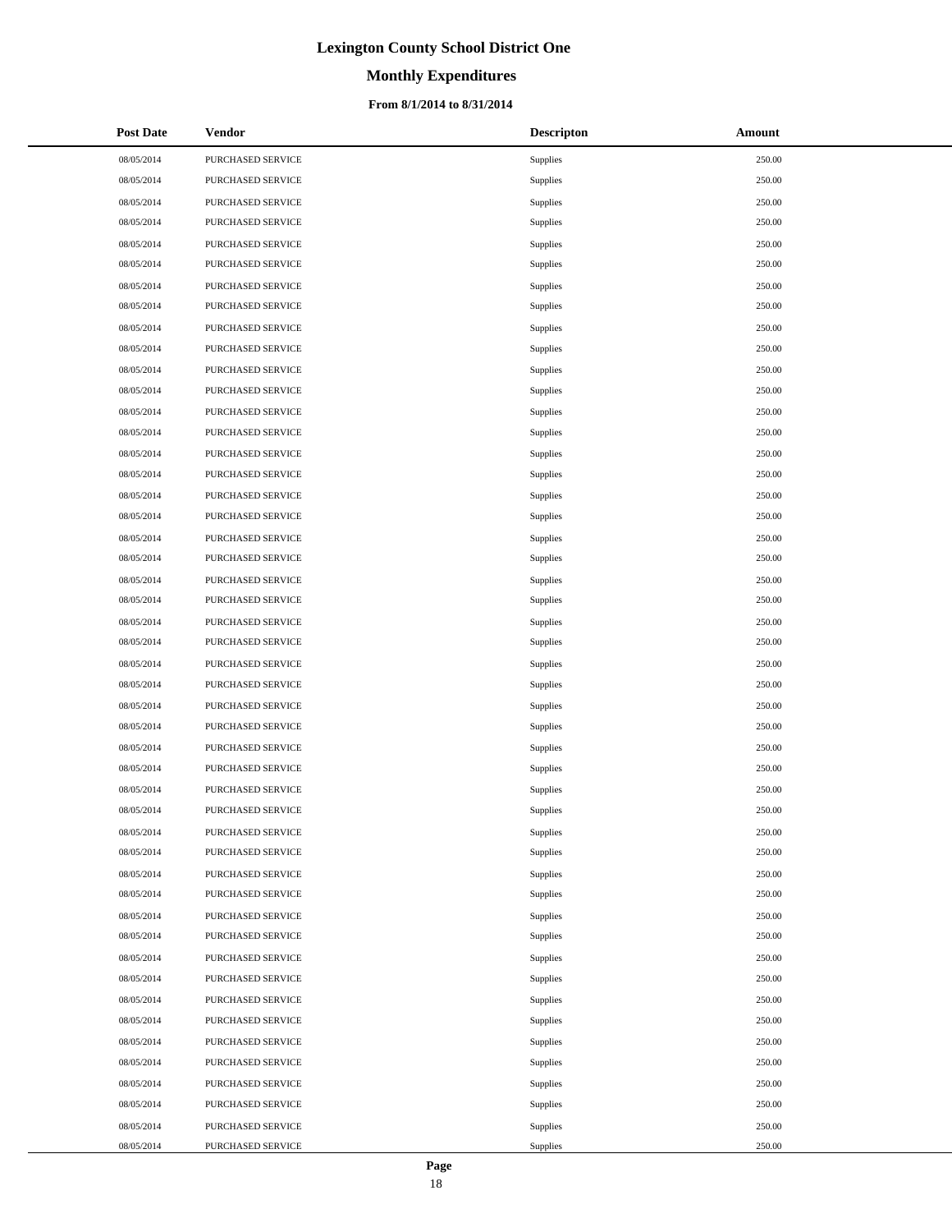# **Monthly Expenditures**

#### **From 8/1/2014 to 8/31/2014**

| <b>Post Date</b> | Vendor            | <b>Descripton</b> | Amount |
|------------------|-------------------|-------------------|--------|
| 08/05/2014       | PURCHASED SERVICE | Supplies          | 250.00 |
| 08/05/2014       | PURCHASED SERVICE | Supplies          | 250.00 |
| 08/05/2014       | PURCHASED SERVICE | Supplies          | 250.00 |
| 08/05/2014       | PURCHASED SERVICE | Supplies          | 250.00 |
| 08/05/2014       | PURCHASED SERVICE | Supplies          | 250.00 |
| 08/05/2014       | PURCHASED SERVICE | Supplies          | 250.00 |
| 08/05/2014       | PURCHASED SERVICE | Supplies          | 250.00 |
| 08/05/2014       | PURCHASED SERVICE | Supplies          | 250.00 |
| 08/05/2014       | PURCHASED SERVICE | Supplies          | 250.00 |
| 08/05/2014       | PURCHASED SERVICE | Supplies          | 250.00 |
| 08/05/2014       | PURCHASED SERVICE | Supplies          | 250.00 |
| 08/05/2014       | PURCHASED SERVICE | Supplies          | 250.00 |
| 08/05/2014       | PURCHASED SERVICE | Supplies          | 250.00 |
| 08/05/2014       | PURCHASED SERVICE | Supplies          | 250.00 |
| 08/05/2014       | PURCHASED SERVICE | Supplies          | 250.00 |
| 08/05/2014       | PURCHASED SERVICE | Supplies          | 250.00 |
| 08/05/2014       | PURCHASED SERVICE | Supplies          | 250.00 |
| 08/05/2014       | PURCHASED SERVICE | Supplies          | 250.00 |
| 08/05/2014       | PURCHASED SERVICE | Supplies          | 250.00 |
| 08/05/2014       | PURCHASED SERVICE | Supplies          | 250.00 |
| 08/05/2014       | PURCHASED SERVICE | Supplies          | 250.00 |
| 08/05/2014       | PURCHASED SERVICE | Supplies          | 250.00 |
| 08/05/2014       | PURCHASED SERVICE | Supplies          | 250.00 |
| 08/05/2014       | PURCHASED SERVICE | Supplies          | 250.00 |
| 08/05/2014       | PURCHASED SERVICE | Supplies          | 250.00 |
| 08/05/2014       | PURCHASED SERVICE | Supplies          | 250.00 |
| 08/05/2014       | PURCHASED SERVICE | Supplies          | 250.00 |
| 08/05/2014       | PURCHASED SERVICE | Supplies          | 250.00 |
| 08/05/2014       | PURCHASED SERVICE | Supplies          | 250.00 |
| 08/05/2014       | PURCHASED SERVICE | Supplies          | 250.00 |
| 08/05/2014       | PURCHASED SERVICE | Supplies          | 250.00 |
| 08/05/2014       | PURCHASED SERVICE | Supplies          | 250.00 |
| 08/05/2014       | PURCHASED SERVICE | Supplies          | 250.00 |
| 08/05/2014       | PURCHASED SERVICE | Supplies          | 250.00 |
| 08/05/2014       | PURCHASED SERVICE | Supplies          | 250.00 |
| 08/05/2014       | PURCHASED SERVICE | Supplies          | 250.00 |
| 08/05/2014       | PURCHASED SERVICE | Supplies          | 250.00 |
| 08/05/2014       | PURCHASED SERVICE | Supplies          | 250.00 |
| 08/05/2014       | PURCHASED SERVICE | Supplies          | 250.00 |
| 08/05/2014       | PURCHASED SERVICE | Supplies          | 250.00 |
| 08/05/2014       | PURCHASED SERVICE | Supplies          | 250.00 |
| 08/05/2014       | PURCHASED SERVICE | Supplies          | 250.00 |
| 08/05/2014       | PURCHASED SERVICE | Supplies          | 250.00 |
| 08/05/2014       | PURCHASED SERVICE | Supplies          | 250.00 |
| 08/05/2014       | PURCHASED SERVICE | Supplies          | 250.00 |
| 08/05/2014       | PURCHASED SERVICE | Supplies          | 250.00 |
| 08/05/2014       | PURCHASED SERVICE | Supplies          | 250.00 |
| 08/05/2014       | PURCHASED SERVICE | Supplies          | 250.00 |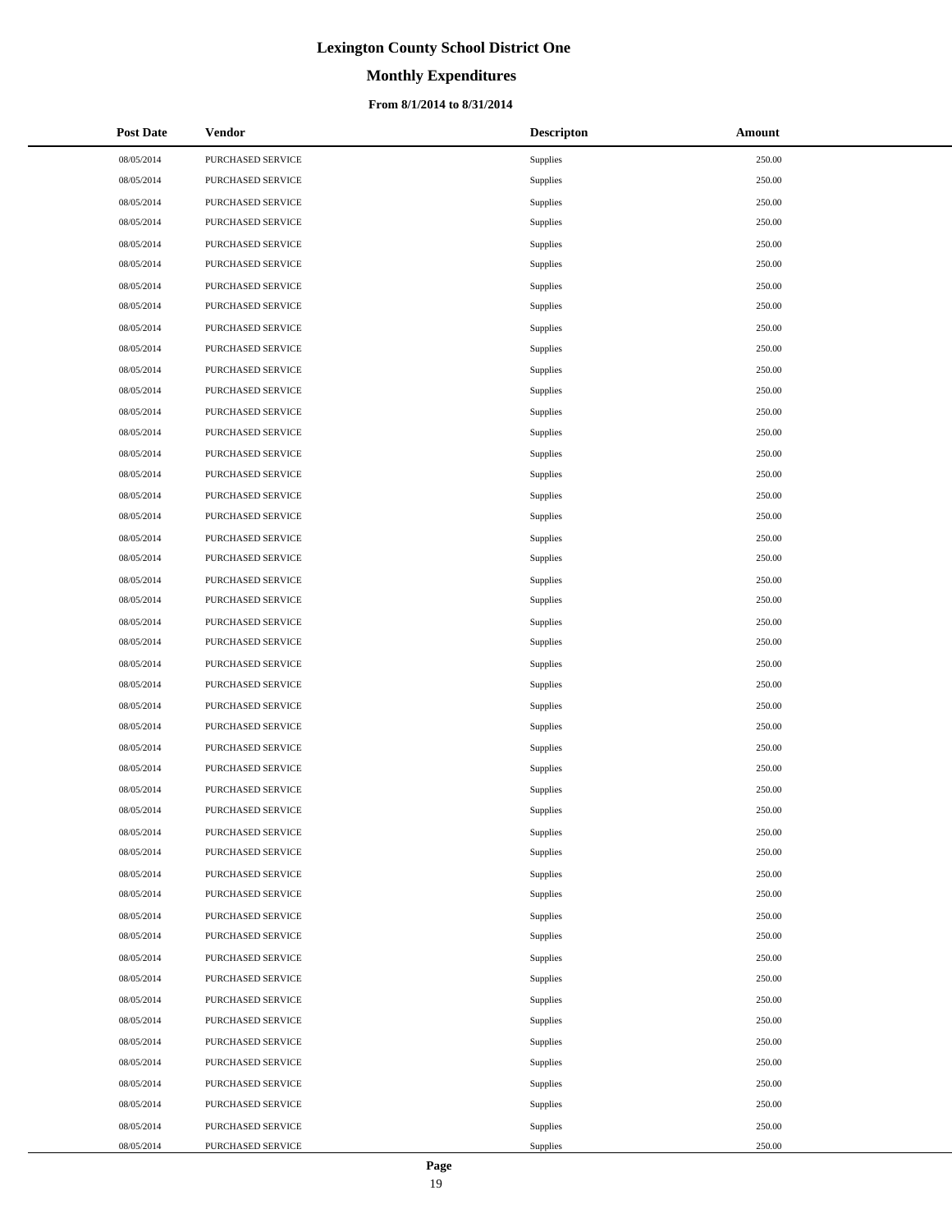# **Monthly Expenditures**

#### **From 8/1/2014 to 8/31/2014**

| <b>Post Date</b> | Vendor            | <b>Descripton</b> | Amount |
|------------------|-------------------|-------------------|--------|
| 08/05/2014       | PURCHASED SERVICE | Supplies          | 250.00 |
| 08/05/2014       | PURCHASED SERVICE | Supplies          | 250.00 |
| 08/05/2014       | PURCHASED SERVICE | Supplies          | 250.00 |
| 08/05/2014       | PURCHASED SERVICE | Supplies          | 250.00 |
| 08/05/2014       | PURCHASED SERVICE | Supplies          | 250.00 |
| 08/05/2014       | PURCHASED SERVICE | Supplies          | 250.00 |
| 08/05/2014       | PURCHASED SERVICE | Supplies          | 250.00 |
| 08/05/2014       | PURCHASED SERVICE | Supplies          | 250.00 |
| 08/05/2014       | PURCHASED SERVICE | Supplies          | 250.00 |
| 08/05/2014       | PURCHASED SERVICE | Supplies          | 250.00 |
| 08/05/2014       | PURCHASED SERVICE | Supplies          | 250.00 |
| 08/05/2014       | PURCHASED SERVICE | Supplies          | 250.00 |
| 08/05/2014       | PURCHASED SERVICE | Supplies          | 250.00 |
| 08/05/2014       | PURCHASED SERVICE | Supplies          | 250.00 |
| 08/05/2014       | PURCHASED SERVICE | Supplies          | 250.00 |
| 08/05/2014       | PURCHASED SERVICE | Supplies          | 250.00 |
| 08/05/2014       | PURCHASED SERVICE | Supplies          | 250.00 |
| 08/05/2014       | PURCHASED SERVICE | Supplies          | 250.00 |
| 08/05/2014       | PURCHASED SERVICE | Supplies          | 250.00 |
| 08/05/2014       | PURCHASED SERVICE | Supplies          | 250.00 |
| 08/05/2014       | PURCHASED SERVICE | Supplies          | 250.00 |
| 08/05/2014       | PURCHASED SERVICE | Supplies          | 250.00 |
| 08/05/2014       | PURCHASED SERVICE | Supplies          | 250.00 |
| 08/05/2014       | PURCHASED SERVICE | Supplies          | 250.00 |
| 08/05/2014       | PURCHASED SERVICE | Supplies          | 250.00 |
| 08/05/2014       | PURCHASED SERVICE | Supplies          | 250.00 |
| 08/05/2014       | PURCHASED SERVICE | Supplies          | 250.00 |
| 08/05/2014       | PURCHASED SERVICE | Supplies          | 250.00 |
| 08/05/2014       | PURCHASED SERVICE | Supplies          | 250.00 |
| 08/05/2014       | PURCHASED SERVICE | Supplies          | 250.00 |
| 08/05/2014       | PURCHASED SERVICE | Supplies          | 250.00 |
| 08/05/2014       | PURCHASED SERVICE | Supplies          | 250.00 |
| 08/05/2014       | PURCHASED SERVICE | Supplies          | 250.00 |
| 08/05/2014       | PURCHASED SERVICE | Supplies          | 250.00 |
| 08/05/2014       | PURCHASED SERVICE | Supplies          | 250.00 |
| 08/05/2014       | PURCHASED SERVICE | Supplies          | 250.00 |
| 08/05/2014       | PURCHASED SERVICE | Supplies          | 250.00 |
| 08/05/2014       | PURCHASED SERVICE | Supplies          | 250.00 |
| 08/05/2014       | PURCHASED SERVICE | Supplies          | 250.00 |
| 08/05/2014       | PURCHASED SERVICE | Supplies          | 250.00 |
| 08/05/2014       | PURCHASED SERVICE | Supplies          | 250.00 |
| 08/05/2014       | PURCHASED SERVICE | Supplies          | 250.00 |
| 08/05/2014       | PURCHASED SERVICE | Supplies          | 250.00 |
| 08/05/2014       | PURCHASED SERVICE | Supplies          | 250.00 |
| 08/05/2014       | PURCHASED SERVICE | Supplies          | 250.00 |
| 08/05/2014       | PURCHASED SERVICE | Supplies          | 250.00 |
| 08/05/2014       | PURCHASED SERVICE | Supplies          | 250.00 |
| 08/05/2014       | PURCHASED SERVICE | Supplies          | 250.00 |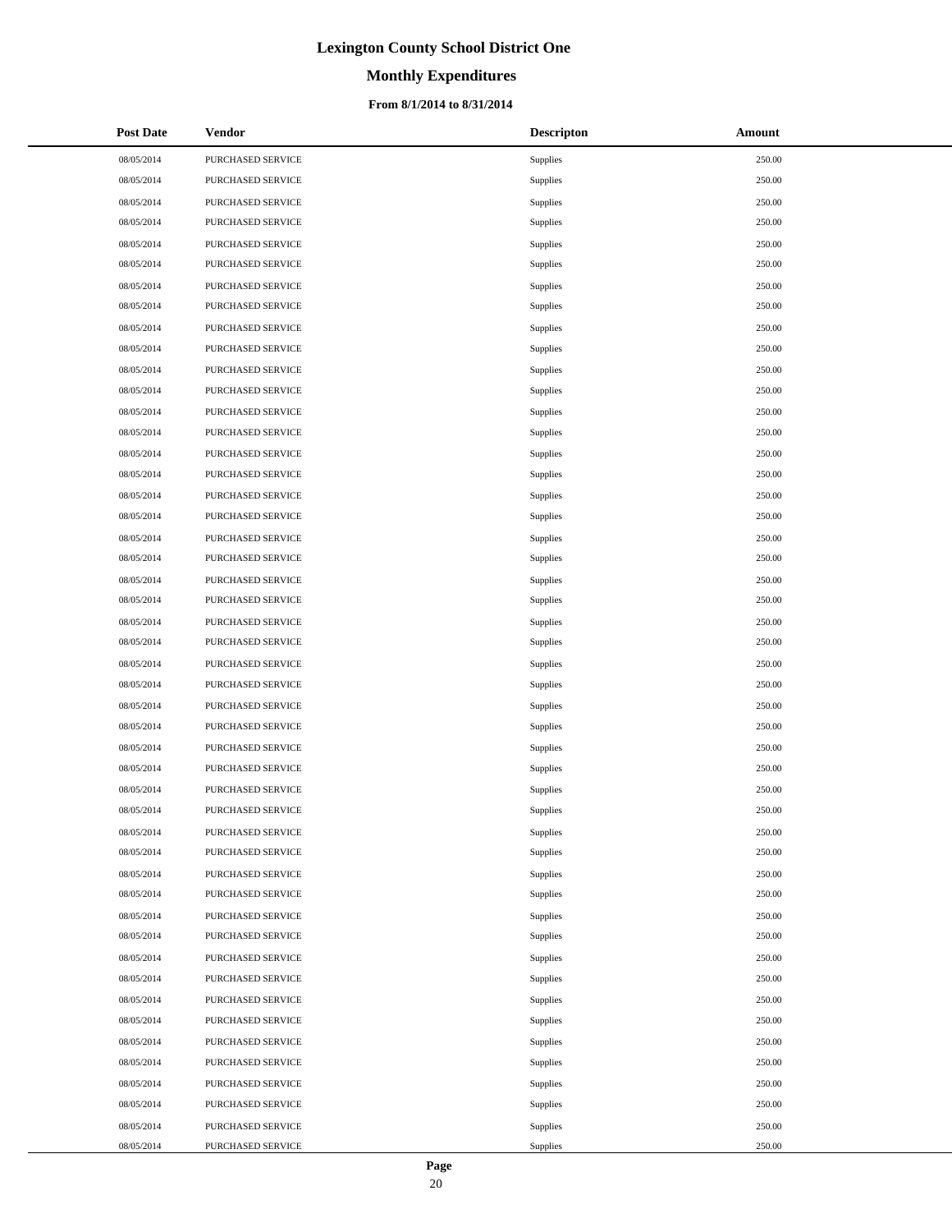# **Monthly Expenditures**

#### **From 8/1/2014 to 8/31/2014**

| <b>Post Date</b> | Vendor                   | <b>Descripton</b> | Amount |
|------------------|--------------------------|-------------------|--------|
| 08/05/2014       | PURCHASED SERVICE        | Supplies          | 250.00 |
| 08/05/2014       | PURCHASED SERVICE        | Supplies          | 250.00 |
| 08/05/2014       | PURCHASED SERVICE        | Supplies          | 250.00 |
| 08/05/2014       | PURCHASED SERVICE        | Supplies          | 250.00 |
| 08/05/2014       | PURCHASED SERVICE        | Supplies          | 250.00 |
| 08/05/2014       | PURCHASED SERVICE        | Supplies          | 250.00 |
| 08/05/2014       | PURCHASED SERVICE        | Supplies          | 250.00 |
| 08/05/2014       | PURCHASED SERVICE        | Supplies          | 250.00 |
| 08/05/2014       | PURCHASED SERVICE        | Supplies          | 250.00 |
| 08/05/2014       | PURCHASED SERVICE        | Supplies          | 250.00 |
| 08/05/2014       | PURCHASED SERVICE        | Supplies          | 250.00 |
| 08/05/2014       | PURCHASED SERVICE        | Supplies          | 250.00 |
| 08/05/2014       | PURCHASED SERVICE        | Supplies          | 250.00 |
| 08/05/2014       | PURCHASED SERVICE        | Supplies          | 250.00 |
| 08/05/2014       | PURCHASED SERVICE        | Supplies          | 250.00 |
| 08/05/2014       | PURCHASED SERVICE        | Supplies          | 250.00 |
| 08/05/2014       | PURCHASED SERVICE        | Supplies          | 250.00 |
| 08/05/2014       | PURCHASED SERVICE        | Supplies          | 250.00 |
| 08/05/2014       | PURCHASED SERVICE        | Supplies          | 250.00 |
| 08/05/2014       | PURCHASED SERVICE        | Supplies          | 250.00 |
| 08/05/2014       | PURCHASED SERVICE        | Supplies          | 250.00 |
| 08/05/2014       | PURCHASED SERVICE        | Supplies          | 250.00 |
| 08/05/2014       | PURCHASED SERVICE        | Supplies          | 250.00 |
| 08/05/2014       | PURCHASED SERVICE        | Supplies          | 250.00 |
| 08/05/2014       | PURCHASED SERVICE        | Supplies          | 250.00 |
| 08/05/2014       | PURCHASED SERVICE        | Supplies          | 250.00 |
| 08/05/2014       | PURCHASED SERVICE        | Supplies          | 250.00 |
| 08/05/2014       | PURCHASED SERVICE        | Supplies          | 250.00 |
| 08/05/2014       | PURCHASED SERVICE        | Supplies          | 250.00 |
| 08/05/2014       | PURCHASED SERVICE        | Supplies          | 250.00 |
| 08/05/2014       | PURCHASED SERVICE        | Supplies          | 250.00 |
| 08/05/2014       | PURCHASED SERVICE        | Supplies          | 250.00 |
| 08/05/2014       | PURCHASED SERVICE        | Supplies          | 250.00 |
| 08/05/2014       | <b>PURCHASED SERVICE</b> | Supplies          | 250.00 |
| 08/05/2014       | PURCHASED SERVICE        | Supplies          | 250.00 |
| 08/05/2014       | PURCHASED SERVICE        | Supplies          | 250.00 |
| 08/05/2014       | PURCHASED SERVICE        | Supplies          | 250.00 |
| 08/05/2014       | PURCHASED SERVICE        | Supplies          | 250.00 |
| 08/05/2014       | PURCHASED SERVICE        | Supplies          | 250.00 |
| 08/05/2014       | PURCHASED SERVICE        | Supplies          | 250.00 |
| 08/05/2014       | PURCHASED SERVICE        | Supplies          | 250.00 |
| 08/05/2014       | PURCHASED SERVICE        | Supplies          | 250.00 |
| 08/05/2014       | PURCHASED SERVICE        | Supplies          | 250.00 |
| 08/05/2014       | PURCHASED SERVICE        | Supplies          | 250.00 |
| 08/05/2014       | PURCHASED SERVICE        | Supplies          | 250.00 |
| 08/05/2014       | PURCHASED SERVICE        | Supplies          | 250.00 |
| 08/05/2014       | PURCHASED SERVICE        | Supplies          | 250.00 |
| 08/05/2014       | PURCHASED SERVICE        | Supplies          | 250.00 |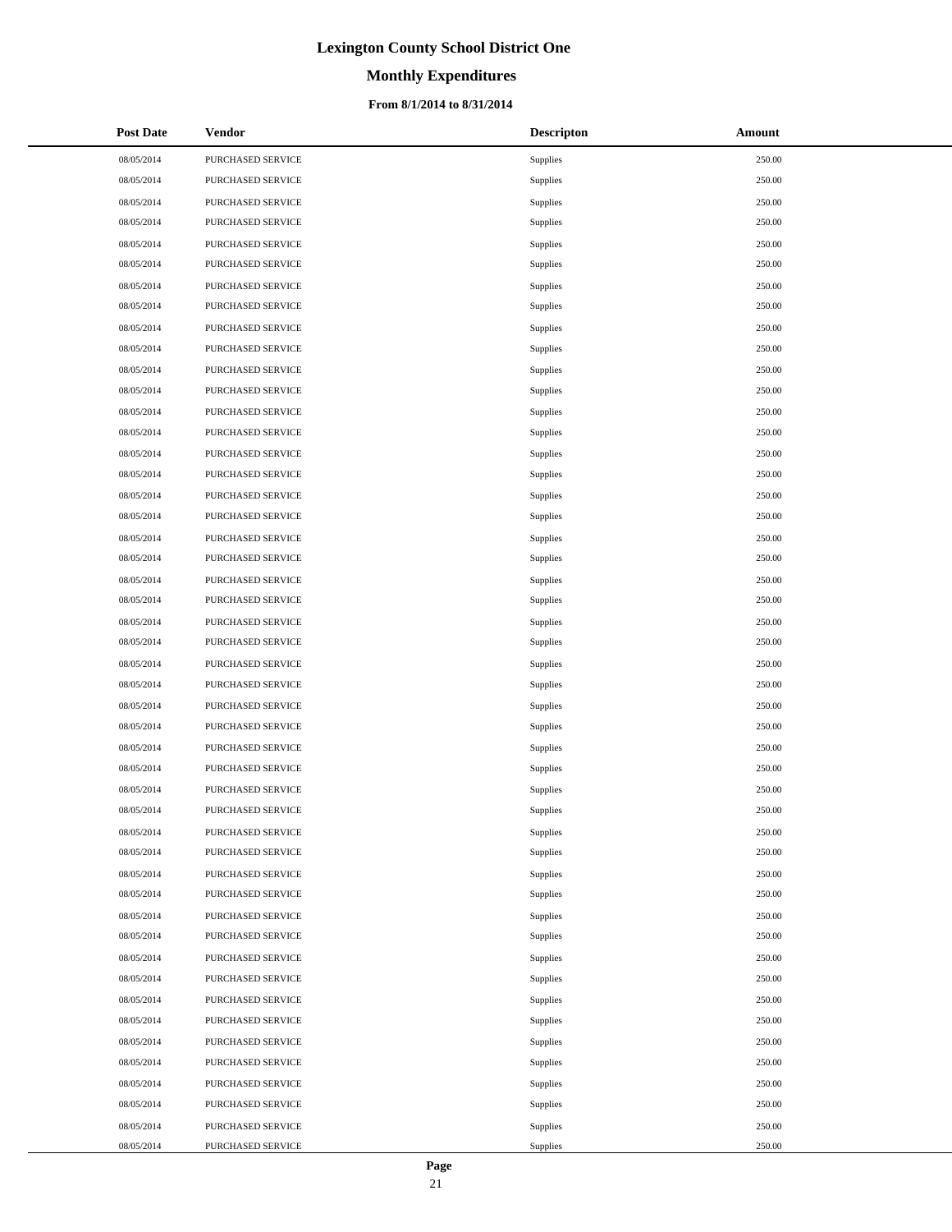# **Monthly Expenditures**

#### **From 8/1/2014 to 8/31/2014**

| <b>Post Date</b> | Vendor                   | <b>Descripton</b> | Amount |
|------------------|--------------------------|-------------------|--------|
| 08/05/2014       | PURCHASED SERVICE        | Supplies          | 250.00 |
| 08/05/2014       | PURCHASED SERVICE        | Supplies          | 250.00 |
| 08/05/2014       | PURCHASED SERVICE        | Supplies          | 250.00 |
| 08/05/2014       | PURCHASED SERVICE        | Supplies          | 250.00 |
| 08/05/2014       | PURCHASED SERVICE        | Supplies          | 250.00 |
| 08/05/2014       | PURCHASED SERVICE        | Supplies          | 250.00 |
| 08/05/2014       | PURCHASED SERVICE        | Supplies          | 250.00 |
| 08/05/2014       | PURCHASED SERVICE        | Supplies          | 250.00 |
| 08/05/2014       | PURCHASED SERVICE        | Supplies          | 250.00 |
| 08/05/2014       | PURCHASED SERVICE        | Supplies          | 250.00 |
| 08/05/2014       | PURCHASED SERVICE        | Supplies          | 250.00 |
| 08/05/2014       | PURCHASED SERVICE        | Supplies          | 250.00 |
| 08/05/2014       | PURCHASED SERVICE        | Supplies          | 250.00 |
| 08/05/2014       | PURCHASED SERVICE        | Supplies          | 250.00 |
| 08/05/2014       | PURCHASED SERVICE        | Supplies          | 250.00 |
| 08/05/2014       | PURCHASED SERVICE        | Supplies          | 250.00 |
| 08/05/2014       | PURCHASED SERVICE        | Supplies          | 250.00 |
| 08/05/2014       | PURCHASED SERVICE        | Supplies          | 250.00 |
| 08/05/2014       | PURCHASED SERVICE        | Supplies          | 250.00 |
| 08/05/2014       | PURCHASED SERVICE        | Supplies          | 250.00 |
| 08/05/2014       | PURCHASED SERVICE        | Supplies          | 250.00 |
| 08/05/2014       | PURCHASED SERVICE        | Supplies          | 250.00 |
| 08/05/2014       | PURCHASED SERVICE        | Supplies          | 250.00 |
| 08/05/2014       | PURCHASED SERVICE        | Supplies          | 250.00 |
| 08/05/2014       | PURCHASED SERVICE        | Supplies          | 250.00 |
| 08/05/2014       | PURCHASED SERVICE        | Supplies          | 250.00 |
| 08/05/2014       | PURCHASED SERVICE        | Supplies          | 250.00 |
| 08/05/2014       | PURCHASED SERVICE        | Supplies          | 250.00 |
| 08/05/2014       | PURCHASED SERVICE        | Supplies          | 250.00 |
| 08/05/2014       | PURCHASED SERVICE        | Supplies          | 250.00 |
| 08/05/2014       | PURCHASED SERVICE        | Supplies          | 250.00 |
| 08/05/2014       | PURCHASED SERVICE        | Supplies          | 250.00 |
| 08/05/2014       | PURCHASED SERVICE        | Supplies          | 250.00 |
| 08/05/2014       | <b>PURCHASED SERVICE</b> | Supplies          | 250.00 |
| 08/05/2014       | PURCHASED SERVICE        | Supplies          | 250.00 |
| 08/05/2014       | PURCHASED SERVICE        | Supplies          | 250.00 |
| 08/05/2014       | PURCHASED SERVICE        | Supplies          | 250.00 |
| 08/05/2014       | PURCHASED SERVICE        | Supplies          | 250.00 |
| 08/05/2014       | PURCHASED SERVICE        | Supplies          | 250.00 |
| 08/05/2014       | PURCHASED SERVICE        | Supplies          | 250.00 |
| 08/05/2014       | PURCHASED SERVICE        | Supplies          | 250.00 |
| 08/05/2014       | PURCHASED SERVICE        | Supplies          | 250.00 |
| 08/05/2014       | PURCHASED SERVICE        | Supplies          | 250.00 |
| 08/05/2014       | PURCHASED SERVICE        | Supplies          | 250.00 |
| 08/05/2014       | PURCHASED SERVICE        | Supplies          | 250.00 |
| 08/05/2014       | PURCHASED SERVICE        | Supplies          | 250.00 |
| 08/05/2014       | PURCHASED SERVICE        | Supplies          | 250.00 |
| 08/05/2014       | PURCHASED SERVICE        | Supplies          | 250.00 |

 $\overline{a}$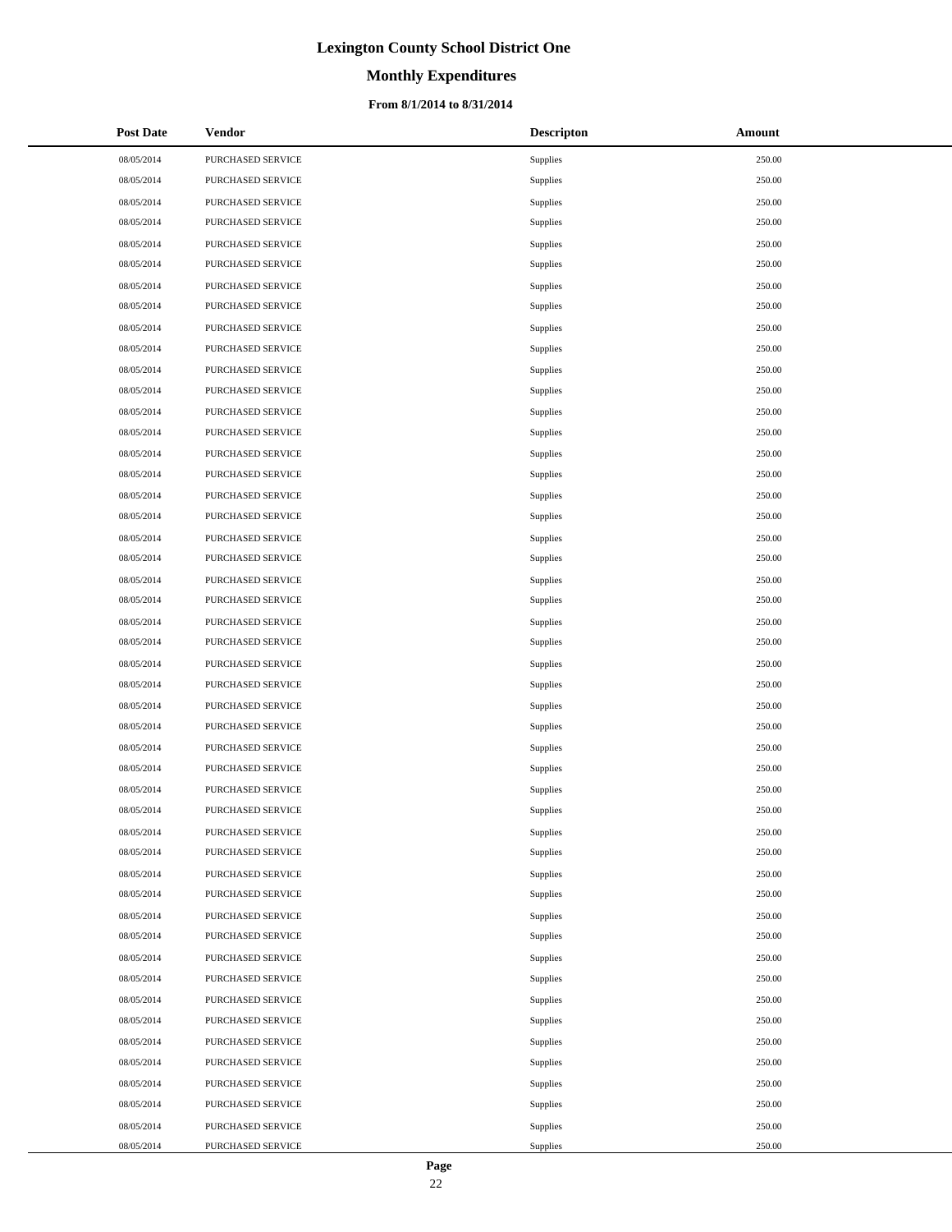# **Monthly Expenditures**

#### **From 8/1/2014 to 8/31/2014**

| <b>Post Date</b> | Vendor            | <b>Descripton</b> | Amount |
|------------------|-------------------|-------------------|--------|
| 08/05/2014       | PURCHASED SERVICE | Supplies          | 250.00 |
| 08/05/2014       | PURCHASED SERVICE | Supplies          | 250.00 |
| 08/05/2014       | PURCHASED SERVICE | Supplies          | 250.00 |
| 08/05/2014       | PURCHASED SERVICE | Supplies          | 250.00 |
| 08/05/2014       | PURCHASED SERVICE | Supplies          | 250.00 |
| 08/05/2014       | PURCHASED SERVICE | Supplies          | 250.00 |
| 08/05/2014       | PURCHASED SERVICE | Supplies          | 250.00 |
| 08/05/2014       | PURCHASED SERVICE | Supplies          | 250.00 |
| 08/05/2014       | PURCHASED SERVICE | Supplies          | 250.00 |
| 08/05/2014       | PURCHASED SERVICE | Supplies          | 250.00 |
| 08/05/2014       | PURCHASED SERVICE | Supplies          | 250.00 |
| 08/05/2014       | PURCHASED SERVICE | Supplies          | 250.00 |
| 08/05/2014       | PURCHASED SERVICE | Supplies          | 250.00 |
| 08/05/2014       | PURCHASED SERVICE | Supplies          | 250.00 |
| 08/05/2014       | PURCHASED SERVICE | Supplies          | 250.00 |
| 08/05/2014       | PURCHASED SERVICE | Supplies          | 250.00 |
| 08/05/2014       | PURCHASED SERVICE | Supplies          | 250.00 |
| 08/05/2014       | PURCHASED SERVICE | Supplies          | 250.00 |
| 08/05/2014       | PURCHASED SERVICE | Supplies          | 250.00 |
| 08/05/2014       | PURCHASED SERVICE | Supplies          | 250.00 |
| 08/05/2014       | PURCHASED SERVICE | Supplies          | 250.00 |
| 08/05/2014       | PURCHASED SERVICE | Supplies          | 250.00 |
| 08/05/2014       | PURCHASED SERVICE | Supplies          | 250.00 |
| 08/05/2014       | PURCHASED SERVICE | Supplies          | 250.00 |
| 08/05/2014       | PURCHASED SERVICE | Supplies          | 250.00 |
| 08/05/2014       | PURCHASED SERVICE | Supplies          | 250.00 |
| 08/05/2014       | PURCHASED SERVICE | Supplies          | 250.00 |
| 08/05/2014       | PURCHASED SERVICE | Supplies          | 250.00 |
| 08/05/2014       | PURCHASED SERVICE | Supplies          | 250.00 |
| 08/05/2014       | PURCHASED SERVICE | Supplies          | 250.00 |
| 08/05/2014       | PURCHASED SERVICE | Supplies          | 250.00 |
| 08/05/2014       | PURCHASED SERVICE | Supplies          | 250.00 |
| 08/05/2014       | PURCHASED SERVICE | Supplies          | 250.00 |
| 08/05/2014       | PURCHASED SERVICE | Supplies          | 250.00 |
| 08/05/2014       | PURCHASED SERVICE | Supplies          | 250.00 |
| 08/05/2014       | PURCHASED SERVICE | Supplies          | 250.00 |
| 08/05/2014       | PURCHASED SERVICE | Supplies          | 250.00 |
| 08/05/2014       | PURCHASED SERVICE | Supplies          | 250.00 |
| 08/05/2014       | PURCHASED SERVICE | Supplies          | 250.00 |
| 08/05/2014       | PURCHASED SERVICE | Supplies          | 250.00 |
| 08/05/2014       | PURCHASED SERVICE | Supplies          | 250.00 |
| 08/05/2014       | PURCHASED SERVICE | Supplies          | 250.00 |
| 08/05/2014       | PURCHASED SERVICE | Supplies          | 250.00 |
| 08/05/2014       | PURCHASED SERVICE | Supplies          | 250.00 |
| 08/05/2014       | PURCHASED SERVICE | Supplies          | 250.00 |
| 08/05/2014       | PURCHASED SERVICE | Supplies          | 250.00 |
| 08/05/2014       | PURCHASED SERVICE | Supplies          | 250.00 |
| 08/05/2014       | PURCHASED SERVICE | Supplies          | 250.00 |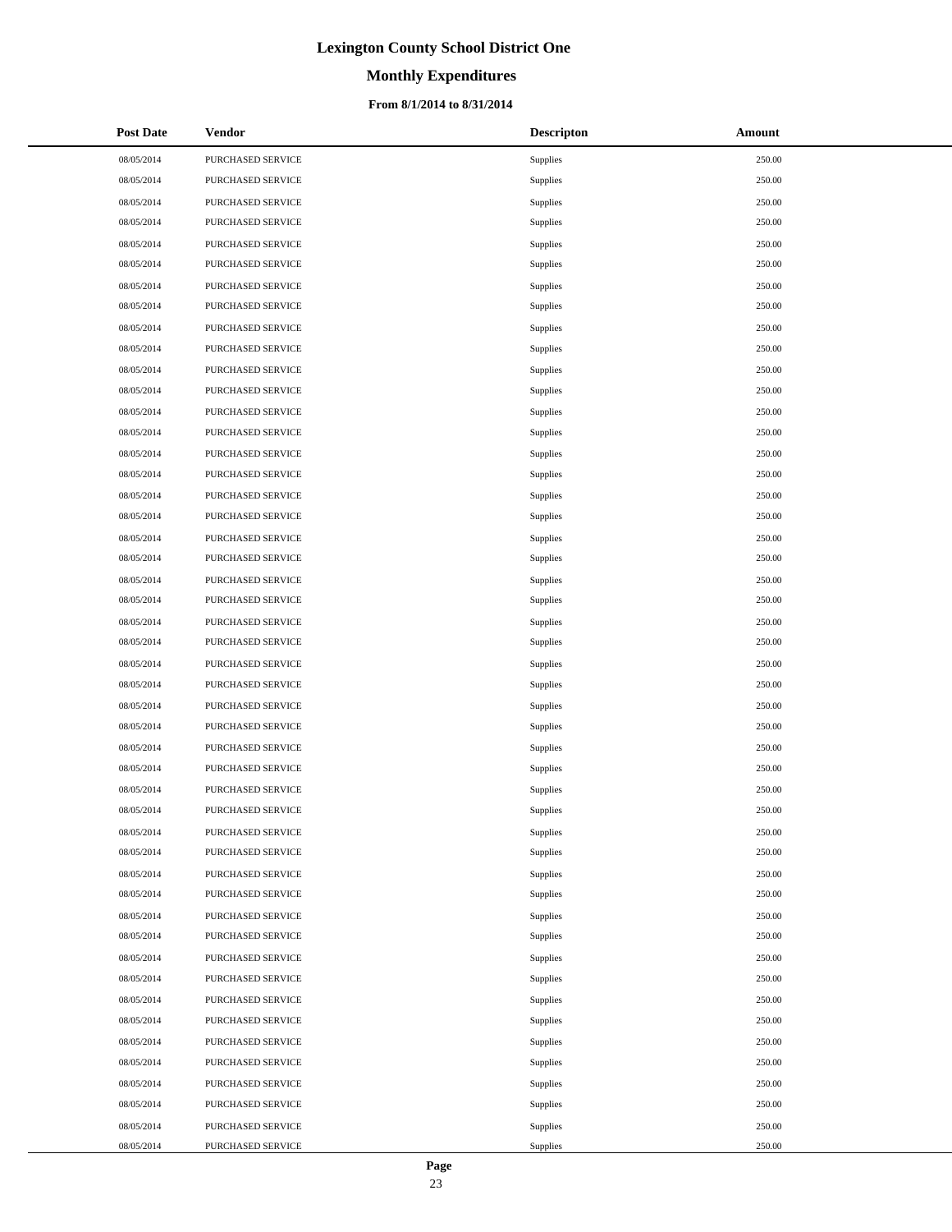# **Monthly Expenditures**

#### **From 8/1/2014 to 8/31/2014**

| <b>Post Date</b> | <b>Vendor</b>     | <b>Descripton</b> | Amount |
|------------------|-------------------|-------------------|--------|
| 08/05/2014       | PURCHASED SERVICE | Supplies          | 250.00 |
| 08/05/2014       | PURCHASED SERVICE | Supplies          | 250.00 |
| 08/05/2014       | PURCHASED SERVICE | Supplies          | 250.00 |
| 08/05/2014       | PURCHASED SERVICE | Supplies          | 250.00 |
| 08/05/2014       | PURCHASED SERVICE | Supplies          | 250.00 |
| 08/05/2014       | PURCHASED SERVICE | Supplies          | 250.00 |
| 08/05/2014       | PURCHASED SERVICE | Supplies          | 250.00 |
| 08/05/2014       | PURCHASED SERVICE | Supplies          | 250.00 |
| 08/05/2014       | PURCHASED SERVICE | Supplies          | 250.00 |
| 08/05/2014       | PURCHASED SERVICE | Supplies          | 250.00 |
| 08/05/2014       | PURCHASED SERVICE | Supplies          | 250.00 |
| 08/05/2014       | PURCHASED SERVICE | Supplies          | 250.00 |
| 08/05/2014       | PURCHASED SERVICE | Supplies          | 250.00 |
| 08/05/2014       | PURCHASED SERVICE | Supplies          | 250.00 |
| 08/05/2014       | PURCHASED SERVICE | Supplies          | 250.00 |
| 08/05/2014       | PURCHASED SERVICE | Supplies          | 250.00 |
| 08/05/2014       | PURCHASED SERVICE | Supplies          | 250.00 |
| 08/05/2014       | PURCHASED SERVICE | Supplies          | 250.00 |
| 08/05/2014       | PURCHASED SERVICE | Supplies          | 250.00 |
| 08/05/2014       | PURCHASED SERVICE | Supplies          | 250.00 |
| 08/05/2014       | PURCHASED SERVICE | Supplies          | 250.00 |
| 08/05/2014       | PURCHASED SERVICE | Supplies          | 250.00 |
| 08/05/2014       | PURCHASED SERVICE | Supplies          | 250.00 |
| 08/05/2014       | PURCHASED SERVICE | Supplies          | 250.00 |
| 08/05/2014       | PURCHASED SERVICE | Supplies          | 250.00 |
| 08/05/2014       | PURCHASED SERVICE | Supplies          | 250.00 |
| 08/05/2014       | PURCHASED SERVICE | Supplies          | 250.00 |
| 08/05/2014       | PURCHASED SERVICE | Supplies          | 250.00 |
| 08/05/2014       | PURCHASED SERVICE | Supplies          | 250.00 |
| 08/05/2014       | PURCHASED SERVICE | Supplies          | 250.00 |
| 08/05/2014       | PURCHASED SERVICE | Supplies          | 250.00 |
| 08/05/2014       | PURCHASED SERVICE | Supplies          | 250.00 |
| 08/05/2014       | PURCHASED SERVICE | Supplies          | 250.00 |
| 08/05/2014       | PURCHASED SERVICE | Supplies          | 250.00 |
| 08/05/2014       | PURCHASED SERVICE | Supplies          | 250.00 |
| 08/05/2014       | PURCHASED SERVICE | Supplies          | 250.00 |
| 08/05/2014       | PURCHASED SERVICE | Supplies          | 250.00 |
| 08/05/2014       | PURCHASED SERVICE | Supplies          | 250.00 |
| 08/05/2014       | PURCHASED SERVICE | Supplies          | 250.00 |
| 08/05/2014       | PURCHASED SERVICE | Supplies          | 250.00 |
| 08/05/2014       | PURCHASED SERVICE | Supplies          | 250.00 |
| 08/05/2014       | PURCHASED SERVICE | Supplies          | 250.00 |
| 08/05/2014       | PURCHASED SERVICE | Supplies          | 250.00 |
| 08/05/2014       | PURCHASED SERVICE | Supplies          | 250.00 |
| 08/05/2014       | PURCHASED SERVICE | Supplies          | 250.00 |
| 08/05/2014       | PURCHASED SERVICE | Supplies          | 250.00 |
| 08/05/2014       | PURCHASED SERVICE | Supplies          | 250.00 |
| 08/05/2014       | PURCHASED SERVICE | Supplies          | 250.00 |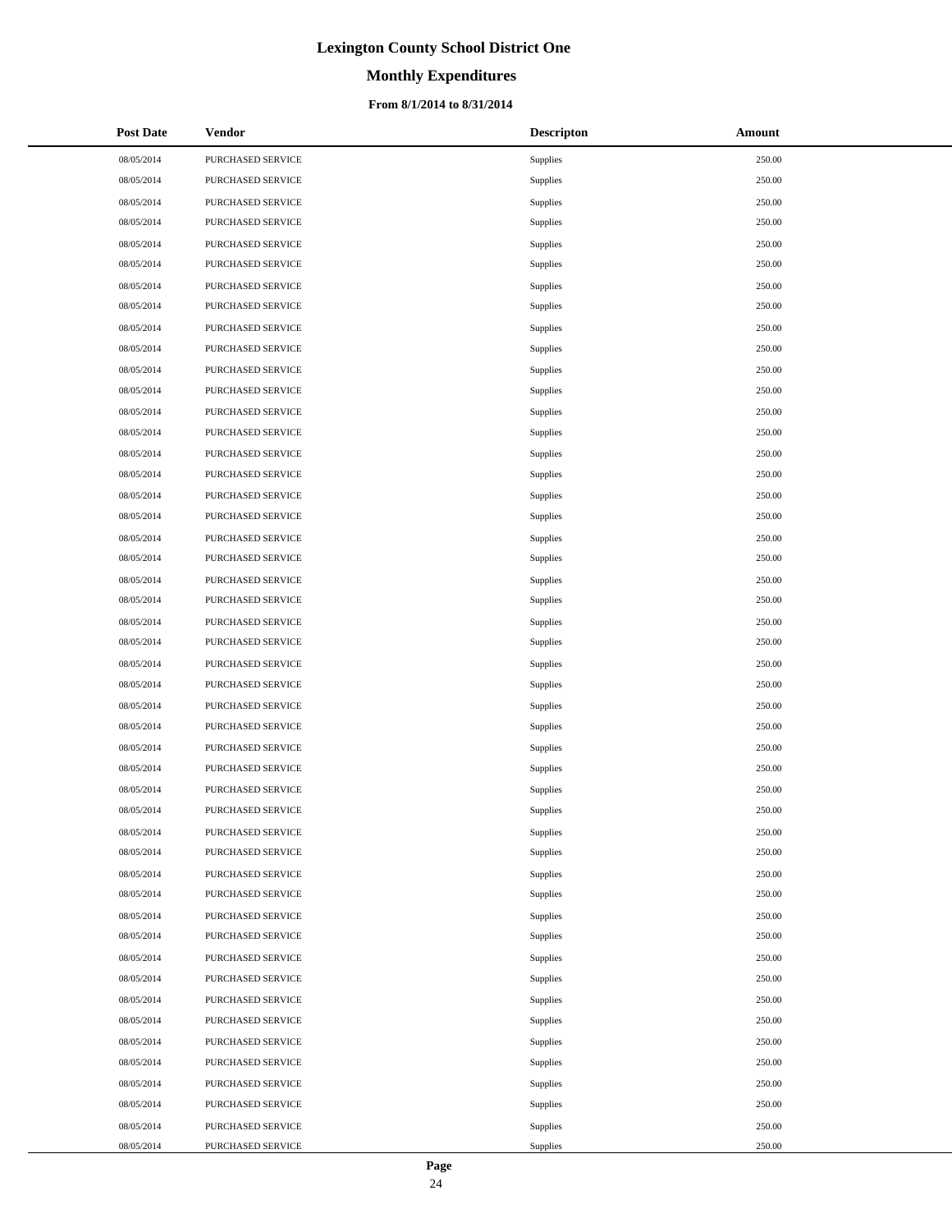# **Monthly Expenditures**

#### **From 8/1/2014 to 8/31/2014**

| <b>Post Date</b> | <b>Vendor</b>            | <b>Descripton</b> | Amount |
|------------------|--------------------------|-------------------|--------|
| 08/05/2014       | PURCHASED SERVICE        | Supplies          | 250.00 |
| 08/05/2014       | PURCHASED SERVICE        | Supplies          | 250.00 |
| 08/05/2014       | PURCHASED SERVICE        | Supplies          | 250.00 |
| 08/05/2014       | PURCHASED SERVICE        | Supplies          | 250.00 |
| 08/05/2014       | PURCHASED SERVICE        | Supplies          | 250.00 |
| 08/05/2014       | PURCHASED SERVICE        | Supplies          | 250.00 |
| 08/05/2014       | PURCHASED SERVICE        | Supplies          | 250.00 |
| 08/05/2014       | PURCHASED SERVICE        | Supplies          | 250.00 |
| 08/05/2014       | PURCHASED SERVICE        | Supplies          | 250.00 |
| 08/05/2014       | PURCHASED SERVICE        | Supplies          | 250.00 |
| 08/05/2014       | PURCHASED SERVICE        | Supplies          | 250.00 |
| 08/05/2014       | PURCHASED SERVICE        | Supplies          | 250.00 |
| 08/05/2014       | PURCHASED SERVICE        | Supplies          | 250.00 |
| 08/05/2014       | PURCHASED SERVICE        | Supplies          | 250.00 |
| 08/05/2014       | PURCHASED SERVICE        | Supplies          | 250.00 |
| 08/05/2014       | PURCHASED SERVICE        | Supplies          | 250.00 |
| 08/05/2014       | PURCHASED SERVICE        | Supplies          | 250.00 |
| 08/05/2014       | PURCHASED SERVICE        | Supplies          | 250.00 |
| 08/05/2014       | PURCHASED SERVICE        | Supplies          | 250.00 |
| 08/05/2014       | PURCHASED SERVICE        | Supplies          | 250.00 |
| 08/05/2014       | PURCHASED SERVICE        | Supplies          | 250.00 |
| 08/05/2014       | PURCHASED SERVICE        | Supplies          | 250.00 |
| 08/05/2014       | PURCHASED SERVICE        | Supplies          | 250.00 |
| 08/05/2014       | PURCHASED SERVICE        | Supplies          | 250.00 |
| 08/05/2014       | PURCHASED SERVICE        | Supplies          | 250.00 |
| 08/05/2014       | PURCHASED SERVICE        | Supplies          | 250.00 |
| 08/05/2014       | PURCHASED SERVICE        | Supplies          | 250.00 |
| 08/05/2014       | PURCHASED SERVICE        | Supplies          | 250.00 |
| 08/05/2014       | PURCHASED SERVICE        | Supplies          | 250.00 |
| 08/05/2014       | PURCHASED SERVICE        | Supplies          | 250.00 |
| 08/05/2014       | PURCHASED SERVICE        | Supplies          | 250.00 |
| 08/05/2014       | <b>PURCHASED SERVICE</b> | Supplies          | 250.00 |
| 08/05/2014       | PURCHASED SERVICE        | Supplies          | 250.00 |
| 08/05/2014       | PURCHASED SERVICE        | Supplies          | 250.00 |
| 08/05/2014       | PURCHASED SERVICE        | Supplies          | 250.00 |
| 08/05/2014       | PURCHASED SERVICE        | Supplies          | 250.00 |
| 08/05/2014       | PURCHASED SERVICE        | Supplies          | 250.00 |
| 08/05/2014       | PURCHASED SERVICE        | Supplies          | 250.00 |
| 08/05/2014       | PURCHASED SERVICE        | Supplies          | 250.00 |
| 08/05/2014       | PURCHASED SERVICE        | Supplies          | 250.00 |
| 08/05/2014       | PURCHASED SERVICE        | Supplies          | 250.00 |
| 08/05/2014       | PURCHASED SERVICE        | Supplies          | 250.00 |
| 08/05/2014       | PURCHASED SERVICE        | Supplies          | 250.00 |
| 08/05/2014       | PURCHASED SERVICE        | Supplies          | 250.00 |
| 08/05/2014       | PURCHASED SERVICE        | Supplies          | 250.00 |
| 08/05/2014       | PURCHASED SERVICE        | Supplies          | 250.00 |
| 08/05/2014       | PURCHASED SERVICE        | Supplies          | 250.00 |
| 08/05/2014       | PURCHASED SERVICE        | Supplies          | 250.00 |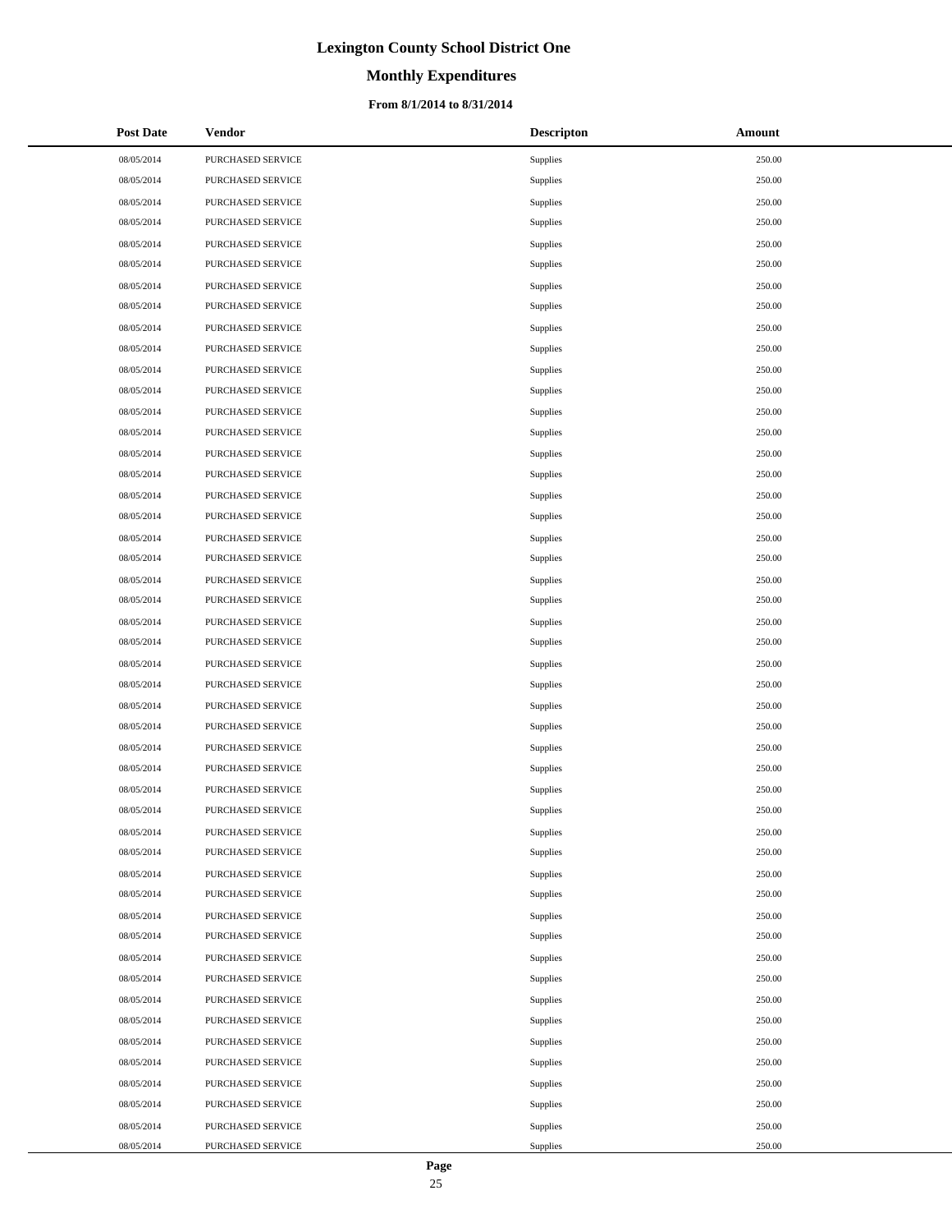# **Monthly Expenditures**

#### **From 8/1/2014 to 8/31/2014**

| <b>Post Date</b> | Vendor                   | <b>Descripton</b> | Amount |
|------------------|--------------------------|-------------------|--------|
| 08/05/2014       | PURCHASED SERVICE        | Supplies          | 250.00 |
| 08/05/2014       | PURCHASED SERVICE        | Supplies          | 250.00 |
| 08/05/2014       | PURCHASED SERVICE        | Supplies          | 250.00 |
| 08/05/2014       | PURCHASED SERVICE        | Supplies          | 250.00 |
| 08/05/2014       | PURCHASED SERVICE        | Supplies          | 250.00 |
| 08/05/2014       | PURCHASED SERVICE        | Supplies          | 250.00 |
| 08/05/2014       | PURCHASED SERVICE        | Supplies          | 250.00 |
| 08/05/2014       | PURCHASED SERVICE        | Supplies          | 250.00 |
| 08/05/2014       | PURCHASED SERVICE        | Supplies          | 250.00 |
| 08/05/2014       | PURCHASED SERVICE        | Supplies          | 250.00 |
| 08/05/2014       | PURCHASED SERVICE        | Supplies          | 250.00 |
| 08/05/2014       | PURCHASED SERVICE        | Supplies          | 250.00 |
| 08/05/2014       | PURCHASED SERVICE        | Supplies          | 250.00 |
| 08/05/2014       | PURCHASED SERVICE        | Supplies          | 250.00 |
| 08/05/2014       | PURCHASED SERVICE        | Supplies          | 250.00 |
| 08/05/2014       | PURCHASED SERVICE        | Supplies          | 250.00 |
| 08/05/2014       | PURCHASED SERVICE        | Supplies          | 250.00 |
| 08/05/2014       | PURCHASED SERVICE        | Supplies          | 250.00 |
| 08/05/2014       | PURCHASED SERVICE        | Supplies          | 250.00 |
| 08/05/2014       | PURCHASED SERVICE        | Supplies          | 250.00 |
| 08/05/2014       | PURCHASED SERVICE        | Supplies          | 250.00 |
| 08/05/2014       | PURCHASED SERVICE        | Supplies          | 250.00 |
| 08/05/2014       | PURCHASED SERVICE        | Supplies          | 250.00 |
| 08/05/2014       | PURCHASED SERVICE        | Supplies          | 250.00 |
| 08/05/2014       | PURCHASED SERVICE        | Supplies          | 250.00 |
| 08/05/2014       | PURCHASED SERVICE        | Supplies          | 250.00 |
| 08/05/2014       | PURCHASED SERVICE        | Supplies          | 250.00 |
| 08/05/2014       | PURCHASED SERVICE        | Supplies          | 250.00 |
| 08/05/2014       | PURCHASED SERVICE        | Supplies          | 250.00 |
| 08/05/2014       | PURCHASED SERVICE        | Supplies          | 250.00 |
| 08/05/2014       | PURCHASED SERVICE        | Supplies          | 250.00 |
| 08/05/2014       | PURCHASED SERVICE        | Supplies          | 250.00 |
| 08/05/2014       | PURCHASED SERVICE        | Supplies          | 250.00 |
| 08/05/2014       | <b>PURCHASED SERVICE</b> | Supplies          | 250.00 |
| 08/05/2014       | PURCHASED SERVICE        | Supplies          | 250.00 |
| 08/05/2014       | PURCHASED SERVICE        | Supplies          | 250.00 |
| 08/05/2014       | PURCHASED SERVICE        | Supplies          | 250.00 |
| 08/05/2014       | PURCHASED SERVICE        | Supplies          | 250.00 |
| 08/05/2014       | PURCHASED SERVICE        | Supplies          | 250.00 |
| 08/05/2014       | PURCHASED SERVICE        | Supplies          | 250.00 |
| 08/05/2014       | PURCHASED SERVICE        | Supplies          | 250.00 |
| 08/05/2014       | PURCHASED SERVICE        | Supplies          | 250.00 |
| 08/05/2014       | PURCHASED SERVICE        | Supplies          | 250.00 |
| 08/05/2014       | PURCHASED SERVICE        | Supplies          | 250.00 |
| 08/05/2014       | PURCHASED SERVICE        | Supplies          | 250.00 |
| 08/05/2014       | PURCHASED SERVICE        | Supplies          | 250.00 |
| 08/05/2014       | PURCHASED SERVICE        | Supplies          | 250.00 |
| 08/05/2014       | PURCHASED SERVICE        | Supplies          | 250.00 |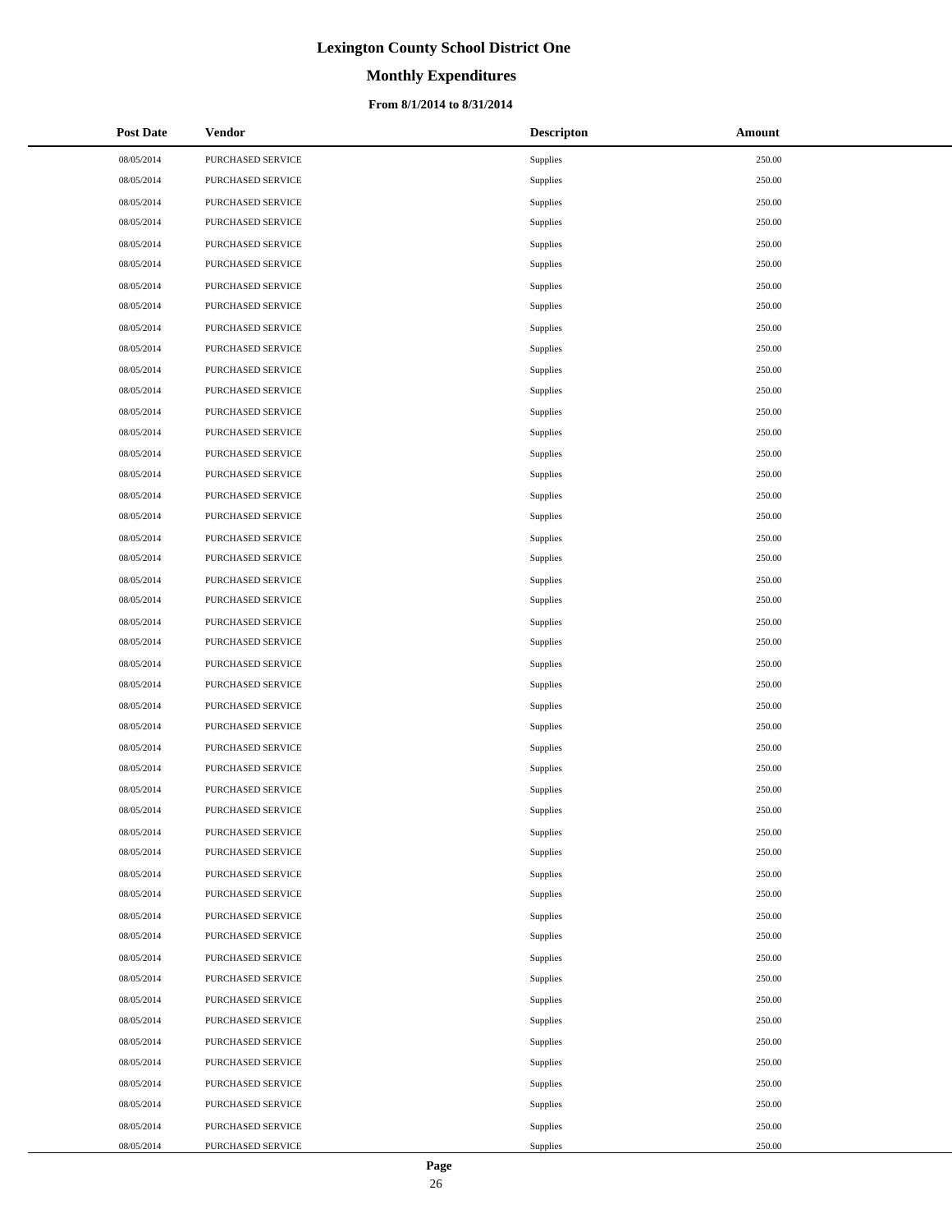# **Monthly Expenditures**

#### **From 8/1/2014 to 8/31/2014**

| <b>Post Date</b> | Vendor                   | <b>Descripton</b> | Amount |
|------------------|--------------------------|-------------------|--------|
| 08/05/2014       | PURCHASED SERVICE        | Supplies          | 250.00 |
| 08/05/2014       | PURCHASED SERVICE        | Supplies          | 250.00 |
| 08/05/2014       | PURCHASED SERVICE        | Supplies          | 250.00 |
| 08/05/2014       | PURCHASED SERVICE        | Supplies          | 250.00 |
| 08/05/2014       | PURCHASED SERVICE        | Supplies          | 250.00 |
| 08/05/2014       | PURCHASED SERVICE        | Supplies          | 250.00 |
| 08/05/2014       | PURCHASED SERVICE        | Supplies          | 250.00 |
| 08/05/2014       | PURCHASED SERVICE        | Supplies          | 250.00 |
| 08/05/2014       | PURCHASED SERVICE        | Supplies          | 250.00 |
| 08/05/2014       | PURCHASED SERVICE        | Supplies          | 250.00 |
| 08/05/2014       | PURCHASED SERVICE        | Supplies          | 250.00 |
| 08/05/2014       | PURCHASED SERVICE        | Supplies          | 250.00 |
| 08/05/2014       | PURCHASED SERVICE        | Supplies          | 250.00 |
| 08/05/2014       | PURCHASED SERVICE        | Supplies          | 250.00 |
| 08/05/2014       | PURCHASED SERVICE        | Supplies          | 250.00 |
| 08/05/2014       | PURCHASED SERVICE        | Supplies          | 250.00 |
| 08/05/2014       | PURCHASED SERVICE        | Supplies          | 250.00 |
| 08/05/2014       | PURCHASED SERVICE        | Supplies          | 250.00 |
| 08/05/2014       | PURCHASED SERVICE        | Supplies          | 250.00 |
| 08/05/2014       | PURCHASED SERVICE        | Supplies          | 250.00 |
| 08/05/2014       | PURCHASED SERVICE        | Supplies          | 250.00 |
| 08/05/2014       | PURCHASED SERVICE        | Supplies          | 250.00 |
| 08/05/2014       | PURCHASED SERVICE        | Supplies          | 250.00 |
| 08/05/2014       | PURCHASED SERVICE        | Supplies          | 250.00 |
| 08/05/2014       | PURCHASED SERVICE        | Supplies          | 250.00 |
| 08/05/2014       | PURCHASED SERVICE        | Supplies          | 250.00 |
| 08/05/2014       | PURCHASED SERVICE        | Supplies          | 250.00 |
| 08/05/2014       | PURCHASED SERVICE        | Supplies          | 250.00 |
| 08/05/2014       | PURCHASED SERVICE        | Supplies          | 250.00 |
| 08/05/2014       | PURCHASED SERVICE        | Supplies          | 250.00 |
| 08/05/2014       | PURCHASED SERVICE        | Supplies          | 250.00 |
| 08/05/2014       | PURCHASED SERVICE        | Supplies          | 250.00 |
| 08/05/2014       | PURCHASED SERVICE        | Supplies          | 250.00 |
| 08/05/2014       | <b>PURCHASED SERVICE</b> | Supplies          | 250.00 |
| 08/05/2014       | PURCHASED SERVICE        | Supplies          | 250.00 |
| 08/05/2014       | PURCHASED SERVICE        | Supplies          | 250.00 |
| 08/05/2014       | PURCHASED SERVICE        | Supplies          | 250.00 |
| 08/05/2014       | PURCHASED SERVICE        | Supplies          | 250.00 |
| 08/05/2014       | PURCHASED SERVICE        | Supplies          | 250.00 |
| 08/05/2014       | PURCHASED SERVICE        | Supplies          | 250.00 |
| 08/05/2014       | PURCHASED SERVICE        | Supplies          | 250.00 |
| 08/05/2014       | PURCHASED SERVICE        | Supplies          | 250.00 |
| 08/05/2014       | PURCHASED SERVICE        | Supplies          | 250.00 |
| 08/05/2014       | PURCHASED SERVICE        | Supplies          | 250.00 |
| 08/05/2014       | PURCHASED SERVICE        | Supplies          | 250.00 |
| 08/05/2014       | PURCHASED SERVICE        | Supplies          | 250.00 |
| 08/05/2014       | PURCHASED SERVICE        | Supplies          | 250.00 |
| 08/05/2014       | PURCHASED SERVICE        | Supplies          | 250.00 |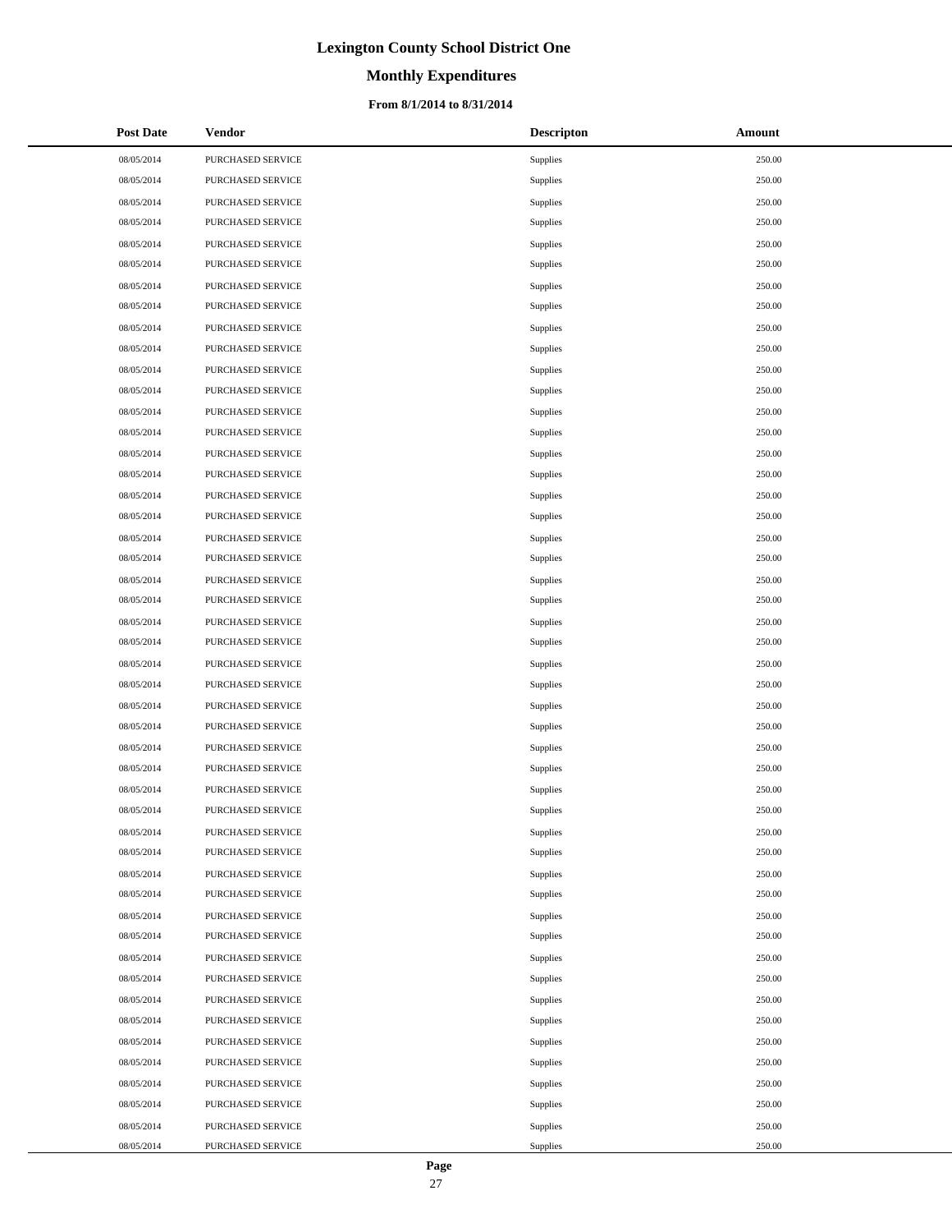# **Monthly Expenditures**

#### **From 8/1/2014 to 8/31/2014**

| <b>Post Date</b> | <b>Vendor</b>     | <b>Descripton</b> | Amount |
|------------------|-------------------|-------------------|--------|
| 08/05/2014       | PURCHASED SERVICE | Supplies          | 250.00 |
| 08/05/2014       | PURCHASED SERVICE | Supplies          | 250.00 |
| 08/05/2014       | PURCHASED SERVICE | Supplies          | 250.00 |
| 08/05/2014       | PURCHASED SERVICE | Supplies          | 250.00 |
| 08/05/2014       | PURCHASED SERVICE | Supplies          | 250.00 |
| 08/05/2014       | PURCHASED SERVICE | Supplies          | 250.00 |
| 08/05/2014       | PURCHASED SERVICE | Supplies          | 250.00 |
| 08/05/2014       | PURCHASED SERVICE | Supplies          | 250.00 |
| 08/05/2014       | PURCHASED SERVICE | Supplies          | 250.00 |
| 08/05/2014       | PURCHASED SERVICE | Supplies          | 250.00 |
| 08/05/2014       | PURCHASED SERVICE | Supplies          | 250.00 |
| 08/05/2014       | PURCHASED SERVICE | Supplies          | 250.00 |
| 08/05/2014       | PURCHASED SERVICE | Supplies          | 250.00 |
| 08/05/2014       | PURCHASED SERVICE | Supplies          | 250.00 |
| 08/05/2014       | PURCHASED SERVICE | Supplies          | 250.00 |
| 08/05/2014       | PURCHASED SERVICE | Supplies          | 250.00 |
| 08/05/2014       | PURCHASED SERVICE | Supplies          | 250.00 |
| 08/05/2014       | PURCHASED SERVICE | Supplies          | 250.00 |
| 08/05/2014       | PURCHASED SERVICE | Supplies          | 250.00 |
| 08/05/2014       | PURCHASED SERVICE | Supplies          | 250.00 |
| 08/05/2014       | PURCHASED SERVICE | Supplies          | 250.00 |
| 08/05/2014       | PURCHASED SERVICE | Supplies          | 250.00 |
| 08/05/2014       | PURCHASED SERVICE | Supplies          | 250.00 |
| 08/05/2014       | PURCHASED SERVICE | Supplies          | 250.00 |
| 08/05/2014       | PURCHASED SERVICE | Supplies          | 250.00 |
| 08/05/2014       | PURCHASED SERVICE | Supplies          | 250.00 |
| 08/05/2014       | PURCHASED SERVICE | Supplies          | 250.00 |
| 08/05/2014       | PURCHASED SERVICE | Supplies          | 250.00 |
| 08/05/2014       | PURCHASED SERVICE | Supplies          | 250.00 |
| 08/05/2014       | PURCHASED SERVICE | Supplies          | 250.00 |
| 08/05/2014       | PURCHASED SERVICE | Supplies          | 250.00 |
| 08/05/2014       | PURCHASED SERVICE | Supplies          | 250.00 |
| 08/05/2014       | PURCHASED SERVICE | Supplies          | 250.00 |
| 08/05/2014       | PURCHASED SERVICE | Supplies          | 250.00 |
| 08/05/2014       | PURCHASED SERVICE | Supplies          | 250.00 |
| 08/05/2014       | PURCHASED SERVICE | Supplies          | 250.00 |
| 08/05/2014       | PURCHASED SERVICE | Supplies          | 250.00 |
| 08/05/2014       | PURCHASED SERVICE | Supplies          | 250.00 |
| 08/05/2014       | PURCHASED SERVICE | Supplies          | 250.00 |
| 08/05/2014       | PURCHASED SERVICE | Supplies          | 250.00 |
| 08/05/2014       | PURCHASED SERVICE | Supplies          | 250.00 |
| 08/05/2014       | PURCHASED SERVICE | Supplies          | 250.00 |
| 08/05/2014       | PURCHASED SERVICE | Supplies          | 250.00 |
| 08/05/2014       | PURCHASED SERVICE | Supplies          | 250.00 |
| 08/05/2014       | PURCHASED SERVICE | Supplies          | 250.00 |
| 08/05/2014       | PURCHASED SERVICE | Supplies          | 250.00 |
| 08/05/2014       | PURCHASED SERVICE | Supplies          | 250.00 |
| 08/05/2014       | PURCHASED SERVICE | Supplies          | 250.00 |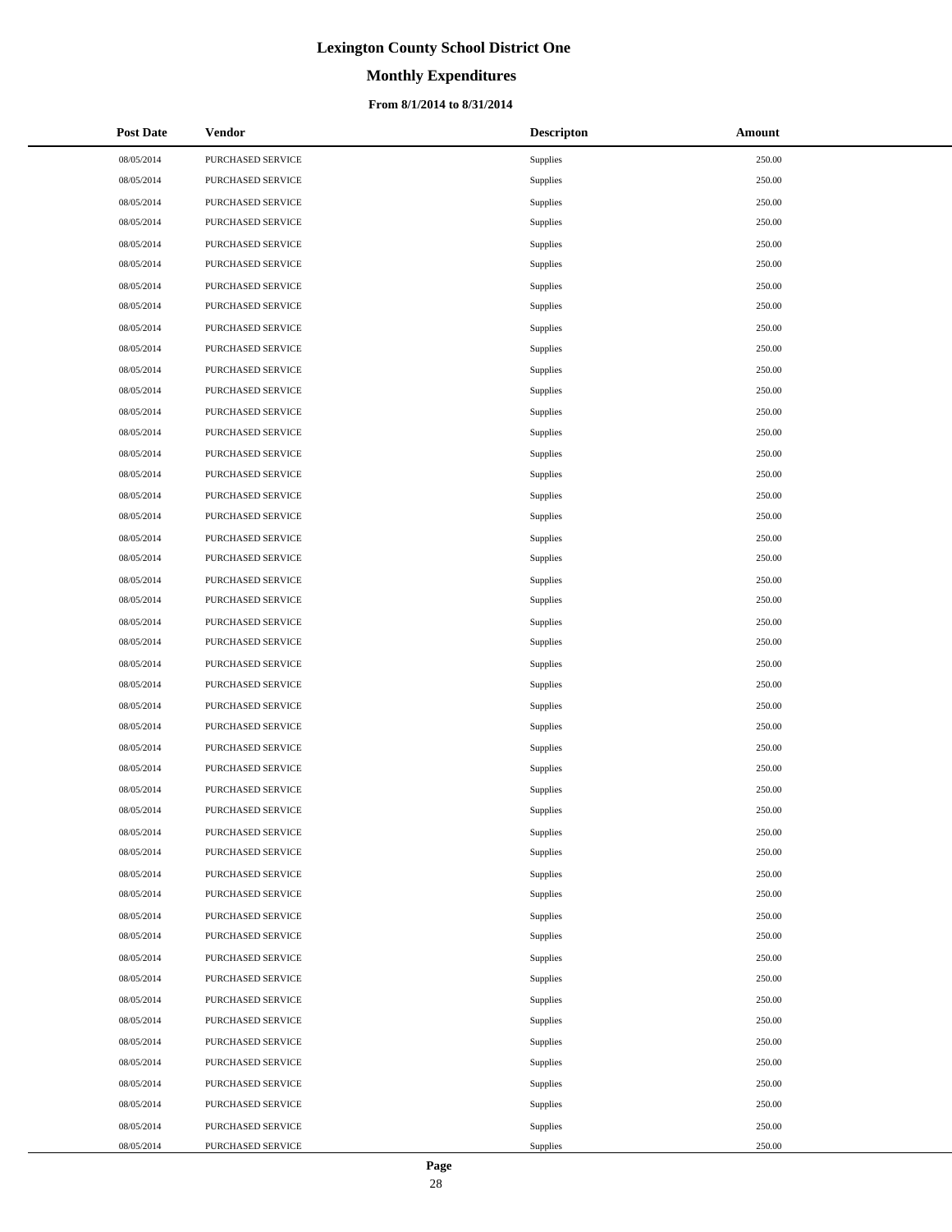# **Monthly Expenditures**

#### **From 8/1/2014 to 8/31/2014**

| <b>Post Date</b> | Vendor            | <b>Descripton</b> | Amount |
|------------------|-------------------|-------------------|--------|
| 08/05/2014       | PURCHASED SERVICE | Supplies          | 250.00 |
| 08/05/2014       | PURCHASED SERVICE | Supplies          | 250.00 |
| 08/05/2014       | PURCHASED SERVICE | Supplies          | 250.00 |
| 08/05/2014       | PURCHASED SERVICE | Supplies          | 250.00 |
| 08/05/2014       | PURCHASED SERVICE | Supplies          | 250.00 |
| 08/05/2014       | PURCHASED SERVICE | Supplies          | 250.00 |
| 08/05/2014       | PURCHASED SERVICE | Supplies          | 250.00 |
| 08/05/2014       | PURCHASED SERVICE | Supplies          | 250.00 |
| 08/05/2014       | PURCHASED SERVICE | Supplies          | 250.00 |
| 08/05/2014       | PURCHASED SERVICE | Supplies          | 250.00 |
| 08/05/2014       | PURCHASED SERVICE | Supplies          | 250.00 |
| 08/05/2014       | PURCHASED SERVICE | Supplies          | 250.00 |
| 08/05/2014       | PURCHASED SERVICE | Supplies          | 250.00 |
| 08/05/2014       | PURCHASED SERVICE | Supplies          | 250.00 |
| 08/05/2014       | PURCHASED SERVICE | Supplies          | 250.00 |
| 08/05/2014       | PURCHASED SERVICE | Supplies          | 250.00 |
| 08/05/2014       | PURCHASED SERVICE | Supplies          | 250.00 |
| 08/05/2014       | PURCHASED SERVICE | Supplies          | 250.00 |
| 08/05/2014       | PURCHASED SERVICE | Supplies          | 250.00 |
| 08/05/2014       | PURCHASED SERVICE | Supplies          | 250.00 |
| 08/05/2014       | PURCHASED SERVICE | Supplies          | 250.00 |
| 08/05/2014       | PURCHASED SERVICE | Supplies          | 250.00 |
| 08/05/2014       | PURCHASED SERVICE | Supplies          | 250.00 |
| 08/05/2014       | PURCHASED SERVICE | Supplies          | 250.00 |
| 08/05/2014       | PURCHASED SERVICE | Supplies          | 250.00 |
| 08/05/2014       | PURCHASED SERVICE | Supplies          | 250.00 |
| 08/05/2014       | PURCHASED SERVICE | Supplies          | 250.00 |
| 08/05/2014       | PURCHASED SERVICE | Supplies          | 250.00 |
| 08/05/2014       | PURCHASED SERVICE | Supplies          | 250.00 |
| 08/05/2014       | PURCHASED SERVICE | Supplies          | 250.00 |
| 08/05/2014       | PURCHASED SERVICE | Supplies          | 250.00 |
| 08/05/2014       | PURCHASED SERVICE | Supplies          | 250.00 |
| 08/05/2014       | PURCHASED SERVICE | Supplies          | 250.00 |
| 08/05/2014       | PURCHASED SERVICE | Supplies          | 250.00 |
| 08/05/2014       | PURCHASED SERVICE | Supplies          | 250.00 |
| 08/05/2014       | PURCHASED SERVICE | Supplies          | 250.00 |
| 08/05/2014       | PURCHASED SERVICE | Supplies          | 250.00 |
| 08/05/2014       | PURCHASED SERVICE | Supplies          | 250.00 |
| 08/05/2014       | PURCHASED SERVICE | Supplies          | 250.00 |
| 08/05/2014       | PURCHASED SERVICE | Supplies          | 250.00 |
| 08/05/2014       | PURCHASED SERVICE | Supplies          | 250.00 |
| 08/05/2014       | PURCHASED SERVICE | Supplies          | 250.00 |
| 08/05/2014       | PURCHASED SERVICE | Supplies          | 250.00 |
| 08/05/2014       | PURCHASED SERVICE | Supplies          | 250.00 |
| 08/05/2014       | PURCHASED SERVICE | Supplies          | 250.00 |
| 08/05/2014       | PURCHASED SERVICE | Supplies          | 250.00 |
| 08/05/2014       | PURCHASED SERVICE | Supplies          | 250.00 |
| 08/05/2014       | PURCHASED SERVICE | Supplies          | 250.00 |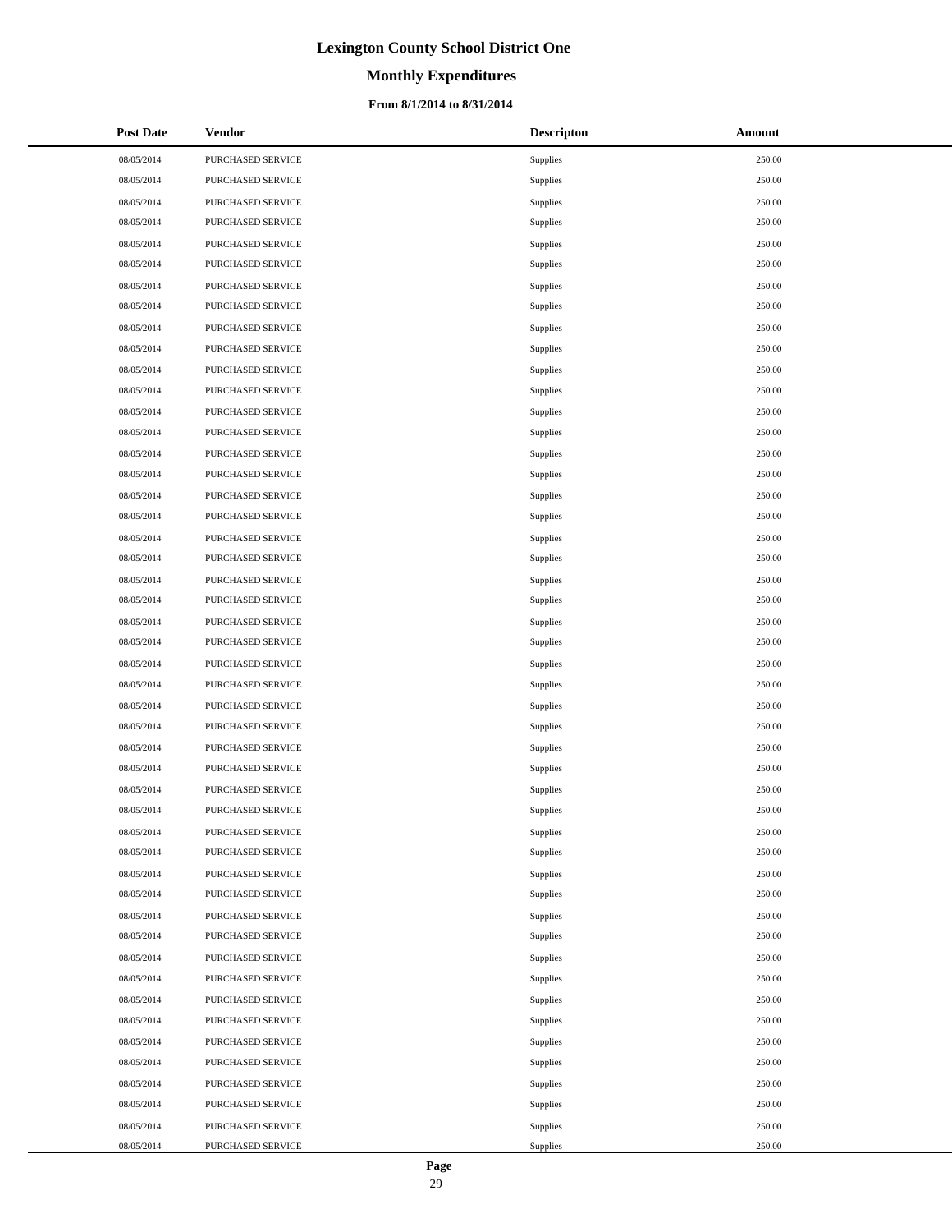# **Monthly Expenditures**

#### **From 8/1/2014 to 8/31/2014**

| <b>Post Date</b> | Vendor            | <b>Descripton</b> | Amount |
|------------------|-------------------|-------------------|--------|
| 08/05/2014       | PURCHASED SERVICE | Supplies          | 250.00 |
| 08/05/2014       | PURCHASED SERVICE | Supplies          | 250.00 |
| 08/05/2014       | PURCHASED SERVICE | Supplies          | 250.00 |
| 08/05/2014       | PURCHASED SERVICE | Supplies          | 250.00 |
| 08/05/2014       | PURCHASED SERVICE | Supplies          | 250.00 |
| 08/05/2014       | PURCHASED SERVICE | Supplies          | 250.00 |
| 08/05/2014       | PURCHASED SERVICE | Supplies          | 250.00 |
| 08/05/2014       | PURCHASED SERVICE | Supplies          | 250.00 |
| 08/05/2014       | PURCHASED SERVICE | Supplies          | 250.00 |
| 08/05/2014       | PURCHASED SERVICE | Supplies          | 250.00 |
| 08/05/2014       | PURCHASED SERVICE | Supplies          | 250.00 |
| 08/05/2014       | PURCHASED SERVICE | Supplies          | 250.00 |
| 08/05/2014       | PURCHASED SERVICE | Supplies          | 250.00 |
| 08/05/2014       | PURCHASED SERVICE | Supplies          | 250.00 |
| 08/05/2014       | PURCHASED SERVICE | Supplies          | 250.00 |
| 08/05/2014       | PURCHASED SERVICE | Supplies          | 250.00 |
| 08/05/2014       | PURCHASED SERVICE | Supplies          | 250.00 |
| 08/05/2014       | PURCHASED SERVICE | Supplies          | 250.00 |
| 08/05/2014       | PURCHASED SERVICE | Supplies          | 250.00 |
| 08/05/2014       | PURCHASED SERVICE | Supplies          | 250.00 |
| 08/05/2014       | PURCHASED SERVICE | Supplies          | 250.00 |
| 08/05/2014       | PURCHASED SERVICE | Supplies          | 250.00 |
| 08/05/2014       | PURCHASED SERVICE | Supplies          | 250.00 |
| 08/05/2014       | PURCHASED SERVICE | Supplies          | 250.00 |
| 08/05/2014       | PURCHASED SERVICE | Supplies          | 250.00 |
| 08/05/2014       | PURCHASED SERVICE | Supplies          | 250.00 |
| 08/05/2014       | PURCHASED SERVICE | Supplies          | 250.00 |
| 08/05/2014       | PURCHASED SERVICE | Supplies          | 250.00 |
| 08/05/2014       | PURCHASED SERVICE | Supplies          | 250.00 |
| 08/05/2014       | PURCHASED SERVICE | Supplies          | 250.00 |
| 08/05/2014       | PURCHASED SERVICE | Supplies          | 250.00 |
| 08/05/2014       | PURCHASED SERVICE | Supplies          | 250.00 |
| 08/05/2014       | PURCHASED SERVICE | Supplies          | 250.00 |
| 08/05/2014       | PURCHASED SERVICE | Supplies          | 250.00 |
| 08/05/2014       | PURCHASED SERVICE | Supplies          | 250.00 |
| 08/05/2014       | PURCHASED SERVICE | Supplies          | 250.00 |
| 08/05/2014       | PURCHASED SERVICE | Supplies          | 250.00 |
| 08/05/2014       | PURCHASED SERVICE | Supplies          | 250.00 |
| 08/05/2014       | PURCHASED SERVICE | Supplies          | 250.00 |
| 08/05/2014       | PURCHASED SERVICE | Supplies          | 250.00 |
| 08/05/2014       | PURCHASED SERVICE | Supplies          | 250.00 |
| 08/05/2014       | PURCHASED SERVICE | Supplies          | 250.00 |
| 08/05/2014       | PURCHASED SERVICE | Supplies          | 250.00 |
| 08/05/2014       | PURCHASED SERVICE | Supplies          | 250.00 |
| 08/05/2014       | PURCHASED SERVICE | Supplies          | 250.00 |
| 08/05/2014       | PURCHASED SERVICE | Supplies          | 250.00 |
| 08/05/2014       | PURCHASED SERVICE | Supplies          | 250.00 |
| 08/05/2014       | PURCHASED SERVICE | Supplies          | 250.00 |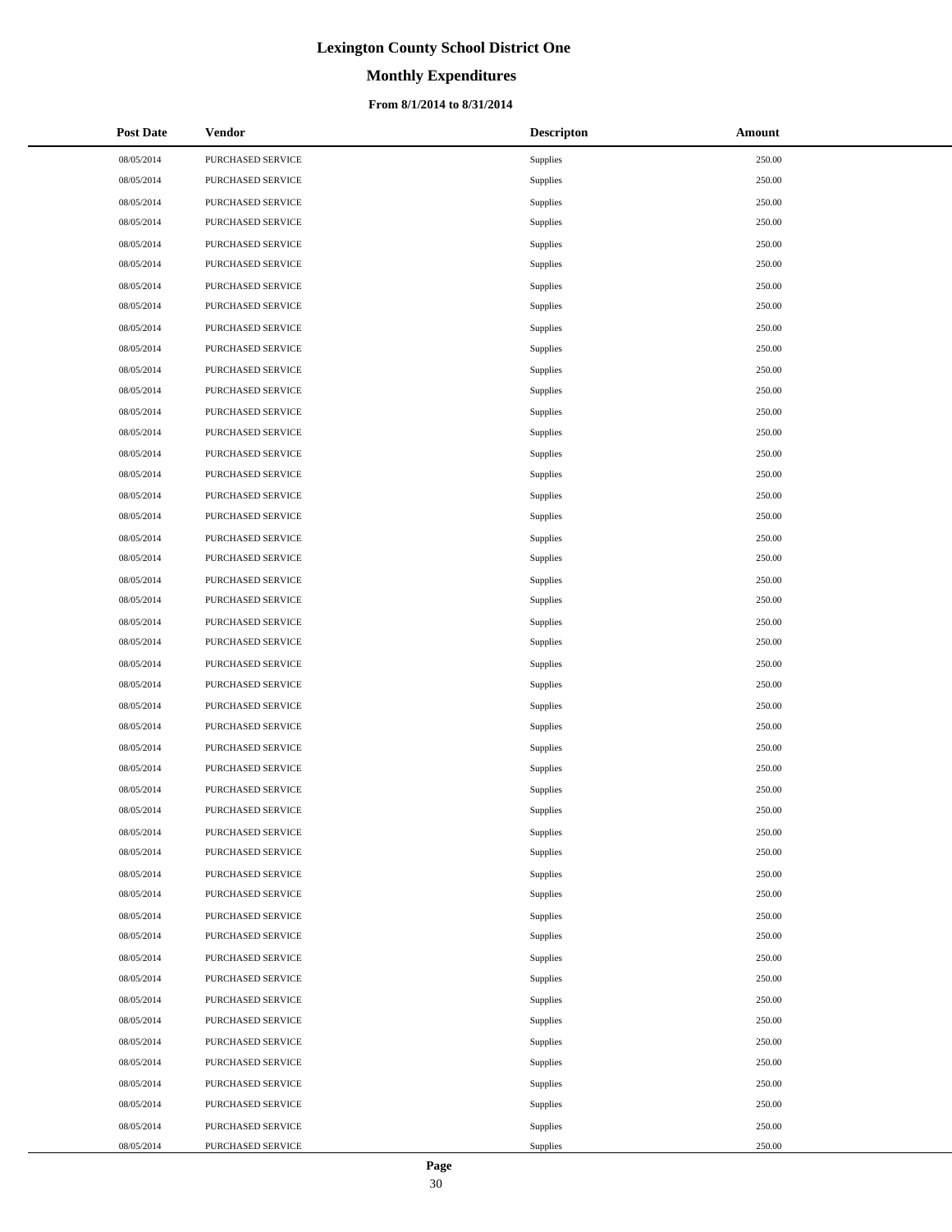# **Monthly Expenditures**

#### **From 8/1/2014 to 8/31/2014**

| <b>Post Date</b> | <b>Vendor</b>     | <b>Descripton</b> | Amount |
|------------------|-------------------|-------------------|--------|
| 08/05/2014       | PURCHASED SERVICE | Supplies          | 250.00 |
| 08/05/2014       | PURCHASED SERVICE | Supplies          | 250.00 |
| 08/05/2014       | PURCHASED SERVICE | Supplies          | 250.00 |
| 08/05/2014       | PURCHASED SERVICE | Supplies          | 250.00 |
| 08/05/2014       | PURCHASED SERVICE | Supplies          | 250.00 |
| 08/05/2014       | PURCHASED SERVICE | Supplies          | 250.00 |
| 08/05/2014       | PURCHASED SERVICE | Supplies          | 250.00 |
| 08/05/2014       | PURCHASED SERVICE | Supplies          | 250.00 |
| 08/05/2014       | PURCHASED SERVICE | Supplies          | 250.00 |
| 08/05/2014       | PURCHASED SERVICE | Supplies          | 250.00 |
| 08/05/2014       | PURCHASED SERVICE | Supplies          | 250.00 |
| 08/05/2014       | PURCHASED SERVICE | Supplies          | 250.00 |
| 08/05/2014       | PURCHASED SERVICE | Supplies          | 250.00 |
| 08/05/2014       | PURCHASED SERVICE | Supplies          | 250.00 |
| 08/05/2014       | PURCHASED SERVICE | Supplies          | 250.00 |
| 08/05/2014       | PURCHASED SERVICE | Supplies          | 250.00 |
| 08/05/2014       | PURCHASED SERVICE | Supplies          | 250.00 |
| 08/05/2014       | PURCHASED SERVICE | Supplies          | 250.00 |
| 08/05/2014       | PURCHASED SERVICE | Supplies          | 250.00 |
| 08/05/2014       | PURCHASED SERVICE | Supplies          | 250.00 |
| 08/05/2014       | PURCHASED SERVICE | Supplies          | 250.00 |
| 08/05/2014       | PURCHASED SERVICE | Supplies          | 250.00 |
| 08/05/2014       | PURCHASED SERVICE | Supplies          | 250.00 |
| 08/05/2014       | PURCHASED SERVICE | Supplies          | 250.00 |
| 08/05/2014       | PURCHASED SERVICE | Supplies          | 250.00 |
| 08/05/2014       | PURCHASED SERVICE | Supplies          | 250.00 |
| 08/05/2014       | PURCHASED SERVICE | Supplies          | 250.00 |
| 08/05/2014       | PURCHASED SERVICE | Supplies          | 250.00 |
| 08/05/2014       | PURCHASED SERVICE | Supplies          | 250.00 |
| 08/05/2014       | PURCHASED SERVICE | Supplies          | 250.00 |
| 08/05/2014       | PURCHASED SERVICE | Supplies          | 250.00 |
| 08/05/2014       | PURCHASED SERVICE | Supplies          | 250.00 |
| 08/05/2014       | PURCHASED SERVICE | Supplies          | 250.00 |
| 08/05/2014       | PURCHASED SERVICE | Supplies          | 250.00 |
| 08/05/2014       | PURCHASED SERVICE | Supplies          | 250.00 |
| 08/05/2014       | PURCHASED SERVICE | Supplies          | 250.00 |
| 08/05/2014       | PURCHASED SERVICE | Supplies          | 250.00 |
| 08/05/2014       | PURCHASED SERVICE | Supplies          | 250.00 |
| 08/05/2014       | PURCHASED SERVICE | Supplies          | 250.00 |
| 08/05/2014       | PURCHASED SERVICE | Supplies          | 250.00 |
| 08/05/2014       | PURCHASED SERVICE | Supplies          | 250.00 |
| 08/05/2014       | PURCHASED SERVICE | Supplies          | 250.00 |
| 08/05/2014       | PURCHASED SERVICE | Supplies          | 250.00 |
| 08/05/2014       | PURCHASED SERVICE | Supplies          | 250.00 |
| 08/05/2014       | PURCHASED SERVICE | Supplies          | 250.00 |
| 08/05/2014       | PURCHASED SERVICE | Supplies          | 250.00 |
| 08/05/2014       | PURCHASED SERVICE | Supplies          | 250.00 |
| 08/05/2014       | PURCHASED SERVICE | Supplies          | 250.00 |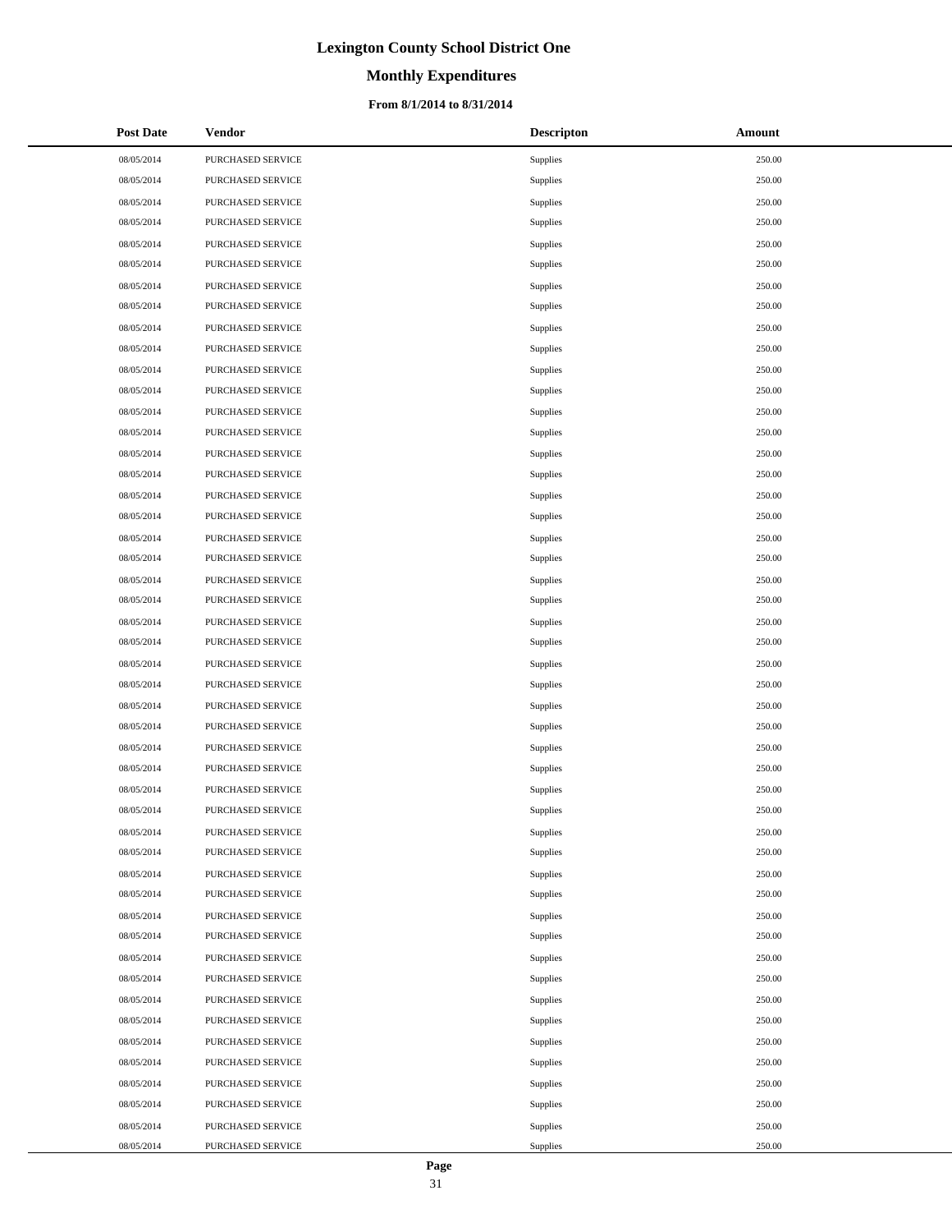# **Monthly Expenditures**

#### **From 8/1/2014 to 8/31/2014**

| <b>Post Date</b> | Vendor                   | <b>Descripton</b> | Amount |
|------------------|--------------------------|-------------------|--------|
| 08/05/2014       | PURCHASED SERVICE        | Supplies          | 250.00 |
| 08/05/2014       | PURCHASED SERVICE        | Supplies          | 250.00 |
| 08/05/2014       | PURCHASED SERVICE        | Supplies          | 250.00 |
| 08/05/2014       | PURCHASED SERVICE        | Supplies          | 250.00 |
| 08/05/2014       | PURCHASED SERVICE        | Supplies          | 250.00 |
| 08/05/2014       | PURCHASED SERVICE        | Supplies          | 250.00 |
| 08/05/2014       | PURCHASED SERVICE        | Supplies          | 250.00 |
| 08/05/2014       | PURCHASED SERVICE        | Supplies          | 250.00 |
| 08/05/2014       | PURCHASED SERVICE        | Supplies          | 250.00 |
| 08/05/2014       | PURCHASED SERVICE        | Supplies          | 250.00 |
| 08/05/2014       | PURCHASED SERVICE        | Supplies          | 250.00 |
| 08/05/2014       | PURCHASED SERVICE        | Supplies          | 250.00 |
| 08/05/2014       | PURCHASED SERVICE        | Supplies          | 250.00 |
| 08/05/2014       | PURCHASED SERVICE        | Supplies          | 250.00 |
| 08/05/2014       | PURCHASED SERVICE        | Supplies          | 250.00 |
| 08/05/2014       | PURCHASED SERVICE        | Supplies          | 250.00 |
| 08/05/2014       | PURCHASED SERVICE        | Supplies          | 250.00 |
| 08/05/2014       | PURCHASED SERVICE        | Supplies          | 250.00 |
| 08/05/2014       | PURCHASED SERVICE        | Supplies          | 250.00 |
| 08/05/2014       | PURCHASED SERVICE        | Supplies          | 250.00 |
| 08/05/2014       | PURCHASED SERVICE        | Supplies          | 250.00 |
| 08/05/2014       | PURCHASED SERVICE        | Supplies          | 250.00 |
| 08/05/2014       | PURCHASED SERVICE        | Supplies          | 250.00 |
| 08/05/2014       | PURCHASED SERVICE        | Supplies          | 250.00 |
| 08/05/2014       | PURCHASED SERVICE        | Supplies          | 250.00 |
| 08/05/2014       | PURCHASED SERVICE        | Supplies          | 250.00 |
| 08/05/2014       | PURCHASED SERVICE        | Supplies          | 250.00 |
| 08/05/2014       | PURCHASED SERVICE        | Supplies          | 250.00 |
| 08/05/2014       | PURCHASED SERVICE        | Supplies          | 250.00 |
| 08/05/2014       | PURCHASED SERVICE        | Supplies          | 250.00 |
| 08/05/2014       | PURCHASED SERVICE        | Supplies          | 250.00 |
| 08/05/2014       | PURCHASED SERVICE        | Supplies          | 250.00 |
| 08/05/2014       | PURCHASED SERVICE        | Supplies          | 250.00 |
| 08/05/2014       | <b>PURCHASED SERVICE</b> | Supplies          | 250.00 |
| 08/05/2014       | PURCHASED SERVICE        | Supplies          | 250.00 |
| 08/05/2014       | PURCHASED SERVICE        | Supplies          | 250.00 |
| 08/05/2014       | PURCHASED SERVICE        | Supplies          | 250.00 |
| 08/05/2014       | PURCHASED SERVICE        | Supplies          | 250.00 |
| 08/05/2014       | PURCHASED SERVICE        | Supplies          | 250.00 |
| 08/05/2014       | PURCHASED SERVICE        | Supplies          | 250.00 |
| 08/05/2014       | PURCHASED SERVICE        | Supplies          | 250.00 |
| 08/05/2014       | PURCHASED SERVICE        | Supplies          | 250.00 |
| 08/05/2014       | PURCHASED SERVICE        | Supplies          | 250.00 |
| 08/05/2014       | PURCHASED SERVICE        | Supplies          | 250.00 |
| 08/05/2014       | PURCHASED SERVICE        | Supplies          | 250.00 |
| 08/05/2014       | PURCHASED SERVICE        | Supplies          | 250.00 |
| 08/05/2014       | PURCHASED SERVICE        | Supplies          | 250.00 |
| 08/05/2014       | PURCHASED SERVICE        | Supplies          | 250.00 |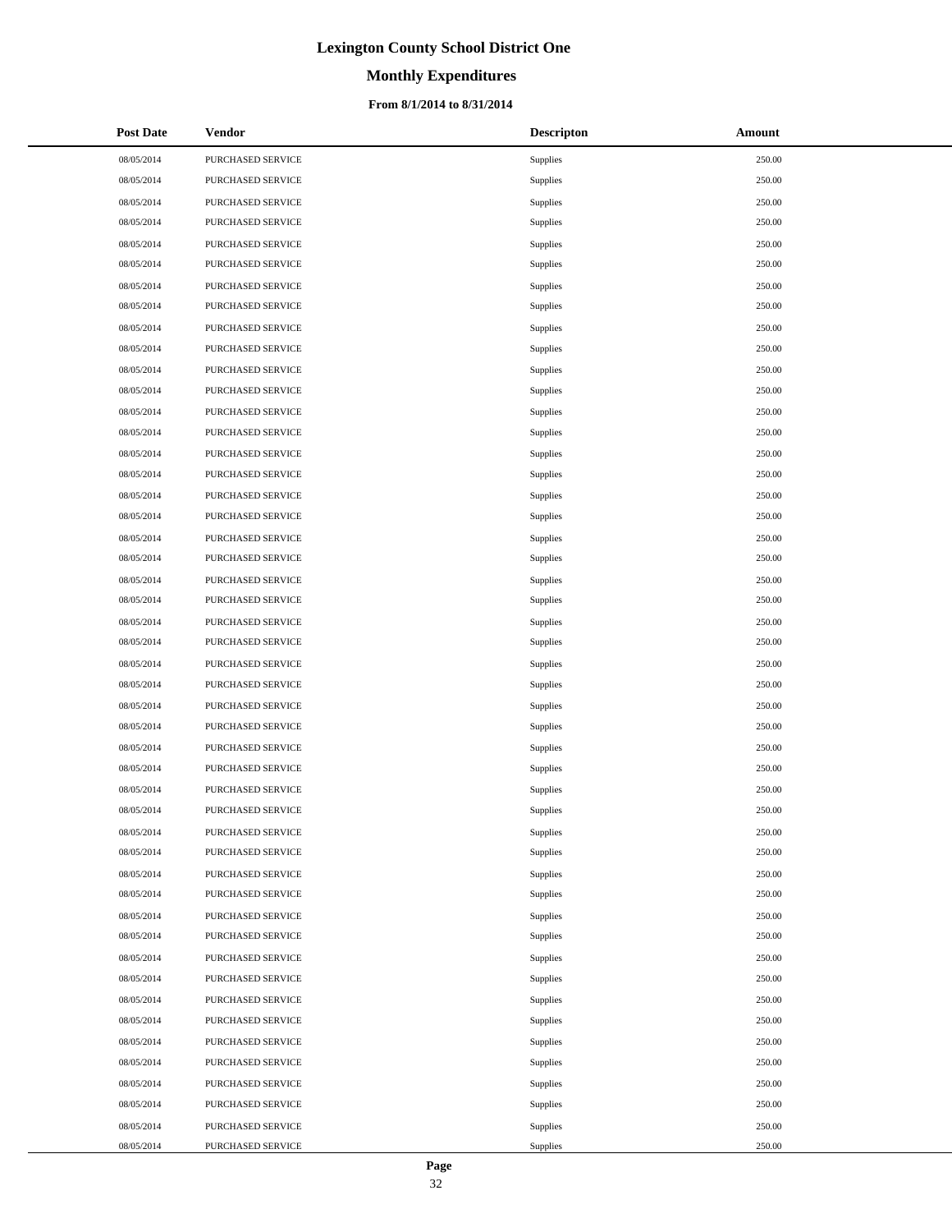# **Monthly Expenditures**

#### **From 8/1/2014 to 8/31/2014**

| <b>Post Date</b> | Vendor                   | <b>Descripton</b> | Amount |
|------------------|--------------------------|-------------------|--------|
| 08/05/2014       | PURCHASED SERVICE        | Supplies          | 250.00 |
| 08/05/2014       | PURCHASED SERVICE        | Supplies          | 250.00 |
| 08/05/2014       | PURCHASED SERVICE        | Supplies          | 250.00 |
| 08/05/2014       | PURCHASED SERVICE        | Supplies          | 250.00 |
| 08/05/2014       | PURCHASED SERVICE        | Supplies          | 250.00 |
| 08/05/2014       | PURCHASED SERVICE        | Supplies          | 250.00 |
| 08/05/2014       | PURCHASED SERVICE        | Supplies          | 250.00 |
| 08/05/2014       | PURCHASED SERVICE        | Supplies          | 250.00 |
| 08/05/2014       | PURCHASED SERVICE        | Supplies          | 250.00 |
| 08/05/2014       | PURCHASED SERVICE        | Supplies          | 250.00 |
| 08/05/2014       | PURCHASED SERVICE        | Supplies          | 250.00 |
| 08/05/2014       | PURCHASED SERVICE        | Supplies          | 250.00 |
| 08/05/2014       | PURCHASED SERVICE        | Supplies          | 250.00 |
| 08/05/2014       | PURCHASED SERVICE        | Supplies          | 250.00 |
| 08/05/2014       | PURCHASED SERVICE        | Supplies          | 250.00 |
| 08/05/2014       | PURCHASED SERVICE        | Supplies          | 250.00 |
| 08/05/2014       | PURCHASED SERVICE        | Supplies          | 250.00 |
| 08/05/2014       | PURCHASED SERVICE        | Supplies          | 250.00 |
| 08/05/2014       | PURCHASED SERVICE        | Supplies          | 250.00 |
| 08/05/2014       | PURCHASED SERVICE        | Supplies          | 250.00 |
| 08/05/2014       | PURCHASED SERVICE        | Supplies          | 250.00 |
| 08/05/2014       | PURCHASED SERVICE        | Supplies          | 250.00 |
| 08/05/2014       | PURCHASED SERVICE        | Supplies          | 250.00 |
| 08/05/2014       | PURCHASED SERVICE        | Supplies          | 250.00 |
| 08/05/2014       | PURCHASED SERVICE        | Supplies          | 250.00 |
| 08/05/2014       | PURCHASED SERVICE        | Supplies          | 250.00 |
| 08/05/2014       | PURCHASED SERVICE        | Supplies          | 250.00 |
| 08/05/2014       | PURCHASED SERVICE        | Supplies          | 250.00 |
| 08/05/2014       | PURCHASED SERVICE        | Supplies          | 250.00 |
| 08/05/2014       | PURCHASED SERVICE        | Supplies          | 250.00 |
| 08/05/2014       | PURCHASED SERVICE        | Supplies          | 250.00 |
| 08/05/2014       | PURCHASED SERVICE        | Supplies          | 250.00 |
| 08/05/2014       | PURCHASED SERVICE        | Supplies          | 250.00 |
| 08/05/2014       | <b>PURCHASED SERVICE</b> | Supplies          | 250.00 |
| 08/05/2014       | PURCHASED SERVICE        | Supplies          | 250.00 |
| 08/05/2014       | PURCHASED SERVICE        | Supplies          | 250.00 |
| 08/05/2014       | PURCHASED SERVICE        | Supplies          | 250.00 |
| 08/05/2014       | PURCHASED SERVICE        | Supplies          | 250.00 |
| 08/05/2014       | PURCHASED SERVICE        | Supplies          | 250.00 |
| 08/05/2014       | PURCHASED SERVICE        | Supplies          | 250.00 |
| 08/05/2014       | PURCHASED SERVICE        | Supplies          | 250.00 |
| 08/05/2014       | PURCHASED SERVICE        | Supplies          | 250.00 |
| 08/05/2014       | PURCHASED SERVICE        | Supplies          | 250.00 |
| 08/05/2014       | PURCHASED SERVICE        | Supplies          | 250.00 |
| 08/05/2014       | PURCHASED SERVICE        | Supplies          | 250.00 |
| 08/05/2014       | PURCHASED SERVICE        | Supplies          | 250.00 |
| 08/05/2014       | PURCHASED SERVICE        | Supplies          | 250.00 |
| 08/05/2014       | PURCHASED SERVICE        | Supplies          | 250.00 |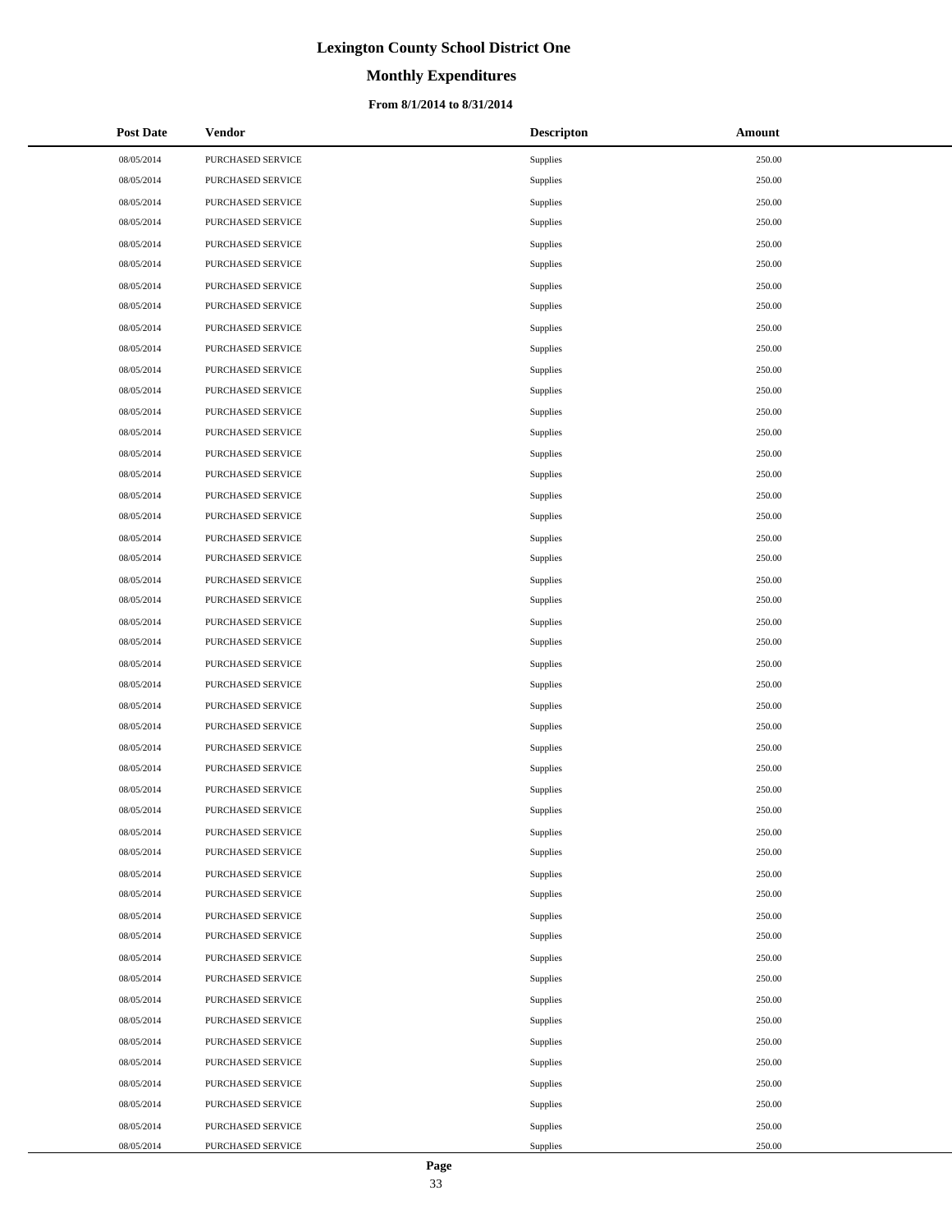# **Monthly Expenditures**

#### **From 8/1/2014 to 8/31/2014**

| <b>Post Date</b> | Vendor                   | <b>Descripton</b> | Amount |
|------------------|--------------------------|-------------------|--------|
| 08/05/2014       | PURCHASED SERVICE        | Supplies          | 250.00 |
| 08/05/2014       | PURCHASED SERVICE        | Supplies          | 250.00 |
| 08/05/2014       | PURCHASED SERVICE        | Supplies          | 250.00 |
| 08/05/2014       | PURCHASED SERVICE        | Supplies          | 250.00 |
| 08/05/2014       | PURCHASED SERVICE        | Supplies          | 250.00 |
| 08/05/2014       | PURCHASED SERVICE        | Supplies          | 250.00 |
| 08/05/2014       | PURCHASED SERVICE        | Supplies          | 250.00 |
| 08/05/2014       | PURCHASED SERVICE        | Supplies          | 250.00 |
| 08/05/2014       | PURCHASED SERVICE        | Supplies          | 250.00 |
| 08/05/2014       | PURCHASED SERVICE        | Supplies          | 250.00 |
| 08/05/2014       | PURCHASED SERVICE        | Supplies          | 250.00 |
| 08/05/2014       | PURCHASED SERVICE        | Supplies          | 250.00 |
| 08/05/2014       | PURCHASED SERVICE        | Supplies          | 250.00 |
| 08/05/2014       | PURCHASED SERVICE        | Supplies          | 250.00 |
| 08/05/2014       | PURCHASED SERVICE        | Supplies          | 250.00 |
| 08/05/2014       | PURCHASED SERVICE        | Supplies          | 250.00 |
| 08/05/2014       | PURCHASED SERVICE        | Supplies          | 250.00 |
| 08/05/2014       | PURCHASED SERVICE        | Supplies          | 250.00 |
| 08/05/2014       | PURCHASED SERVICE        | Supplies          | 250.00 |
| 08/05/2014       | PURCHASED SERVICE        | Supplies          | 250.00 |
| 08/05/2014       | PURCHASED SERVICE        | Supplies          | 250.00 |
| 08/05/2014       | PURCHASED SERVICE        | Supplies          | 250.00 |
| 08/05/2014       | PURCHASED SERVICE        | Supplies          | 250.00 |
| 08/05/2014       | PURCHASED SERVICE        | Supplies          | 250.00 |
| 08/05/2014       | PURCHASED SERVICE        | Supplies          | 250.00 |
| 08/05/2014       | PURCHASED SERVICE        | Supplies          | 250.00 |
| 08/05/2014       | PURCHASED SERVICE        | Supplies          | 250.00 |
| 08/05/2014       | PURCHASED SERVICE        | Supplies          | 250.00 |
| 08/05/2014       | PURCHASED SERVICE        | Supplies          | 250.00 |
| 08/05/2014       | PURCHASED SERVICE        | Supplies          | 250.00 |
| 08/05/2014       | PURCHASED SERVICE        | Supplies          | 250.00 |
| 08/05/2014       | PURCHASED SERVICE        | Supplies          | 250.00 |
| 08/05/2014       | PURCHASED SERVICE        | Supplies          | 250.00 |
| 08/05/2014       | <b>PURCHASED SERVICE</b> | Supplies          | 250.00 |
| 08/05/2014       | PURCHASED SERVICE        | Supplies          | 250.00 |
| 08/05/2014       | PURCHASED SERVICE        | Supplies          | 250.00 |
| 08/05/2014       | PURCHASED SERVICE        | Supplies          | 250.00 |
| 08/05/2014       | PURCHASED SERVICE        | Supplies          | 250.00 |
| 08/05/2014       | PURCHASED SERVICE        | Supplies          | 250.00 |
| 08/05/2014       | PURCHASED SERVICE        | Supplies          | 250.00 |
| 08/05/2014       | PURCHASED SERVICE        | Supplies          | 250.00 |
| 08/05/2014       | PURCHASED SERVICE        | Supplies          | 250.00 |
| 08/05/2014       | PURCHASED SERVICE        | Supplies          | 250.00 |
| 08/05/2014       | PURCHASED SERVICE        | Supplies          | 250.00 |
| 08/05/2014       | PURCHASED SERVICE        | Supplies          | 250.00 |
| 08/05/2014       | PURCHASED SERVICE        | Supplies          | 250.00 |
| 08/05/2014       | PURCHASED SERVICE        | Supplies          | 250.00 |
| 08/05/2014       | PURCHASED SERVICE        | Supplies          | 250.00 |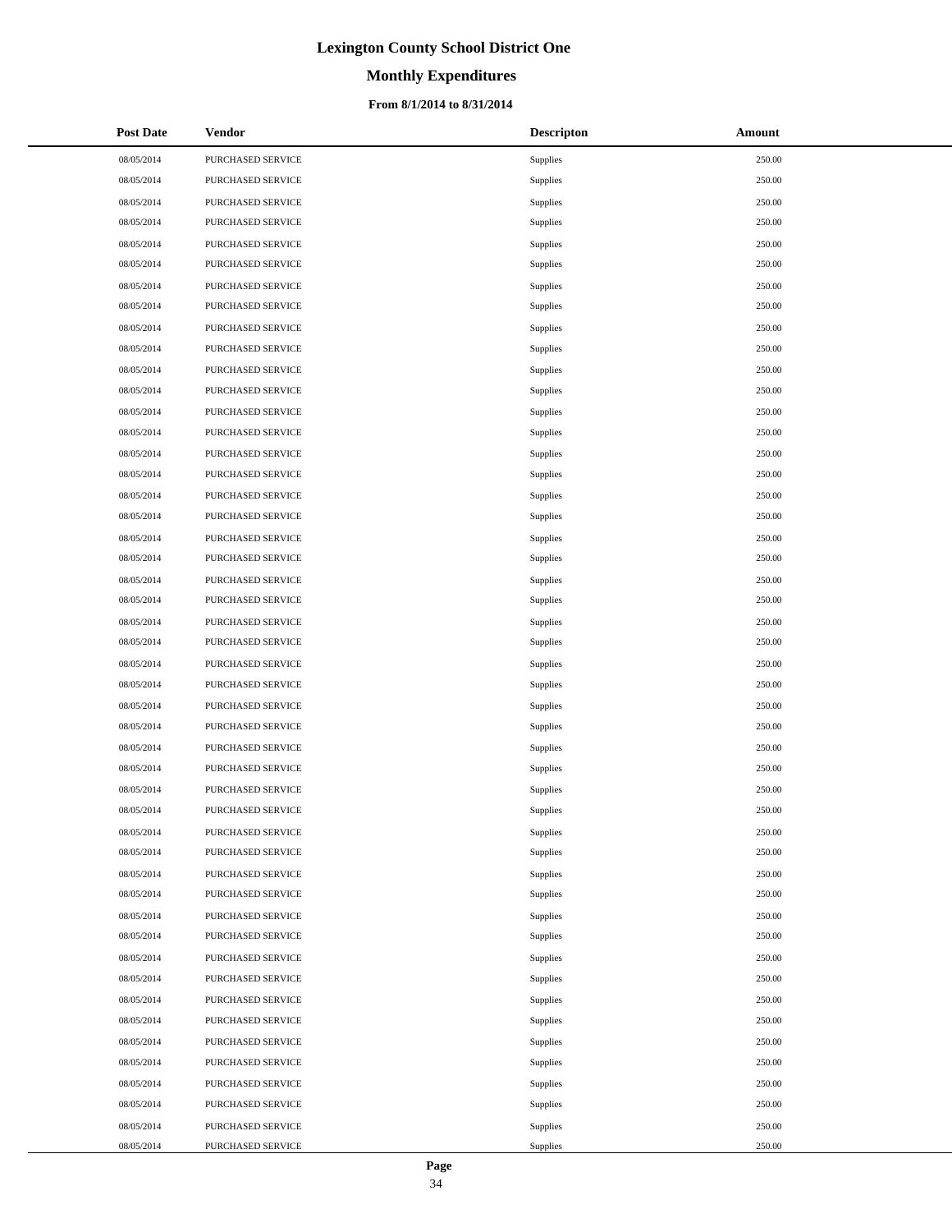# **Monthly Expenditures**

#### **From 8/1/2014 to 8/31/2014**

| <b>Post Date</b> | Vendor                   | <b>Descripton</b> | Amount |
|------------------|--------------------------|-------------------|--------|
| 08/05/2014       | PURCHASED SERVICE        | Supplies          | 250.00 |
| 08/05/2014       | PURCHASED SERVICE        | Supplies          | 250.00 |
| 08/05/2014       | PURCHASED SERVICE        | Supplies          | 250.00 |
| 08/05/2014       | PURCHASED SERVICE        | Supplies          | 250.00 |
| 08/05/2014       | PURCHASED SERVICE        | Supplies          | 250.00 |
| 08/05/2014       | PURCHASED SERVICE        | Supplies          | 250.00 |
| 08/05/2014       | PURCHASED SERVICE        | Supplies          | 250.00 |
| 08/05/2014       | PURCHASED SERVICE        | Supplies          | 250.00 |
| 08/05/2014       | PURCHASED SERVICE        | Supplies          | 250.00 |
| 08/05/2014       | PURCHASED SERVICE        | Supplies          | 250.00 |
| 08/05/2014       | PURCHASED SERVICE        | Supplies          | 250.00 |
| 08/05/2014       | PURCHASED SERVICE        | Supplies          | 250.00 |
| 08/05/2014       | PURCHASED SERVICE        | Supplies          | 250.00 |
| 08/05/2014       | PURCHASED SERVICE        | Supplies          | 250.00 |
| 08/05/2014       | PURCHASED SERVICE        | Supplies          | 250.00 |
| 08/05/2014       | PURCHASED SERVICE        | Supplies          | 250.00 |
| 08/05/2014       | PURCHASED SERVICE        | Supplies          | 250.00 |
| 08/05/2014       | PURCHASED SERVICE        | Supplies          | 250.00 |
| 08/05/2014       | PURCHASED SERVICE        | Supplies          | 250.00 |
| 08/05/2014       | PURCHASED SERVICE        | Supplies          | 250.00 |
| 08/05/2014       | PURCHASED SERVICE        | Supplies          | 250.00 |
| 08/05/2014       | PURCHASED SERVICE        | Supplies          | 250.00 |
| 08/05/2014       | PURCHASED SERVICE        | Supplies          | 250.00 |
| 08/05/2014       | PURCHASED SERVICE        | Supplies          | 250.00 |
| 08/05/2014       | PURCHASED SERVICE        | Supplies          | 250.00 |
| 08/05/2014       | PURCHASED SERVICE        | Supplies          | 250.00 |
| 08/05/2014       | PURCHASED SERVICE        | Supplies          | 250.00 |
| 08/05/2014       | PURCHASED SERVICE        | Supplies          | 250.00 |
| 08/05/2014       | PURCHASED SERVICE        | Supplies          | 250.00 |
| 08/05/2014       | PURCHASED SERVICE        | Supplies          | 250.00 |
| 08/05/2014       | PURCHASED SERVICE        | Supplies          | 250.00 |
| 08/05/2014       | PURCHASED SERVICE        | Supplies          | 250.00 |
| 08/05/2014       | PURCHASED SERVICE        | Supplies          | 250.00 |
| 08/05/2014       | <b>PURCHASED SERVICE</b> | Supplies          | 250.00 |
| 08/05/2014       | PURCHASED SERVICE        | Supplies          | 250.00 |
| 08/05/2014       | PURCHASED SERVICE        | Supplies          | 250.00 |
| 08/05/2014       | PURCHASED SERVICE        | Supplies          | 250.00 |
| 08/05/2014       | PURCHASED SERVICE        | Supplies          | 250.00 |
| 08/05/2014       | PURCHASED SERVICE        | Supplies          | 250.00 |
| 08/05/2014       | PURCHASED SERVICE        | Supplies          | 250.00 |
| 08/05/2014       | PURCHASED SERVICE        | Supplies          | 250.00 |
| 08/05/2014       | PURCHASED SERVICE        | Supplies          | 250.00 |
| 08/05/2014       | PURCHASED SERVICE        | Supplies          | 250.00 |
| 08/05/2014       | PURCHASED SERVICE        | Supplies          | 250.00 |
| 08/05/2014       | PURCHASED SERVICE        | Supplies          | 250.00 |
| 08/05/2014       | PURCHASED SERVICE        | Supplies          | 250.00 |
| 08/05/2014       | PURCHASED SERVICE        | Supplies          | 250.00 |
| 08/05/2014       | PURCHASED SERVICE        | Supplies          | 250.00 |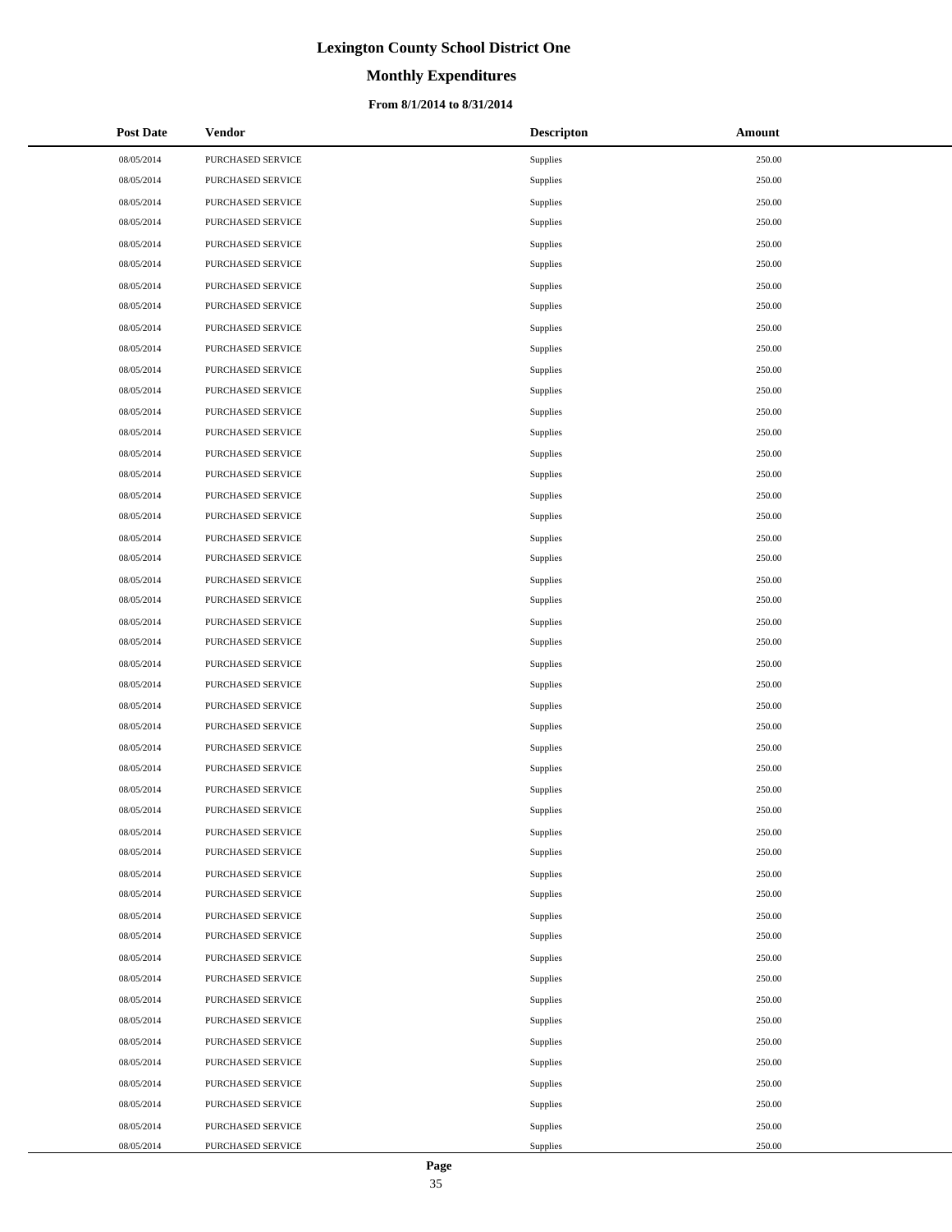# **Monthly Expenditures**

#### **From 8/1/2014 to 8/31/2014**

| <b>Post Date</b> | Vendor                   | <b>Descripton</b> | Amount |
|------------------|--------------------------|-------------------|--------|
| 08/05/2014       | PURCHASED SERVICE        | Supplies          | 250.00 |
| 08/05/2014       | PURCHASED SERVICE        | Supplies          | 250.00 |
| 08/05/2014       | PURCHASED SERVICE        | Supplies          | 250.00 |
| 08/05/2014       | PURCHASED SERVICE        | Supplies          | 250.00 |
| 08/05/2014       | PURCHASED SERVICE        | Supplies          | 250.00 |
| 08/05/2014       | PURCHASED SERVICE        | Supplies          | 250.00 |
| 08/05/2014       | PURCHASED SERVICE        | Supplies          | 250.00 |
| 08/05/2014       | PURCHASED SERVICE        | Supplies          | 250.00 |
| 08/05/2014       | PURCHASED SERVICE        | Supplies          | 250.00 |
| 08/05/2014       | PURCHASED SERVICE        | Supplies          | 250.00 |
| 08/05/2014       | PURCHASED SERVICE        | Supplies          | 250.00 |
| 08/05/2014       | PURCHASED SERVICE        | Supplies          | 250.00 |
| 08/05/2014       | PURCHASED SERVICE        | Supplies          | 250.00 |
| 08/05/2014       | PURCHASED SERVICE        | Supplies          | 250.00 |
| 08/05/2014       | PURCHASED SERVICE        | Supplies          | 250.00 |
| 08/05/2014       | PURCHASED SERVICE        | Supplies          | 250.00 |
| 08/05/2014       | PURCHASED SERVICE        | Supplies          | 250.00 |
| 08/05/2014       | PURCHASED SERVICE        | Supplies          | 250.00 |
| 08/05/2014       | PURCHASED SERVICE        | Supplies          | 250.00 |
| 08/05/2014       | PURCHASED SERVICE        | Supplies          | 250.00 |
| 08/05/2014       | PURCHASED SERVICE        | Supplies          | 250.00 |
| 08/05/2014       | PURCHASED SERVICE        | Supplies          | 250.00 |
| 08/05/2014       | PURCHASED SERVICE        | Supplies          | 250.00 |
| 08/05/2014       | PURCHASED SERVICE        | Supplies          | 250.00 |
| 08/05/2014       | PURCHASED SERVICE        | Supplies          | 250.00 |
| 08/05/2014       | PURCHASED SERVICE        | Supplies          | 250.00 |
| 08/05/2014       | PURCHASED SERVICE        | Supplies          | 250.00 |
| 08/05/2014       | PURCHASED SERVICE        | Supplies          | 250.00 |
| 08/05/2014       | PURCHASED SERVICE        | Supplies          | 250.00 |
| 08/05/2014       | PURCHASED SERVICE        | Supplies          | 250.00 |
| 08/05/2014       | PURCHASED SERVICE        | Supplies          | 250.00 |
| 08/05/2014       | PURCHASED SERVICE        | Supplies          | 250.00 |
| 08/05/2014       | PURCHASED SERVICE        | Supplies          | 250.00 |
| 08/05/2014       | <b>PURCHASED SERVICE</b> | Supplies          | 250.00 |
| 08/05/2014       | PURCHASED SERVICE        | Supplies          | 250.00 |
| 08/05/2014       | PURCHASED SERVICE        | Supplies          | 250.00 |
| 08/05/2014       | PURCHASED SERVICE        | Supplies          | 250.00 |
| 08/05/2014       | PURCHASED SERVICE        | Supplies          | 250.00 |
| 08/05/2014       | PURCHASED SERVICE        | Supplies          | 250.00 |
| 08/05/2014       | PURCHASED SERVICE        | Supplies          | 250.00 |
| 08/05/2014       | PURCHASED SERVICE        | Supplies          | 250.00 |
| 08/05/2014       | PURCHASED SERVICE        | Supplies          | 250.00 |
| 08/05/2014       | PURCHASED SERVICE        | Supplies          | 250.00 |
| 08/05/2014       | PURCHASED SERVICE        | Supplies          | 250.00 |
| 08/05/2014       | PURCHASED SERVICE        | Supplies          | 250.00 |
| 08/05/2014       | PURCHASED SERVICE        | Supplies          | 250.00 |
| 08/05/2014       | PURCHASED SERVICE        | Supplies          | 250.00 |
| 08/05/2014       | PURCHASED SERVICE        | Supplies          | 250.00 |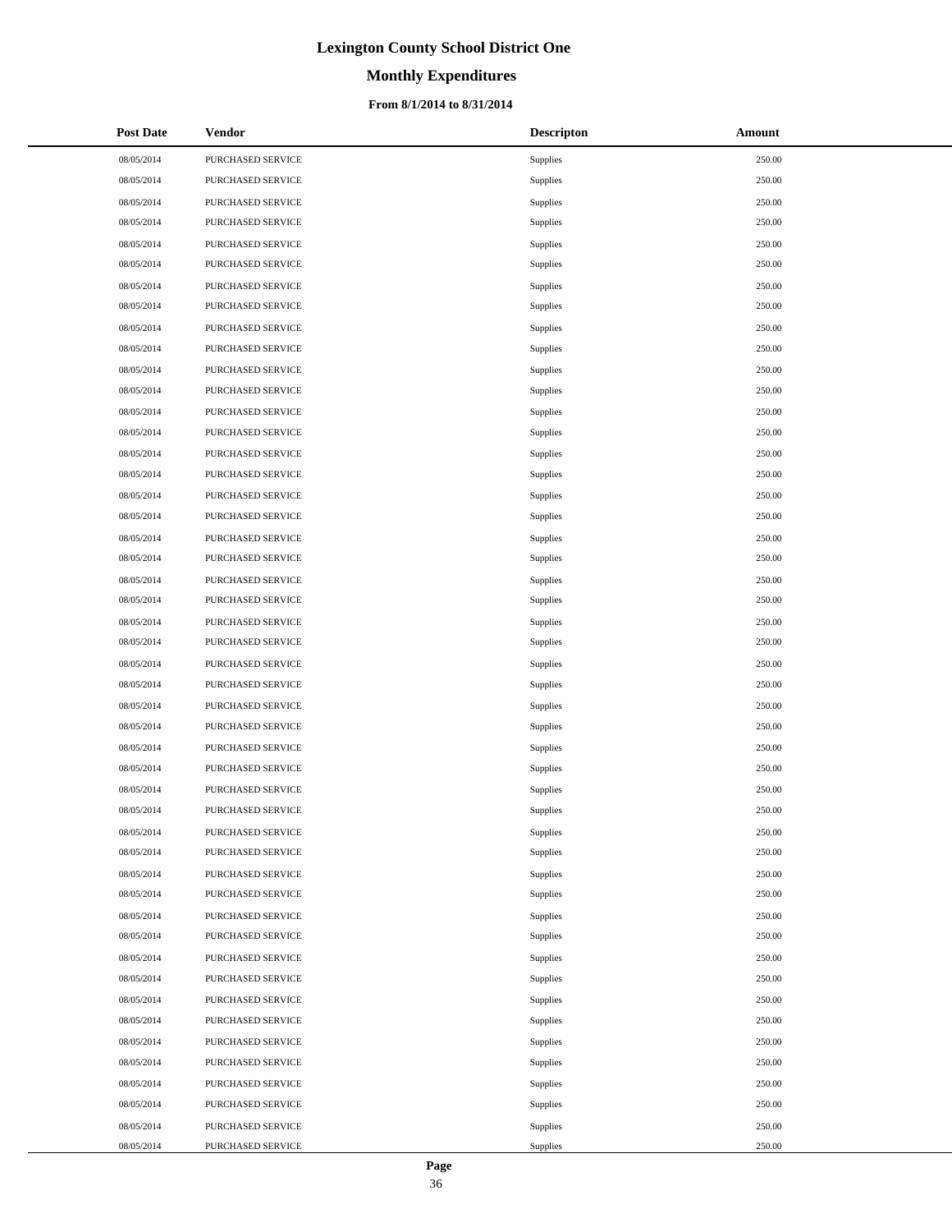# **Monthly Expenditures**

#### **From 8/1/2014 to 8/31/2014**

| <b>Post Date</b> | Vendor            | <b>Descripton</b> | Amount |
|------------------|-------------------|-------------------|--------|
| 08/05/2014       | PURCHASED SERVICE | Supplies          | 250.00 |
| 08/05/2014       | PURCHASED SERVICE | Supplies          | 250.00 |
| 08/05/2014       | PURCHASED SERVICE | Supplies          | 250.00 |
| 08/05/2014       | PURCHASED SERVICE | Supplies          | 250.00 |
| 08/05/2014       | PURCHASED SERVICE | Supplies          | 250.00 |
| 08/05/2014       | PURCHASED SERVICE | Supplies          | 250.00 |
| 08/05/2014       | PURCHASED SERVICE | Supplies          | 250.00 |
| 08/05/2014       | PURCHASED SERVICE | Supplies          | 250.00 |
| 08/05/2014       | PURCHASED SERVICE | Supplies          | 250.00 |
| 08/05/2014       | PURCHASED SERVICE | Supplies          | 250.00 |
| 08/05/2014       | PURCHASED SERVICE | Supplies          | 250.00 |
| 08/05/2014       | PURCHASED SERVICE | Supplies          | 250.00 |
| 08/05/2014       | PURCHASED SERVICE | Supplies          | 250.00 |
| 08/05/2014       | PURCHASED SERVICE | Supplies          | 250.00 |
| 08/05/2014       | PURCHASED SERVICE | Supplies          | 250.00 |
| 08/05/2014       | PURCHASED SERVICE | Supplies          | 250.00 |
| 08/05/2014       | PURCHASED SERVICE | Supplies          | 250.00 |
| 08/05/2014       | PURCHASED SERVICE | Supplies          | 250.00 |
| 08/05/2014       | PURCHASED SERVICE | Supplies          | 250.00 |
| 08/05/2014       | PURCHASED SERVICE | Supplies          | 250.00 |
| 08/05/2014       | PURCHASED SERVICE | Supplies          | 250.00 |
| 08/05/2014       | PURCHASED SERVICE | Supplies          | 250.00 |
| 08/05/2014       | PURCHASED SERVICE | Supplies          | 250.00 |
| 08/05/2014       | PURCHASED SERVICE | Supplies          | 250.00 |
| 08/05/2014       | PURCHASED SERVICE | Supplies          | 250.00 |
| 08/05/2014       | PURCHASED SERVICE | Supplies          | 250.00 |
| 08/05/2014       | PURCHASED SERVICE | Supplies          | 250.00 |
| 08/05/2014       | PURCHASED SERVICE | Supplies          | 250.00 |
| 08/05/2014       | PURCHASED SERVICE | Supplies          | 250.00 |
| 08/05/2014       | PURCHASED SERVICE | Supplies          | 250.00 |
| 08/05/2014       | PURCHASED SERVICE | Supplies          | 250.00 |
| 08/05/2014       | PURCHASED SERVICE | Supplies          | 250.00 |
| 08/05/2014       | PURCHASED SERVICE | Supplies          | 250.00 |
| 08/05/2014       | PURCHASED SERVICE | Supplies          | 250.00 |
| 08/05/2014       | PURCHASED SERVICE | Supplies          | 250.00 |
| 08/05/2014       | PURCHASED SERVICE | Supplies          | 250.00 |
| 08/05/2014       | PURCHASED SERVICE | Supplies          | 250.00 |
| 08/05/2014       | PURCHASED SERVICE | Supplies          | 250.00 |
| 08/05/2014       | PURCHASED SERVICE | Supplies          | 250.00 |
| 08/05/2014       | PURCHASED SERVICE | Supplies          | 250.00 |
| 08/05/2014       | PURCHASED SERVICE | Supplies          | 250.00 |
| 08/05/2014       | PURCHASED SERVICE | Supplies          | 250.00 |
| 08/05/2014       | PURCHASED SERVICE | Supplies          | 250.00 |
| 08/05/2014       | PURCHASED SERVICE | Supplies          | 250.00 |
| 08/05/2014       | PURCHASED SERVICE | Supplies          | 250.00 |
| 08/05/2014       | PURCHASED SERVICE | Supplies          | 250.00 |
| 08/05/2014       | PURCHASED SERVICE | Supplies          | 250.00 |
| 08/05/2014       | PURCHASED SERVICE | Supplies          | 250.00 |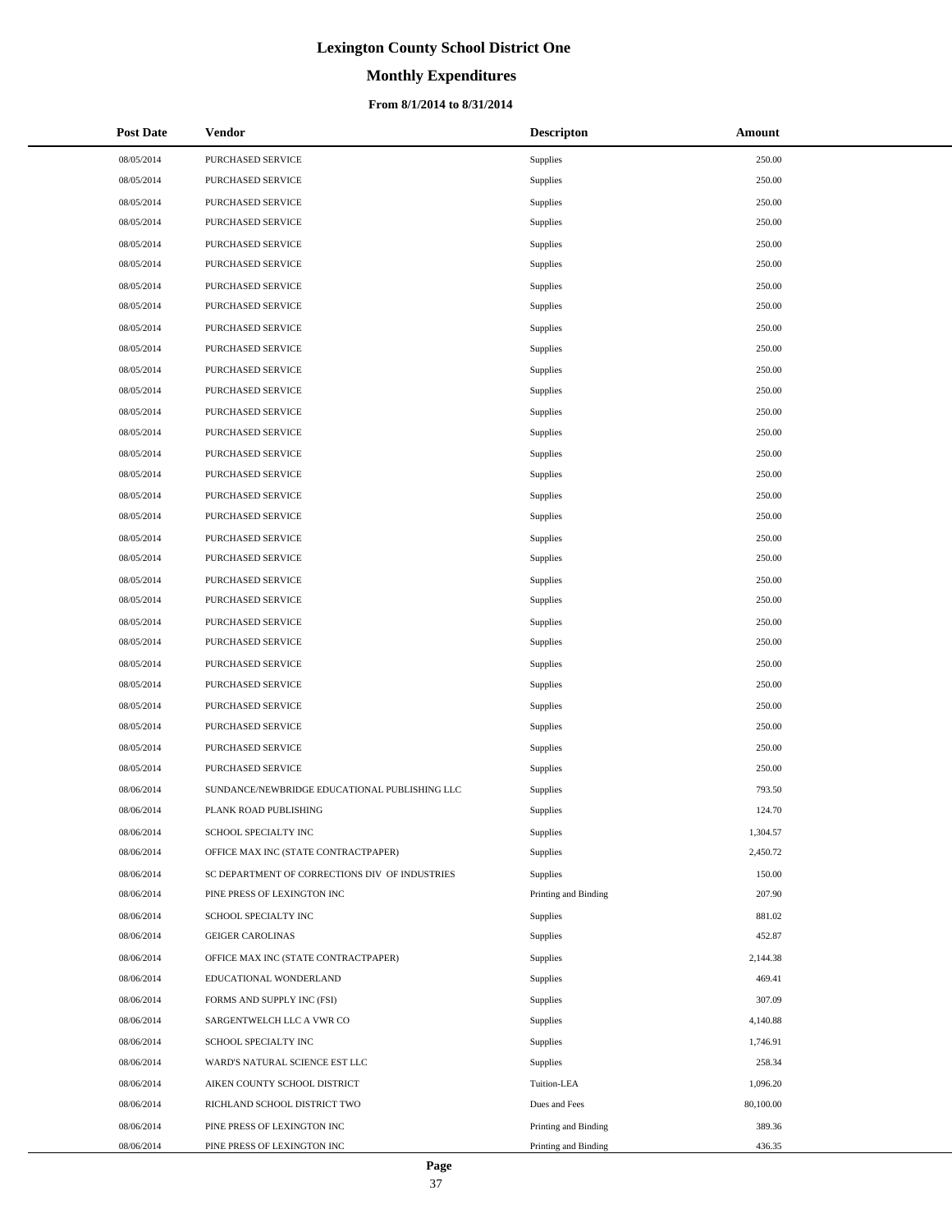# **Monthly Expenditures**

#### **From 8/1/2014 to 8/31/2014**

| <b>Post Date</b> | Vendor                                         | <b>Descripton</b>    | Amount    |
|------------------|------------------------------------------------|----------------------|-----------|
| 08/05/2014       | PURCHASED SERVICE                              | <b>Supplies</b>      | 250.00    |
| 08/05/2014       | PURCHASED SERVICE                              | <b>Supplies</b>      | 250.00    |
| 08/05/2014       | PURCHASED SERVICE                              | <b>Supplies</b>      | 250.00    |
| 08/05/2014       | PURCHASED SERVICE                              | <b>Supplies</b>      | 250.00    |
| 08/05/2014       | PURCHASED SERVICE                              | <b>Supplies</b>      | 250.00    |
| 08/05/2014       | PURCHASED SERVICE                              | <b>Supplies</b>      | 250.00    |
| 08/05/2014       | PURCHASED SERVICE                              | <b>Supplies</b>      | 250.00    |
| 08/05/2014       | PURCHASED SERVICE                              | <b>Supplies</b>      | 250.00    |
| 08/05/2014       | <b>PURCHASED SERVICE</b>                       | <b>Supplies</b>      | 250.00    |
| 08/05/2014       | PURCHASED SERVICE                              | <b>Supplies</b>      | 250.00    |
| 08/05/2014       | PURCHASED SERVICE                              | <b>Supplies</b>      | 250.00    |
| 08/05/2014       | PURCHASED SERVICE                              | <b>Supplies</b>      | 250.00    |
| 08/05/2014       | PURCHASED SERVICE                              | <b>Supplies</b>      | 250.00    |
| 08/05/2014       | PURCHASED SERVICE                              | <b>Supplies</b>      | 250.00    |
| 08/05/2014       | <b>PURCHASED SERVICE</b>                       | <b>Supplies</b>      | 250.00    |
| 08/05/2014       | PURCHASED SERVICE                              | <b>Supplies</b>      | 250.00    |
| 08/05/2014       | PURCHASED SERVICE                              | <b>Supplies</b>      | 250.00    |
| 08/05/2014       | PURCHASED SERVICE                              | <b>Supplies</b>      | 250.00    |
| 08/05/2014       | PURCHASED SERVICE                              | <b>Supplies</b>      | 250.00    |
| 08/05/2014       | PURCHASED SERVICE                              | <b>Supplies</b>      | 250.00    |
| 08/05/2014       | PURCHASED SERVICE                              | <b>Supplies</b>      | 250.00    |
| 08/05/2014       | PURCHASED SERVICE                              | <b>Supplies</b>      | 250.00    |
| 08/05/2014       | PURCHASED SERVICE                              | <b>Supplies</b>      | 250.00    |
| 08/05/2014       | PURCHASED SERVICE                              | <b>Supplies</b>      | 250.00    |
| 08/05/2014       | PURCHASED SERVICE                              | <b>Supplies</b>      | 250.00    |
| 08/05/2014       | PURCHASED SERVICE                              | <b>Supplies</b>      | 250.00    |
| 08/05/2014       | PURCHASED SERVICE                              | <b>Supplies</b>      | 250.00    |
| 08/05/2014       | PURCHASED SERVICE                              | <b>Supplies</b>      | 250.00    |
| 08/05/2014       | PURCHASED SERVICE                              | <b>Supplies</b>      | 250.00    |
| 08/05/2014       | PURCHASED SERVICE                              | <b>Supplies</b>      | 250.00    |
| 08/06/2014       | SUNDANCE/NEWBRIDGE EDUCATIONAL PUBLISHING LLC  | Supplies             | 793.50    |
| 08/06/2014       | PLANK ROAD PUBLISHING                          | Supplies             | 124.70    |
| 08/06/2014       | SCHOOL SPECIALTY INC                           | Supplies             | 1,304.57  |
| 08/06/2014       | OFFICE MAX INC (STATE CONTRACTPAPER)           | <b>Supplies</b>      | 2,450.72  |
| 08/06/2014       | SC DEPARTMENT OF CORRECTIONS DIV OF INDUSTRIES | <b>Supplies</b>      | 150.00    |
| 08/06/2014       | PINE PRESS OF LEXINGTON INC                    | Printing and Binding | 207.90    |
| 08/06/2014       | SCHOOL SPECIALTY INC                           | <b>Supplies</b>      | 881.02    |
| 08/06/2014       | <b>GEIGER CAROLINAS</b>                        | <b>Supplies</b>      | 452.87    |
| 08/06/2014       | OFFICE MAX INC (STATE CONTRACTPAPER)           | <b>Supplies</b>      | 2,144.38  |
| 08/06/2014       | EDUCATIONAL WONDERLAND                         | <b>Supplies</b>      | 469.41    |
| 08/06/2014       | FORMS AND SUPPLY INC (FSI)                     | <b>Supplies</b>      | 307.09    |
| 08/06/2014       | SARGENTWELCH LLC A VWR CO                      | <b>Supplies</b>      | 4,140.88  |
| 08/06/2014       | SCHOOL SPECIALTY INC                           | <b>Supplies</b>      | 1,746.91  |
| 08/06/2014       | WARD'S NATURAL SCIENCE EST LLC                 | <b>Supplies</b>      | 258.34    |
| 08/06/2014       | AIKEN COUNTY SCHOOL DISTRICT                   | Tuition-LEA          | 1,096.20  |
| 08/06/2014       | RICHLAND SCHOOL DISTRICT TWO                   | Dues and Fees        | 80,100.00 |
| 08/06/2014       | PINE PRESS OF LEXINGTON INC                    | Printing and Binding | 389.36    |
| 08/06/2014       | PINE PRESS OF LEXINGTON INC                    | Printing and Binding | 436.35    |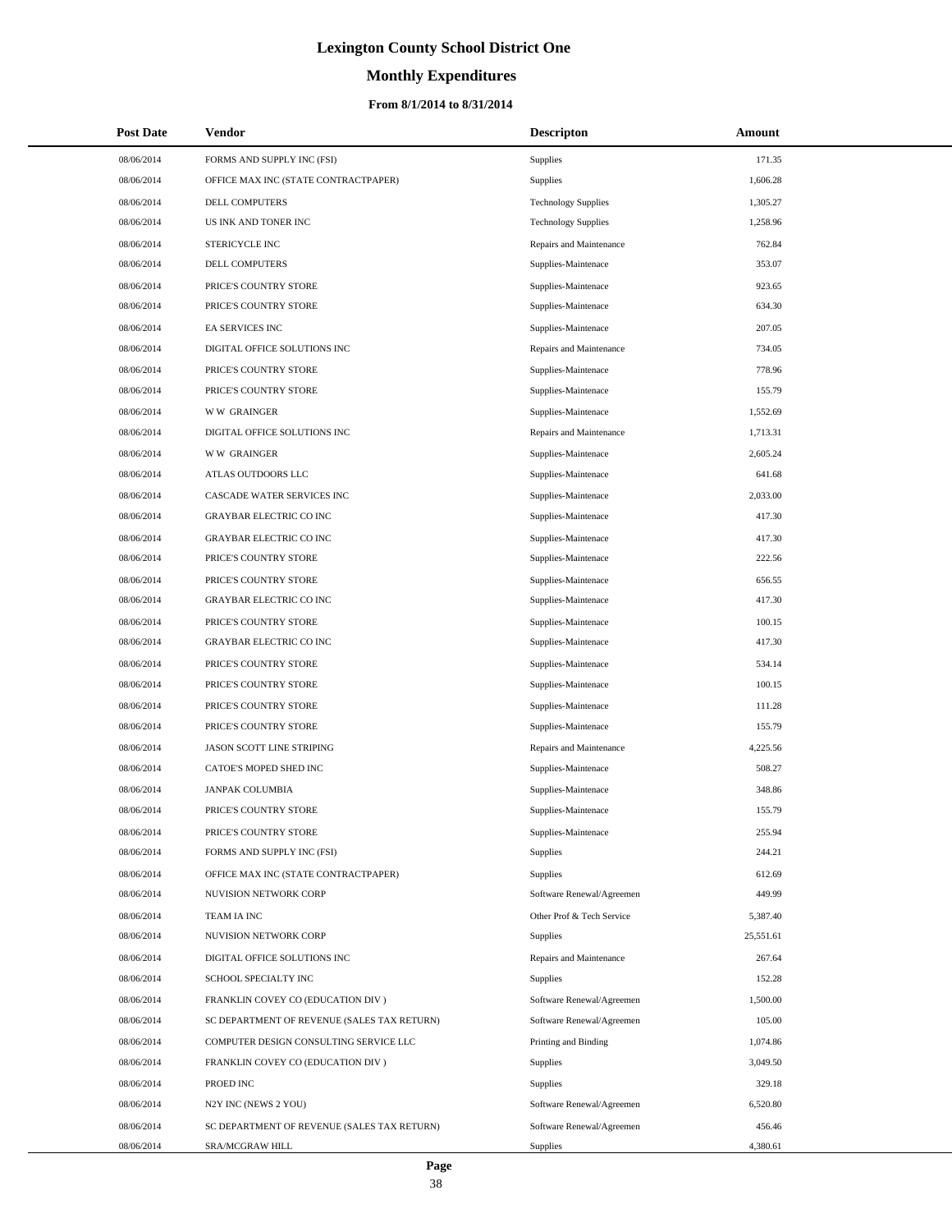# **Monthly Expenditures**

#### **From 8/1/2014 to 8/31/2014**

| <b>Post Date</b> | <b>Vendor</b>                               | <b>Descripton</b>          | Amount    |
|------------------|---------------------------------------------|----------------------------|-----------|
| 08/06/2014       | FORMS AND SUPPLY INC (FSI)                  | Supplies                   | 171.35    |
| 08/06/2014       | OFFICE MAX INC (STATE CONTRACTPAPER)        | Supplies                   | 1,606.28  |
| 08/06/2014       | DELL COMPUTERS                              | <b>Technology Supplies</b> | 1,305.27  |
| 08/06/2014       | US INK AND TONER INC                        | <b>Technology Supplies</b> | 1,258.96  |
| 08/06/2014       | STERICYCLE INC                              | Repairs and Maintenance    | 762.84    |
| 08/06/2014       | DELL COMPUTERS                              | Supplies-Maintenace        | 353.07    |
| 08/06/2014       | PRICE'S COUNTRY STORE                       | Supplies-Maintenace        | 923.65    |
| 08/06/2014       | PRICE'S COUNTRY STORE                       | Supplies-Maintenace        | 634.30    |
| 08/06/2014       | EA SERVICES INC                             | Supplies-Maintenace        | 207.05    |
| 08/06/2014       | DIGITAL OFFICE SOLUTIONS INC                | Repairs and Maintenance    | 734.05    |
| 08/06/2014       | PRICE'S COUNTRY STORE                       | Supplies-Maintenace        | 778.96    |
| 08/06/2014       | PRICE'S COUNTRY STORE                       | Supplies-Maintenace        | 155.79    |
| 08/06/2014       | <b>WW GRAINGER</b>                          | Supplies-Maintenace        | 1,552.69  |
| 08/06/2014       | DIGITAL OFFICE SOLUTIONS INC                | Repairs and Maintenance    | 1,713.31  |
| 08/06/2014       | <b>WW GRAINGER</b>                          | Supplies-Maintenace        | 2,605.24  |
| 08/06/2014       | ATLAS OUTDOORS LLC                          | Supplies-Maintenace        | 641.68    |
| 08/06/2014       | CASCADE WATER SERVICES INC                  | Supplies-Maintenace        | 2,033.00  |
| 08/06/2014       | <b>GRAYBAR ELECTRIC CO INC</b>              | Supplies-Maintenace        | 417.30    |
| 08/06/2014       | <b>GRAYBAR ELECTRIC CO INC</b>              | Supplies-Maintenace        | 417.30    |
| 08/06/2014       | PRICE'S COUNTRY STORE                       | Supplies-Maintenace        | 222.56    |
| 08/06/2014       | PRICE'S COUNTRY STORE                       | Supplies-Maintenace        | 656.55    |
| 08/06/2014       | <b>GRAYBAR ELECTRIC CO INC</b>              | Supplies-Maintenace        | 417.30    |
| 08/06/2014       | PRICE'S COUNTRY STORE                       | Supplies-Maintenace        | 100.15    |
| 08/06/2014       | <b>GRAYBAR ELECTRIC CO INC</b>              | Supplies-Maintenace        | 417.30    |
| 08/06/2014       | PRICE'S COUNTRY STORE                       | Supplies-Maintenace        | 534.14    |
| 08/06/2014       | PRICE'S COUNTRY STORE                       | Supplies-Maintenace        | 100.15    |
| 08/06/2014       | PRICE'S COUNTRY STORE                       | Supplies-Maintenace        | 111.28    |
| 08/06/2014       | PRICE'S COUNTRY STORE                       | Supplies-Maintenace        | 155.79    |
| 08/06/2014       | JASON SCOTT LINE STRIPING                   | Repairs and Maintenance    | 4,225.56  |
| 08/06/2014       | CATOE'S MOPED SHED INC                      | Supplies-Maintenace        | 508.27    |
| 08/06/2014       | <b>JANPAK COLUMBIA</b>                      | Supplies-Maintenace        | 348.86    |
| 08/06/2014       | PRICE'S COUNTRY STORE                       | Supplies-Maintenace        | 155.79    |
| 08/06/2014       | PRICE'S COUNTRY STORE                       | Supplies-Maintenace        | 255.94    |
| 08/06/2014       | FORMS AND SUPPLY INC (FSI)                  | Supplies                   | 244.21    |
| 08/06/2014       | OFFICE MAX INC (STATE CONTRACTPAPER)        | Supplies                   | 612.69    |
| 08/06/2014       | NUVISION NETWORK CORP                       | Software Renewal/Agreemen  | 449.99    |
| 08/06/2014       | TEAM IA INC                                 | Other Prof & Tech Service  | 5,387.40  |
| 08/06/2014       | NUVISION NETWORK CORP                       | Supplies                   | 25,551.61 |
| 08/06/2014       | DIGITAL OFFICE SOLUTIONS INC                | Repairs and Maintenance    | 267.64    |
| 08/06/2014       | SCHOOL SPECIALTY INC                        | Supplies                   | 152.28    |
| 08/06/2014       | FRANKLIN COVEY CO (EDUCATION DIV)           | Software Renewal/Agreemen  | 1,500.00  |
| 08/06/2014       | SC DEPARTMENT OF REVENUE (SALES TAX RETURN) | Software Renewal/Agreemen  | 105.00    |
| 08/06/2014       | COMPUTER DESIGN CONSULTING SERVICE LLC      | Printing and Binding       | 1,074.86  |
| 08/06/2014       | FRANKLIN COVEY CO (EDUCATION DIV)           | Supplies                   | 3,049.50  |
| 08/06/2014       | PROED INC                                   | Supplies                   | 329.18    |
| 08/06/2014       | N2Y INC (NEWS 2 YOU)                        | Software Renewal/Agreemen  | 6,520.80  |
| 08/06/2014       | SC DEPARTMENT OF REVENUE (SALES TAX RETURN) | Software Renewal/Agreemen  | 456.46    |
| 08/06/2014       | SRA/MCGRAW HILL                             | <b>Supplies</b>            | 4,380.61  |

 $\overline{a}$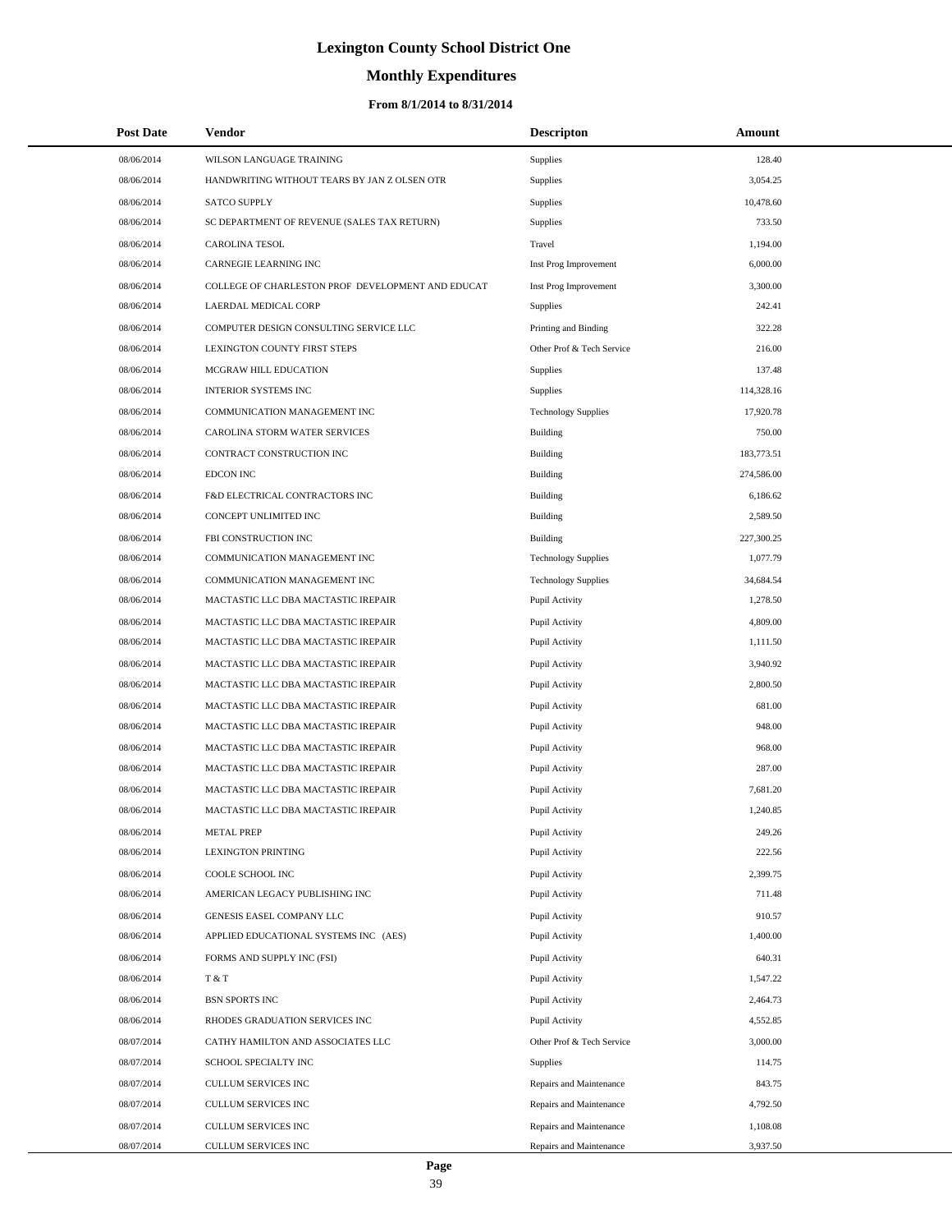# **Monthly Expenditures**

| <b>Post Date</b> | <b>Vendor</b>                                     | <b>Descripton</b>          | Amount     |  |
|------------------|---------------------------------------------------|----------------------------|------------|--|
| 08/06/2014       | WILSON LANGUAGE TRAINING                          | Supplies                   | 128.40     |  |
| 08/06/2014       | HANDWRITING WITHOUT TEARS BY JAN Z OLSEN OTR      | Supplies                   | 3,054.25   |  |
| 08/06/2014       | <b>SATCO SUPPLY</b>                               | Supplies                   | 10,478.60  |  |
| 08/06/2014       | SC DEPARTMENT OF REVENUE (SALES TAX RETURN)       | Supplies                   | 733.50     |  |
| 08/06/2014       | <b>CAROLINA TESOL</b>                             | Travel                     | 1,194.00   |  |
| 08/06/2014       | CARNEGIE LEARNING INC                             | Inst Prog Improvement      | 6,000.00   |  |
| 08/06/2014       | COLLEGE OF CHARLESTON PROF DEVELOPMENT AND EDUCAT | Inst Prog Improvement      | 3,300.00   |  |
| 08/06/2014       | LAERDAL MEDICAL CORP                              | Supplies                   | 242.41     |  |
| 08/06/2014       | COMPUTER DESIGN CONSULTING SERVICE LLC            | Printing and Binding       | 322.28     |  |
| 08/06/2014       | LEXINGTON COUNTY FIRST STEPS                      | Other Prof & Tech Service  | 216.00     |  |
| 08/06/2014       | MCGRAW HILL EDUCATION                             | Supplies                   | 137.48     |  |
| 08/06/2014       | <b>INTERIOR SYSTEMS INC</b>                       | Supplies                   | 114,328.16 |  |
| 08/06/2014       | COMMUNICATION MANAGEMENT INC                      | <b>Technology Supplies</b> | 17,920.78  |  |
| 08/06/2014       | CAROLINA STORM WATER SERVICES                     | <b>Building</b>            | 750.00     |  |
| 08/06/2014       | CONTRACT CONSTRUCTION INC                         | Building                   | 183,773.51 |  |
| 08/06/2014       | <b>EDCON INC</b>                                  | <b>Building</b>            | 274,586.00 |  |
| 08/06/2014       | F&D ELECTRICAL CONTRACTORS INC                    | Building                   | 6,186.62   |  |
| 08/06/2014       | CONCEPT UNLIMITED INC                             | <b>Building</b>            | 2,589.50   |  |
| 08/06/2014       | FBI CONSTRUCTION INC                              | <b>Building</b>            | 227,300.25 |  |
| 08/06/2014       | COMMUNICATION MANAGEMENT INC                      | <b>Technology Supplies</b> | 1,077.79   |  |
| 08/06/2014       | COMMUNICATION MANAGEMENT INC                      | <b>Technology Supplies</b> | 34,684.54  |  |
| 08/06/2014       | MACTASTIC LLC DBA MACTASTIC IREPAIR               | Pupil Activity             | 1,278.50   |  |
| 08/06/2014       | MACTASTIC LLC DBA MACTASTIC IREPAIR               | Pupil Activity             | 4,809.00   |  |
| 08/06/2014       | MACTASTIC LLC DBA MACTASTIC IREPAIR               | Pupil Activity             | 1,111.50   |  |
| 08/06/2014       | MACTASTIC LLC DBA MACTASTIC IREPAIR               | Pupil Activity             | 3,940.92   |  |
| 08/06/2014       | MACTASTIC LLC DBA MACTASTIC IREPAIR               | Pupil Activity             | 2,800.50   |  |
| 08/06/2014       | MACTASTIC LLC DBA MACTASTIC IREPAIR               | Pupil Activity             | 681.00     |  |
| 08/06/2014       | MACTASTIC LLC DBA MACTASTIC IREPAIR               | Pupil Activity             | 948.00     |  |
| 08/06/2014       | MACTASTIC LLC DBA MACTASTIC IREPAIR               | Pupil Activity             | 968.00     |  |
| 08/06/2014       | MACTASTIC LLC DBA MACTASTIC IREPAIR               | Pupil Activity             | 287.00     |  |
| 08/06/2014       | MACTASTIC LLC DBA MACTASTIC IREPAIR               | Pupil Activity             | 7,681.20   |  |
| 08/06/2014       | MACTASTIC LLC DBA MACTASTIC IREPAIR               | Pupil Activity             | 1,240.85   |  |
| 08/06/2014       | <b>METAL PREP</b>                                 | Pupil Activity             | 249.26     |  |
| 08/06/2014       | <b>LEXINGTON PRINTING</b>                         | Pupil Activity             | 222.56     |  |
| 08/06/2014       | COOLE SCHOOL INC                                  | Pupil Activity             | 2,399.75   |  |
| 08/06/2014       | AMERICAN LEGACY PUBLISHING INC                    | Pupil Activity             | 711.48     |  |
| 08/06/2014       | GENESIS EASEL COMPANY LLC                         | Pupil Activity             | 910.57     |  |
| 08/06/2014       | APPLIED EDUCATIONAL SYSTEMS INC (AES)             | Pupil Activity             | 1,400.00   |  |
| 08/06/2014       | FORMS AND SUPPLY INC (FSI)                        | Pupil Activity             | 640.31     |  |
| 08/06/2014       | T & T                                             | Pupil Activity             | 1,547.22   |  |
| 08/06/2014       | <b>BSN SPORTS INC</b>                             | Pupil Activity             | 2,464.73   |  |
| 08/06/2014       | RHODES GRADUATION SERVICES INC                    | Pupil Activity             | 4,552.85   |  |
| 08/07/2014       | CATHY HAMILTON AND ASSOCIATES LLC                 | Other Prof & Tech Service  | 3,000.00   |  |
| 08/07/2014       | SCHOOL SPECIALTY INC                              | Supplies                   | 114.75     |  |
| 08/07/2014       | CULLUM SERVICES INC                               | Repairs and Maintenance    | 843.75     |  |
| 08/07/2014       | CULLUM SERVICES INC                               | Repairs and Maintenance    | 4,792.50   |  |
| 08/07/2014       | <b>CULLUM SERVICES INC</b>                        | Repairs and Maintenance    | 1,108.08   |  |
| 08/07/2014       | CULLUM SERVICES INC                               | Repairs and Maintenance    | 3,937.50   |  |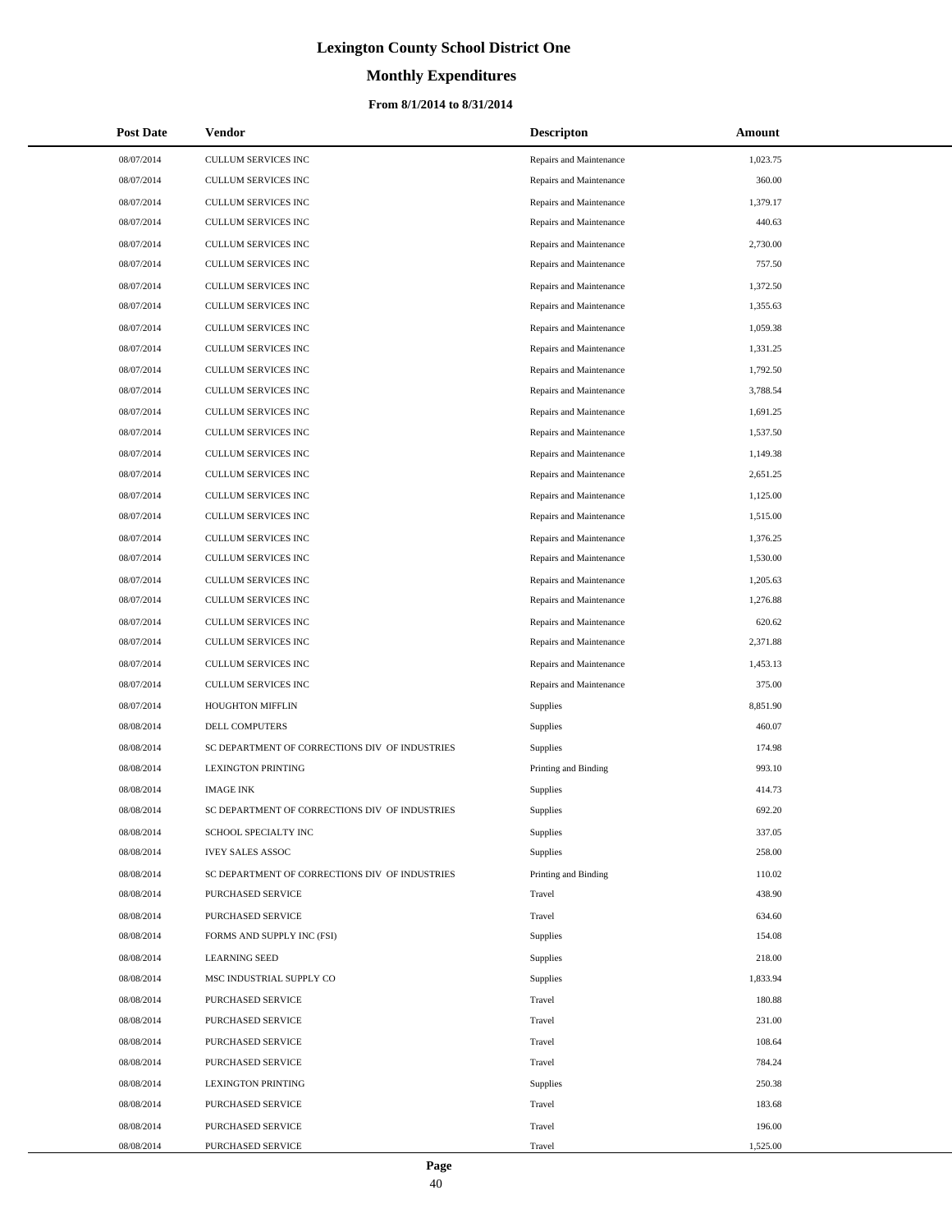# **Monthly Expenditures**

| <b>Post Date</b> | Vendor                                         | <b>Descripton</b>       | Amount   |
|------------------|------------------------------------------------|-------------------------|----------|
| 08/07/2014       | CULLUM SERVICES INC                            | Repairs and Maintenance | 1,023.75 |
| 08/07/2014       | CULLUM SERVICES INC                            | Repairs and Maintenance | 360.00   |
| 08/07/2014       | CULLUM SERVICES INC                            | Repairs and Maintenance | 1,379.17 |
| 08/07/2014       | CULLUM SERVICES INC                            | Repairs and Maintenance | 440.63   |
| 08/07/2014       | CULLUM SERVICES INC                            | Repairs and Maintenance | 2,730.00 |
| 08/07/2014       | CULLUM SERVICES INC                            | Repairs and Maintenance | 757.50   |
| 08/07/2014       | CULLUM SERVICES INC                            | Repairs and Maintenance | 1,372.50 |
| 08/07/2014       | CULLUM SERVICES INC                            | Repairs and Maintenance | 1,355.63 |
| 08/07/2014       | CULLUM SERVICES INC                            | Repairs and Maintenance | 1,059.38 |
| 08/07/2014       | CULLUM SERVICES INC                            | Repairs and Maintenance | 1,331.25 |
| 08/07/2014       | CULLUM SERVICES INC                            | Repairs and Maintenance | 1,792.50 |
| 08/07/2014       | CULLUM SERVICES INC                            | Repairs and Maintenance | 3,788.54 |
| 08/07/2014       | CULLUM SERVICES INC                            | Repairs and Maintenance | 1,691.25 |
| 08/07/2014       | CULLUM SERVICES INC                            | Repairs and Maintenance | 1,537.50 |
| 08/07/2014       | CULLUM SERVICES INC                            | Repairs and Maintenance | 1,149.38 |
| 08/07/2014       | CULLUM SERVICES INC                            | Repairs and Maintenance | 2,651.25 |
| 08/07/2014       | CULLUM SERVICES INC                            | Repairs and Maintenance | 1,125.00 |
| 08/07/2014       | CULLUM SERVICES INC                            | Repairs and Maintenance | 1,515.00 |
| 08/07/2014       | CULLUM SERVICES INC                            | Repairs and Maintenance | 1,376.25 |
| 08/07/2014       | CULLUM SERVICES INC                            | Repairs and Maintenance | 1,530.00 |
| 08/07/2014       | CULLUM SERVICES INC                            | Repairs and Maintenance | 1,205.63 |
| 08/07/2014       | CULLUM SERVICES INC                            | Repairs and Maintenance | 1,276.88 |
| 08/07/2014       | CULLUM SERVICES INC                            | Repairs and Maintenance | 620.62   |
| 08/07/2014       | CULLUM SERVICES INC                            | Repairs and Maintenance | 2,371.88 |
| 08/07/2014       | CULLUM SERVICES INC                            | Repairs and Maintenance | 1,453.13 |
| 08/07/2014       | CULLUM SERVICES INC                            | Repairs and Maintenance | 375.00   |
| 08/07/2014       | HOUGHTON MIFFLIN                               | Supplies                | 8,851.90 |
| 08/08/2014       | <b>DELL COMPUTERS</b>                          | Supplies                | 460.07   |
| 08/08/2014       | SC DEPARTMENT OF CORRECTIONS DIV OF INDUSTRIES | Supplies                | 174.98   |
| 08/08/2014       | <b>LEXINGTON PRINTING</b>                      | Printing and Binding    | 993.10   |
| 08/08/2014       | <b>IMAGE INK</b>                               | Supplies                | 414.73   |
| 08/08/2014       | SC DEPARTMENT OF CORRECTIONS DIV OF INDUSTRIES | Supplies                | 692.20   |
| 08/08/2014       | SCHOOL SPECIALTY INC                           | Supplies                | 337.05   |
| 08/08/2014       | <b>IVEY SALES ASSOC</b>                        | Supplies                | 258.00   |
| 08/08/2014       | SC DEPARTMENT OF CORRECTIONS DIV OF INDUSTRIES | Printing and Binding    | 110.02   |
| 08/08/2014       | PURCHASED SERVICE                              | Travel                  | 438.90   |
| 08/08/2014       | PURCHASED SERVICE                              | Travel                  | 634.60   |
| 08/08/2014       | FORMS AND SUPPLY INC (FSI)                     | Supplies                | 154.08   |
| 08/08/2014       | <b>LEARNING SEED</b>                           | Supplies                | 218.00   |
| 08/08/2014       | MSC INDUSTRIAL SUPPLY CO                       | Supplies                | 1,833.94 |
| 08/08/2014       | PURCHASED SERVICE                              | Travel                  | 180.88   |
| 08/08/2014       | PURCHASED SERVICE                              | Travel                  | 231.00   |
| 08/08/2014       | PURCHASED SERVICE                              | Travel                  | 108.64   |
| 08/08/2014       | PURCHASED SERVICE                              | Travel                  | 784.24   |
| 08/08/2014       | <b>LEXINGTON PRINTING</b>                      | Supplies                | 250.38   |
| 08/08/2014       | PURCHASED SERVICE                              | Travel                  | 183.68   |
| 08/08/2014       | PURCHASED SERVICE                              | Travel                  | 196.00   |
| 08/08/2014       | PURCHASED SERVICE                              | Travel                  | 1,525.00 |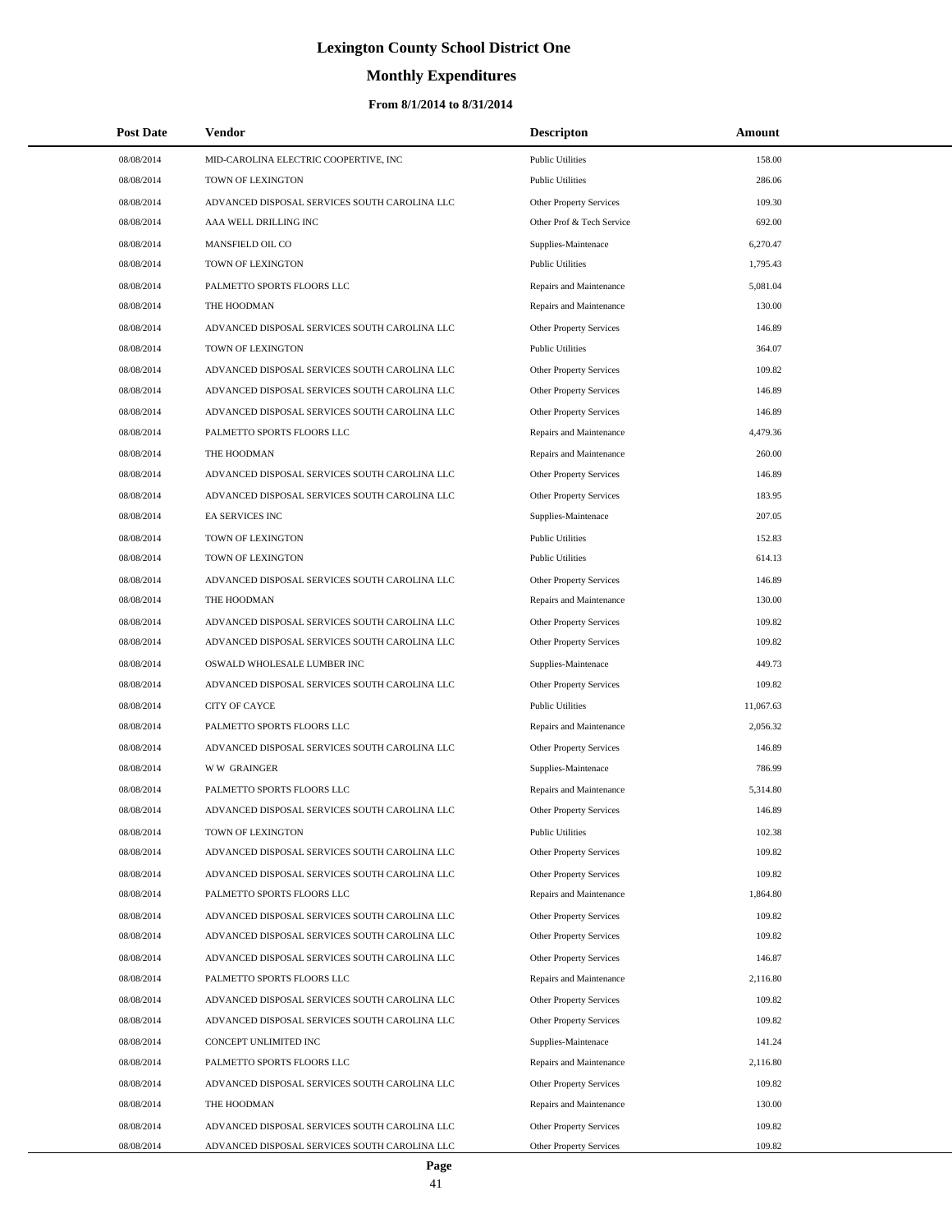# **Monthly Expenditures**

| <b>Post Date</b> | <b>Vendor</b>                                 | <b>Descripton</b>              | Amount           |  |
|------------------|-----------------------------------------------|--------------------------------|------------------|--|
| 08/08/2014       | MID-CAROLINA ELECTRIC COOPERTIVE, INC         | <b>Public Utilities</b>        | 158.00           |  |
| 08/08/2014       | TOWN OF LEXINGTON                             | <b>Public Utilities</b>        | 286.06           |  |
| 08/08/2014       | ADVANCED DISPOSAL SERVICES SOUTH CAROLINA LLC | Other Property Services        | 109.30           |  |
| 08/08/2014       | AAA WELL DRILLING INC                         | Other Prof & Tech Service      | 692.00           |  |
| 08/08/2014       | MANSFIELD OIL CO                              | Supplies-Maintenace            | 6,270.47         |  |
| 08/08/2014       | TOWN OF LEXINGTON                             | <b>Public Utilities</b>        | 1,795.43         |  |
| 08/08/2014       | PALMETTO SPORTS FLOORS LLC                    | Repairs and Maintenance        | 5,081.04         |  |
| 08/08/2014       | THE HOODMAN                                   | Repairs and Maintenance        | 130.00           |  |
| 08/08/2014       | ADVANCED DISPOSAL SERVICES SOUTH CAROLINA LLC | Other Property Services        | 146.89           |  |
| 08/08/2014       | TOWN OF LEXINGTON                             | <b>Public Utilities</b>        | 364.07           |  |
| 08/08/2014       | ADVANCED DISPOSAL SERVICES SOUTH CAROLINA LLC | Other Property Services        | 109.82           |  |
| 08/08/2014       | ADVANCED DISPOSAL SERVICES SOUTH CAROLINA LLC | Other Property Services        | 146.89           |  |
| 08/08/2014       | ADVANCED DISPOSAL SERVICES SOUTH CAROLINA LLC | Other Property Services        | 146.89           |  |
| 08/08/2014       | PALMETTO SPORTS FLOORS LLC                    | Repairs and Maintenance        | 4,479.36         |  |
| 08/08/2014       | THE HOODMAN                                   | Repairs and Maintenance        | 260.00           |  |
| 08/08/2014       | ADVANCED DISPOSAL SERVICES SOUTH CAROLINA LLC | Other Property Services        | 146.89           |  |
| 08/08/2014       | ADVANCED DISPOSAL SERVICES SOUTH CAROLINA LLC | Other Property Services        | 183.95           |  |
| 08/08/2014       | EA SERVICES INC                               | Supplies-Maintenace            | 207.05           |  |
| 08/08/2014       | <b>TOWN OF LEXINGTON</b>                      | <b>Public Utilities</b>        | 152.83           |  |
| 08/08/2014       | TOWN OF LEXINGTON                             | <b>Public Utilities</b>        | 614.13           |  |
| 08/08/2014       | ADVANCED DISPOSAL SERVICES SOUTH CAROLINA LLC | Other Property Services        | 146.89           |  |
| 08/08/2014       | THE HOODMAN                                   | Repairs and Maintenance        | 130.00           |  |
| 08/08/2014       | ADVANCED DISPOSAL SERVICES SOUTH CAROLINA LLC | Other Property Services        | 109.82           |  |
| 08/08/2014       | ADVANCED DISPOSAL SERVICES SOUTH CAROLINA LLC | Other Property Services        | 109.82           |  |
| 08/08/2014       | OSWALD WHOLESALE LUMBER INC                   | Supplies-Maintenace            | 449.73           |  |
| 08/08/2014       | ADVANCED DISPOSAL SERVICES SOUTH CAROLINA LLC | Other Property Services        | 109.82           |  |
| 08/08/2014       | <b>CITY OF CAYCE</b>                          | <b>Public Utilities</b>        | 11,067.63        |  |
| 08/08/2014       | PALMETTO SPORTS FLOORS LLC                    | Repairs and Maintenance        | 2,056.32         |  |
| 08/08/2014       | ADVANCED DISPOSAL SERVICES SOUTH CAROLINA LLC | Other Property Services        | 146.89           |  |
| 08/08/2014       | <b>WW GRAINGER</b>                            | Supplies-Maintenace            | 786.99           |  |
| 08/08/2014       | PALMETTO SPORTS FLOORS LLC                    | Repairs and Maintenance        | 5,314.80         |  |
| 08/08/2014       | ADVANCED DISPOSAL SERVICES SOUTH CAROLINA LLC | Other Property Services        | 146.89           |  |
| 08/08/2014       | TOWN OF LEXINGTON                             | <b>Public Utilities</b>        | 102.38           |  |
| 08/08/2014       | ADVANCED DISPOSAL SERVICES SOUTH CAROLINA LLC | Other Property Services        | 109.82           |  |
| 08/08/2014       | ADVANCED DISPOSAL SERVICES SOUTH CAROLINA LLC | Other Property Services        | 109.82           |  |
| 08/08/2014       | PALMETTO SPORTS FLOORS LLC                    | Repairs and Maintenance        | 1,864.80         |  |
| 08/08/2014       | ADVANCED DISPOSAL SERVICES SOUTH CAROLINA LLC | Other Property Services        | 109.82           |  |
| 08/08/2014       | ADVANCED DISPOSAL SERVICES SOUTH CAROLINA LLC | Other Property Services        | 109.82           |  |
| 08/08/2014       | ADVANCED DISPOSAL SERVICES SOUTH CAROLINA LLC | Other Property Services        | 146.87           |  |
| 08/08/2014       | PALMETTO SPORTS FLOORS LLC                    | Repairs and Maintenance        | 2,116.80         |  |
| 08/08/2014       | ADVANCED DISPOSAL SERVICES SOUTH CAROLINA LLC | Other Property Services        | 109.82           |  |
| 08/08/2014       | ADVANCED DISPOSAL SERVICES SOUTH CAROLINA LLC | Other Property Services        | 109.82           |  |
| 08/08/2014       | CONCEPT UNLIMITED INC                         | Supplies-Maintenace            | 141.24           |  |
| 08/08/2014       | PALMETTO SPORTS FLOORS LLC                    | Repairs and Maintenance        | 2,116.80         |  |
| 08/08/2014       | ADVANCED DISPOSAL SERVICES SOUTH CAROLINA LLC | Other Property Services        | 109.82           |  |
| 08/08/2014       | THE HOODMAN                                   | Repairs and Maintenance        | 130.00           |  |
| 08/08/2014       | ADVANCED DISPOSAL SERVICES SOUTH CAROLINA LLC | Other Property Services        | 109.82<br>109.82 |  |
| 08/08/2014       | ADVANCED DISPOSAL SERVICES SOUTH CAROLINA LLC | <b>Other Property Services</b> |                  |  |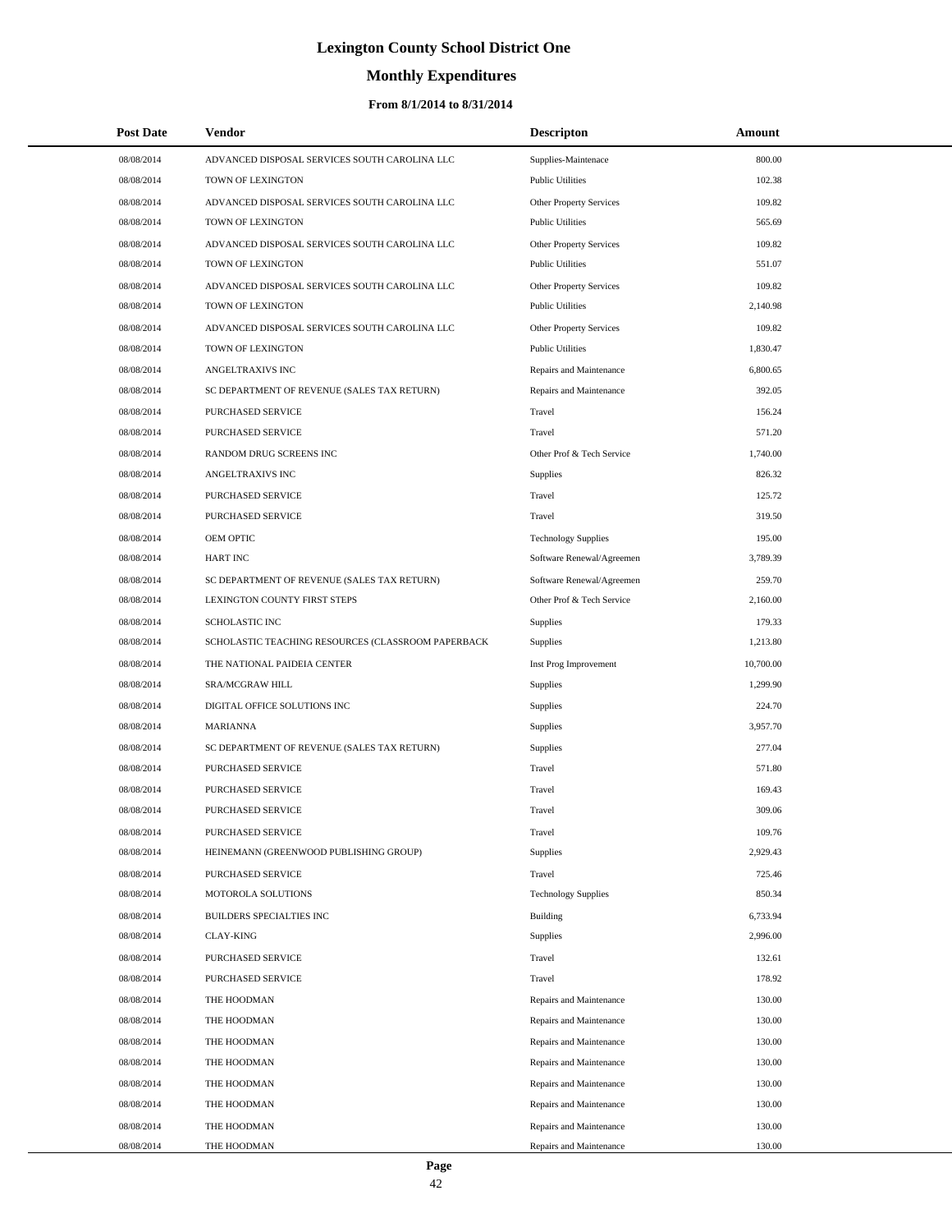# **Monthly Expenditures**

| <b>Post Date</b> | <b>Vendor</b>                                      | <b>Descripton</b>          | Amount    |
|------------------|----------------------------------------------------|----------------------------|-----------|
| 08/08/2014       | ADVANCED DISPOSAL SERVICES SOUTH CAROLINA LLC      | Supplies-Maintenace        | 800.00    |
| 08/08/2014       | TOWN OF LEXINGTON                                  | <b>Public Utilities</b>    | 102.38    |
| 08/08/2014       | ADVANCED DISPOSAL SERVICES SOUTH CAROLINA LLC      | Other Property Services    | 109.82    |
| 08/08/2014       | TOWN OF LEXINGTON                                  | <b>Public Utilities</b>    | 565.69    |
| 08/08/2014       | ADVANCED DISPOSAL SERVICES SOUTH CAROLINA LLC      | Other Property Services    | 109.82    |
| 08/08/2014       | TOWN OF LEXINGTON                                  | <b>Public Utilities</b>    | 551.07    |
| 08/08/2014       | ADVANCED DISPOSAL SERVICES SOUTH CAROLINA LLC      | Other Property Services    | 109.82    |
| 08/08/2014       | TOWN OF LEXINGTON                                  | <b>Public Utilities</b>    | 2,140.98  |
| 08/08/2014       | ADVANCED DISPOSAL SERVICES SOUTH CAROLINA LLC      | Other Property Services    | 109.82    |
| 08/08/2014       | TOWN OF LEXINGTON                                  | <b>Public Utilities</b>    | 1,830.47  |
| 08/08/2014       | ANGELTRAXIVS INC                                   | Repairs and Maintenance    | 6,800.65  |
| 08/08/2014       | SC DEPARTMENT OF REVENUE (SALES TAX RETURN)        | Repairs and Maintenance    | 392.05    |
| 08/08/2014       | PURCHASED SERVICE                                  | Travel                     | 156.24    |
| 08/08/2014       | PURCHASED SERVICE                                  | Travel                     | 571.20    |
| 08/08/2014       | RANDOM DRUG SCREENS INC                            | Other Prof & Tech Service  | 1,740.00  |
| 08/08/2014       | ANGELTRAXIVS INC                                   | Supplies                   | 826.32    |
| 08/08/2014       | PURCHASED SERVICE                                  | Travel                     | 125.72    |
| 08/08/2014       | PURCHASED SERVICE                                  | Travel                     | 319.50    |
| 08/08/2014       | OEM OPTIC                                          | <b>Technology Supplies</b> | 195.00    |
| 08/08/2014       | <b>HART INC</b>                                    | Software Renewal/Agreemen  | 3,789.39  |
| 08/08/2014       | SC DEPARTMENT OF REVENUE (SALES TAX RETURN)        | Software Renewal/Agreemen  | 259.70    |
| 08/08/2014       | LEXINGTON COUNTY FIRST STEPS                       | Other Prof & Tech Service  | 2,160.00  |
| 08/08/2014       | <b>SCHOLASTIC INC</b>                              | Supplies                   | 179.33    |
| 08/08/2014       | SCHOLASTIC TEACHING RESOURCES (CLASSROOM PAPERBACK | Supplies                   | 1,213.80  |
| 08/08/2014       | THE NATIONAL PAIDEIA CENTER                        | Inst Prog Improvement      | 10,700.00 |
| 08/08/2014       | SRA/MCGRAW HILL                                    | Supplies                   | 1,299.90  |
| 08/08/2014       | DIGITAL OFFICE SOLUTIONS INC                       | Supplies                   | 224.70    |
| 08/08/2014       | <b>MARIANNA</b>                                    | Supplies                   | 3,957.70  |
| 08/08/2014       | SC DEPARTMENT OF REVENUE (SALES TAX RETURN)        | Supplies                   | 277.04    |
| 08/08/2014       | PURCHASED SERVICE                                  | Travel                     | 571.80    |
| 08/08/2014       | PURCHASED SERVICE                                  | Travel                     | 169.43    |
| 08/08/2014       | PURCHASED SERVICE                                  | Travel                     | 309.06    |
| 08/08/2014       | PURCHASED SERVICE                                  | Travel                     | 109.76    |
| 08/08/2014       | HEINEMANN (GREENWOOD PUBLISHING GROUP)             | Supplies                   | 2,929.43  |
| 08/08/2014       | PURCHASED SERVICE                                  | Travel                     | 725.46    |
| 08/08/2014       | MOTOROLA SOLUTIONS                                 | <b>Technology Supplies</b> | 850.34    |
| 08/08/2014       | BUILDERS SPECIALTIES INC                           | Building                   | 6,733.94  |
| 08/08/2014       | <b>CLAY-KING</b>                                   | Supplies                   | 2,996.00  |
| 08/08/2014       | PURCHASED SERVICE                                  | Travel                     | 132.61    |
| 08/08/2014       | PURCHASED SERVICE                                  | Travel                     | 178.92    |
| 08/08/2014       | THE HOODMAN                                        | Repairs and Maintenance    | 130.00    |
| 08/08/2014       | THE HOODMAN                                        | Repairs and Maintenance    | 130.00    |
| 08/08/2014       | THE HOODMAN                                        | Repairs and Maintenance    | 130.00    |
| 08/08/2014       | THE HOODMAN                                        | Repairs and Maintenance    | 130.00    |
| 08/08/2014       | THE HOODMAN                                        | Repairs and Maintenance    | 130.00    |
| 08/08/2014       | THE HOODMAN                                        | Repairs and Maintenance    | 130.00    |
| 08/08/2014       | THE HOODMAN                                        | Repairs and Maintenance    | 130.00    |
| 08/08/2014       | THE HOODMAN                                        | Repairs and Maintenance    | 130.00    |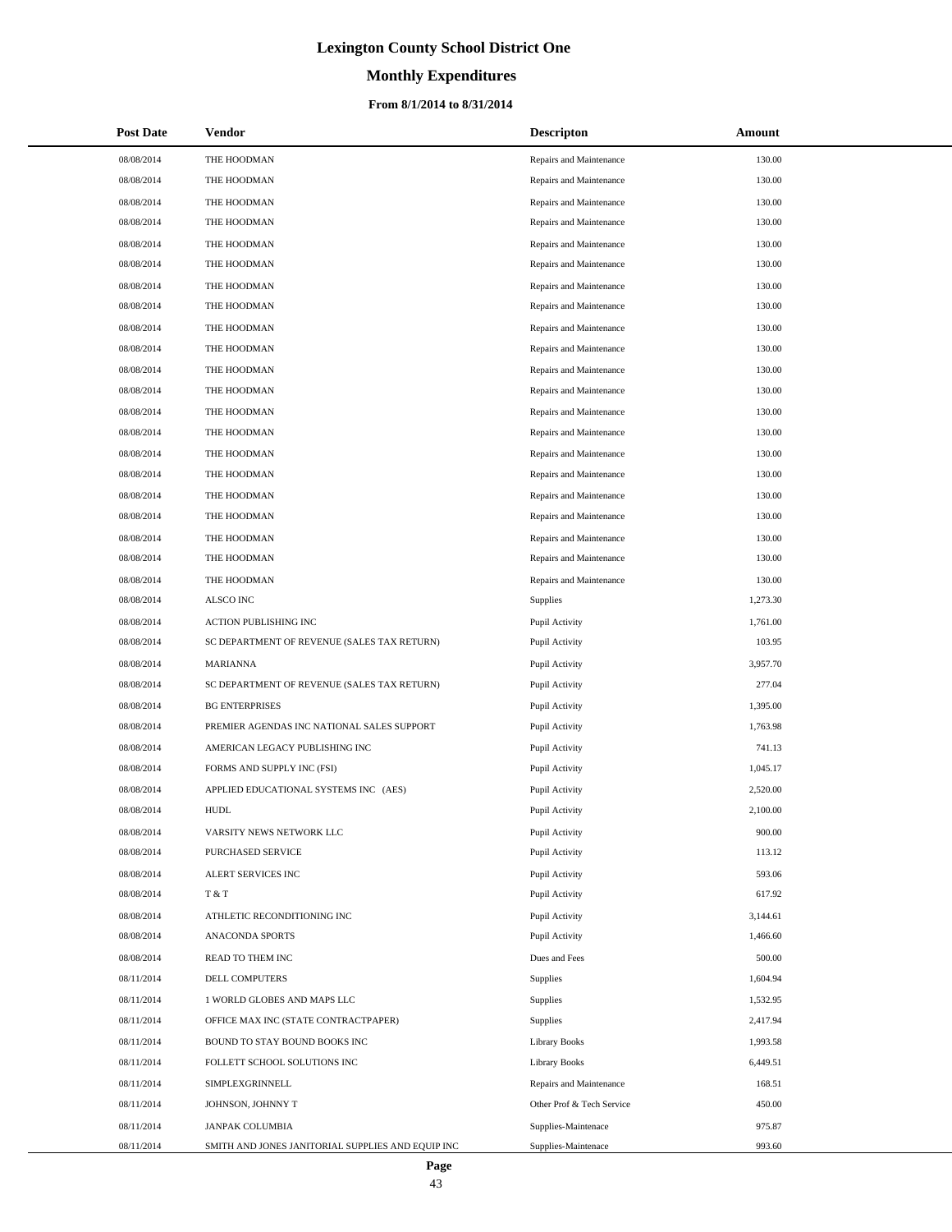# **Monthly Expenditures**

| <b>Post Date</b> | <b>Vendor</b>                                     | <b>Descripton</b>         | Amount   |
|------------------|---------------------------------------------------|---------------------------|----------|
| 08/08/2014       | THE HOODMAN                                       | Repairs and Maintenance   | 130.00   |
| 08/08/2014       | THE HOODMAN                                       | Repairs and Maintenance   | 130.00   |
| 08/08/2014       | THE HOODMAN                                       | Repairs and Maintenance   | 130.00   |
| 08/08/2014       | THE HOODMAN                                       | Repairs and Maintenance   | 130.00   |
| 08/08/2014       | THE HOODMAN                                       | Repairs and Maintenance   | 130.00   |
| 08/08/2014       | THE HOODMAN                                       | Repairs and Maintenance   | 130.00   |
| 08/08/2014       | THE HOODMAN                                       | Repairs and Maintenance   | 130.00   |
| 08/08/2014       | THE HOODMAN                                       | Repairs and Maintenance   | 130.00   |
| 08/08/2014       | THE HOODMAN                                       | Repairs and Maintenance   | 130.00   |
| 08/08/2014       | THE HOODMAN                                       | Repairs and Maintenance   | 130.00   |
| 08/08/2014       | THE HOODMAN                                       | Repairs and Maintenance   | 130.00   |
| 08/08/2014       | THE HOODMAN                                       | Repairs and Maintenance   | 130.00   |
| 08/08/2014       | THE HOODMAN                                       | Repairs and Maintenance   | 130.00   |
| 08/08/2014       | THE HOODMAN                                       | Repairs and Maintenance   | 130.00   |
| 08/08/2014       | THE HOODMAN                                       | Repairs and Maintenance   | 130.00   |
| 08/08/2014       | THE HOODMAN                                       | Repairs and Maintenance   | 130.00   |
| 08/08/2014       | THE HOODMAN                                       | Repairs and Maintenance   | 130.00   |
| 08/08/2014       | THE HOODMAN                                       | Repairs and Maintenance   | 130.00   |
| 08/08/2014       | THE HOODMAN                                       | Repairs and Maintenance   | 130.00   |
| 08/08/2014       | THE HOODMAN                                       | Repairs and Maintenance   | 130.00   |
| 08/08/2014       | THE HOODMAN                                       | Repairs and Maintenance   | 130.00   |
| 08/08/2014       | <b>ALSCO INC</b>                                  | Supplies                  | 1,273.30 |
| 08/08/2014       | ACTION PUBLISHING INC                             | Pupil Activity            | 1,761.00 |
| 08/08/2014       | SC DEPARTMENT OF REVENUE (SALES TAX RETURN)       | Pupil Activity            | 103.95   |
| 08/08/2014       | <b>MARIANNA</b>                                   | Pupil Activity            | 3,957.70 |
| 08/08/2014       | SC DEPARTMENT OF REVENUE (SALES TAX RETURN)       | Pupil Activity            | 277.04   |
| 08/08/2014       | <b>BG ENTERPRISES</b>                             | Pupil Activity            | 1,395.00 |
| 08/08/2014       | PREMIER AGENDAS INC NATIONAL SALES SUPPORT        | Pupil Activity            | 1,763.98 |
| 08/08/2014       | AMERICAN LEGACY PUBLISHING INC                    | Pupil Activity            | 741.13   |
| 08/08/2014       | FORMS AND SUPPLY INC (FSI)                        | Pupil Activity            | 1,045.17 |
| 08/08/2014       | APPLIED EDUCATIONAL SYSTEMS INC (AES)             | Pupil Activity            | 2,520.00 |
| 08/08/2014       | <b>HUDL</b>                                       | Pupil Activity            | 2,100.00 |
| 08/08/2014       | VARSITY NEWS NETWORK LLC                          | Pupil Activity            | 900.00   |
| 08/08/2014       | PURCHASED SERVICE                                 | Pupil Activity            | 113.12   |
| 08/08/2014       | ALERT SERVICES INC                                | Pupil Activity            | 593.06   |
| 08/08/2014       | T & T                                             | Pupil Activity            | 617.92   |
| 08/08/2014       | ATHLETIC RECONDITIONING INC                       | Pupil Activity            | 3,144.61 |
| 08/08/2014       | ANACONDA SPORTS                                   | Pupil Activity            | 1,466.60 |
| 08/08/2014       | READ TO THEM INC                                  | Dues and Fees             | 500.00   |
| 08/11/2014       | DELL COMPUTERS                                    | Supplies                  | 1,604.94 |
| 08/11/2014       | 1 WORLD GLOBES AND MAPS LLC                       | Supplies                  | 1,532.95 |
| 08/11/2014       | OFFICE MAX INC (STATE CONTRACTPAPER)              | Supplies                  | 2,417.94 |
| 08/11/2014       | BOUND TO STAY BOUND BOOKS INC                     | <b>Library Books</b>      | 1,993.58 |
| 08/11/2014       | FOLLETT SCHOOL SOLUTIONS INC                      | <b>Library Books</b>      | 6,449.51 |
| 08/11/2014       | SIMPLEXGRINNELL                                   | Repairs and Maintenance   | 168.51   |
| 08/11/2014       | JOHNSON, JOHNNY T                                 | Other Prof & Tech Service | 450.00   |
| 08/11/2014       | JANPAK COLUMBIA                                   | Supplies-Maintenace       | 975.87   |
| 08/11/2014       | SMITH AND JONES JANITORIAL SUPPLIES AND EQUIP INC | Supplies-Maintenace       | 993.60   |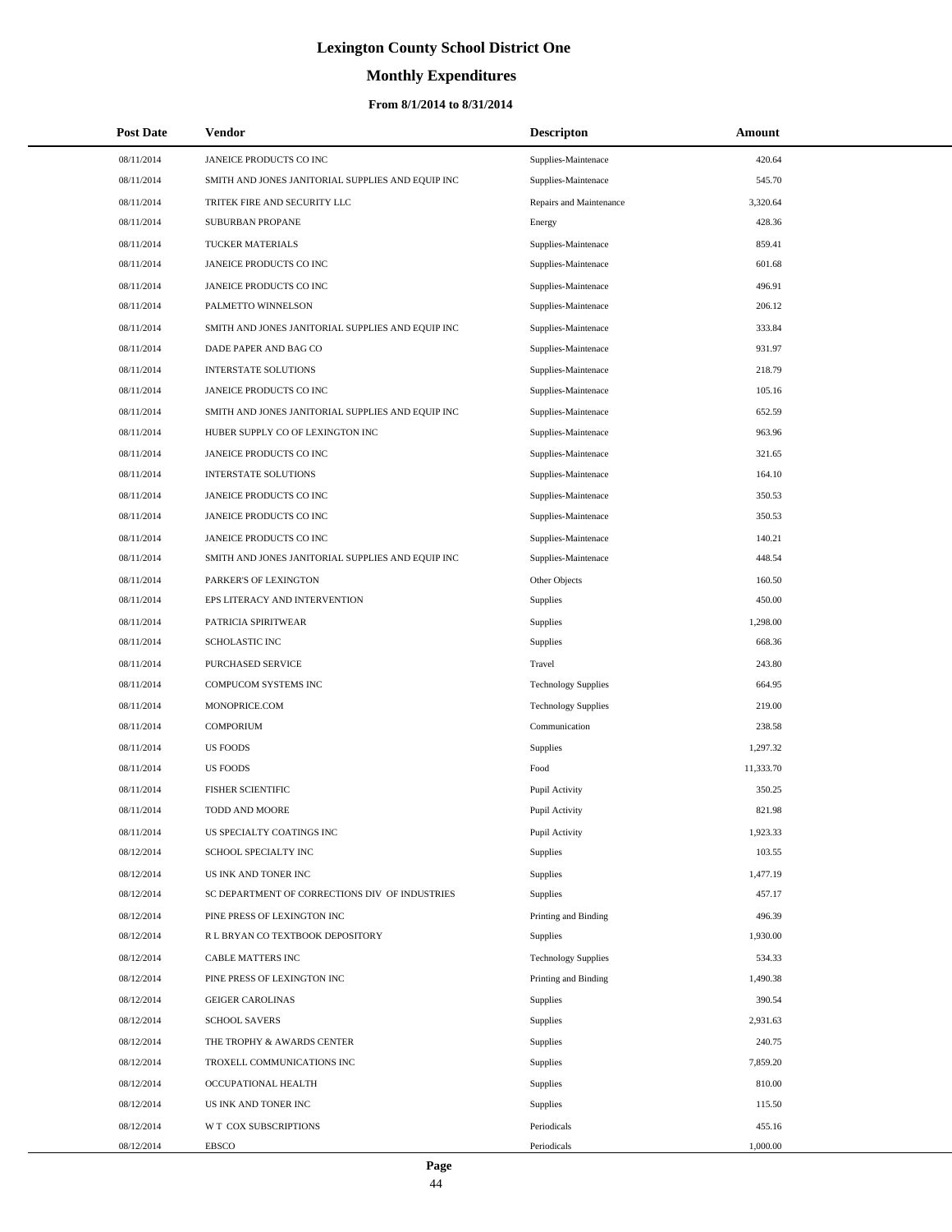# **Monthly Expenditures**

| <b>Post Date</b> | <b>Vendor</b>                                     | <b>Descripton</b>          | Amount    |  |
|------------------|---------------------------------------------------|----------------------------|-----------|--|
| 08/11/2014       | JANEICE PRODUCTS CO INC                           | Supplies-Maintenace        | 420.64    |  |
| 08/11/2014       | SMITH AND JONES JANITORIAL SUPPLIES AND EQUIP INC | Supplies-Maintenace        | 545.70    |  |
| 08/11/2014       | TRITEK FIRE AND SECURITY LLC                      | Repairs and Maintenance    | 3,320.64  |  |
| 08/11/2014       | <b>SUBURBAN PROPANE</b>                           | Energy                     | 428.36    |  |
| 08/11/2014       | TUCKER MATERIALS                                  | Supplies-Maintenace        | 859.41    |  |
| 08/11/2014       | JANEICE PRODUCTS CO INC                           | Supplies-Maintenace        | 601.68    |  |
| 08/11/2014       | JANEICE PRODUCTS CO INC                           | Supplies-Maintenace        | 496.91    |  |
| 08/11/2014       | PALMETTO WINNELSON                                | Supplies-Maintenace        | 206.12    |  |
| 08/11/2014       | SMITH AND JONES JANITORIAL SUPPLIES AND EQUIP INC | Supplies-Maintenace        | 333.84    |  |
| 08/11/2014       | DADE PAPER AND BAG CO                             | Supplies-Maintenace        | 931.97    |  |
| 08/11/2014       | <b>INTERSTATE SOLUTIONS</b>                       | Supplies-Maintenace        | 218.79    |  |
| 08/11/2014       | JANEICE PRODUCTS CO INC                           | Supplies-Maintenace        | 105.16    |  |
| 08/11/2014       | SMITH AND JONES JANITORIAL SUPPLIES AND EQUIP INC | Supplies-Maintenace        | 652.59    |  |
| 08/11/2014       | HUBER SUPPLY CO OF LEXINGTON INC                  | Supplies-Maintenace        | 963.96    |  |
| 08/11/2014       | JANEICE PRODUCTS CO INC                           | Supplies-Maintenace        | 321.65    |  |
| 08/11/2014       | <b>INTERSTATE SOLUTIONS</b>                       | Supplies-Maintenace        | 164.10    |  |
| 08/11/2014       | JANEICE PRODUCTS CO INC                           | Supplies-Maintenace        | 350.53    |  |
| 08/11/2014       | JANEICE PRODUCTS CO INC                           | Supplies-Maintenace        | 350.53    |  |
| 08/11/2014       | JANEICE PRODUCTS CO INC                           | Supplies-Maintenace        | 140.21    |  |
| 08/11/2014       | SMITH AND JONES JANITORIAL SUPPLIES AND EQUIP INC | Supplies-Maintenace        | 448.54    |  |
| 08/11/2014       | PARKER'S OF LEXINGTON                             | Other Objects              | 160.50    |  |
| 08/11/2014       | EPS LITERACY AND INTERVENTION                     | Supplies                   | 450.00    |  |
| 08/11/2014       | PATRICIA SPIRITWEAR                               | Supplies                   | 1,298.00  |  |
| 08/11/2014       | SCHOLASTIC INC                                    | Supplies                   | 668.36    |  |
| 08/11/2014       | PURCHASED SERVICE                                 | Travel                     | 243.80    |  |
| 08/11/2014       | COMPUCOM SYSTEMS INC                              | <b>Technology Supplies</b> | 664.95    |  |
| 08/11/2014       | MONOPRICE.COM                                     | <b>Technology Supplies</b> | 219.00    |  |
| 08/11/2014       | <b>COMPORIUM</b>                                  | Communication              | 238.58    |  |
| 08/11/2014       | <b>US FOODS</b>                                   | Supplies                   | 1,297.32  |  |
| 08/11/2014       | <b>US FOODS</b>                                   | Food                       | 11,333.70 |  |
| 08/11/2014       | <b>FISHER SCIENTIFIC</b>                          | Pupil Activity             | 350.25    |  |
| 08/11/2014       | <b>TODD AND MOORE</b>                             | Pupil Activity             | 821.98    |  |
| 08/11/2014       | US SPECIALTY COATINGS INC                         | Pupil Activity             | 1,923.33  |  |
| 08/12/2014       | SCHOOL SPECIALTY INC                              | Supplies                   | 103.55    |  |
| 08/12/2014       | US INK AND TONER INC                              | Supplies                   | 1,477.19  |  |
| 08/12/2014       | SC DEPARTMENT OF CORRECTIONS DIV OF INDUSTRIES    | Supplies                   | 457.17    |  |
| 08/12/2014       | PINE PRESS OF LEXINGTON INC                       | Printing and Binding       | 496.39    |  |
| 08/12/2014       | R L BRYAN CO TEXTBOOK DEPOSITORY                  | Supplies                   | 1,930.00  |  |
| 08/12/2014       | <b>CABLE MATTERS INC</b>                          | <b>Technology Supplies</b> | 534.33    |  |
| 08/12/2014       | PINE PRESS OF LEXINGTON INC                       | Printing and Binding       | 1,490.38  |  |
| 08/12/2014       | <b>GEIGER CAROLINAS</b>                           | Supplies                   | 390.54    |  |
| 08/12/2014       | <b>SCHOOL SAVERS</b>                              | Supplies                   | 2,931.63  |  |
| 08/12/2014       | THE TROPHY & AWARDS CENTER                        | Supplies                   | 240.75    |  |
| 08/12/2014       | TROXELL COMMUNICATIONS INC                        | Supplies                   | 7,859.20  |  |
| 08/12/2014       | OCCUPATIONAL HEALTH                               | Supplies                   | 810.00    |  |
| 08/12/2014       | US INK AND TONER INC                              | Supplies                   | 115.50    |  |
| 08/12/2014       | W T COX SUBSCRIPTIONS                             | Periodicals                | 455.16    |  |
| 08/12/2014       | <b>EBSCO</b>                                      | Periodicals                | 1,000.00  |  |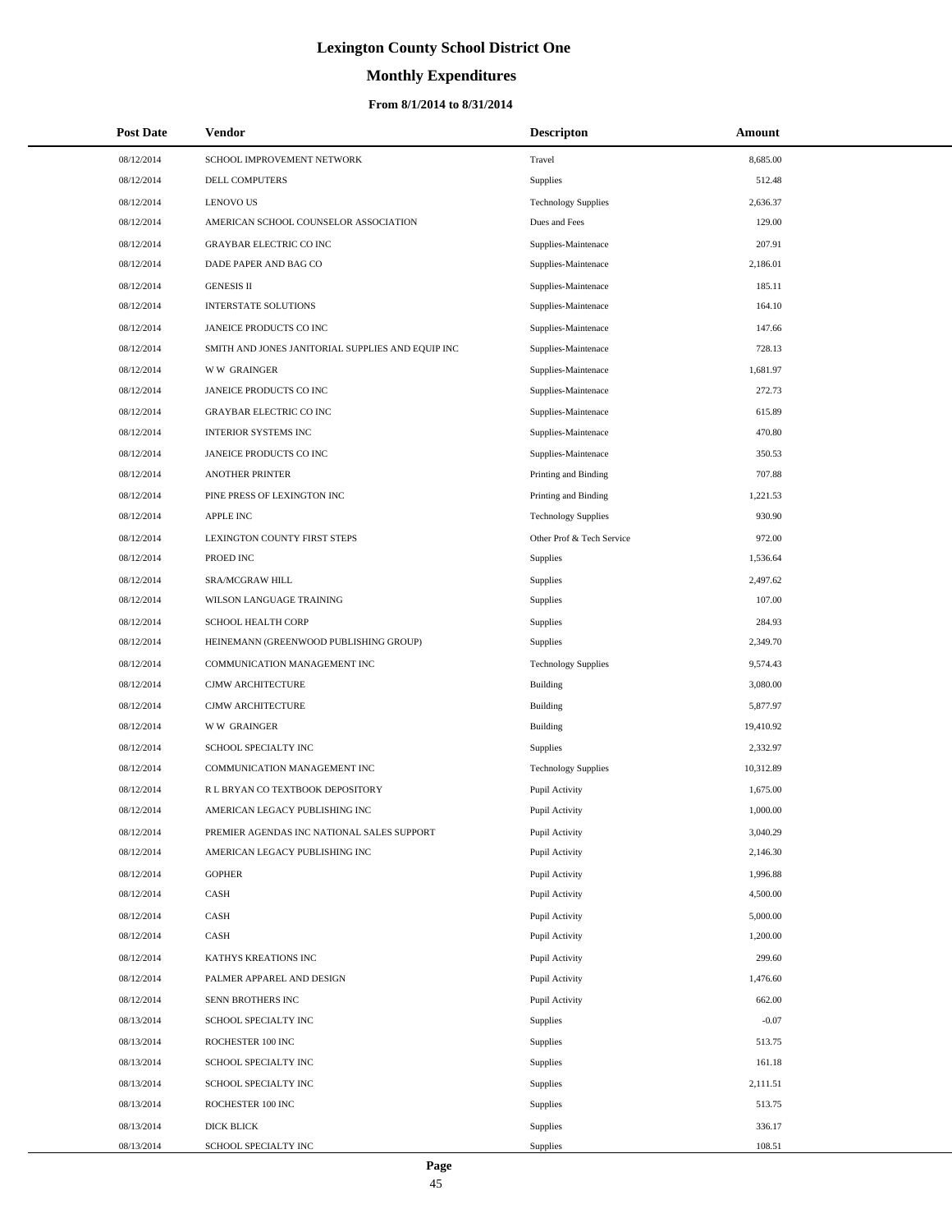# **Monthly Expenditures**

#### **From 8/1/2014 to 8/31/2014**

| <b>Post Date</b> | <b>Vendor</b>                                     | <b>Descripton</b>          | Amount    |
|------------------|---------------------------------------------------|----------------------------|-----------|
| 08/12/2014       | SCHOOL IMPROVEMENT NETWORK                        | Travel                     | 8,685.00  |
| 08/12/2014       | <b>DELL COMPUTERS</b>                             | <b>Supplies</b>            | 512.48    |
| 08/12/2014       | <b>LENOVO US</b>                                  | <b>Technology Supplies</b> | 2,636.37  |
| 08/12/2014       | AMERICAN SCHOOL COUNSELOR ASSOCIATION             | Dues and Fees              | 129.00    |
| 08/12/2014       | <b>GRAYBAR ELECTRIC CO INC</b>                    | Supplies-Maintenace        | 207.91    |
| 08/12/2014       | DADE PAPER AND BAG CO                             | Supplies-Maintenace        | 2,186.01  |
| 08/12/2014       | <b>GENESIS II</b>                                 | Supplies-Maintenace        | 185.11    |
| 08/12/2014       | <b>INTERSTATE SOLUTIONS</b>                       | Supplies-Maintenace        | 164.10    |
| 08/12/2014       | JANEICE PRODUCTS CO INC                           | Supplies-Maintenace        | 147.66    |
| 08/12/2014       | SMITH AND JONES JANITORIAL SUPPLIES AND EQUIP INC | Supplies-Maintenace        | 728.13    |
| 08/12/2014       | <b>WW GRAINGER</b>                                | Supplies-Maintenace        | 1,681.97  |
| 08/12/2014       | JANEICE PRODUCTS CO INC                           | Supplies-Maintenace        | 272.73    |
| 08/12/2014       | GRAYBAR ELECTRIC CO INC                           | Supplies-Maintenace        | 615.89    |
| 08/12/2014       | <b>INTERIOR SYSTEMS INC</b>                       | Supplies-Maintenace        | 470.80    |
| 08/12/2014       | JANEICE PRODUCTS CO INC                           | Supplies-Maintenace        | 350.53    |
| 08/12/2014       | <b>ANOTHER PRINTER</b>                            | Printing and Binding       | 707.88    |
| 08/12/2014       | PINE PRESS OF LEXINGTON INC                       | Printing and Binding       | 1,221.53  |
| 08/12/2014       | <b>APPLE INC</b>                                  | <b>Technology Supplies</b> | 930.90    |
| 08/12/2014       | LEXINGTON COUNTY FIRST STEPS                      | Other Prof & Tech Service  | 972.00    |
| 08/12/2014       | PROED INC                                         | Supplies                   | 1,536.64  |
| 08/12/2014       | SRA/MCGRAW HILL                                   | Supplies                   | 2,497.62  |
| 08/12/2014       | WILSON LANGUAGE TRAINING                          | Supplies                   | 107.00    |
| 08/12/2014       | SCHOOL HEALTH CORP                                | Supplies                   | 284.93    |
| 08/12/2014       | HEINEMANN (GREENWOOD PUBLISHING GROUP)            | Supplies                   | 2,349.70  |
| 08/12/2014       | COMMUNICATION MANAGEMENT INC                      | <b>Technology Supplies</b> | 9,574.43  |
| 08/12/2014       | CJMW ARCHITECTURE                                 | Building                   | 3,080.00  |
| 08/12/2014       | CJMW ARCHITECTURE                                 | Building                   | 5,877.97  |
| 08/12/2014       | <b>WW GRAINGER</b>                                | Building                   | 19,410.92 |
| 08/12/2014       | SCHOOL SPECIALTY INC                              | Supplies                   | 2,332.97  |
| 08/12/2014       | COMMUNICATION MANAGEMENT INC                      | <b>Technology Supplies</b> | 10,312.89 |
| 08/12/2014       | R L BRYAN CO TEXTBOOK DEPOSITORY                  | Pupil Activity             | 1,675.00  |
| 08/12/2014       | AMERICAN LEGACY PUBLISHING INC                    | Pupil Activity             | 1,000.00  |
| 08/12/2014       | PREMIER AGENDAS INC NATIONAL SALES SUPPORT        | Pupil Activity             | 3,040.29  |
| 08/12/2014       | AMERICAN LEGACY PUBLISHING INC                    | Pupil Activity             | 2,146.30  |
| 08/12/2014       | <b>GOPHER</b>                                     | Pupil Activity             | 1,996.88  |
| 08/12/2014       | CASH                                              | Pupil Activity             | 4,500.00  |
| 08/12/2014       | CASH                                              | Pupil Activity             | 5,000.00  |
| 08/12/2014       | CASH                                              | Pupil Activity             | 1,200.00  |
| 08/12/2014       | KATHYS KREATIONS INC                              | Pupil Activity             | 299.60    |
| 08/12/2014       | PALMER APPAREL AND DESIGN                         | Pupil Activity             | 1,476.60  |
| 08/12/2014       | SENN BROTHERS INC                                 | Pupil Activity             | 662.00    |
| 08/13/2014       | SCHOOL SPECIALTY INC                              | Supplies                   | $-0.07$   |
| 08/13/2014       | ROCHESTER 100 INC                                 | Supplies                   | 513.75    |
| 08/13/2014       | SCHOOL SPECIALTY INC                              | Supplies                   | 161.18    |
| 08/13/2014       | SCHOOL SPECIALTY INC                              | Supplies                   | 2,111.51  |
| 08/13/2014       | ROCHESTER 100 INC                                 | Supplies                   | 513.75    |
| 08/13/2014       | DICK BLICK                                        | Supplies                   | 336.17    |
| 08/13/2014       | SCHOOL SPECIALTY INC                              | Supplies                   | 108.51    |

 $\overline{\phantom{0}}$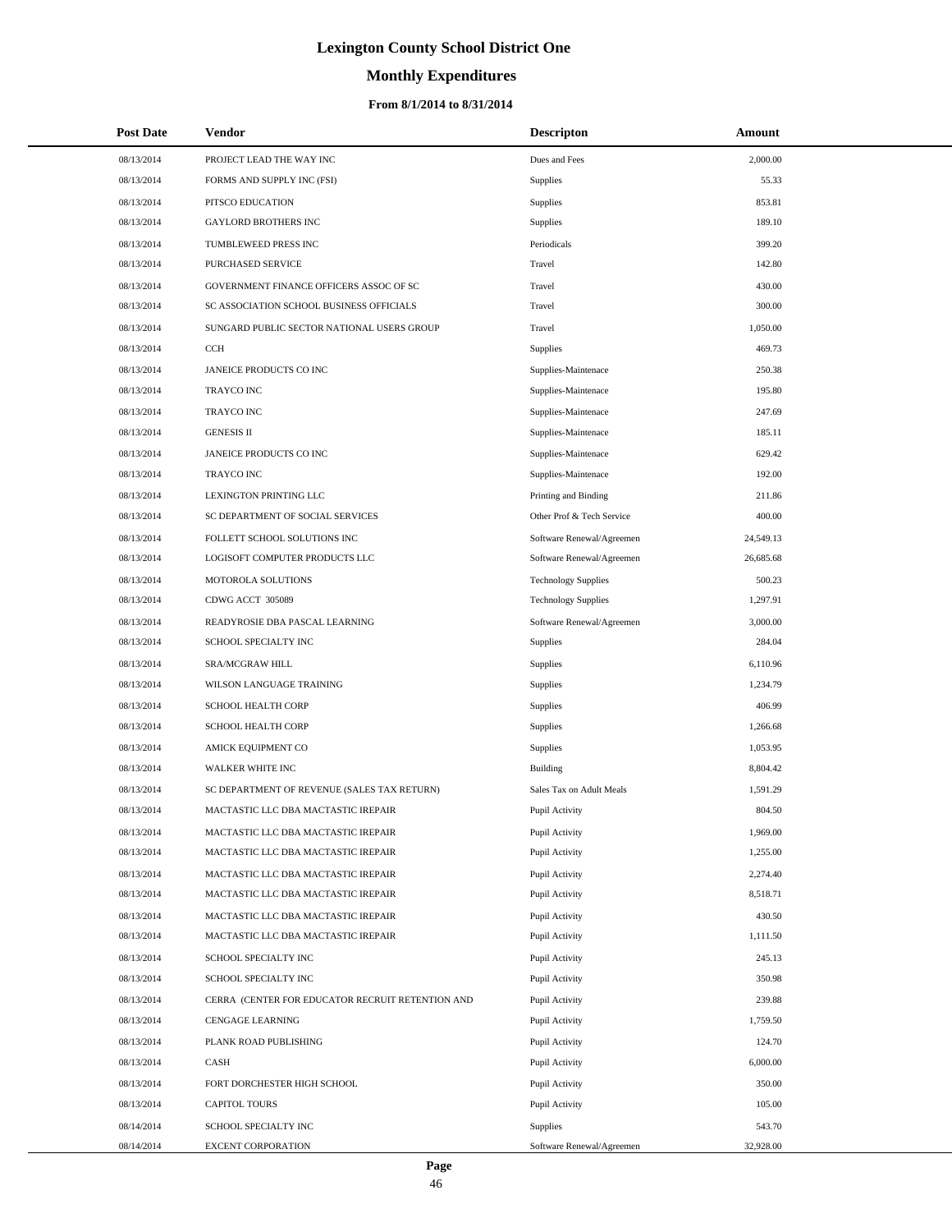# **Monthly Expenditures**

#### **From 8/1/2014 to 8/31/2014**

| <b>Post Date</b> | <b>Vendor</b>                                    | <b>Descripton</b>          | Amount    |
|------------------|--------------------------------------------------|----------------------------|-----------|
| 08/13/2014       | PROJECT LEAD THE WAY INC                         | Dues and Fees              | 2,000.00  |
| 08/13/2014       | FORMS AND SUPPLY INC (FSI)                       | Supplies                   | 55.33     |
| 08/13/2014       | PITSCO EDUCATION                                 | <b>Supplies</b>            | 853.81    |
| 08/13/2014       | <b>GAYLORD BROTHERS INC</b>                      | <b>Supplies</b>            | 189.10    |
| 08/13/2014       | TUMBLEWEED PRESS INC                             | Periodicals                | 399.20    |
| 08/13/2014       | PURCHASED SERVICE                                | Travel                     | 142.80    |
| 08/13/2014       | GOVERNMENT FINANCE OFFICERS ASSOC OF SC          | Travel                     | 430.00    |
| 08/13/2014       | SC ASSOCIATION SCHOOL BUSINESS OFFICIALS         | Travel                     | 300.00    |
| 08/13/2014       | SUNGARD PUBLIC SECTOR NATIONAL USERS GROUP       | Travel                     | 1,050.00  |
| 08/13/2014       | <b>CCH</b>                                       | Supplies                   | 469.73    |
| 08/13/2014       | JANEICE PRODUCTS CO INC                          | Supplies-Maintenace        | 250.38    |
| 08/13/2014       | <b>TRAYCO INC</b>                                | Supplies-Maintenace        | 195.80    |
| 08/13/2014       | <b>TRAYCO INC</b>                                | Supplies-Maintenace        | 247.69    |
| 08/13/2014       | <b>GENESIS II</b>                                | Supplies-Maintenace        | 185.11    |
| 08/13/2014       | JANEICE PRODUCTS CO INC                          | Supplies-Maintenace        | 629.42    |
| 08/13/2014       | <b>TRAYCO INC</b>                                | Supplies-Maintenace        | 192.00    |
| 08/13/2014       | LEXINGTON PRINTING LLC                           | Printing and Binding       | 211.86    |
| 08/13/2014       | SC DEPARTMENT OF SOCIAL SERVICES                 | Other Prof & Tech Service  | 400.00    |
| 08/13/2014       | FOLLETT SCHOOL SOLUTIONS INC                     | Software Renewal/Agreemen  | 24,549.13 |
| 08/13/2014       | LOGISOFT COMPUTER PRODUCTS LLC                   | Software Renewal/Agreemen  | 26,685.68 |
| 08/13/2014       | MOTOROLA SOLUTIONS                               | <b>Technology Supplies</b> | 500.23    |
| 08/13/2014       | CDWG ACCT 305089                                 | <b>Technology Supplies</b> | 1,297.91  |
| 08/13/2014       | READYROSIE DBA PASCAL LEARNING                   | Software Renewal/Agreemen  | 3,000.00  |
| 08/13/2014       | SCHOOL SPECIALTY INC                             | Supplies                   | 284.04    |
| 08/13/2014       | SRA/MCGRAW HILL                                  | <b>Supplies</b>            | 6,110.96  |
| 08/13/2014       | WILSON LANGUAGE TRAINING                         | Supplies                   | 1,234.79  |
| 08/13/2014       | SCHOOL HEALTH CORP                               | Supplies                   | 406.99    |
| 08/13/2014       | <b>SCHOOL HEALTH CORP</b>                        | Supplies                   | 1,266.68  |
| 08/13/2014       | AMICK EQUIPMENT CO                               | Supplies                   | 1.053.95  |
| 08/13/2014       | <b>WALKER WHITE INC</b>                          | <b>Building</b>            | 8,804.42  |
| 08/13/2014       | SC DEPARTMENT OF REVENUE (SALES TAX RETURN)      | Sales Tax on Adult Meals   | 1,591.29  |
| 08/13/2014       | MACTASTIC LLC DBA MACTASTIC IREPAIR              | Pupil Activity             | 804.50    |
| 08/13/2014       | MACTASTIC LLC DBA MACTASTIC IREPAIR              | Pupil Activity             | 1,969.00  |
| 08/13/2014       | MACTASTIC LLC DBA MACTASTIC IREPAIR              | Pupil Activity             | 1,255.00  |
| 08/13/2014       | MACTASTIC LLC DBA MACTASTIC IREPAIR              | Pupil Activity             | 2,274.40  |
| 08/13/2014       | MACTASTIC LLC DBA MACTASTIC IREPAIR              | Pupil Activity             | 8,518.71  |
| 08/13/2014       | MACTASTIC LLC DBA MACTASTIC IREPAIR              | Pupil Activity             | 430.50    |
| 08/13/2014       | MACTASTIC LLC DBA MACTASTIC IREPAIR              | Pupil Activity             | 1,111.50  |
| 08/13/2014       | SCHOOL SPECIALTY INC                             | Pupil Activity             | 245.13    |
| 08/13/2014       | SCHOOL SPECIALTY INC                             | Pupil Activity             | 350.98    |
| 08/13/2014       | CERRA (CENTER FOR EDUCATOR RECRUIT RETENTION AND | Pupil Activity             | 239.88    |
| 08/13/2014       | CENGAGE LEARNING                                 | Pupil Activity             | 1,759.50  |
| 08/13/2014       | PLANK ROAD PUBLISHING                            | Pupil Activity             | 124.70    |
| 08/13/2014       | CASH                                             | Pupil Activity             | 6,000.00  |
| 08/13/2014       | FORT DORCHESTER HIGH SCHOOL                      | Pupil Activity             | 350.00    |
| 08/13/2014       | <b>CAPITOL TOURS</b>                             | Pupil Activity             | 105.00    |
| 08/14/2014       | SCHOOL SPECIALTY INC                             | Supplies                   | 543.70    |
| 08/14/2014       | EXCENT CORPORATION                               | Software Renewal/Agreemen  | 32,928.00 |

 $\overline{\phantom{0}}$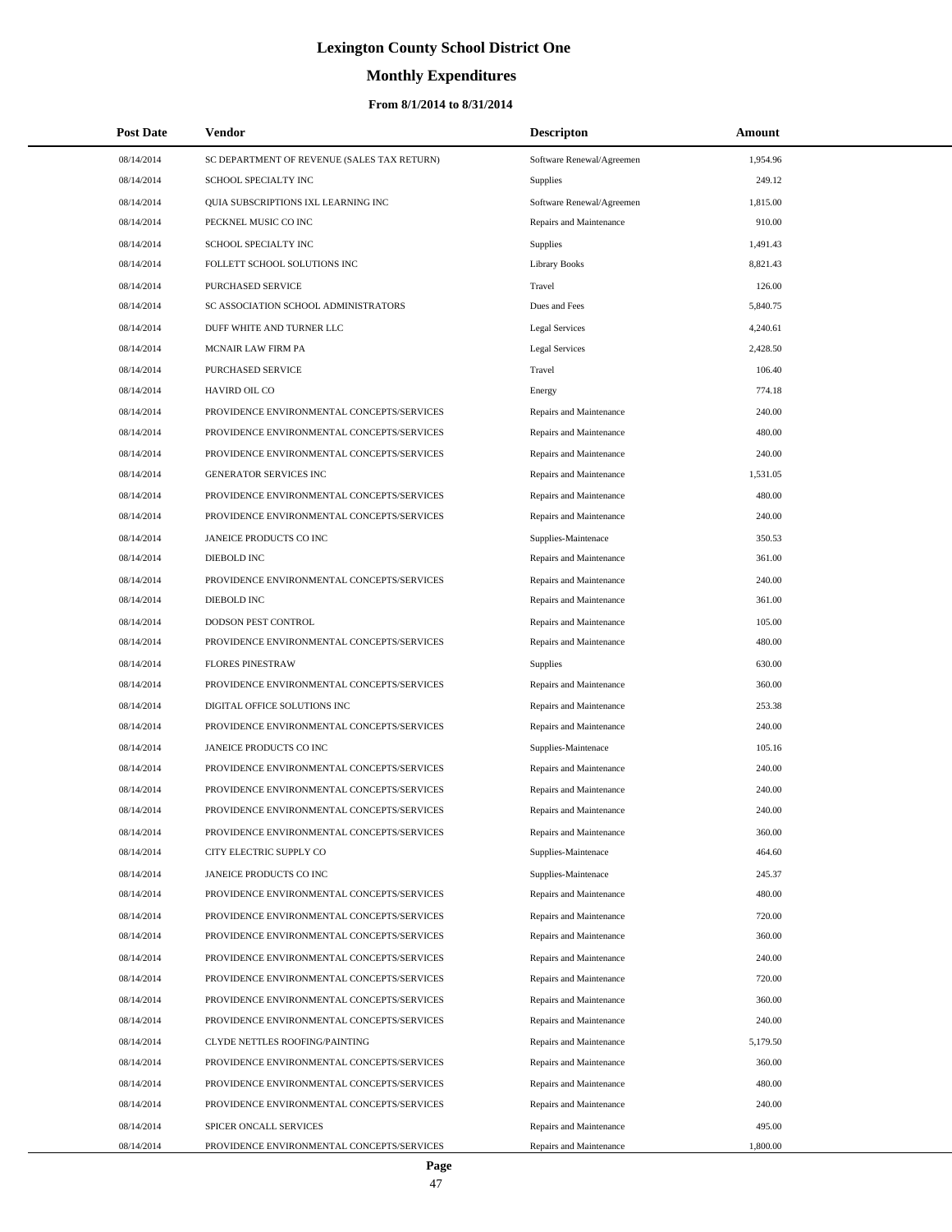# **Monthly Expenditures**

| <b>Post Date</b>         | <b>Vendor</b>                                                                | <b>Descripton</b>                                  | Amount             |
|--------------------------|------------------------------------------------------------------------------|----------------------------------------------------|--------------------|
| 08/14/2014               | SC DEPARTMENT OF REVENUE (SALES TAX RETURN)                                  | Software Renewal/Agreemen                          | 1,954.96           |
| 08/14/2014               | SCHOOL SPECIALTY INC                                                         | <b>Supplies</b>                                    | 249.12             |
| 08/14/2014               | QUIA SUBSCRIPTIONS IXL LEARNING INC                                          | Software Renewal/Agreemen                          | 1,815.00           |
| 08/14/2014               | PECKNEL MUSIC CO INC                                                         | Repairs and Maintenance                            | 910.00             |
| 08/14/2014               | SCHOOL SPECIALTY INC                                                         | Supplies                                           | 1,491.43           |
| 08/14/2014               | FOLLETT SCHOOL SOLUTIONS INC                                                 | Library Books                                      | 8,821.43           |
| 08/14/2014               | PURCHASED SERVICE                                                            | Travel                                             | 126.00             |
| 08/14/2014               | SC ASSOCIATION SCHOOL ADMINISTRATORS                                         | Dues and Fees                                      | 5,840.75           |
| 08/14/2014               | DUFF WHITE AND TURNER LLC                                                    | Legal Services                                     | 4,240.61           |
| 08/14/2014               | MCNAIR LAW FIRM PA                                                           | <b>Legal Services</b>                              | 2,428.50           |
| 08/14/2014               | PURCHASED SERVICE                                                            | Travel                                             | 106.40             |
| 08/14/2014               | HAVIRD OIL CO                                                                | Energy                                             | 774.18             |
| 08/14/2014               | PROVIDENCE ENVIRONMENTAL CONCEPTS/SERVICES                                   | Repairs and Maintenance                            | 240.00             |
| 08/14/2014               | PROVIDENCE ENVIRONMENTAL CONCEPTS/SERVICES                                   | Repairs and Maintenance                            | 480.00             |
| 08/14/2014               | PROVIDENCE ENVIRONMENTAL CONCEPTS/SERVICES                                   | Repairs and Maintenance                            | 240.00             |
| 08/14/2014               | <b>GENERATOR SERVICES INC</b>                                                | Repairs and Maintenance                            | 1,531.05           |
| 08/14/2014               | PROVIDENCE ENVIRONMENTAL CONCEPTS/SERVICES                                   | Repairs and Maintenance                            | 480.00             |
| 08/14/2014               | PROVIDENCE ENVIRONMENTAL CONCEPTS/SERVICES                                   | Repairs and Maintenance                            | 240.00             |
| 08/14/2014               | JANEICE PRODUCTS CO INC                                                      | Supplies-Maintenace                                | 350.53             |
| 08/14/2014               | DIEBOLD INC                                                                  | Repairs and Maintenance                            | 361.00             |
| 08/14/2014               | PROVIDENCE ENVIRONMENTAL CONCEPTS/SERVICES                                   | Repairs and Maintenance                            | 240.00             |
| 08/14/2014               | DIEBOLD INC                                                                  | Repairs and Maintenance                            | 361.00             |
| 08/14/2014               | DODSON PEST CONTROL                                                          | Repairs and Maintenance                            | 105.00             |
| 08/14/2014               | PROVIDENCE ENVIRONMENTAL CONCEPTS/SERVICES                                   | Repairs and Maintenance                            | 480.00             |
| 08/14/2014               | <b>FLORES PINESTRAW</b>                                                      | <b>Supplies</b>                                    | 630.00             |
| 08/14/2014               | PROVIDENCE ENVIRONMENTAL CONCEPTS/SERVICES                                   | Repairs and Maintenance                            | 360.00             |
| 08/14/2014               | DIGITAL OFFICE SOLUTIONS INC                                                 | Repairs and Maintenance                            | 253.38             |
| 08/14/2014               | PROVIDENCE ENVIRONMENTAL CONCEPTS/SERVICES                                   | Repairs and Maintenance                            | 240.00             |
| 08/14/2014               | JANEICE PRODUCTS CO INC                                                      | Supplies-Maintenace                                | 105.16             |
| 08/14/2014               | PROVIDENCE ENVIRONMENTAL CONCEPTS/SERVICES                                   | Repairs and Maintenance                            | 240.00             |
| 08/14/2014               | PROVIDENCE ENVIRONMENTAL CONCEPTS/SERVICES                                   | Repairs and Maintenance                            | 240.00             |
| 08/14/2014               | PROVIDENCE ENVIRONMENTAL CONCEPTS/SERVICES                                   | Repairs and Maintenance                            | 240.00             |
| 08/14/2014               | PROVIDENCE ENVIRONMENTAL CONCEPTS/SERVICES                                   | Repairs and Maintenance                            | 360.00             |
| 08/14/2014               | CITY ELECTRIC SUPPLY CO                                                      | Supplies-Maintenace                                | 464.60             |
| 08/14/2014               | JANEICE PRODUCTS CO INC                                                      | Supplies-Maintenace                                | 245.37             |
| 08/14/2014               | PROVIDENCE ENVIRONMENTAL CONCEPTS/SERVICES                                   | Repairs and Maintenance                            | 480.00             |
| 08/14/2014               | PROVIDENCE ENVIRONMENTAL CONCEPTS/SERVICES                                   | Repairs and Maintenance                            | 720.00             |
| 08/14/2014               | PROVIDENCE ENVIRONMENTAL CONCEPTS/SERVICES                                   | Repairs and Maintenance                            | 360.00             |
| 08/14/2014               | PROVIDENCE ENVIRONMENTAL CONCEPTS/SERVICES                                   | Repairs and Maintenance                            | 240.00             |
| 08/14/2014               | PROVIDENCE ENVIRONMENTAL CONCEPTS/SERVICES                                   | Repairs and Maintenance                            | 720.00             |
| 08/14/2014               | PROVIDENCE ENVIRONMENTAL CONCEPTS/SERVICES                                   | Repairs and Maintenance                            | 360.00             |
| 08/14/2014               | PROVIDENCE ENVIRONMENTAL CONCEPTS/SERVICES                                   | Repairs and Maintenance                            | 240.00             |
| 08/14/2014<br>08/14/2014 | CLYDE NETTLES ROOFING/PAINTING<br>PROVIDENCE ENVIRONMENTAL CONCEPTS/SERVICES | Repairs and Maintenance<br>Repairs and Maintenance | 5,179.50<br>360.00 |
| 08/14/2014               | PROVIDENCE ENVIRONMENTAL CONCEPTS/SERVICES                                   | Repairs and Maintenance                            | 480.00             |
| 08/14/2014               | PROVIDENCE ENVIRONMENTAL CONCEPTS/SERVICES                                   | Repairs and Maintenance                            | 240.00             |
| 08/14/2014               | SPICER ONCALL SERVICES                                                       | Repairs and Maintenance                            | 495.00             |
| 08/14/2014               | PROVIDENCE ENVIRONMENTAL CONCEPTS/SERVICES                                   | Repairs and Maintenance                            | 1,800.00           |
|                          |                                                                              |                                                    |                    |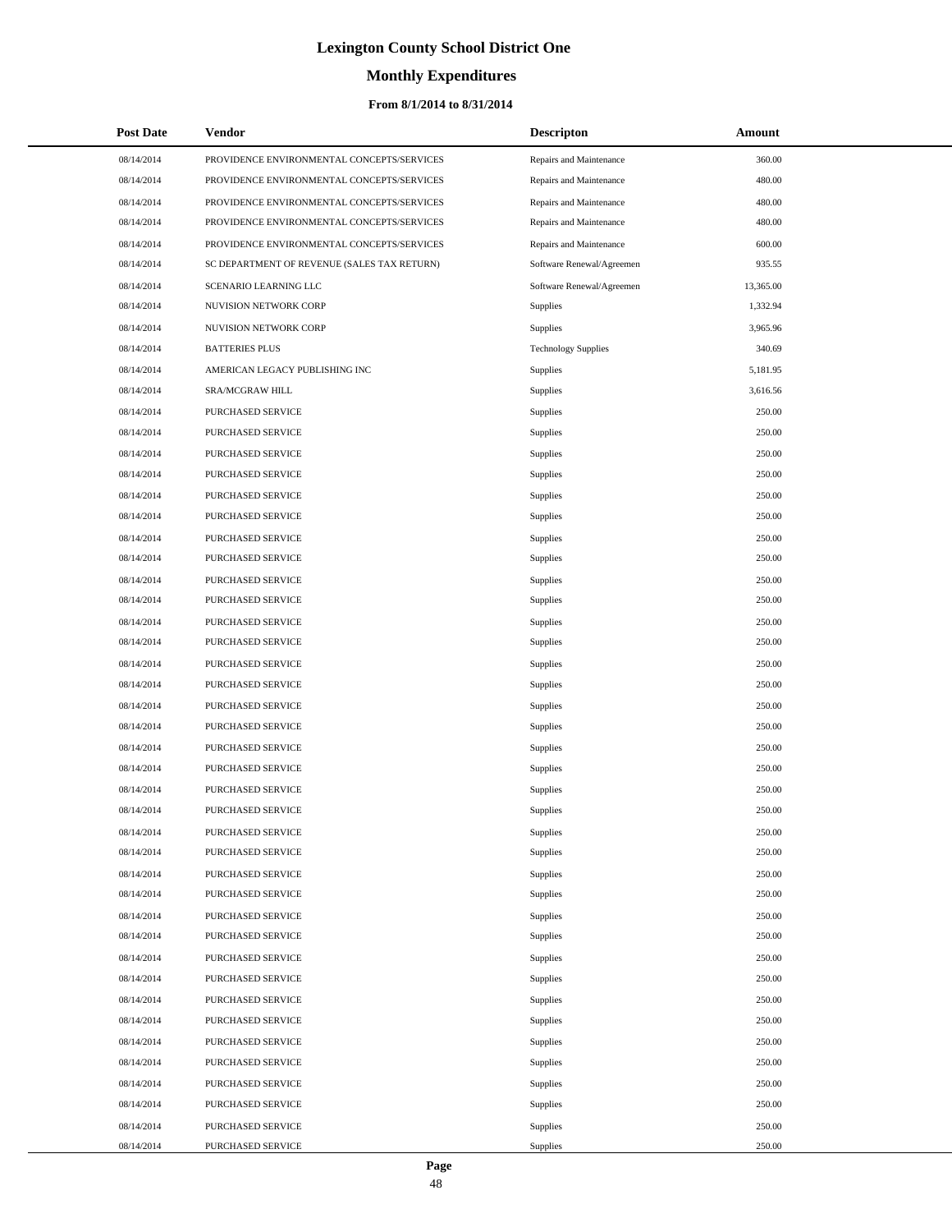# **Monthly Expenditures**

#### **From 8/1/2014 to 8/31/2014**

| <b>Post Date</b> | Vendor                                      | Descripton                 | Amount    |
|------------------|---------------------------------------------|----------------------------|-----------|
| 08/14/2014       | PROVIDENCE ENVIRONMENTAL CONCEPTS/SERVICES  | Repairs and Maintenance    | 360.00    |
| 08/14/2014       | PROVIDENCE ENVIRONMENTAL CONCEPTS/SERVICES  | Repairs and Maintenance    | 480.00    |
| 08/14/2014       | PROVIDENCE ENVIRONMENTAL CONCEPTS/SERVICES  | Repairs and Maintenance    | 480.00    |
| 08/14/2014       | PROVIDENCE ENVIRONMENTAL CONCEPTS/SERVICES  | Repairs and Maintenance    | 480.00    |
| 08/14/2014       | PROVIDENCE ENVIRONMENTAL CONCEPTS/SERVICES  | Repairs and Maintenance    | 600.00    |
| 08/14/2014       | SC DEPARTMENT OF REVENUE (SALES TAX RETURN) | Software Renewal/Agreemen  | 935.55    |
| 08/14/2014       | SCENARIO LEARNING LLC                       | Software Renewal/Agreemen  | 13,365.00 |
| 08/14/2014       | NUVISION NETWORK CORP                       | Supplies                   | 1,332.94  |
| 08/14/2014       | NUVISION NETWORK CORP                       | Supplies                   | 3,965.96  |
| 08/14/2014       | <b>BATTERIES PLUS</b>                       | <b>Technology Supplies</b> | 340.69    |
| 08/14/2014       | AMERICAN LEGACY PUBLISHING INC              | Supplies                   | 5,181.95  |
| 08/14/2014       | SRA/MCGRAW HILL                             | Supplies                   | 3,616.56  |
| 08/14/2014       | PURCHASED SERVICE                           | Supplies                   | 250.00    |
| 08/14/2014       | PURCHASED SERVICE                           | Supplies                   | 250.00    |
| 08/14/2014       | PURCHASED SERVICE                           | Supplies                   | 250.00    |
| 08/14/2014       | PURCHASED SERVICE                           | Supplies                   | 250.00    |
| 08/14/2014       | PURCHASED SERVICE                           | Supplies                   | 250.00    |
| 08/14/2014       | PURCHASED SERVICE                           | Supplies                   | 250.00    |
| 08/14/2014       | PURCHASED SERVICE                           | Supplies                   | 250.00    |
| 08/14/2014       | PURCHASED SERVICE                           | Supplies                   | 250.00    |
| 08/14/2014       | PURCHASED SERVICE                           | Supplies                   | 250.00    |
| 08/14/2014       | PURCHASED SERVICE                           | Supplies                   | 250.00    |
| 08/14/2014       | PURCHASED SERVICE                           | Supplies                   | 250.00    |
| 08/14/2014       | PURCHASED SERVICE                           | Supplies                   | 250.00    |
| 08/14/2014       | PURCHASED SERVICE                           | Supplies                   | 250.00    |
| 08/14/2014       | PURCHASED SERVICE                           | Supplies                   | 250.00    |
| 08/14/2014       | PURCHASED SERVICE                           | Supplies                   | 250.00    |
| 08/14/2014       | PURCHASED SERVICE                           | Supplies                   | 250.00    |
| 08/14/2014       | PURCHASED SERVICE                           | Supplies                   | 250.00    |
| 08/14/2014       | PURCHASED SERVICE                           | Supplies                   | 250.00    |
| 08/14/2014       | PURCHASED SERVICE                           | Supplies                   | 250.00    |
| 08/14/2014       | PURCHASED SERVICE                           | Supplies                   | 250.00    |
| 08/14/2014       | PURCHASED SERVICE                           | Supplies                   | 250.00    |
| 08/14/2014       | PURCHASED SERVICE                           | Supplies                   | 250.00    |
| 08/14/2014       | PURCHASED SERVICE                           | Supplies                   | 250.00    |
| 08/14/2014       | PURCHASED SERVICE                           | Supplies                   | 250.00    |
| 08/14/2014       | PURCHASED SERVICE                           | Supplies                   | 250.00    |
| 08/14/2014       | PURCHASED SERVICE                           | Supplies                   | 250.00    |
| 08/14/2014       | PURCHASED SERVICE                           | Supplies                   | 250.00    |
| 08/14/2014       | PURCHASED SERVICE                           | Supplies                   | 250.00    |
| 08/14/2014       | PURCHASED SERVICE                           | Supplies                   | 250.00    |
| 08/14/2014       | PURCHASED SERVICE                           | Supplies                   | 250.00    |
| 08/14/2014       | PURCHASED SERVICE                           | Supplies                   | 250.00    |
| 08/14/2014       | PURCHASED SERVICE                           | Supplies                   | 250.00    |
| 08/14/2014       | PURCHASED SERVICE                           | Supplies                   | 250.00    |
| 08/14/2014       | PURCHASED SERVICE                           | Supplies                   | 250.00    |
| 08/14/2014       | PURCHASED SERVICE                           | Supplies                   | 250.00    |
| 08/14/2014       | PURCHASED SERVICE                           | Supplies                   | 250.00    |

 $\overline{a}$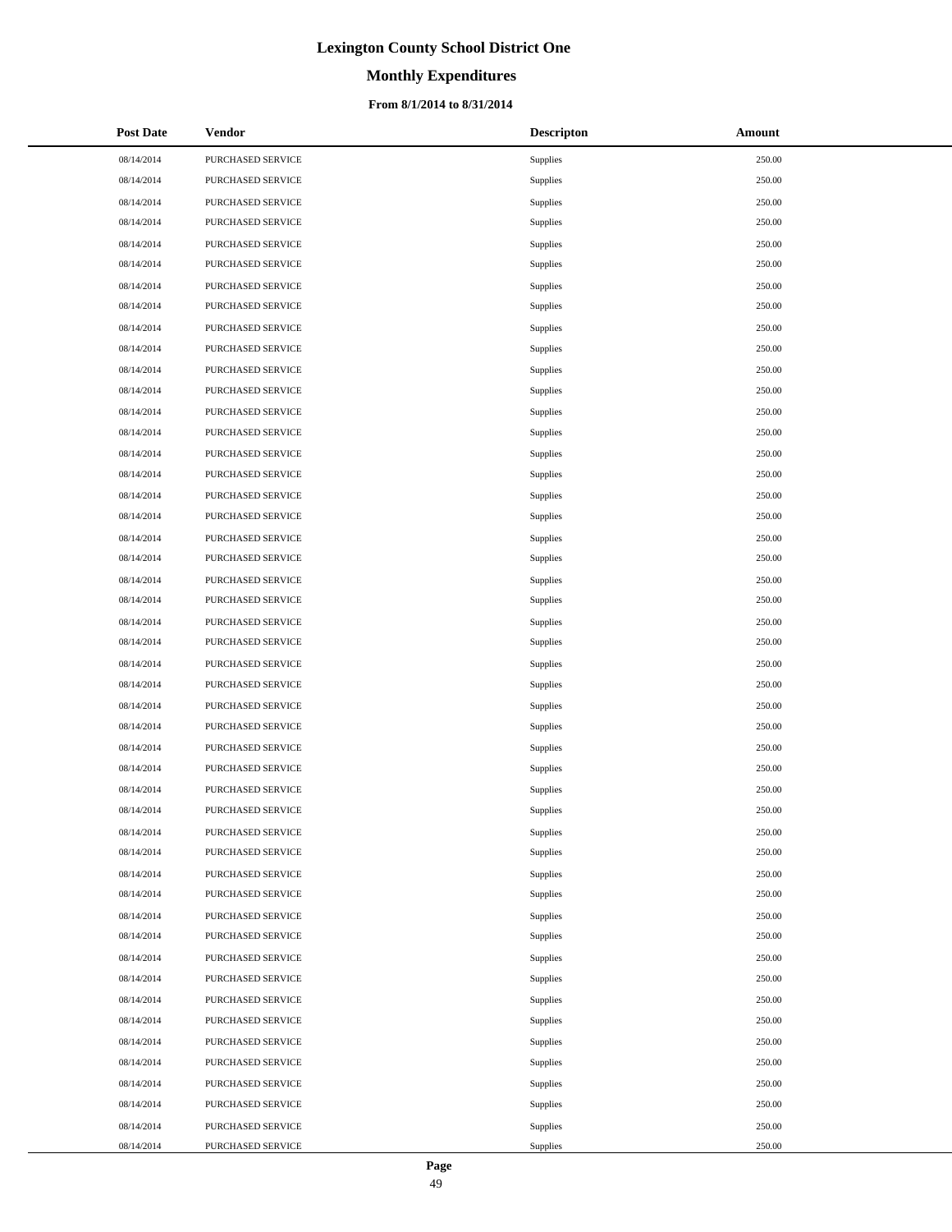# **Monthly Expenditures**

#### **From 8/1/2014 to 8/31/2014**

| <b>Post Date</b> | <b>Vendor</b>     | <b>Descripton</b> | Amount |
|------------------|-------------------|-------------------|--------|
| 08/14/2014       | PURCHASED SERVICE | Supplies          | 250.00 |
| 08/14/2014       | PURCHASED SERVICE | Supplies          | 250.00 |
| 08/14/2014       | PURCHASED SERVICE | Supplies          | 250.00 |
| 08/14/2014       | PURCHASED SERVICE | Supplies          | 250.00 |
| 08/14/2014       | PURCHASED SERVICE | Supplies          | 250.00 |
| 08/14/2014       | PURCHASED SERVICE | Supplies          | 250.00 |
| 08/14/2014       | PURCHASED SERVICE | Supplies          | 250.00 |
| 08/14/2014       | PURCHASED SERVICE | Supplies          | 250.00 |
| 08/14/2014       | PURCHASED SERVICE | Supplies          | 250.00 |
| 08/14/2014       | PURCHASED SERVICE | Supplies          | 250.00 |
| 08/14/2014       | PURCHASED SERVICE | Supplies          | 250.00 |
| 08/14/2014       | PURCHASED SERVICE | Supplies          | 250.00 |
| 08/14/2014       | PURCHASED SERVICE | Supplies          | 250.00 |
| 08/14/2014       | PURCHASED SERVICE | Supplies          | 250.00 |
| 08/14/2014       | PURCHASED SERVICE | Supplies          | 250.00 |
| 08/14/2014       | PURCHASED SERVICE | Supplies          | 250.00 |
| 08/14/2014       | PURCHASED SERVICE | Supplies          | 250.00 |
| 08/14/2014       | PURCHASED SERVICE | Supplies          | 250.00 |
| 08/14/2014       | PURCHASED SERVICE | Supplies          | 250.00 |
| 08/14/2014       | PURCHASED SERVICE | Supplies          | 250.00 |
| 08/14/2014       | PURCHASED SERVICE | Supplies          | 250.00 |
| 08/14/2014       | PURCHASED SERVICE | Supplies          | 250.00 |
| 08/14/2014       | PURCHASED SERVICE | Supplies          | 250.00 |
| 08/14/2014       | PURCHASED SERVICE | Supplies          | 250.00 |
| 08/14/2014       | PURCHASED SERVICE | Supplies          | 250.00 |
| 08/14/2014       | PURCHASED SERVICE | Supplies          | 250.00 |
| 08/14/2014       | PURCHASED SERVICE | Supplies          | 250.00 |
| 08/14/2014       | PURCHASED SERVICE | Supplies          | 250.00 |
| 08/14/2014       | PURCHASED SERVICE | Supplies          | 250.00 |
| 08/14/2014       | PURCHASED SERVICE | Supplies          | 250.00 |
| 08/14/2014       | PURCHASED SERVICE | Supplies          | 250.00 |
| 08/14/2014       | PURCHASED SERVICE | Supplies          | 250.00 |
| 08/14/2014       | PURCHASED SERVICE | Supplies          | 250.00 |
| 08/14/2014       | PURCHASED SERVICE | Supplies          | 250.00 |
| 08/14/2014       | PURCHASED SERVICE | Supplies          | 250.00 |
| 08/14/2014       | PURCHASED SERVICE | Supplies          | 250.00 |
| 08/14/2014       | PURCHASED SERVICE | Supplies          | 250.00 |
| 08/14/2014       | PURCHASED SERVICE | Supplies          | 250.00 |
| 08/14/2014       | PURCHASED SERVICE | Supplies          | 250.00 |
| 08/14/2014       | PURCHASED SERVICE | Supplies          | 250.00 |
| 08/14/2014       | PURCHASED SERVICE | Supplies          | 250.00 |
| 08/14/2014       | PURCHASED SERVICE | Supplies          | 250.00 |
| 08/14/2014       | PURCHASED SERVICE | Supplies          | 250.00 |
| 08/14/2014       | PURCHASED SERVICE | Supplies          | 250.00 |
| 08/14/2014       | PURCHASED SERVICE | Supplies          | 250.00 |
| 08/14/2014       | PURCHASED SERVICE | Supplies          | 250.00 |
| 08/14/2014       | PURCHASED SERVICE | Supplies          | 250.00 |
| 08/14/2014       | PURCHASED SERVICE | Supplies          | 250.00 |

 $\overline{a}$ 

 $\overline{\phantom{0}}$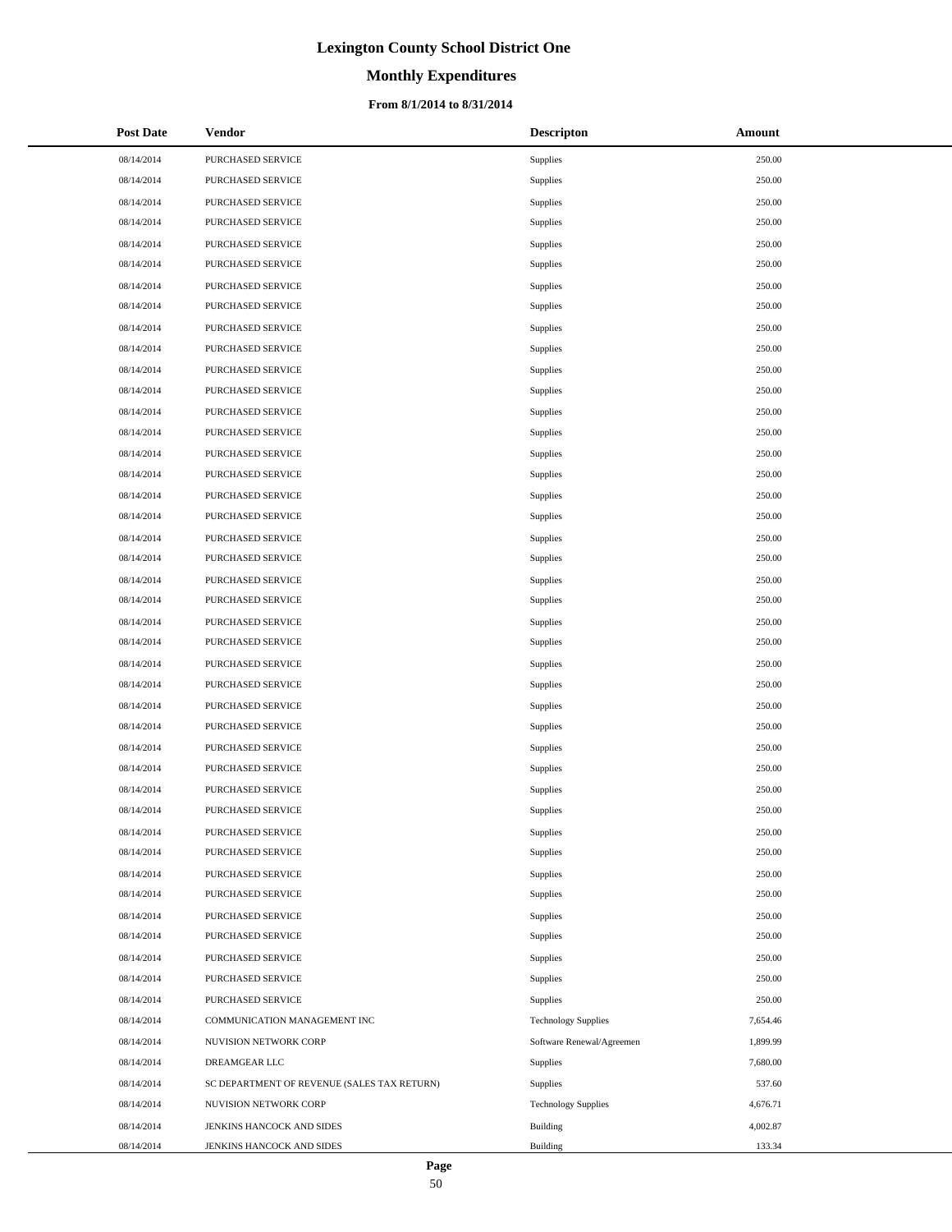# **Monthly Expenditures**

#### **From 8/1/2014 to 8/31/2014**

| <b>Post Date</b> | Vendor                                      | <b>Descripton</b>          | Amount   |
|------------------|---------------------------------------------|----------------------------|----------|
| 08/14/2014       | PURCHASED SERVICE                           | Supplies                   | 250.00   |
| 08/14/2014       | PURCHASED SERVICE                           | Supplies                   | 250.00   |
| 08/14/2014       | PURCHASED SERVICE                           | Supplies                   | 250.00   |
| 08/14/2014       | PURCHASED SERVICE                           | Supplies                   | 250.00   |
| 08/14/2014       | PURCHASED SERVICE                           | Supplies                   | 250.00   |
| 08/14/2014       | PURCHASED SERVICE                           | Supplies                   | 250.00   |
| 08/14/2014       | PURCHASED SERVICE                           | Supplies                   | 250.00   |
| 08/14/2014       | PURCHASED SERVICE                           | Supplies                   | 250.00   |
| 08/14/2014       | PURCHASED SERVICE                           | Supplies                   | 250.00   |
| 08/14/2014       | PURCHASED SERVICE                           | Supplies                   | 250.00   |
| 08/14/2014       | PURCHASED SERVICE                           | Supplies                   | 250.00   |
| 08/14/2014       | PURCHASED SERVICE                           | Supplies                   | 250.00   |
| 08/14/2014       | PURCHASED SERVICE                           | Supplies                   | 250.00   |
| 08/14/2014       | PURCHASED SERVICE                           | Supplies                   | 250.00   |
| 08/14/2014       | PURCHASED SERVICE                           | Supplies                   | 250.00   |
| 08/14/2014       | PURCHASED SERVICE                           | Supplies                   | 250.00   |
| 08/14/2014       | PURCHASED SERVICE                           | Supplies                   | 250.00   |
| 08/14/2014       | PURCHASED SERVICE                           | <b>Supplies</b>            | 250.00   |
| 08/14/2014       | PURCHASED SERVICE                           | Supplies                   | 250.00   |
| 08/14/2014       | PURCHASED SERVICE                           | Supplies                   | 250.00   |
| 08/14/2014       | PURCHASED SERVICE                           | Supplies                   | 250.00   |
| 08/14/2014       | PURCHASED SERVICE                           | Supplies                   | 250.00   |
| 08/14/2014       | PURCHASED SERVICE                           | Supplies                   | 250.00   |
| 08/14/2014       | PURCHASED SERVICE                           | Supplies                   | 250.00   |
| 08/14/2014       | PURCHASED SERVICE                           | Supplies                   | 250.00   |
| 08/14/2014       | PURCHASED SERVICE                           | <b>Supplies</b>            | 250.00   |
| 08/14/2014       | PURCHASED SERVICE                           | Supplies                   | 250.00   |
| 08/14/2014       | PURCHASED SERVICE                           | Supplies                   | 250.00   |
| 08/14/2014       | PURCHASED SERVICE                           | Supplies                   | 250.00   |
| 08/14/2014       | PURCHASED SERVICE                           | Supplies                   | 250.00   |
| 08/14/2014       | PURCHASED SERVICE                           | Supplies                   | 250.00   |
| 08/14/2014       | PURCHASED SERVICE                           | Supplies                   | 250.00   |
| 08/14/2014       | PURCHASED SERVICE                           | Supplies                   | 250.00   |
| 08/14/2014       | PURCHASED SERVICE                           | Supplies                   | 250.00   |
| 08/14/2014       | PURCHASED SERVICE                           | Supplies                   | 250.00   |
| 08/14/2014       | PURCHASED SERVICE                           | Supplies                   | 250.00   |
| 08/14/2014       | PURCHASED SERVICE                           | Supplies                   | 250.00   |
| 08/14/2014       | PURCHASED SERVICE                           | Supplies                   | 250.00   |
| 08/14/2014       | PURCHASED SERVICE                           | Supplies                   | 250.00   |
| 08/14/2014       | PURCHASED SERVICE                           | Supplies                   | 250.00   |
| 08/14/2014       | PURCHASED SERVICE                           | Supplies                   | 250.00   |
| 08/14/2014       | COMMUNICATION MANAGEMENT INC                | <b>Technology Supplies</b> | 7,654.46 |
| 08/14/2014       | NUVISION NETWORK CORP                       | Software Renewal/Agreemen  | 1,899.99 |
| 08/14/2014       | DREAMGEAR LLC                               | Supplies                   | 7,680.00 |
| 08/14/2014       | SC DEPARTMENT OF REVENUE (SALES TAX RETURN) | Supplies                   | 537.60   |
| 08/14/2014       | NUVISION NETWORK CORP                       | <b>Technology Supplies</b> | 4,676.71 |
| 08/14/2014       | JENKINS HANCOCK AND SIDES                   | <b>Building</b>            | 4,002.87 |
| 08/14/2014       | JENKINS HANCOCK AND SIDES                   | <b>Building</b>            | 133.34   |

 $\overline{a}$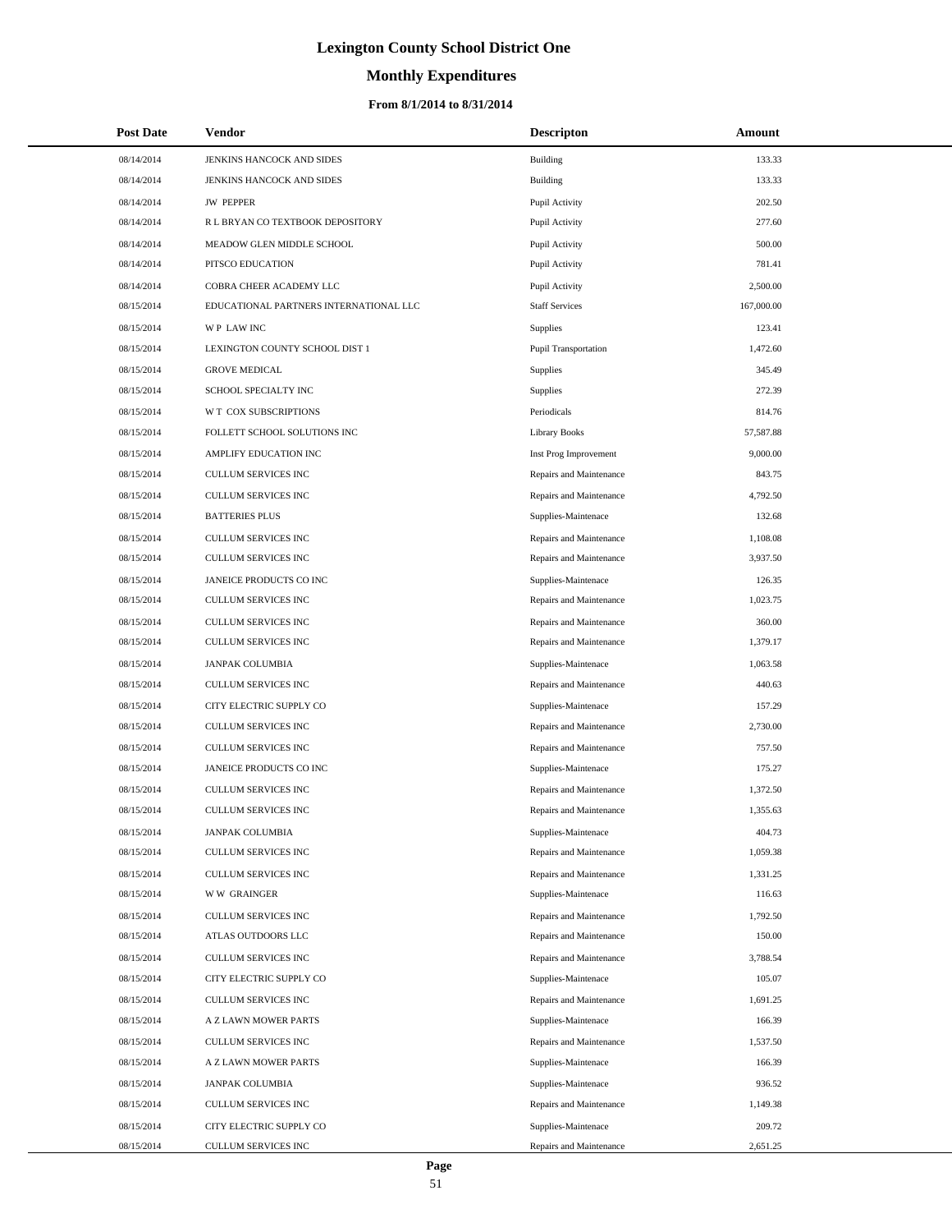# **Monthly Expenditures**

#### **From 8/1/2014 to 8/31/2014**

| <b>Post Date</b> | Vendor                                 | <b>Descripton</b>       | Amount     |
|------------------|----------------------------------------|-------------------------|------------|
| 08/14/2014       | JENKINS HANCOCK AND SIDES              | Building                | 133.33     |
| 08/14/2014       | JENKINS HANCOCK AND SIDES              | Building                | 133.33     |
| 08/14/2014       | <b>JW PEPPER</b>                       | Pupil Activity          | 202.50     |
| 08/14/2014       | R L BRYAN CO TEXTBOOK DEPOSITORY       | Pupil Activity          | 277.60     |
| 08/14/2014       | MEADOW GLEN MIDDLE SCHOOL              | Pupil Activity          | 500.00     |
| 08/14/2014       | PITSCO EDUCATION                       | Pupil Activity          | 781.41     |
| 08/14/2014       | COBRA CHEER ACADEMY LLC                | Pupil Activity          | 2,500.00   |
| 08/15/2014       | EDUCATIONAL PARTNERS INTERNATIONAL LLC | <b>Staff Services</b>   | 167,000.00 |
| 08/15/2014       | <b>WP LAWINC</b>                       | Supplies                | 123.41     |
| 08/15/2014       | LEXINGTON COUNTY SCHOOL DIST 1         | Pupil Transportation    | 1,472.60   |
| 08/15/2014       | <b>GROVE MEDICAL</b>                   | Supplies                | 345.49     |
| 08/15/2014       | SCHOOL SPECIALTY INC                   | Supplies                | 272.39     |
| 08/15/2014       | W T COX SUBSCRIPTIONS                  | Periodicals             | 814.76     |
| 08/15/2014       | FOLLETT SCHOOL SOLUTIONS INC           | <b>Library Books</b>    | 57,587.88  |
| 08/15/2014       | AMPLIFY EDUCATION INC                  | Inst Prog Improvement   | 9,000.00   |
| 08/15/2014       | CULLUM SERVICES INC                    | Repairs and Maintenance | 843.75     |
| 08/15/2014       | <b>CULLUM SERVICES INC</b>             | Repairs and Maintenance | 4,792.50   |
| 08/15/2014       | <b>BATTERIES PLUS</b>                  | Supplies-Maintenace     | 132.68     |
| 08/15/2014       | CULLUM SERVICES INC                    | Repairs and Maintenance | 1,108.08   |
| 08/15/2014       | CULLUM SERVICES INC                    | Repairs and Maintenance | 3,937.50   |
| 08/15/2014       | JANEICE PRODUCTS CO INC                | Supplies-Maintenace     | 126.35     |
| 08/15/2014       | CULLUM SERVICES INC                    | Repairs and Maintenance | 1,023.75   |
| 08/15/2014       | CULLUM SERVICES INC                    | Repairs and Maintenance | 360.00     |
| 08/15/2014       | CULLUM SERVICES INC                    | Repairs and Maintenance | 1,379.17   |
| 08/15/2014       | <b>JANPAK COLUMBIA</b>                 | Supplies-Maintenace     | 1,063.58   |
| 08/15/2014       | CULLUM SERVICES INC                    | Repairs and Maintenance | 440.63     |
| 08/15/2014       | CITY ELECTRIC SUPPLY CO                | Supplies-Maintenace     | 157.29     |
| 08/15/2014       | CULLUM SERVICES INC                    | Repairs and Maintenance | 2,730.00   |
| 08/15/2014       | CULLUM SERVICES INC                    | Repairs and Maintenance | 757.50     |
| 08/15/2014       | JANEICE PRODUCTS CO INC                | Supplies-Maintenace     | 175.27     |
| 08/15/2014       | CULLUM SERVICES INC                    | Repairs and Maintenance | 1,372.50   |
| 08/15/2014       | <b>CULLUM SERVICES INC</b>             | Repairs and Maintenance | 1,355.63   |
| 08/15/2014       | JANPAK COLUMBIA                        | Supplies-Maintenace     | 404.73     |
| 08/15/2014       | CULLUM SERVICES INC                    | Repairs and Maintenance | 1,059.38   |
| 08/15/2014       | CULLUM SERVICES INC                    | Repairs and Maintenance | 1,331.25   |
| 08/15/2014       | <b>WW GRAINGER</b>                     | Supplies-Maintenace     | 116.63     |
| 08/15/2014       | CULLUM SERVICES INC                    | Repairs and Maintenance | 1,792.50   |
| 08/15/2014       | ATLAS OUTDOORS LLC                     | Repairs and Maintenance | 150.00     |
| 08/15/2014       | CULLUM SERVICES INC                    | Repairs and Maintenance | 3,788.54   |
| 08/15/2014       | CITY ELECTRIC SUPPLY CO                | Supplies-Maintenace     | 105.07     |
| 08/15/2014       | <b>CULLUM SERVICES INC</b>             | Repairs and Maintenance | 1,691.25   |
| 08/15/2014       | A Z LAWN MOWER PARTS                   | Supplies-Maintenace     | 166.39     |
| 08/15/2014       | CULLUM SERVICES INC                    | Repairs and Maintenance | 1,537.50   |
| 08/15/2014       | A Z LAWN MOWER PARTS                   | Supplies-Maintenace     | 166.39     |
| 08/15/2014       | <b>JANPAK COLUMBIA</b>                 | Supplies-Maintenace     | 936.52     |
| 08/15/2014       | CULLUM SERVICES INC                    | Repairs and Maintenance | 1,149.38   |
| 08/15/2014       | CITY ELECTRIC SUPPLY CO                | Supplies-Maintenace     | 209.72     |
| 08/15/2014       | CULLUM SERVICES INC                    | Repairs and Maintenance | 2,651.25   |

 $\overline{\phantom{0}}$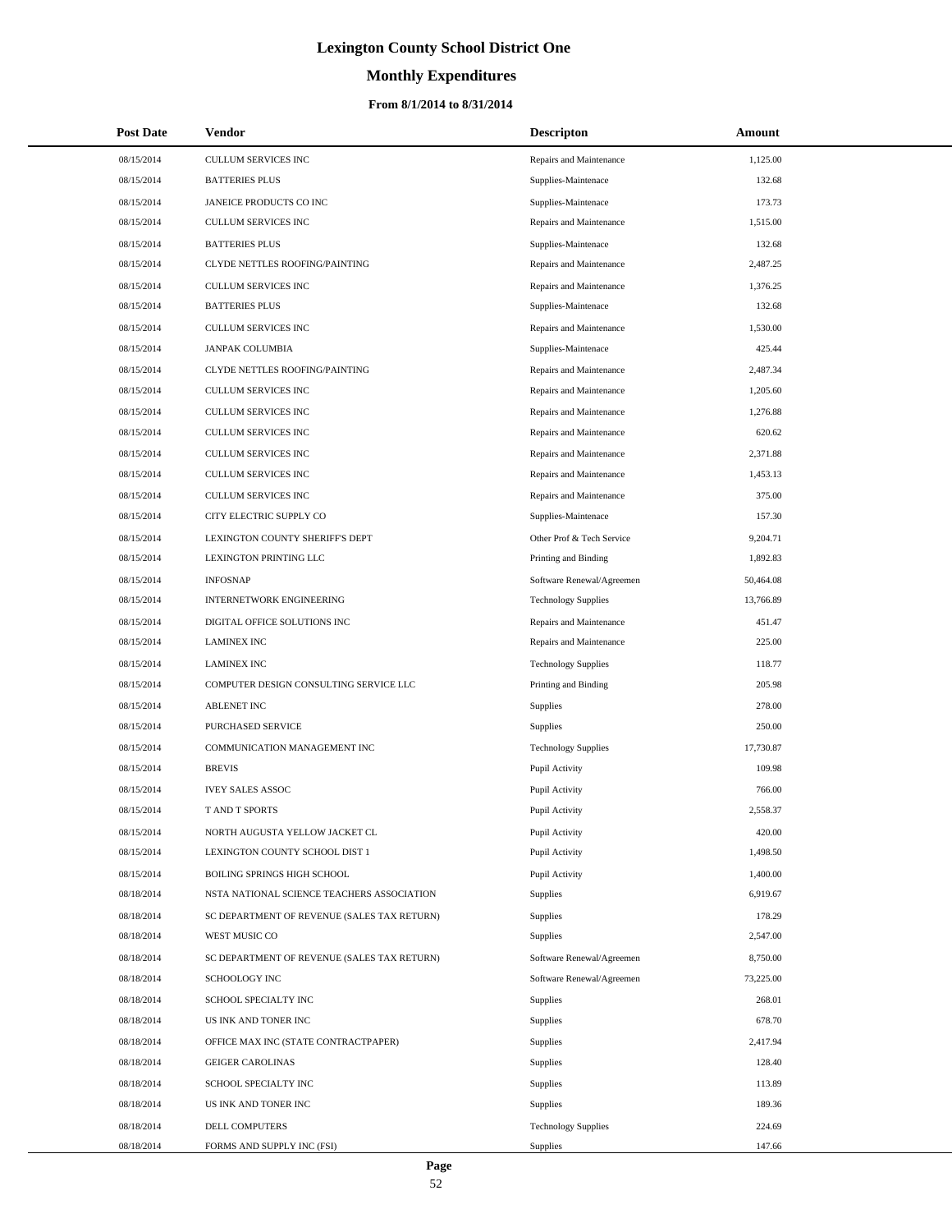# **Monthly Expenditures**

#### **From 8/1/2014 to 8/31/2014**

| <b>Post Date</b> | <b>Vendor</b>                               | <b>Descripton</b>          | Amount    |
|------------------|---------------------------------------------|----------------------------|-----------|
| 08/15/2014       | CULLUM SERVICES INC                         | Repairs and Maintenance    | 1,125.00  |
| 08/15/2014       | <b>BATTERIES PLUS</b>                       | Supplies-Maintenace        | 132.68    |
| 08/15/2014       | JANEICE PRODUCTS CO INC                     | Supplies-Maintenace        | 173.73    |
| 08/15/2014       | CULLUM SERVICES INC                         | Repairs and Maintenance    | 1,515.00  |
| 08/15/2014       | <b>BATTERIES PLUS</b>                       | Supplies-Maintenace        | 132.68    |
| 08/15/2014       | CLYDE NETTLES ROOFING/PAINTING              | Repairs and Maintenance    | 2,487.25  |
| 08/15/2014       | <b>CULLUM SERVICES INC</b>                  | Repairs and Maintenance    | 1,376.25  |
| 08/15/2014       | <b>BATTERIES PLUS</b>                       | Supplies-Maintenace        | 132.68    |
| 08/15/2014       | <b>CULLUM SERVICES INC</b>                  | Repairs and Maintenance    | 1,530.00  |
| 08/15/2014       | JANPAK COLUMBIA                             | Supplies-Maintenace        | 425.44    |
| 08/15/2014       | <b>CLYDE NETTLES ROOFING/PAINTING</b>       | Repairs and Maintenance    | 2,487.34  |
| 08/15/2014       | <b>CULLUM SERVICES INC</b>                  | Repairs and Maintenance    | 1,205.60  |
| 08/15/2014       | <b>CULLUM SERVICES INC</b>                  | Repairs and Maintenance    | 1,276.88  |
| 08/15/2014       | CULLUM SERVICES INC                         | Repairs and Maintenance    | 620.62    |
| 08/15/2014       | <b>CULLUM SERVICES INC</b>                  | Repairs and Maintenance    | 2,371.88  |
| 08/15/2014       | CULLUM SERVICES INC                         | Repairs and Maintenance    | 1,453.13  |
| 08/15/2014       | CULLUM SERVICES INC                         | Repairs and Maintenance    | 375.00    |
| 08/15/2014       | CITY ELECTRIC SUPPLY CO                     | Supplies-Maintenace        | 157.30    |
| 08/15/2014       | LEXINGTON COUNTY SHERIFF'S DEPT             | Other Prof & Tech Service  | 9,204.71  |
| 08/15/2014       | LEXINGTON PRINTING LLC                      | Printing and Binding       | 1,892.83  |
| 08/15/2014       | <b>INFOSNAP</b>                             | Software Renewal/Agreemen  | 50,464.08 |
| 08/15/2014       | <b>INTERNETWORK ENGINEERING</b>             | <b>Technology Supplies</b> | 13,766.89 |
| 08/15/2014       | DIGITAL OFFICE SOLUTIONS INC                | Repairs and Maintenance    | 451.47    |
| 08/15/2014       | <b>LAMINEX INC</b>                          | Repairs and Maintenance    | 225.00    |
| 08/15/2014       | <b>LAMINEX INC</b>                          | <b>Technology Supplies</b> | 118.77    |
| 08/15/2014       | COMPUTER DESIGN CONSULTING SERVICE LLC      | Printing and Binding       | 205.98    |
| 08/15/2014       | <b>ABLENET INC</b>                          | Supplies                   | 278.00    |
| 08/15/2014       | PURCHASED SERVICE                           | <b>Supplies</b>            | 250.00    |
| 08/15/2014       | COMMUNICATION MANAGEMENT INC                | <b>Technology Supplies</b> | 17,730.87 |
| 08/15/2014       | <b>BREVIS</b>                               | Pupil Activity             | 109.98    |
| 08/15/2014       | <b>IVEY SALES ASSOC</b>                     | Pupil Activity             | 766.00    |
| 08/15/2014       | T AND T SPORTS                              | Pupil Activity             | 2,558.37  |
| 08/15/2014       | NORTH AUGUSTA YELLOW JACKET CL              | Pupil Activity             | 420.00    |
| 08/15/2014       | LEXINGTON COUNTY SCHOOL DIST 1              | Pupil Activity             | 1,498.50  |
| 08/15/2014       | BOILING SPRINGS HIGH SCHOOL                 | Pupil Activity             | 1,400.00  |
| 08/18/2014       | NSTA NATIONAL SCIENCE TEACHERS ASSOCIATION  | Supplies                   | 6,919.67  |
| 08/18/2014       | SC DEPARTMENT OF REVENUE (SALES TAX RETURN) | Supplies                   | 178.29    |
| 08/18/2014       | WEST MUSIC CO                               | Supplies                   | 2,547.00  |
| 08/18/2014       | SC DEPARTMENT OF REVENUE (SALES TAX RETURN) | Software Renewal/Agreemen  | 8,750.00  |
| 08/18/2014       | <b>SCHOOLOGY INC</b>                        | Software Renewal/Agreemen  | 73,225.00 |
| 08/18/2014       | SCHOOL SPECIALTY INC                        | Supplies                   | 268.01    |
| 08/18/2014       | US INK AND TONER INC                        | Supplies                   | 678.70    |
| 08/18/2014       | OFFICE MAX INC (STATE CONTRACTPAPER)        | Supplies                   | 2,417.94  |
| 08/18/2014       | <b>GEIGER CAROLINAS</b>                     | Supplies                   | 128.40    |
| 08/18/2014       | SCHOOL SPECIALTY INC                        | Supplies                   | 113.89    |
| 08/18/2014       | US INK AND TONER INC                        | Supplies                   | 189.36    |
| 08/18/2014       | DELL COMPUTERS                              | <b>Technology Supplies</b> | 224.69    |
| 08/18/2014       | FORMS AND SUPPLY INC (FSI)                  | Supplies                   | 147.66    |

 $\overline{a}$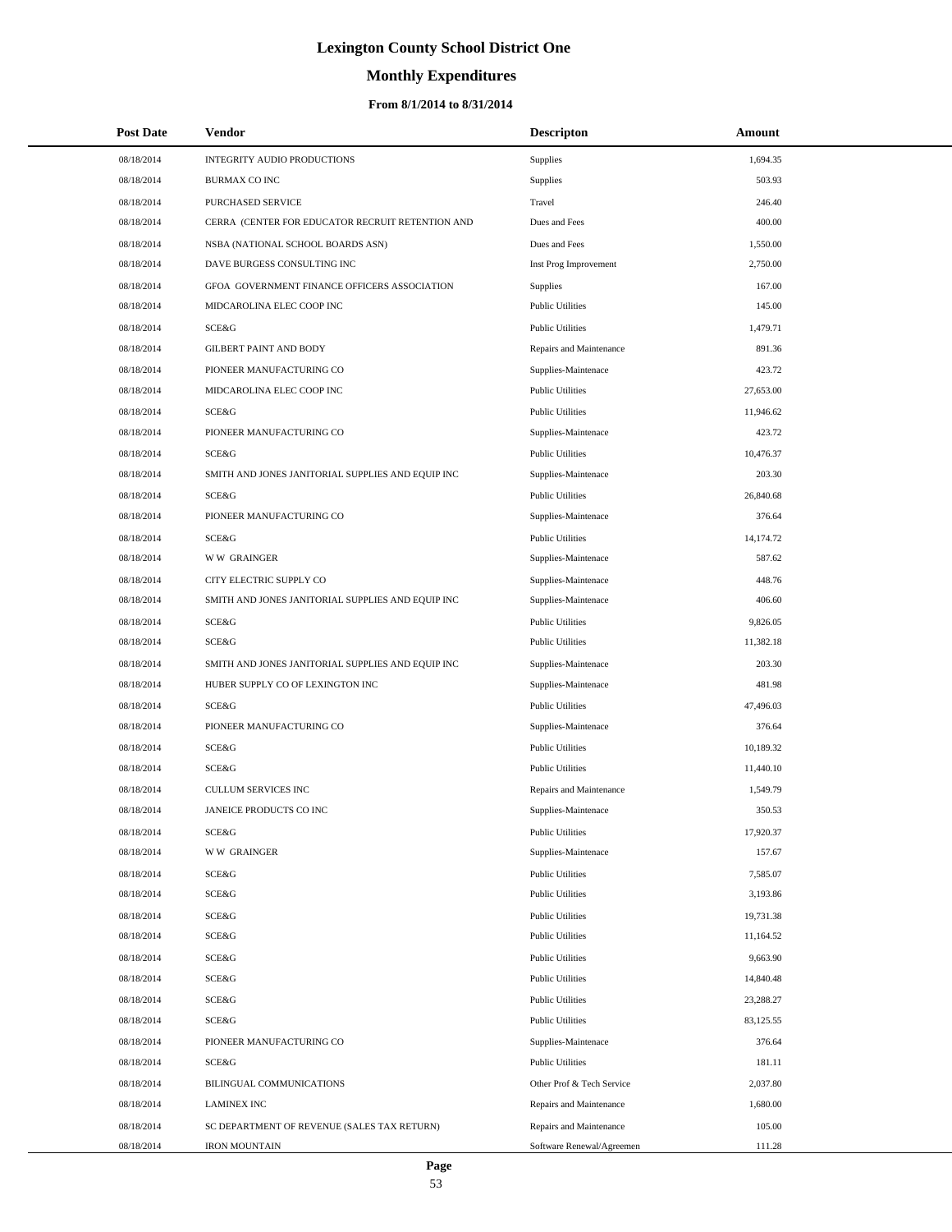# **Monthly Expenditures**

#### **From 8/1/2014 to 8/31/2014**

| <b>Post Date</b> | Vendor                                            | <b>Descripton</b>         | Amount    |
|------------------|---------------------------------------------------|---------------------------|-----------|
| 08/18/2014       | INTEGRITY AUDIO PRODUCTIONS                       | <b>Supplies</b>           | 1,694.35  |
| 08/18/2014       | <b>BURMAX CO INC</b>                              | Supplies                  | 503.93    |
| 08/18/2014       | PURCHASED SERVICE                                 | Travel                    | 246.40    |
| 08/18/2014       | CERRA (CENTER FOR EDUCATOR RECRUIT RETENTION AND  | Dues and Fees             | 400.00    |
| 08/18/2014       | NSBA (NATIONAL SCHOOL BOARDS ASN)                 | Dues and Fees             | 1,550.00  |
| 08/18/2014       | DAVE BURGESS CONSULTING INC                       | Inst Prog Improvement     | 2,750.00  |
| 08/18/2014       | GFOA GOVERNMENT FINANCE OFFICERS ASSOCIATION      | Supplies                  | 167.00    |
| 08/18/2014       | MIDCAROLINA ELEC COOP INC                         | <b>Public Utilities</b>   | 145.00    |
| 08/18/2014       | SCE&G                                             | <b>Public Utilities</b>   | 1,479.71  |
| 08/18/2014       | <b>GILBERT PAINT AND BODY</b>                     | Repairs and Maintenance   | 891.36    |
| 08/18/2014       | PIONEER MANUFACTURING CO                          | Supplies-Maintenace       | 423.72    |
| 08/18/2014       | MIDCAROLINA ELEC COOP INC                         | <b>Public Utilities</b>   | 27,653.00 |
| 08/18/2014       | SCE&G                                             | <b>Public Utilities</b>   | 11,946.62 |
| 08/18/2014       | PIONEER MANUFACTURING CO                          | Supplies-Maintenace       | 423.72    |
| 08/18/2014       | SCE&G                                             | <b>Public Utilities</b>   | 10,476.37 |
| 08/18/2014       | SMITH AND JONES JANITORIAL SUPPLIES AND EQUIP INC | Supplies-Maintenace       | 203.30    |
| 08/18/2014       | SCE&G                                             | <b>Public Utilities</b>   | 26,840.68 |
| 08/18/2014       | PIONEER MANUFACTURING CO                          | Supplies-Maintenace       | 376.64    |
| 08/18/2014       | <b>SCE&amp;G</b>                                  | <b>Public Utilities</b>   | 14,174.72 |
| 08/18/2014       | <b>WW GRAINGER</b>                                | Supplies-Maintenace       | 587.62    |
| 08/18/2014       | CITY ELECTRIC SUPPLY CO                           | Supplies-Maintenace       | 448.76    |
| 08/18/2014       | SMITH AND JONES JANITORIAL SUPPLIES AND EQUIP INC | Supplies-Maintenace       | 406.60    |
| 08/18/2014       | SCE&G                                             | <b>Public Utilities</b>   | 9,826.05  |
| 08/18/2014       | <b>SCE&amp;G</b>                                  | <b>Public Utilities</b>   | 11,382.18 |
| 08/18/2014       | SMITH AND JONES JANITORIAL SUPPLIES AND EQUIP INC | Supplies-Maintenace       | 203.30    |
| 08/18/2014       | HUBER SUPPLY CO OF LEXINGTON INC                  | Supplies-Maintenace       | 481.98    |
| 08/18/2014       | <b>SCE&amp;G</b>                                  | <b>Public Utilities</b>   | 47,496.03 |
| 08/18/2014       | PIONEER MANUFACTURING CO                          | Supplies-Maintenace       | 376.64    |
| 08/18/2014       | <b>SCE&amp;G</b>                                  | <b>Public Utilities</b>   | 10,189.32 |
| 08/18/2014       | SCE&G                                             | <b>Public Utilities</b>   | 11,440.10 |
| 08/18/2014       | <b>CULLUM SERVICES INC</b>                        | Repairs and Maintenance   | 1,549.79  |
| 08/18/2014       | JANEICE PRODUCTS CO INC                           | Supplies-Maintenace       | 350.53    |
| 08/18/2014       | SCE&G                                             | <b>Public Utilities</b>   | 17,920.37 |
| 08/18/2014       | <b>WW GRAINGER</b>                                | Supplies-Maintenace       | 157.67    |
| 08/18/2014       | SCE&G                                             | <b>Public Utilities</b>   | 7,585.07  |
| 08/18/2014       | SCE&G                                             | <b>Public Utilities</b>   | 3,193.86  |
| 08/18/2014       | <b>SCE&amp;G</b>                                  | <b>Public Utilities</b>   | 19,731.38 |
| 08/18/2014       | SCE&G                                             | <b>Public Utilities</b>   | 11,164.52 |
| 08/18/2014       | <b>SCE&amp;G</b>                                  | <b>Public Utilities</b>   | 9,663.90  |
| 08/18/2014       | SCE&G                                             | <b>Public Utilities</b>   | 14,840.48 |
| 08/18/2014       | SCE&G                                             | <b>Public Utilities</b>   | 23,288.27 |
| 08/18/2014       | <b>SCE&amp;G</b>                                  | <b>Public Utilities</b>   | 83,125.55 |
| 08/18/2014       | PIONEER MANUFACTURING CO                          | Supplies-Maintenace       | 376.64    |
| 08/18/2014       | SCE&G                                             | <b>Public Utilities</b>   | 181.11    |
| 08/18/2014       | BILINGUAL COMMUNICATIONS                          | Other Prof & Tech Service | 2,037.80  |
| 08/18/2014       | <b>LAMINEX INC</b>                                | Repairs and Maintenance   | 1,680.00  |
| 08/18/2014       | SC DEPARTMENT OF REVENUE (SALES TAX RETURN)       | Repairs and Maintenance   | 105.00    |
| 08/18/2014       | <b>IRON MOUNTAIN</b>                              | Software Renewal/Agreemen | 111.28    |

L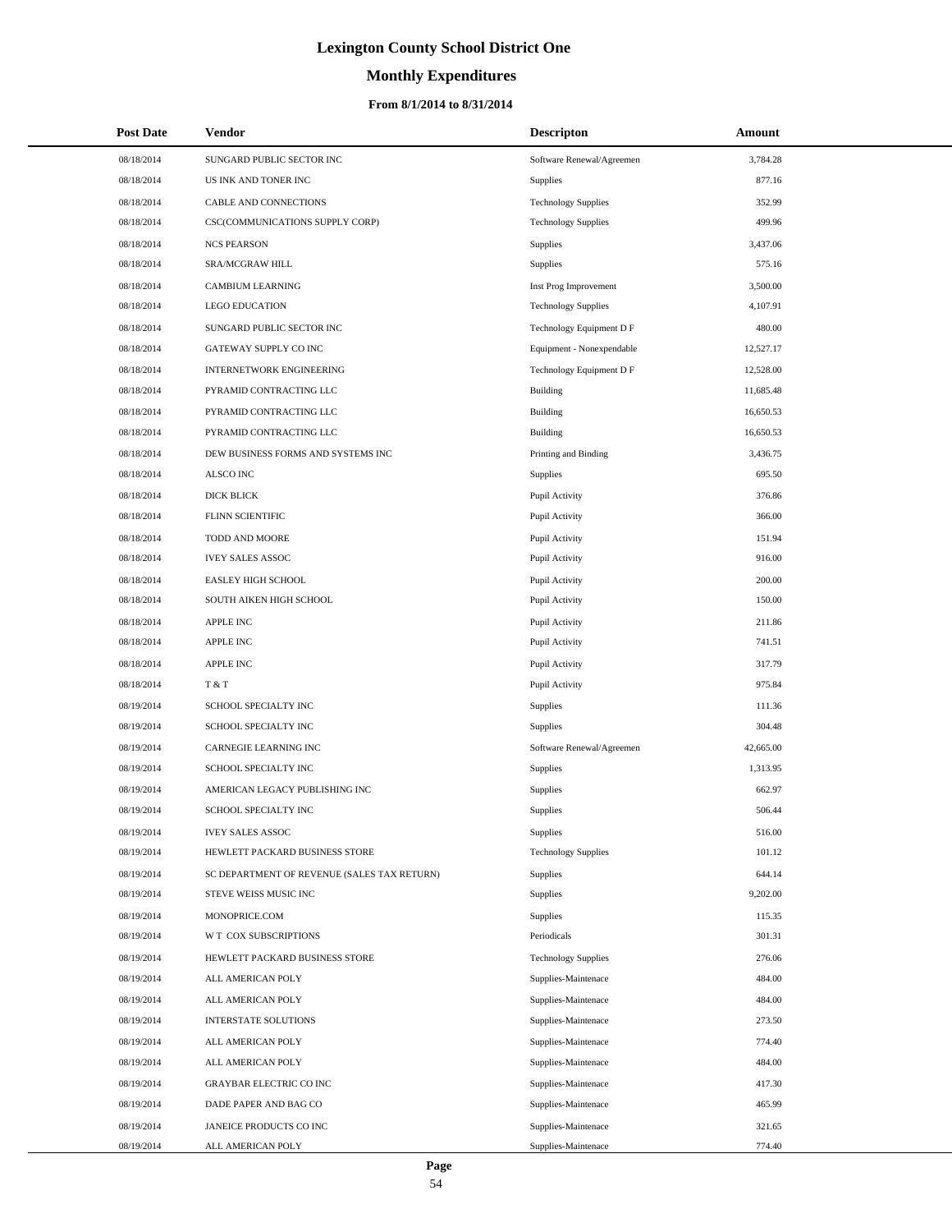# **Monthly Expenditures**

#### **From 8/1/2014 to 8/31/2014**

| <b>Post Date</b> | Vendor                                      | <b>Descripton</b>          | Amount    |
|------------------|---------------------------------------------|----------------------------|-----------|
| 08/18/2014       | SUNGARD PUBLIC SECTOR INC                   | Software Renewal/Agreemen  | 3,784.28  |
| 08/18/2014       | US INK AND TONER INC                        | Supplies                   | 877.16    |
| 08/18/2014       | CABLE AND CONNECTIONS                       | <b>Technology Supplies</b> | 352.99    |
| 08/18/2014       | CSC(COMMUNICATIONS SUPPLY CORP)             | <b>Technology Supplies</b> | 499.96    |
| 08/18/2014       | <b>NCS PEARSON</b>                          | Supplies                   | 3,437.06  |
| 08/18/2014       | SRA/MCGRAW HILL                             | Supplies                   | 575.16    |
| 08/18/2014       | <b>CAMBIUM LEARNING</b>                     | Inst Prog Improvement      | 3,500.00  |
| 08/18/2014       | <b>LEGO EDUCATION</b>                       | <b>Technology Supplies</b> | 4,107.91  |
| 08/18/2014       | SUNGARD PUBLIC SECTOR INC                   | Technology Equipment D F   | 480.00    |
| 08/18/2014       | GATEWAY SUPPLY CO INC                       | Equipment - Nonexpendable  | 12,527.17 |
| 08/18/2014       | <b>INTERNETWORK ENGINEERING</b>             | Technology Equipment D F   | 12,528.00 |
| 08/18/2014       | PYRAMID CONTRACTING LLC                     | <b>Building</b>            | 11,685.48 |
| 08/18/2014       | PYRAMID CONTRACTING LLC                     | <b>Building</b>            | 16,650.53 |
| 08/18/2014       | PYRAMID CONTRACTING LLC                     | <b>Building</b>            | 16,650.53 |
| 08/18/2014       | DEW BUSINESS FORMS AND SYSTEMS INC          | Printing and Binding       | 3,436.75  |
| 08/18/2014       | ALSCO INC                                   | Supplies                   | 695.50    |
| 08/18/2014       | DICK BLICK                                  | Pupil Activity             | 376.86    |
| 08/18/2014       | FLINN SCIENTIFIC                            | Pupil Activity             | 366.00    |
| 08/18/2014       | TODD AND MOORE                              | Pupil Activity             | 151.94    |
| 08/18/2014       | <b>IVEY SALES ASSOC</b>                     | Pupil Activity             | 916.00    |
| 08/18/2014       | EASLEY HIGH SCHOOL                          | Pupil Activity             | 200.00    |
| 08/18/2014       | SOUTH AIKEN HIGH SCHOOL                     | Pupil Activity             | 150.00    |
| 08/18/2014       | <b>APPLE INC</b>                            | Pupil Activity             | 211.86    |
| 08/18/2014       | <b>APPLE INC</b>                            | Pupil Activity             | 741.51    |
| 08/18/2014       | <b>APPLE INC</b>                            | Pupil Activity             | 317.79    |
| 08/18/2014       | T & T                                       | Pupil Activity             | 975.84    |
| 08/19/2014       | SCHOOL SPECIALTY INC                        | Supplies                   | 111.36    |
| 08/19/2014       | SCHOOL SPECIALTY INC                        | Supplies                   | 304.48    |
| 08/19/2014       | CARNEGIE LEARNING INC                       | Software Renewal/Agreemen  | 42,665.00 |
| 08/19/2014       | SCHOOL SPECIALTY INC                        | Supplies                   | 1,313.95  |
| 08/19/2014       | AMERICAN LEGACY PUBLISHING INC              | <b>Supplies</b>            | 662.97    |
| 08/19/2014       | SCHOOL SPECIALTY INC                        | Supplies                   | 506.44    |
| 08/19/2014       | <b>IVEY SALES ASSOC</b>                     | Supplies                   | 516.00    |
| 08/19/2014       | HEWLETT PACKARD BUSINESS STORE              | <b>Technology Supplies</b> | 101.12    |
| 08/19/2014       | SC DEPARTMENT OF REVENUE (SALES TAX RETURN) | <b>Supplies</b>            | 644.14    |
| 08/19/2014       | STEVE WEISS MUSIC INC                       | Supplies                   | 9,202.00  |
| 08/19/2014       | MONOPRICE.COM                               | Supplies                   | 115.35    |
| 08/19/2014       | W T COX SUBSCRIPTIONS                       | Periodicals                | 301.31    |
| 08/19/2014       | HEWLETT PACKARD BUSINESS STORE              | <b>Technology Supplies</b> | 276.06    |
| 08/19/2014       | ALL AMERICAN POLY                           | Supplies-Maintenace        | 484.00    |
| 08/19/2014       | ALL AMERICAN POLY                           | Supplies-Maintenace        | 484.00    |
| 08/19/2014       | INTERSTATE SOLUTIONS                        | Supplies-Maintenace        | 273.50    |
| 08/19/2014       | ALL AMERICAN POLY                           | Supplies-Maintenace        | 774.40    |
| 08/19/2014       | ALL AMERICAN POLY                           | Supplies-Maintenace        | 484.00    |
| 08/19/2014       | <b>GRAYBAR ELECTRIC CO INC</b>              | Supplies-Maintenace        | 417.30    |
| 08/19/2014       | DADE PAPER AND BAG CO                       | Supplies-Maintenace        | 465.99    |
| 08/19/2014       | JANEICE PRODUCTS CO INC                     | Supplies-Maintenace        | 321.65    |
| 08/19/2014       | ALL AMERICAN POLY                           | Supplies-Maintenace        | 774.40    |

L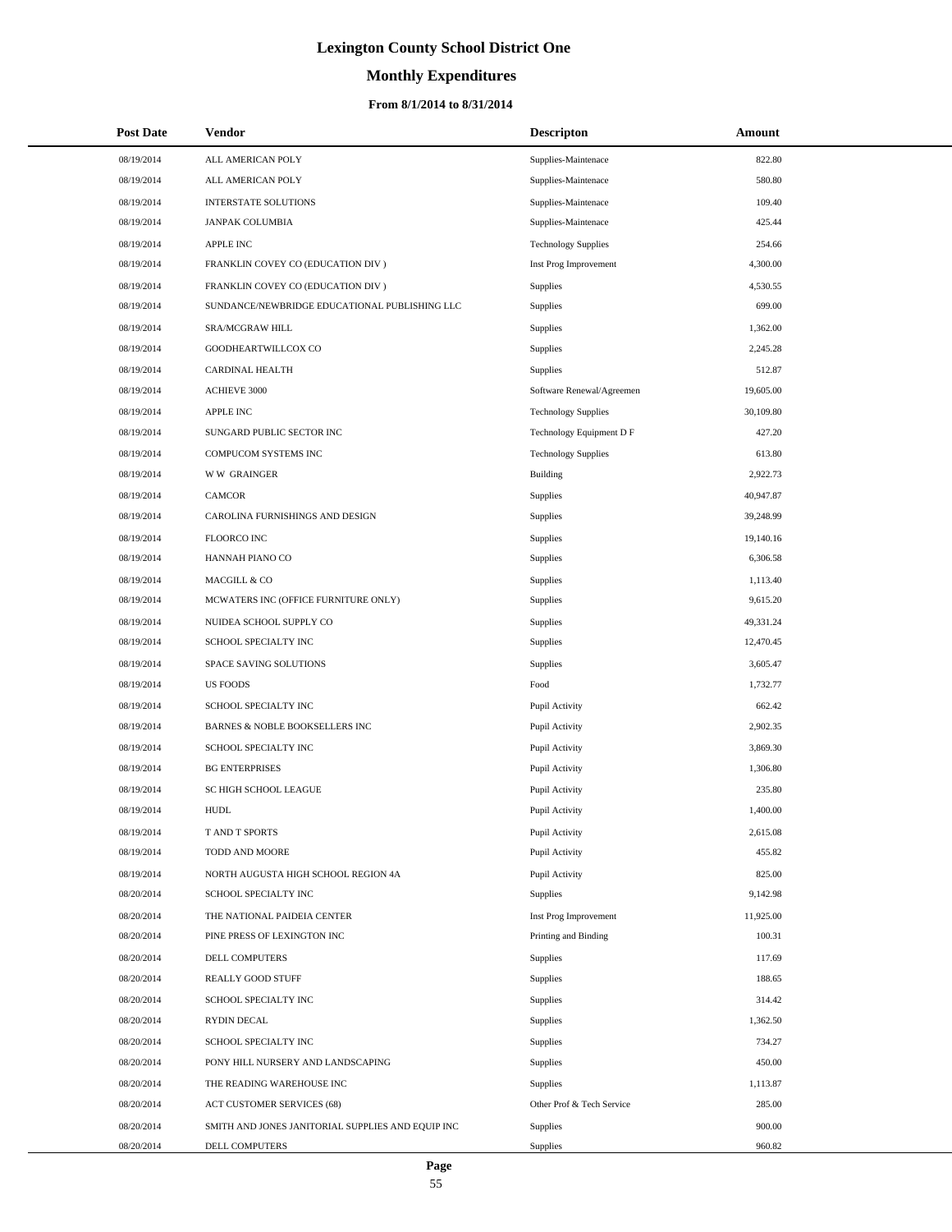# **Monthly Expenditures**

#### **From 8/1/2014 to 8/31/2014**

| <b>Post Date</b> | Vendor                                            | <b>Descripton</b>          | Amount    |
|------------------|---------------------------------------------------|----------------------------|-----------|
| 08/19/2014       | ALL AMERICAN POLY                                 | Supplies-Maintenace        | 822.80    |
| 08/19/2014       | ALL AMERICAN POLY                                 | Supplies-Maintenace        | 580.80    |
| 08/19/2014       | <b>INTERSTATE SOLUTIONS</b>                       | Supplies-Maintenace        | 109.40    |
| 08/19/2014       | <b>JANPAK COLUMBIA</b>                            | Supplies-Maintenace        | 425.44    |
| 08/19/2014       | APPLE INC                                         | <b>Technology Supplies</b> | 254.66    |
| 08/19/2014       | FRANKLIN COVEY CO (EDUCATION DIV)                 | Inst Prog Improvement      | 4,300.00  |
| 08/19/2014       | FRANKLIN COVEY CO (EDUCATION DIV)                 | <b>Supplies</b>            | 4,530.55  |
| 08/19/2014       | SUNDANCE/NEWBRIDGE EDUCATIONAL PUBLISHING LLC     | Supplies                   | 699.00    |
| 08/19/2014       | SRA/MCGRAW HILL                                   | Supplies                   | 1,362.00  |
| 08/19/2014       | GOODHEARTWILLCOX CO                               | Supplies                   | 2,245.28  |
| 08/19/2014       | CARDINAL HEALTH                                   | Supplies                   | 512.87    |
| 08/19/2014       | <b>ACHIEVE 3000</b>                               | Software Renewal/Agreemen  | 19,605.00 |
| 08/19/2014       | <b>APPLE INC</b>                                  | <b>Technology Supplies</b> | 30,109.80 |
| 08/19/2014       | SUNGARD PUBLIC SECTOR INC                         | Technology Equipment D F   | 427.20    |
| 08/19/2014       | COMPUCOM SYSTEMS INC                              | <b>Technology Supplies</b> | 613.80    |
| 08/19/2014       | <b>WW GRAINGER</b>                                | <b>Building</b>            | 2,922.73  |
| 08/19/2014       | <b>CAMCOR</b>                                     | Supplies                   | 40,947.87 |
| 08/19/2014       | CAROLINA FURNISHINGS AND DESIGN                   | Supplies                   | 39,248.99 |
| 08/19/2014       | FLOORCO INC                                       | Supplies                   | 19,140.16 |
| 08/19/2014       | HANNAH PIANO CO                                   | Supplies                   | 6,306.58  |
| 08/19/2014       | MACGILL & CO                                      | Supplies                   | 1,113.40  |
| 08/19/2014       | MCWATERS INC (OFFICE FURNITURE ONLY)              | Supplies                   | 9,615.20  |
| 08/19/2014       | NUIDEA SCHOOL SUPPLY CO                           | Supplies                   | 49,331.24 |
| 08/19/2014       | SCHOOL SPECIALTY INC                              | Supplies                   | 12,470.45 |
| 08/19/2014       | SPACE SAVING SOLUTIONS                            | Supplies                   | 3,605.47  |
| 08/19/2014       | <b>US FOODS</b>                                   | Food                       | 1,732.77  |
| 08/19/2014       | SCHOOL SPECIALTY INC                              | Pupil Activity             | 662.42    |
| 08/19/2014       | BARNES & NOBLE BOOKSELLERS INC                    | Pupil Activity             | 2,902.35  |
| 08/19/2014       | SCHOOL SPECIALTY INC                              | Pupil Activity             | 3,869.30  |
| 08/19/2014       | <b>BG ENTERPRISES</b>                             | Pupil Activity             | 1,306.80  |
| 08/19/2014       | SC HIGH SCHOOL LEAGUE                             | Pupil Activity             | 235.80    |
| 08/19/2014       | <b>HUDL</b>                                       | Pupil Activity             | 1,400.00  |
| 08/19/2014       | T AND T SPORTS                                    | Pupil Activity             | 2,615.08  |
| 08/19/2014       | TODD AND MOORE                                    | Pupil Activity             | 455.82    |
| 08/19/2014       | NORTH AUGUSTA HIGH SCHOOL REGION 4A               | Pupil Activity             | 825.00    |
| 08/20/2014       | SCHOOL SPECIALTY INC                              | Supplies                   | 9,142.98  |
| 08/20/2014       | THE NATIONAL PAIDEIA CENTER                       | Inst Prog Improvement      | 11,925.00 |
| 08/20/2014       | PINE PRESS OF LEXINGTON INC                       | Printing and Binding       | 100.31    |
| 08/20/2014       | DELL COMPUTERS                                    | Supplies                   | 117.69    |
| 08/20/2014       | REALLY GOOD STUFF                                 | Supplies                   | 188.65    |
| 08/20/2014       | SCHOOL SPECIALTY INC                              | Supplies                   | 314.42    |
| 08/20/2014       | RYDIN DECAL                                       | Supplies                   | 1,362.50  |
| 08/20/2014       | SCHOOL SPECIALTY INC                              | Supplies                   | 734.27    |
| 08/20/2014       | PONY HILL NURSERY AND LANDSCAPING                 | Supplies                   | 450.00    |
| 08/20/2014       | THE READING WAREHOUSE INC                         | Supplies                   | 1,113.87  |
| 08/20/2014       | ACT CUSTOMER SERVICES (68)                        | Other Prof & Tech Service  | 285.00    |
| 08/20/2014       | SMITH AND JONES JANITORIAL SUPPLIES AND EQUIP INC | Supplies                   | 900.00    |
| 08/20/2014       | DELL COMPUTERS                                    | Supplies                   | 960.82    |

 $\overline{\phantom{0}}$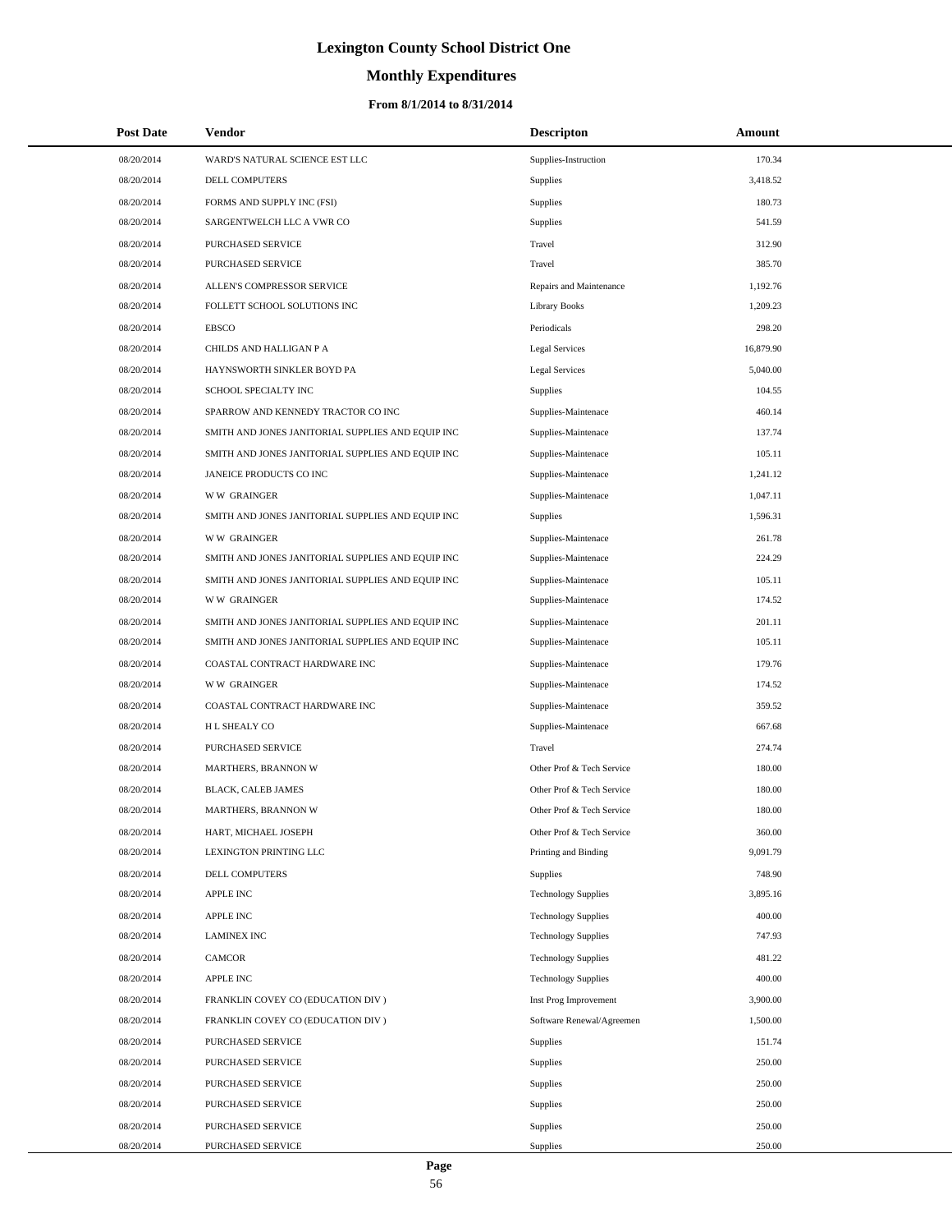# **Monthly Expenditures**

#### **From 8/1/2014 to 8/31/2014**

| <b>Post Date</b> | Vendor                                            | <b>Descripton</b>          | Amount    |  |
|------------------|---------------------------------------------------|----------------------------|-----------|--|
| 08/20/2014       | WARD'S NATURAL SCIENCE EST LLC                    | Supplies-Instruction       | 170.34    |  |
| 08/20/2014       | DELL COMPUTERS                                    | Supplies                   | 3,418.52  |  |
| 08/20/2014       | FORMS AND SUPPLY INC (FSI)                        | Supplies                   | 180.73    |  |
| 08/20/2014       | SARGENTWELCH LLC A VWR CO                         | Supplies                   | 541.59    |  |
| 08/20/2014       | PURCHASED SERVICE                                 | Travel                     | 312.90    |  |
| 08/20/2014       | PURCHASED SERVICE                                 | Travel                     | 385.70    |  |
| 08/20/2014       | ALLEN'S COMPRESSOR SERVICE                        | Repairs and Maintenance    | 1,192.76  |  |
| 08/20/2014       | FOLLETT SCHOOL SOLUTIONS INC                      | <b>Library Books</b>       | 1,209.23  |  |
| 08/20/2014       | <b>EBSCO</b>                                      | Periodicals                | 298.20    |  |
| 08/20/2014       | CHILDS AND HALLIGAN P A                           | <b>Legal Services</b>      | 16,879.90 |  |
| 08/20/2014       | HAYNSWORTH SINKLER BOYD PA                        | <b>Legal Services</b>      | 5,040.00  |  |
| 08/20/2014       | SCHOOL SPECIALTY INC                              | Supplies                   | 104.55    |  |
| 08/20/2014       | SPARROW AND KENNEDY TRACTOR CO INC                | Supplies-Maintenace        | 460.14    |  |
| 08/20/2014       | SMITH AND JONES JANITORIAL SUPPLIES AND EQUIP INC | Supplies-Maintenace        | 137.74    |  |
| 08/20/2014       | SMITH AND JONES JANITORIAL SUPPLIES AND EQUIP INC | Supplies-Maintenace        | 105.11    |  |
| 08/20/2014       | JANEICE PRODUCTS CO INC                           | Supplies-Maintenace        | 1,241.12  |  |
| 08/20/2014       | <b>WW GRAINGER</b>                                | Supplies-Maintenace        | 1.047.11  |  |
| 08/20/2014       | SMITH AND JONES JANITORIAL SUPPLIES AND EQUIP INC | Supplies                   | 1,596.31  |  |
| 08/20/2014       | <b>WW GRAINGER</b>                                | Supplies-Maintenace        | 261.78    |  |
| 08/20/2014       | SMITH AND JONES JANITORIAL SUPPLIES AND EQUIP INC | Supplies-Maintenace        | 224.29    |  |
| 08/20/2014       | SMITH AND JONES JANITORIAL SUPPLIES AND EQUIP INC | Supplies-Maintenace        | 105.11    |  |
| 08/20/2014       | <b>WW GRAINGER</b>                                | Supplies-Maintenace        | 174.52    |  |
| 08/20/2014       | SMITH AND JONES JANITORIAL SUPPLIES AND EQUIP INC | Supplies-Maintenace        | 201.11    |  |
| 08/20/2014       | SMITH AND JONES JANITORIAL SUPPLIES AND EQUIP INC | Supplies-Maintenace        | 105.11    |  |
| 08/20/2014       | COASTAL CONTRACT HARDWARE INC                     | Supplies-Maintenace        | 179.76    |  |
| 08/20/2014       | <b>WW GRAINGER</b>                                | Supplies-Maintenace        | 174.52    |  |
| 08/20/2014       | COASTAL CONTRACT HARDWARE INC                     | Supplies-Maintenace        | 359.52    |  |
| 08/20/2014       | <b>HL SHEALY CO</b>                               | Supplies-Maintenace        | 667.68    |  |
| 08/20/2014       | PURCHASED SERVICE                                 | Travel                     | 274.74    |  |
| 08/20/2014       | <b>MARTHERS, BRANNON W</b>                        | Other Prof & Tech Service  | 180.00    |  |
| 08/20/2014       | <b>BLACK, CALEB JAMES</b>                         | Other Prof & Tech Service  | 180.00    |  |
| 08/20/2014       | <b>MARTHERS, BRANNON W</b>                        | Other Prof & Tech Service  | 180.00    |  |
| 08/20/2014       | HART, MICHAEL JOSEPH                              | Other Prof & Tech Service  | 360.00    |  |
| 08/20/2014       | LEXINGTON PRINTING LLC                            | Printing and Binding       | 9,091.79  |  |
| 08/20/2014       | <b>DELL COMPUTERS</b>                             | Supplies                   | 748.90    |  |
| 08/20/2014       | <b>APPLE INC</b>                                  | <b>Technology Supplies</b> | 3,895.16  |  |
| 08/20/2014       | <b>APPLE INC</b>                                  | <b>Technology Supplies</b> | 400.00    |  |
| 08/20/2014       | <b>LAMINEX INC</b>                                | <b>Technology Supplies</b> | 747.93    |  |
| 08/20/2014       | <b>CAMCOR</b>                                     | <b>Technology Supplies</b> | 481.22    |  |
| 08/20/2014       | <b>APPLE INC</b>                                  | <b>Technology Supplies</b> | 400.00    |  |
| 08/20/2014       | FRANKLIN COVEY CO (EDUCATION DIV)                 | Inst Prog Improvement      | 3,900.00  |  |
| 08/20/2014       | FRANKLIN COVEY CO (EDUCATION DIV)                 | Software Renewal/Agreemen  | 1,500.00  |  |
| 08/20/2014       | PURCHASED SERVICE                                 | Supplies                   | 151.74    |  |
| 08/20/2014       | PURCHASED SERVICE                                 | Supplies                   | 250.00    |  |
| 08/20/2014       | PURCHASED SERVICE                                 | Supplies                   | 250.00    |  |
| 08/20/2014       | PURCHASED SERVICE                                 | Supplies                   | 250.00    |  |
| 08/20/2014       | PURCHASED SERVICE                                 | Supplies                   | 250.00    |  |
| 08/20/2014       | PURCHASED SERVICE                                 | Supplies                   | 250.00    |  |

L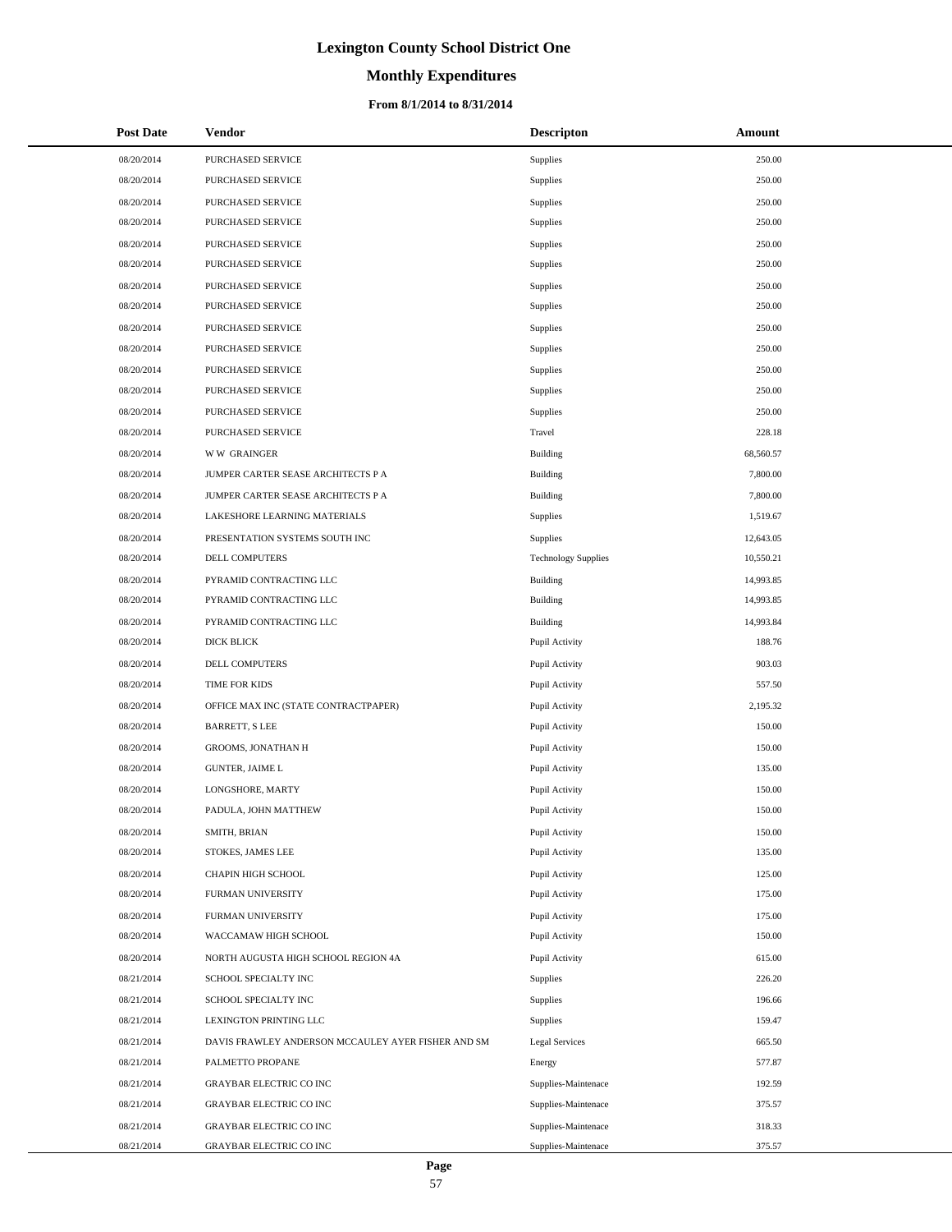# **Monthly Expenditures**

#### **From 8/1/2014 to 8/31/2014**

| <b>Post Date</b> | Vendor                                             | <b>Descripton</b>          | Amount    |
|------------------|----------------------------------------------------|----------------------------|-----------|
| 08/20/2014       | PURCHASED SERVICE                                  | Supplies                   | 250.00    |
| 08/20/2014       | <b>PURCHASED SERVICE</b>                           | Supplies                   | 250.00    |
| 08/20/2014       | PURCHASED SERVICE                                  | Supplies                   | 250.00    |
| 08/20/2014       | <b>PURCHASED SERVICE</b>                           | Supplies                   | 250.00    |
| 08/20/2014       | PURCHASED SERVICE                                  | Supplies                   | 250.00    |
| 08/20/2014       | PURCHASED SERVICE                                  | Supplies                   | 250.00    |
| 08/20/2014       | PURCHASED SERVICE                                  | Supplies                   | 250.00    |
| 08/20/2014       | <b>PURCHASED SERVICE</b>                           | Supplies                   | 250.00    |
| 08/20/2014       | PURCHASED SERVICE                                  | Supplies                   | 250.00    |
| 08/20/2014       | PURCHASED SERVICE                                  | Supplies                   | 250.00    |
| 08/20/2014       | PURCHASED SERVICE                                  | Supplies                   | 250.00    |
| 08/20/2014       | PURCHASED SERVICE                                  | Supplies                   | 250.00    |
| 08/20/2014       | PURCHASED SERVICE                                  | Supplies                   | 250.00    |
| 08/20/2014       | PURCHASED SERVICE                                  | Travel                     | 228.18    |
| 08/20/2014       | <b>WW GRAINGER</b>                                 | <b>Building</b>            | 68,560.57 |
| 08/20/2014       | JUMPER CARTER SEASE ARCHITECTS P A                 | Building                   | 7,800.00  |
| 08/20/2014       | JUMPER CARTER SEASE ARCHITECTS P A                 | <b>Building</b>            | 7,800.00  |
| 08/20/2014       | LAKESHORE LEARNING MATERIALS                       | Supplies                   | 1,519.67  |
| 08/20/2014       | PRESENTATION SYSTEMS SOUTH INC                     | Supplies                   | 12,643.05 |
| 08/20/2014       | DELL COMPUTERS                                     | <b>Technology Supplies</b> | 10,550.21 |
| 08/20/2014       | PYRAMID CONTRACTING LLC                            | <b>Building</b>            | 14,993.85 |
| 08/20/2014       | PYRAMID CONTRACTING LLC                            | Building                   | 14,993.85 |
| 08/20/2014       | PYRAMID CONTRACTING LLC                            | <b>Building</b>            | 14,993.84 |
| 08/20/2014       | DICK BLICK                                         | Pupil Activity             | 188.76    |
| 08/20/2014       | DELL COMPUTERS                                     | Pupil Activity             | 903.03    |
| 08/20/2014       | TIME FOR KIDS                                      | Pupil Activity             | 557.50    |
| 08/20/2014       | OFFICE MAX INC (STATE CONTRACTPAPER)               | Pupil Activity             | 2,195.32  |
| 08/20/2014       | <b>BARRETT, S LEE</b>                              | Pupil Activity             | 150.00    |
| 08/20/2014       | <b>GROOMS, JONATHAN H</b>                          | Pupil Activity             | 150.00    |
| 08/20/2014       | <b>GUNTER, JAIME L</b>                             | Pupil Activity             | 135.00    |
| 08/20/2014       | LONGSHORE, MARTY                                   | Pupil Activity             | 150.00    |
| 08/20/2014       | PADULA, JOHN MATTHEW                               | Pupil Activity             | 150.00    |
| 08/20/2014       | SMITH, BRIAN                                       | Pupil Activity             | 150.00    |
| 08/20/2014       | STOKES, JAMES LEE                                  | Pupil Activity             | 135.00    |
| 08/20/2014       | CHAPIN HIGH SCHOOL                                 | Pupil Activity             | 125.00    |
| 08/20/2014       | FURMAN UNIVERSITY                                  | Pupil Activity             | 175.00    |
| 08/20/2014       | FURMAN UNIVERSITY                                  | Pupil Activity             | 175.00    |
| 08/20/2014       | WACCAMAW HIGH SCHOOL                               | Pupil Activity             | 150.00    |
| 08/20/2014       | NORTH AUGUSTA HIGH SCHOOL REGION 4A                | Pupil Activity             | 615.00    |
| 08/21/2014       | SCHOOL SPECIALTY INC                               | Supplies                   | 226.20    |
| 08/21/2014       | SCHOOL SPECIALTY INC                               | Supplies                   | 196.66    |
| 08/21/2014       | LEXINGTON PRINTING LLC                             | Supplies                   | 159.47    |
| 08/21/2014       | DAVIS FRAWLEY ANDERSON MCCAULEY AYER FISHER AND SM | <b>Legal Services</b>      | 665.50    |
| 08/21/2014       | PALMETTO PROPANE                                   | Energy                     | 577.87    |
| 08/21/2014       | <b>GRAYBAR ELECTRIC CO INC</b>                     | Supplies-Maintenace        | 192.59    |
| 08/21/2014       | GRAYBAR ELECTRIC CO INC                            | Supplies-Maintenace        | 375.57    |
| 08/21/2014       | GRAYBAR ELECTRIC CO INC                            | Supplies-Maintenace        | 318.33    |
| 08/21/2014       | GRAYBAR ELECTRIC CO INC                            | Supplies-Maintenace        | 375.57    |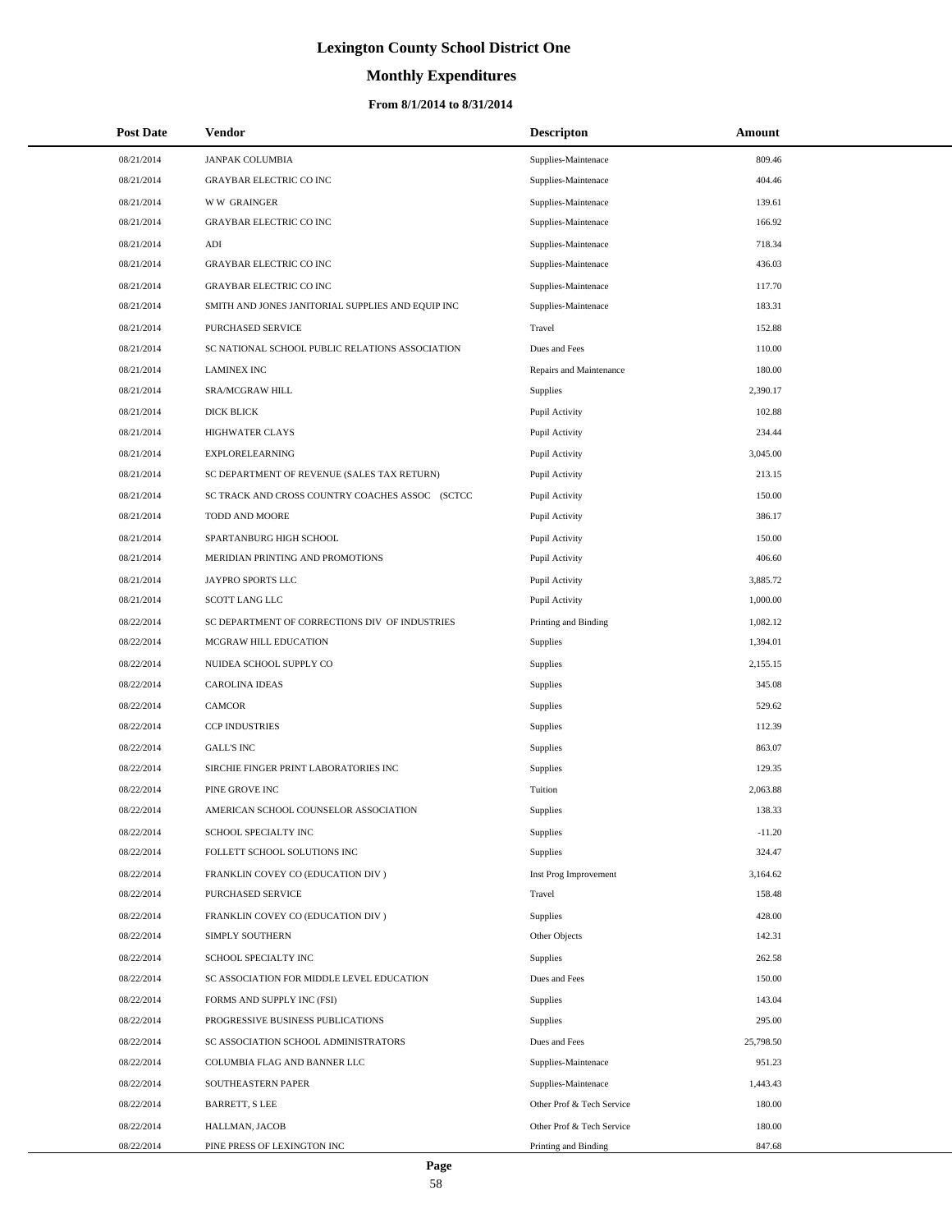# **Monthly Expenditures**

#### **From 8/1/2014 to 8/31/2014**

| <b>Post Date</b> | Vendor                                            | <b>Descripton</b>         | Amount    |  |
|------------------|---------------------------------------------------|---------------------------|-----------|--|
| 08/21/2014       | <b>JANPAK COLUMBIA</b>                            | Supplies-Maintenace       | 809.46    |  |
| 08/21/2014       | <b>GRAYBAR ELECTRIC CO INC</b>                    | Supplies-Maintenace       | 404.46    |  |
| 08/21/2014       | <b>WW GRAINGER</b>                                | Supplies-Maintenace       | 139.61    |  |
| 08/21/2014       | <b>GRAYBAR ELECTRIC CO INC</b>                    | Supplies-Maintenace       | 166.92    |  |
| 08/21/2014       | $\mathbf{A}\mathbf{D}\mathbf{I}$                  | Supplies-Maintenace       | 718.34    |  |
| 08/21/2014       | <b>GRAYBAR ELECTRIC CO INC</b>                    | Supplies-Maintenace       | 436.03    |  |
| 08/21/2014       | <b>GRAYBAR ELECTRIC CO INC</b>                    | Supplies-Maintenace       | 117.70    |  |
| 08/21/2014       | SMITH AND JONES JANITORIAL SUPPLIES AND EQUIP INC | Supplies-Maintenace       | 183.31    |  |
| 08/21/2014       | PURCHASED SERVICE                                 | Travel                    | 152.88    |  |
| 08/21/2014       | SC NATIONAL SCHOOL PUBLIC RELATIONS ASSOCIATION   | Dues and Fees             | 110.00    |  |
| 08/21/2014       | <b>LAMINEX INC</b>                                | Repairs and Maintenance   | 180.00    |  |
| 08/21/2014       | SRA/MCGRAW HILL                                   | Supplies                  | 2,390.17  |  |
| 08/21/2014       | DICK BLICK                                        | Pupil Activity            | 102.88    |  |
| 08/21/2014       | <b>HIGHWATER CLAYS</b>                            | Pupil Activity            | 234.44    |  |
| 08/21/2014       | <b>EXPLORELEARNING</b>                            | Pupil Activity            | 3,045.00  |  |
| 08/21/2014       | SC DEPARTMENT OF REVENUE (SALES TAX RETURN)       | Pupil Activity            | 213.15    |  |
| 08/21/2014       | SC TRACK AND CROSS COUNTRY COACHES ASSOC (SCTCC   | Pupil Activity            | 150.00    |  |
| 08/21/2014       | TODD AND MOORE                                    | Pupil Activity            | 386.17    |  |
| 08/21/2014       | SPARTANBURG HIGH SCHOOL                           | Pupil Activity            | 150.00    |  |
| 08/21/2014       | MERIDIAN PRINTING AND PROMOTIONS                  | Pupil Activity            | 406.60    |  |
| 08/21/2014       | JAYPRO SPORTS LLC                                 | Pupil Activity            | 3,885.72  |  |
| 08/21/2014       | SCOTT LANG LLC                                    | Pupil Activity            | 1,000.00  |  |
| 08/22/2014       | SC DEPARTMENT OF CORRECTIONS DIV OF INDUSTRIES    | Printing and Binding      | 1,082.12  |  |
| 08/22/2014       | MCGRAW HILL EDUCATION                             | Supplies                  | 1,394.01  |  |
| 08/22/2014       | NUIDEA SCHOOL SUPPLY CO                           | Supplies                  | 2,155.15  |  |
| 08/22/2014       | <b>CAROLINA IDEAS</b>                             | Supplies                  | 345.08    |  |
| 08/22/2014       | <b>CAMCOR</b>                                     | Supplies                  | 529.62    |  |
| 08/22/2014       | <b>CCP INDUSTRIES</b>                             | Supplies                  | 112.39    |  |
| 08/22/2014       | <b>GALL'S INC</b>                                 | Supplies                  | 863.07    |  |
| 08/22/2014       | SIRCHIE FINGER PRINT LABORATORIES INC             | Supplies                  | 129.35    |  |
| 08/22/2014       | PINE GROVE INC                                    | Tuition                   | 2,063.88  |  |
| 08/22/2014       | AMERICAN SCHOOL COUNSELOR ASSOCIATION             | Supplies                  | 138.33    |  |
| 08/22/2014       | SCHOOL SPECIALTY INC                              | Supplies                  | $-11.20$  |  |
| 08/22/2014       | FOLLETT SCHOOL SOLUTIONS INC                      | Supplies                  | 324.47    |  |
| 08/22/2014       | FRANKLIN COVEY CO (EDUCATION DIV)                 | Inst Prog Improvement     | 3,164.62  |  |
| 08/22/2014       | PURCHASED SERVICE                                 | Travel                    | 158.48    |  |
| 08/22/2014       | FRANKLIN COVEY CO (EDUCATION DIV)                 | Supplies                  | 428.00    |  |
| 08/22/2014       | SIMPLY SOUTHERN                                   | Other Objects             | 142.31    |  |
| 08/22/2014       | SCHOOL SPECIALTY INC                              | <b>Supplies</b>           | 262.58    |  |
| 08/22/2014       | SC ASSOCIATION FOR MIDDLE LEVEL EDUCATION         | Dues and Fees             | 150.00    |  |
| 08/22/2014       | FORMS AND SUPPLY INC (FSI)                        | <b>Supplies</b>           | 143.04    |  |
| 08/22/2014       | PROGRESSIVE BUSINESS PUBLICATIONS                 | <b>Supplies</b>           | 295.00    |  |
| 08/22/2014       | SC ASSOCIATION SCHOOL ADMINISTRATORS              | Dues and Fees             | 25,798.50 |  |
| 08/22/2014       | COLUMBIA FLAG AND BANNER LLC                      | Supplies-Maintenace       | 951.23    |  |
| 08/22/2014       | SOUTHEASTERN PAPER                                | Supplies-Maintenace       | 1,443.43  |  |
| 08/22/2014       | <b>BARRETT, S LEE</b>                             | Other Prof & Tech Service | 180.00    |  |
| 08/22/2014       | HALLMAN, JACOB                                    | Other Prof & Tech Service | 180.00    |  |
| 08/22/2014       | PINE PRESS OF LEXINGTON INC                       | Printing and Binding      | 847.68    |  |

 $\overline{a}$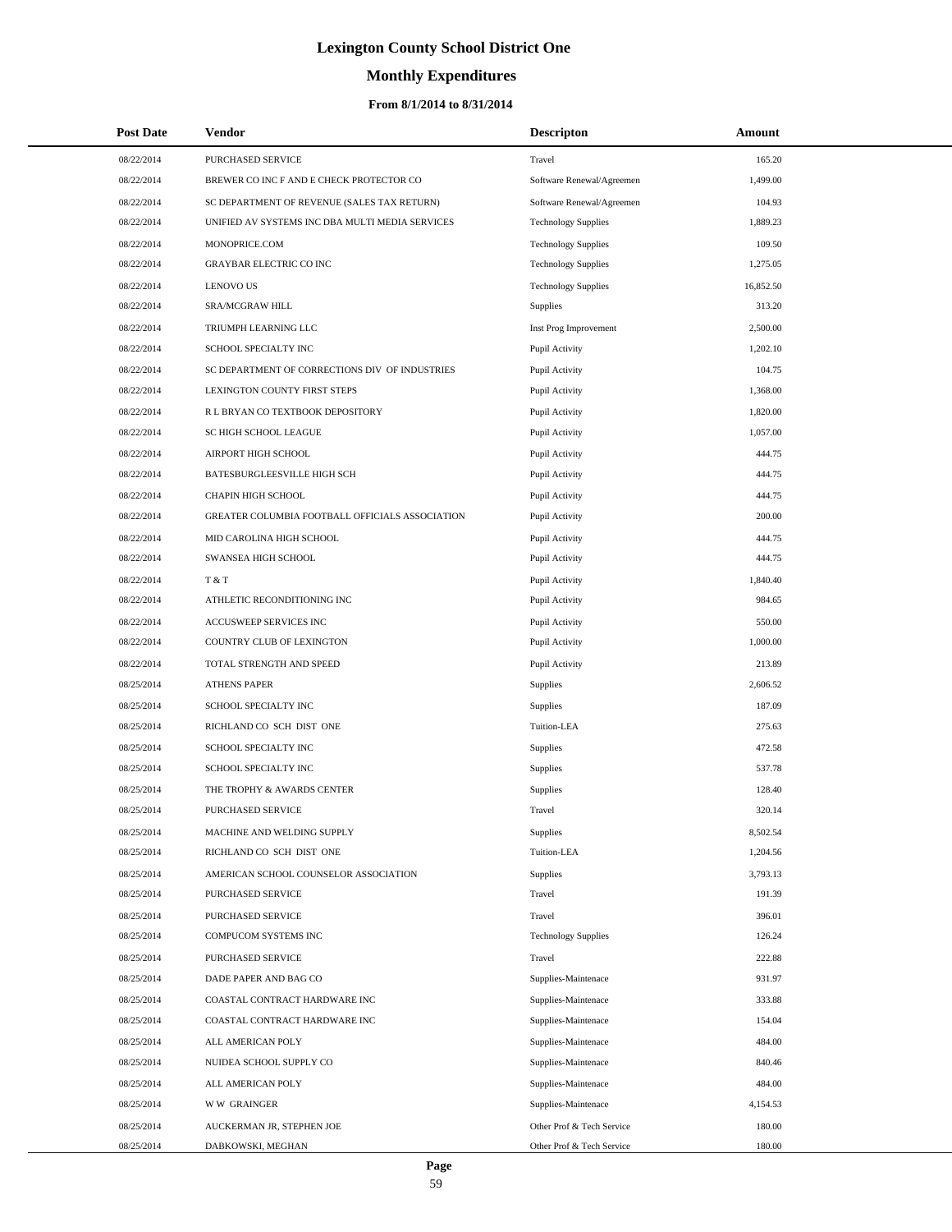# **Monthly Expenditures**

| <b>Post Date</b> | Vendor                                          | <b>Descripton</b>          | Amount    |
|------------------|-------------------------------------------------|----------------------------|-----------|
| 08/22/2014       | PURCHASED SERVICE                               | Travel                     | 165.20    |
| 08/22/2014       | BREWER CO INC F AND E CHECK PROTECTOR CO        | Software Renewal/Agreemen  | 1,499.00  |
| 08/22/2014       | SC DEPARTMENT OF REVENUE (SALES TAX RETURN)     | Software Renewal/Agreemen  | 104.93    |
| 08/22/2014       | UNIFIED AV SYSTEMS INC DBA MULTI MEDIA SERVICES | <b>Technology Supplies</b> | 1.889.23  |
| 08/22/2014       | MONOPRICE.COM                                   | <b>Technology Supplies</b> | 109.50    |
| 08/22/2014       | <b>GRAYBAR ELECTRIC CO INC</b>                  | <b>Technology Supplies</b> | 1,275.05  |
| 08/22/2014       | <b>LENOVO US</b>                                | <b>Technology Supplies</b> | 16,852.50 |
| 08/22/2014       | SRA/MCGRAW HILL                                 | Supplies                   | 313.20    |
| 08/22/2014       | TRIUMPH LEARNING LLC                            | Inst Prog Improvement      | 2,500.00  |
| 08/22/2014       | SCHOOL SPECIALTY INC                            | Pupil Activity             | 1,202.10  |
| 08/22/2014       | SC DEPARTMENT OF CORRECTIONS DIV OF INDUSTRIES  | Pupil Activity             | 104.75    |
| 08/22/2014       | LEXINGTON COUNTY FIRST STEPS                    | Pupil Activity             | 1,368.00  |
| 08/22/2014       | R L BRYAN CO TEXTBOOK DEPOSITORY                | Pupil Activity             | 1,820.00  |
| 08/22/2014       | SC HIGH SCHOOL LEAGUE                           | Pupil Activity             | 1,057.00  |
| 08/22/2014       | AIRPORT HIGH SCHOOL                             | Pupil Activity             | 444.75    |
| 08/22/2014       | BATESBURGLEESVILLE HIGH SCH                     | Pupil Activity             | 444.75    |
| 08/22/2014       | CHAPIN HIGH SCHOOL                              | Pupil Activity             | 444.75    |
| 08/22/2014       | GREATER COLUMBIA FOOTBALL OFFICIALS ASSOCIATION | Pupil Activity             | 200.00    |
| 08/22/2014       | MID CAROLINA HIGH SCHOOL                        | Pupil Activity             | 444.75    |
| 08/22/2014       | SWANSEA HIGH SCHOOL                             | Pupil Activity             | 444.75    |
| 08/22/2014       | T & T                                           | Pupil Activity             | 1,840.40  |
| 08/22/2014       | ATHLETIC RECONDITIONING INC                     | Pupil Activity             | 984.65    |
| 08/22/2014       | ACCUSWEEP SERVICES INC                          | Pupil Activity             | 550.00    |
| 08/22/2014       | COUNTRY CLUB OF LEXINGTON                       | Pupil Activity             | 1,000.00  |
| 08/22/2014       | TOTAL STRENGTH AND SPEED                        | Pupil Activity             | 213.89    |
| 08/25/2014       | <b>ATHENS PAPER</b>                             | Supplies                   | 2,606.52  |
| 08/25/2014       | SCHOOL SPECIALTY INC                            | Supplies                   | 187.09    |
| 08/25/2014       | RICHLAND CO SCH DIST ONE                        | Tuition-LEA                | 275.63    |
| 08/25/2014       | SCHOOL SPECIALTY INC                            | Supplies                   | 472.58    |
| 08/25/2014       | SCHOOL SPECIALTY INC                            | Supplies                   | 537.78    |
| 08/25/2014       | THE TROPHY & AWARDS CENTER                      | Supplies                   | 128.40    |
| 08/25/2014       | PURCHASED SERVICE                               | Travel                     | 320.14    |
| 08/25/2014       | MACHINE AND WELDING SUPPLY                      | Supplies                   | 8,502.54  |
| 08/25/2014       | RICHLAND CO SCH DIST ONE                        | Tuition-LEA                | 1,204.56  |
| 08/25/2014       | AMERICAN SCHOOL COUNSELOR ASSOCIATION           | Supplies                   | 3,793.13  |
| 08/25/2014       | PURCHASED SERVICE                               | Travel                     | 191.39    |
| 08/25/2014       | <b>PURCHASED SERVICE</b>                        | Travel                     | 396.01    |
| 08/25/2014       | COMPUCOM SYSTEMS INC                            | <b>Technology Supplies</b> | 126.24    |
| 08/25/2014       | PURCHASED SERVICE                               | Travel                     | 222.88    |
| 08/25/2014       | DADE PAPER AND BAG CO                           | Supplies-Maintenace        | 931.97    |
| 08/25/2014       | COASTAL CONTRACT HARDWARE INC                   | Supplies-Maintenace        | 333.88    |
| 08/25/2014       | COASTAL CONTRACT HARDWARE INC                   | Supplies-Maintenace        | 154.04    |
| 08/25/2014       | ALL AMERICAN POLY                               | Supplies-Maintenace        | 484.00    |
| 08/25/2014       | NUIDEA SCHOOL SUPPLY CO                         | Supplies-Maintenace        | 840.46    |
| 08/25/2014       | ALL AMERICAN POLY                               | Supplies-Maintenace        | 484.00    |
| 08/25/2014       | <b>WW GRAINGER</b>                              | Supplies-Maintenace        | 4,154.53  |
| 08/25/2014       | AUCKERMAN JR, STEPHEN JOE                       | Other Prof & Tech Service  | 180.00    |
| 08/25/2014       | DABKOWSKI, MEGHAN                               | Other Prof & Tech Service  | 180.00    |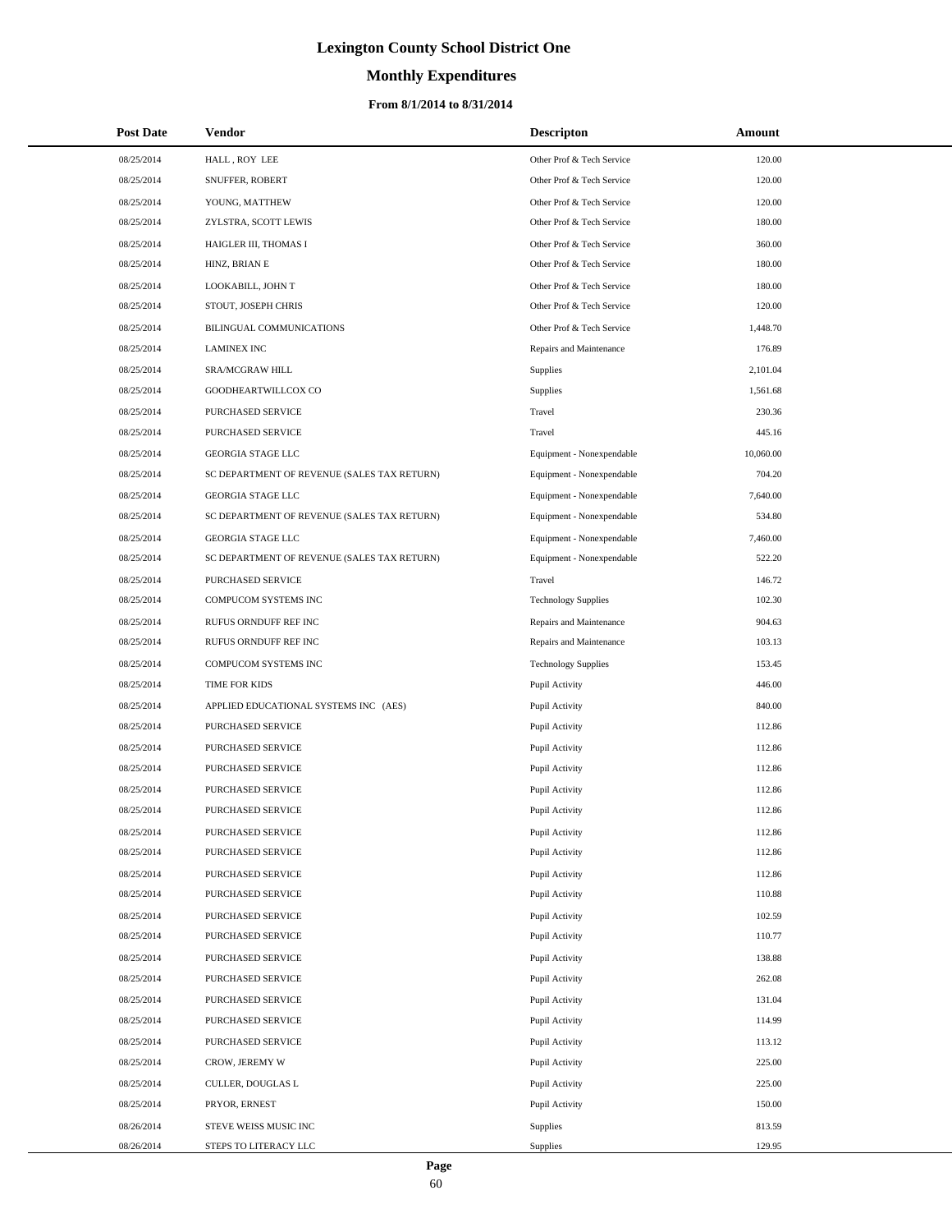# **Monthly Expenditures**

#### **From 8/1/2014 to 8/31/2014**

| <b>Post Date</b> | Vendor                                      | <b>Descripton</b>          | Amount    |
|------------------|---------------------------------------------|----------------------------|-----------|
| 08/25/2014       | HALL, ROY LEE                               | Other Prof & Tech Service  | 120.00    |
| 08/25/2014       | SNUFFER, ROBERT                             | Other Prof & Tech Service  | 120.00    |
| 08/25/2014       | YOUNG, MATTHEW                              | Other Prof & Tech Service  | 120.00    |
| 08/25/2014       | ZYLSTRA, SCOTT LEWIS                        | Other Prof & Tech Service  | 180.00    |
| 08/25/2014       | HAIGLER III, THOMAS I                       | Other Prof & Tech Service  | 360.00    |
| 08/25/2014       | HINZ, BRIAN E                               | Other Prof & Tech Service  | 180.00    |
| 08/25/2014       | LOOKABILL, JOHN T                           | Other Prof & Tech Service  | 180.00    |
| 08/25/2014       | STOUT, JOSEPH CHRIS                         | Other Prof & Tech Service  | 120.00    |
| 08/25/2014       | BILINGUAL COMMUNICATIONS                    | Other Prof & Tech Service  | 1,448.70  |
| 08/25/2014       | <b>LAMINEX INC</b>                          | Repairs and Maintenance    | 176.89    |
| 08/25/2014       | SRA/MCGRAW HILL                             | Supplies                   | 2,101.04  |
| 08/25/2014       | GOODHEARTWILLCOX CO                         | Supplies                   | 1,561.68  |
| 08/25/2014       | PURCHASED SERVICE                           | Travel                     | 230.36    |
| 08/25/2014       | PURCHASED SERVICE                           | Travel                     | 445.16    |
| 08/25/2014       | <b>GEORGIA STAGE LLC</b>                    | Equipment - Nonexpendable  | 10,060.00 |
| 08/25/2014       | SC DEPARTMENT OF REVENUE (SALES TAX RETURN) | Equipment - Nonexpendable  | 704.20    |
| 08/25/2014       | GEORGIA STAGE LLC                           | Equipment - Nonexpendable  | 7,640.00  |
| 08/25/2014       | SC DEPARTMENT OF REVENUE (SALES TAX RETURN) | Equipment - Nonexpendable  | 534.80    |
| 08/25/2014       | <b>GEORGIA STAGE LLC</b>                    | Equipment - Nonexpendable  | 7,460.00  |
| 08/25/2014       | SC DEPARTMENT OF REVENUE (SALES TAX RETURN) | Equipment - Nonexpendable  | 522.20    |
| 08/25/2014       | PURCHASED SERVICE                           | Travel                     | 146.72    |
| 08/25/2014       | COMPUCOM SYSTEMS INC                        | <b>Technology Supplies</b> | 102.30    |
| 08/25/2014       | RUFUS ORNDUFF REF INC                       | Repairs and Maintenance    | 904.63    |
| 08/25/2014       | RUFUS ORNDUFF REF INC                       | Repairs and Maintenance    | 103.13    |
| 08/25/2014       | COMPUCOM SYSTEMS INC                        | <b>Technology Supplies</b> | 153.45    |
| 08/25/2014       | TIME FOR KIDS                               | Pupil Activity             | 446.00    |
| 08/25/2014       | APPLIED EDUCATIONAL SYSTEMS INC (AES)       | Pupil Activity             | 840.00    |
| 08/25/2014       | PURCHASED SERVICE                           | Pupil Activity             | 112.86    |
| 08/25/2014       | PURCHASED SERVICE                           | Pupil Activity             | 112.86    |
| 08/25/2014       | PURCHASED SERVICE                           | Pupil Activity             | 112.86    |
| 08/25/2014       | PURCHASED SERVICE                           | Pupil Activity             | 112.86    |
| 08/25/2014       | PURCHASED SERVICE                           | Pupil Activity             | 112.86    |
| 08/25/2014       | PURCHASED SERVICE                           | Pupil Activity             | 112.86    |
| 08/25/2014       | PURCHASED SERVICE                           | Pupil Activity             | 112.86    |
| 08/25/2014       | PURCHASED SERVICE                           | Pupil Activity             | 112.86    |
| 08/25/2014       | PURCHASED SERVICE                           | Pupil Activity             | 110.88    |
| 08/25/2014       | PURCHASED SERVICE                           | Pupil Activity             | 102.59    |
| 08/25/2014       | PURCHASED SERVICE                           | Pupil Activity             | 110.77    |
| 08/25/2014       | PURCHASED SERVICE                           | Pupil Activity             | 138.88    |
| 08/25/2014       | PURCHASED SERVICE                           | Pupil Activity             | 262.08    |
| 08/25/2014       | PURCHASED SERVICE                           | Pupil Activity             | 131.04    |
| 08/25/2014       | PURCHASED SERVICE                           | Pupil Activity             | 114.99    |
| 08/25/2014       | PURCHASED SERVICE                           | Pupil Activity             | 113.12    |
| 08/25/2014       | CROW, JEREMY W                              | Pupil Activity             | 225.00    |
| 08/25/2014       | CULLER, DOUGLAS L                           | Pupil Activity             | 225.00    |
| 08/25/2014       | PRYOR, ERNEST                               | Pupil Activity             | 150.00    |
| 08/26/2014       | STEVE WEISS MUSIC INC                       | Supplies                   | 813.59    |
| 08/26/2014       | STEPS TO LITERACY LLC                       | Supplies                   | 129.95    |

 $\overline{\phantom{0}}$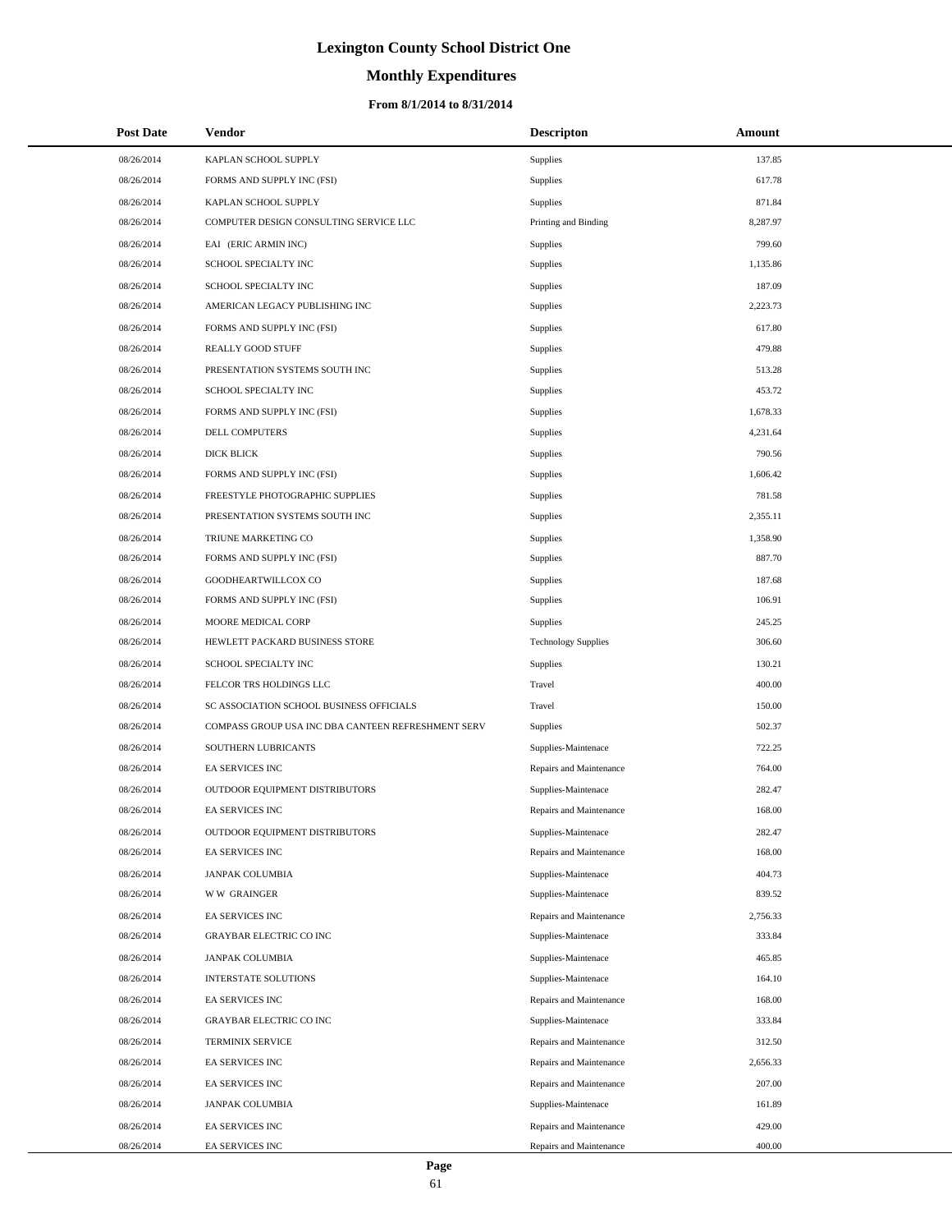# **Monthly Expenditures**

| <b>Post Date</b> | Vendor                                             | <b>Descripton</b>          | Amount   |
|------------------|----------------------------------------------------|----------------------------|----------|
| 08/26/2014       | KAPLAN SCHOOL SUPPLY                               | Supplies                   | 137.85   |
| 08/26/2014       | FORMS AND SUPPLY INC (FSI)                         | Supplies                   | 617.78   |
| 08/26/2014       | KAPLAN SCHOOL SUPPLY                               | Supplies                   | 871.84   |
| 08/26/2014       | COMPUTER DESIGN CONSULTING SERVICE LLC             | Printing and Binding       | 8,287.97 |
| 08/26/2014       | EAI (ERIC ARMIN INC)                               | Supplies                   | 799.60   |
| 08/26/2014       | SCHOOL SPECIALTY INC                               | Supplies                   | 1,135.86 |
| 08/26/2014       | SCHOOL SPECIALTY INC                               | Supplies                   | 187.09   |
| 08/26/2014       | AMERICAN LEGACY PUBLISHING INC                     | Supplies                   | 2,223.73 |
| 08/26/2014       | FORMS AND SUPPLY INC (FSI)                         | Supplies                   | 617.80   |
| 08/26/2014       | <b>REALLY GOOD STUFF</b>                           | Supplies                   | 479.88   |
| 08/26/2014       | PRESENTATION SYSTEMS SOUTH INC                     | Supplies                   | 513.28   |
| 08/26/2014       | SCHOOL SPECIALTY INC                               | Supplies                   | 453.72   |
| 08/26/2014       | FORMS AND SUPPLY INC (FSI)                         | Supplies                   | 1,678.33 |
| 08/26/2014       | DELL COMPUTERS                                     | Supplies                   | 4,231.64 |
| 08/26/2014       | <b>DICK BLICK</b>                                  | Supplies                   | 790.56   |
| 08/26/2014       | FORMS AND SUPPLY INC (FSI)                         | Supplies                   | 1,606.42 |
| 08/26/2014       | FREESTYLE PHOTOGRAPHIC SUPPLIES                    | Supplies                   | 781.58   |
| 08/26/2014       | PRESENTATION SYSTEMS SOUTH INC                     | Supplies                   | 2,355.11 |
| 08/26/2014       | TRIUNE MARKETING CO                                | Supplies                   | 1,358.90 |
| 08/26/2014       | FORMS AND SUPPLY INC (FSI)                         | Supplies                   | 887.70   |
| 08/26/2014       | GOODHEARTWILLCOX CO                                | Supplies                   | 187.68   |
| 08/26/2014       | FORMS AND SUPPLY INC (FSI)                         | Supplies                   | 106.91   |
| 08/26/2014       | MOORE MEDICAL CORP                                 | Supplies                   | 245.25   |
| 08/26/2014       | HEWLETT PACKARD BUSINESS STORE                     | <b>Technology Supplies</b> | 306.60   |
| 08/26/2014       | SCHOOL SPECIALTY INC                               | Supplies                   | 130.21   |
| 08/26/2014       | FELCOR TRS HOLDINGS LLC                            | Travel                     | 400.00   |
| 08/26/2014       | SC ASSOCIATION SCHOOL BUSINESS OFFICIALS           | Travel                     | 150.00   |
| 08/26/2014       | COMPASS GROUP USA INC DBA CANTEEN REFRESHMENT SERV | Supplies                   | 502.37   |
| 08/26/2014       | SOUTHERN LUBRICANTS                                | Supplies-Maintenace        | 722.25   |
| 08/26/2014       | EA SERVICES INC                                    | Repairs and Maintenance    | 764.00   |
| 08/26/2014       | OUTDOOR EQUIPMENT DISTRIBUTORS                     | Supplies-Maintenace        | 282.47   |
| 08/26/2014       | <b>EA SERVICES INC</b>                             | Repairs and Maintenance    | 168.00   |
| 08/26/2014       | OUTDOOR EQUIPMENT DISTRIBUTORS                     | Supplies-Maintenace        | 282.47   |
| 08/26/2014       | <b>EA SERVICES INC</b>                             | Repairs and Maintenance    | 168.00   |
| 08/26/2014       | JANPAK COLUMBIA                                    | Supplies-Maintenace        | 404.73   |
| 08/26/2014       | <b>WW GRAINGER</b>                                 | Supplies-Maintenace        | 839.52   |
| 08/26/2014       | EA SERVICES INC                                    | Repairs and Maintenance    | 2,756.33 |
| 08/26/2014       | <b>GRAYBAR ELECTRIC CO INC</b>                     | Supplies-Maintenace        | 333.84   |
| 08/26/2014       | <b>JANPAK COLUMBIA</b>                             | Supplies-Maintenace        | 465.85   |
| 08/26/2014       | <b>INTERSTATE SOLUTIONS</b>                        | Supplies-Maintenace        | 164.10   |
| 08/26/2014       | EA SERVICES INC                                    | Repairs and Maintenance    | 168.00   |
| 08/26/2014       | <b>GRAYBAR ELECTRIC CO INC</b>                     | Supplies-Maintenace        | 333.84   |
| 08/26/2014       | TERMINIX SERVICE                                   | Repairs and Maintenance    | 312.50   |
| 08/26/2014       | EA SERVICES INC                                    | Repairs and Maintenance    | 2,656.33 |
| 08/26/2014       | EA SERVICES INC                                    | Repairs and Maintenance    | 207.00   |
| 08/26/2014       | JANPAK COLUMBIA                                    | Supplies-Maintenace        | 161.89   |
| 08/26/2014       | EA SERVICES INC                                    | Repairs and Maintenance    | 429.00   |
| 08/26/2014       | EA SERVICES INC                                    | Repairs and Maintenance    | 400.00   |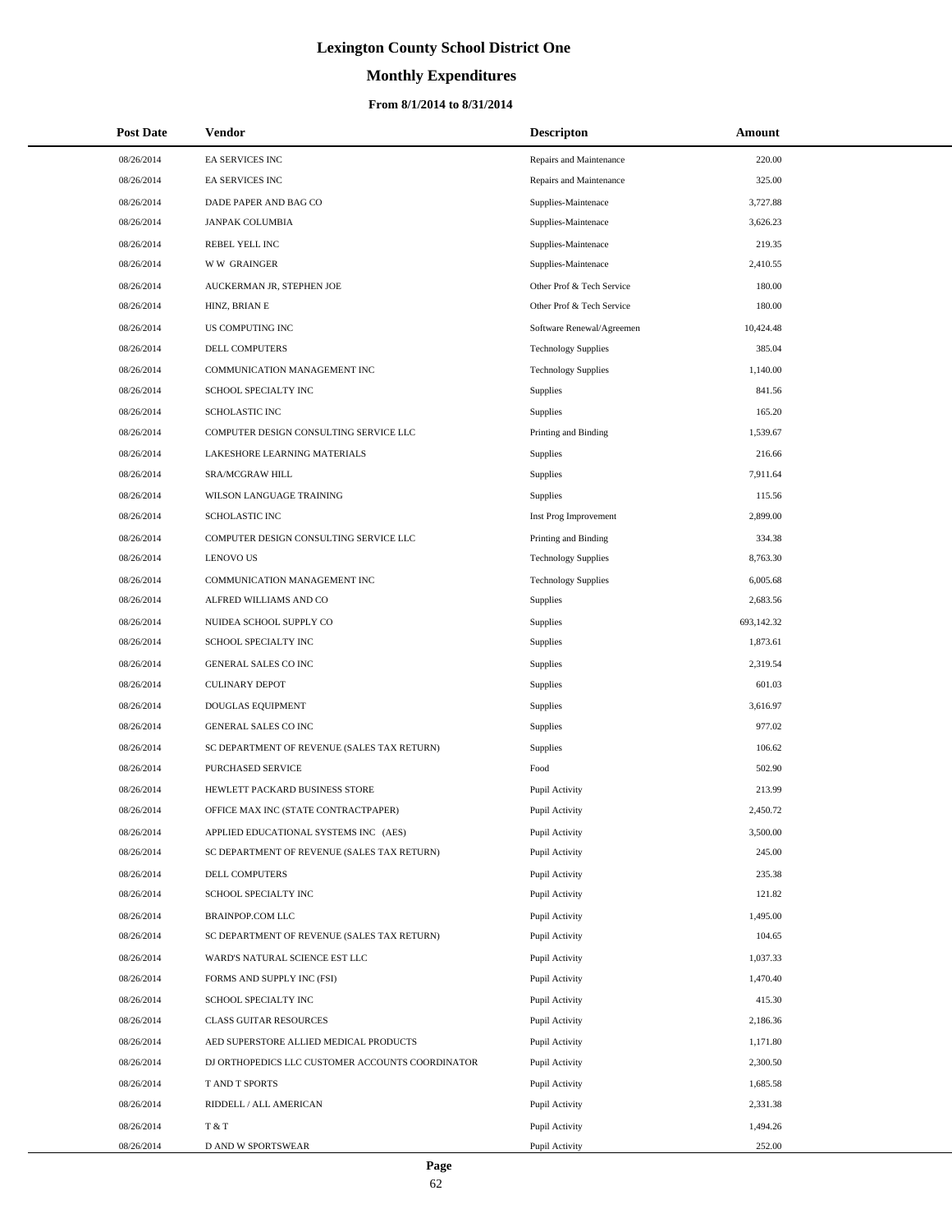# **Monthly Expenditures**

| <b>Post Date</b> | Vendor                                           | <b>Descripton</b>          | Amount     |
|------------------|--------------------------------------------------|----------------------------|------------|
| 08/26/2014       | <b>EA SERVICES INC</b>                           | Repairs and Maintenance    | 220.00     |
| 08/26/2014       | EA SERVICES INC                                  | Repairs and Maintenance    | 325.00     |
| 08/26/2014       | DADE PAPER AND BAG CO                            | Supplies-Maintenace        | 3,727.88   |
| 08/26/2014       | <b>JANPAK COLUMBIA</b>                           | Supplies-Maintenace        | 3,626.23   |
| 08/26/2014       | REBEL YELL INC                                   | Supplies-Maintenace        | 219.35     |
| 08/26/2014       | <b>WW GRAINGER</b>                               | Supplies-Maintenace        | 2,410.55   |
| 08/26/2014       | AUCKERMAN JR, STEPHEN JOE                        | Other Prof & Tech Service  | 180.00     |
| 08/26/2014       | HINZ, BRIAN E                                    | Other Prof & Tech Service  | 180.00     |
| 08/26/2014       | US COMPUTING INC                                 | Software Renewal/Agreemen  | 10,424.48  |
| 08/26/2014       | DELL COMPUTERS                                   | <b>Technology Supplies</b> | 385.04     |
| 08/26/2014       | COMMUNICATION MANAGEMENT INC                     | <b>Technology Supplies</b> | 1,140.00   |
| 08/26/2014       | SCHOOL SPECIALTY INC                             | Supplies                   | 841.56     |
| 08/26/2014       | <b>SCHOLASTIC INC</b>                            | Supplies                   | 165.20     |
| 08/26/2014       | COMPUTER DESIGN CONSULTING SERVICE LLC           | Printing and Binding       | 1,539.67   |
| 08/26/2014       | LAKESHORE LEARNING MATERIALS                     | Supplies                   | 216.66     |
| 08/26/2014       | SRA/MCGRAW HILL                                  | Supplies                   | 7,911.64   |
| 08/26/2014       | WILSON LANGUAGE TRAINING                         | Supplies                   | 115.56     |
| 08/26/2014       | SCHOLASTIC INC                                   | Inst Prog Improvement      | 2,899.00   |
| 08/26/2014       | COMPUTER DESIGN CONSULTING SERVICE LLC           | Printing and Binding       | 334.38     |
| 08/26/2014       | <b>LENOVO US</b>                                 | <b>Technology Supplies</b> | 8,763.30   |
| 08/26/2014       | COMMUNICATION MANAGEMENT INC                     | <b>Technology Supplies</b> | 6,005.68   |
| 08/26/2014       | ALFRED WILLIAMS AND CO                           | <b>Supplies</b>            | 2,683.56   |
| 08/26/2014       | NUIDEA SCHOOL SUPPLY CO                          | Supplies                   | 693,142.32 |
| 08/26/2014       | SCHOOL SPECIALTY INC                             | Supplies                   | 1,873.61   |
| 08/26/2014       | GENERAL SALES CO INC                             | Supplies                   | 2,319.54   |
| 08/26/2014       | <b>CULINARY DEPOT</b>                            | Supplies                   | 601.03     |
| 08/26/2014       | DOUGLAS EQUIPMENT                                | Supplies                   | 3,616.97   |
| 08/26/2014       | <b>GENERAL SALES CO INC</b>                      | Supplies                   | 977.02     |
| 08/26/2014       | SC DEPARTMENT OF REVENUE (SALES TAX RETURN)      | Supplies                   | 106.62     |
| 08/26/2014       | PURCHASED SERVICE                                | Food                       | 502.90     |
| 08/26/2014       | HEWLETT PACKARD BUSINESS STORE                   | Pupil Activity             | 213.99     |
| 08/26/2014       | OFFICE MAX INC (STATE CONTRACTPAPER)             | Pupil Activity             | 2,450.72   |
| 08/26/2014       | APPLIED EDUCATIONAL SYSTEMS INC (AES)            | Pupil Activity             | 3,500.00   |
| 08/26/2014       | SC DEPARTMENT OF REVENUE (SALES TAX RETURN)      | Pupil Activity             | 245.00     |
| 08/26/2014       | DELL COMPUTERS                                   | Pupil Activity             | 235.38     |
| 08/26/2014       | SCHOOL SPECIALTY INC                             | Pupil Activity             | 121.82     |
| 08/26/2014       | <b>BRAINPOP.COM LLC</b>                          | Pupil Activity             | 1,495.00   |
| 08/26/2014       | SC DEPARTMENT OF REVENUE (SALES TAX RETURN)      | Pupil Activity             | 104.65     |
| 08/26/2014       | WARD'S NATURAL SCIENCE EST LLC                   | Pupil Activity             | 1,037.33   |
| 08/26/2014       | FORMS AND SUPPLY INC (FSI)                       | Pupil Activity             | 1,470.40   |
| 08/26/2014       | SCHOOL SPECIALTY INC                             | Pupil Activity             | 415.30     |
| 08/26/2014       | CLASS GUITAR RESOURCES                           | Pupil Activity             | 2,186.36   |
| 08/26/2014       | AED SUPERSTORE ALLIED MEDICAL PRODUCTS           | Pupil Activity             | 1,171.80   |
| 08/26/2014       | DJ ORTHOPEDICS LLC CUSTOMER ACCOUNTS COORDINATOR | Pupil Activity             | 2,300.50   |
| 08/26/2014       | T AND T SPORTS                                   | Pupil Activity             | 1,685.58   |
| 08/26/2014       | RIDDELL / ALL AMERICAN                           | Pupil Activity             | 2,331.38   |
| 08/26/2014       | T & T                                            | Pupil Activity             | 1,494.26   |
| 08/26/2014       | D AND W SPORTSWEAR                               | Pupil Activity             | 252.00     |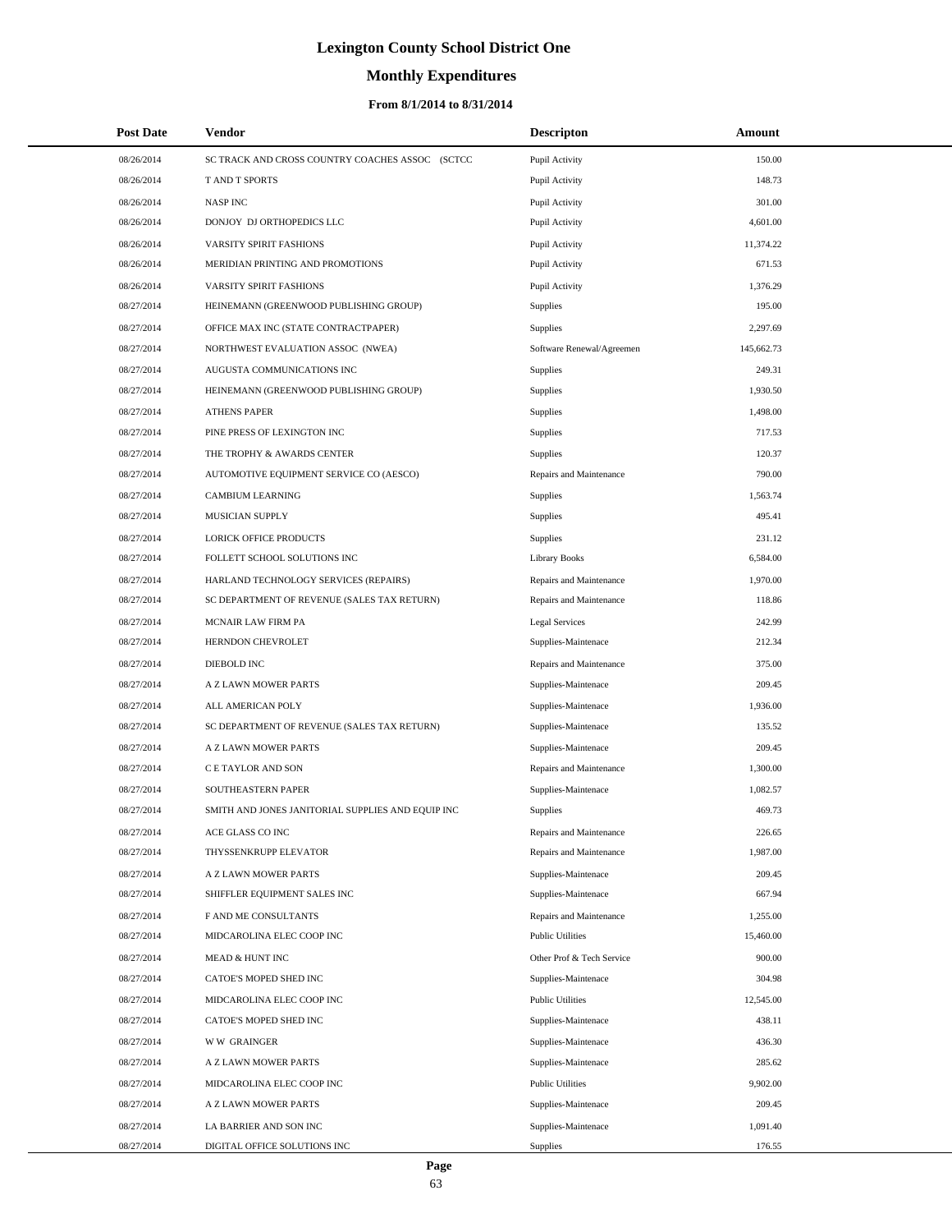# **Monthly Expenditures**

### **From 8/1/2014 to 8/31/2014**

| <b>Post Date</b>         | Vendor                                                 | <b>Descripton</b>                      | Amount             |
|--------------------------|--------------------------------------------------------|----------------------------------------|--------------------|
| 08/26/2014               | SC TRACK AND CROSS COUNTRY COACHES ASSOC (SCTCC        | Pupil Activity                         | 150.00             |
| 08/26/2014               | <b>TAND T SPORTS</b>                                   | Pupil Activity                         | 148.73             |
| 08/26/2014               | <b>NASP INC</b>                                        | Pupil Activity                         | 301.00             |
| 08/26/2014               | DONJOY DJ ORTHOPEDICS LLC                              | Pupil Activity                         | 4,601.00           |
| 08/26/2014               | VARSITY SPIRIT FASHIONS                                | Pupil Activity                         | 11,374.22          |
| 08/26/2014               | MERIDIAN PRINTING AND PROMOTIONS                       | Pupil Activity                         | 671.53             |
| 08/26/2014               | VARSITY SPIRIT FASHIONS                                | Pupil Activity                         | 1,376.29           |
| 08/27/2014               | HEINEMANN (GREENWOOD PUBLISHING GROUP)                 | <b>Supplies</b>                        | 195.00             |
| 08/27/2014               | OFFICE MAX INC (STATE CONTRACTPAPER)                   | Supplies                               | 2,297.69           |
| 08/27/2014               | NORTHWEST EVALUATION ASSOC (NWEA)                      | Software Renewal/Agreemen              | 145,662.73         |
| 08/27/2014               | AUGUSTA COMMUNICATIONS INC                             | Supplies                               | 249.31             |
| 08/27/2014               | HEINEMANN (GREENWOOD PUBLISHING GROUP)                 | Supplies                               | 1,930.50           |
| 08/27/2014               | <b>ATHENS PAPER</b>                                    | <b>Supplies</b>                        | 1,498.00           |
| 08/27/2014               | PINE PRESS OF LEXINGTON INC                            | Supplies                               | 717.53             |
| 08/27/2014               | THE TROPHY & AWARDS CENTER                             | Supplies                               | 120.37             |
| 08/27/2014               | AUTOMOTIVE EQUIPMENT SERVICE CO (AESCO)                | Repairs and Maintenance                | 790.00             |
| 08/27/2014               | <b>CAMBIUM LEARNING</b>                                | Supplies                               | 1,563.74           |
| 08/27/2014               | MUSICIAN SUPPLY                                        | Supplies                               | 495.41             |
| 08/27/2014               | LORICK OFFICE PRODUCTS                                 | Supplies                               | 231.12             |
| 08/27/2014               | FOLLETT SCHOOL SOLUTIONS INC                           | <b>Library Books</b>                   | 6,584.00           |
| 08/27/2014               | HARLAND TECHNOLOGY SERVICES (REPAIRS)                  | Repairs and Maintenance                | 1,970.00           |
| 08/27/2014               | SC DEPARTMENT OF REVENUE (SALES TAX RETURN)            | Repairs and Maintenance                | 118.86             |
| 08/27/2014               | MCNAIR LAW FIRM PA                                     | <b>Legal Services</b>                  | 242.99             |
| 08/27/2014               | HERNDON CHEVROLET                                      | Supplies-Maintenace                    | 212.34             |
| 08/27/2014               | DIEBOLD INC                                            | Repairs and Maintenance                | 375.00             |
| 08/27/2014               | A Z LAWN MOWER PARTS                                   | Supplies-Maintenace                    | 209.45             |
| 08/27/2014               | ALL AMERICAN POLY                                      | Supplies-Maintenace                    | 1,936.00           |
| 08/27/2014               | SC DEPARTMENT OF REVENUE (SALES TAX RETURN)            | Supplies-Maintenace                    | 135.52             |
| 08/27/2014               | A Z LAWN MOWER PARTS                                   | Supplies-Maintenace                    | 209.45             |
| 08/27/2014               | C E TAYLOR AND SON                                     | Repairs and Maintenance                | 1,300.00           |
| 08/27/2014               | SOUTHEASTERN PAPER                                     | Supplies-Maintenace                    | 1,082.57           |
| 08/27/2014               | SMITH AND JONES JANITORIAL SUPPLIES AND EQUIP INC      | Supplies                               | 469.73             |
| 08/27/2014               | ACE GLASS CO INC                                       | Repairs and Maintenance                | 226.65             |
| 08/27/2014               | THYSSENKRUPP ELEVATOR                                  | Repairs and Maintenance                | 1,987.00           |
| 08/27/2014               | A Z LAWN MOWER PARTS                                   | Supplies-Maintenace                    | 209.45             |
| 08/27/2014               | SHIFFLER EQUIPMENT SALES INC                           | Supplies-Maintenace                    | 667.94             |
| 08/27/2014               | F AND ME CONSULTANTS                                   | Repairs and Maintenance                | 1,255.00           |
| 08/27/2014               | MIDCAROLINA ELEC COOP INC                              | <b>Public Utilities</b>                | 15,460.00          |
| 08/27/2014               | MEAD & HUNT INC                                        | Other Prof & Tech Service              | 900.00             |
| 08/27/2014               | CATOE'S MOPED SHED INC                                 | Supplies-Maintenace                    | 304.98             |
| 08/27/2014               | MIDCAROLINA ELEC COOP INC                              | <b>Public Utilities</b>                | 12,545.00          |
| 08/27/2014               | CATOE'S MOPED SHED INC                                 | Supplies-Maintenace                    | 438.11             |
| 08/27/2014               | <b>WW GRAINGER</b>                                     | Supplies-Maintenace                    | 436.30             |
| 08/27/2014               | A Z LAWN MOWER PARTS                                   | Supplies-Maintenace                    | 285.62             |
| 08/27/2014               | MIDCAROLINA ELEC COOP INC                              | <b>Public Utilities</b>                | 9,902.00           |
| 08/27/2014               | A Z LAWN MOWER PARTS                                   | Supplies-Maintenace                    | 209.45             |
| 08/27/2014<br>08/27/2014 | LA BARRIER AND SON INC<br>DIGITAL OFFICE SOLUTIONS INC | Supplies-Maintenace<br><b>Supplies</b> | 1,091.40<br>176.55 |
|                          |                                                        |                                        |                    |

L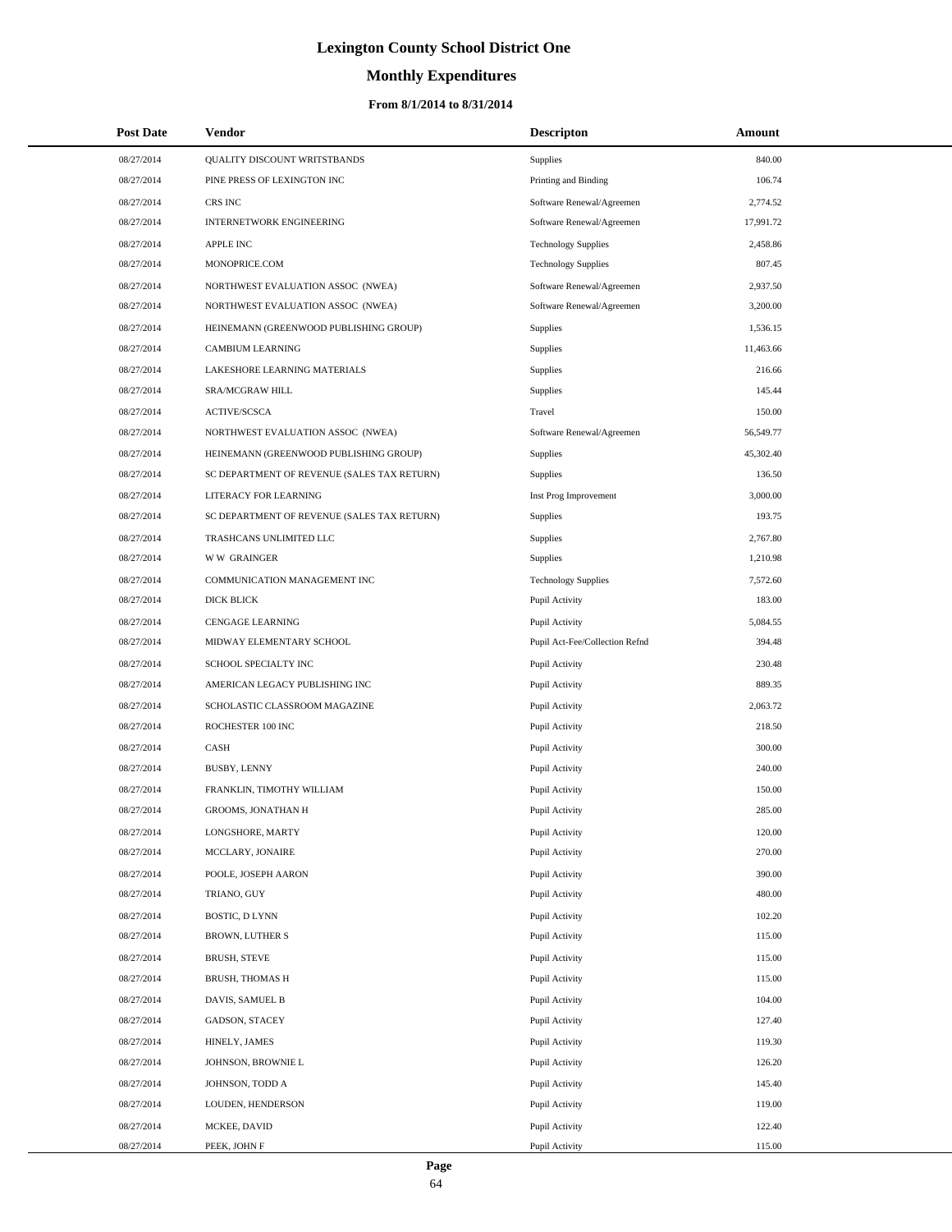# **Monthly Expenditures**

#### **From 8/1/2014 to 8/31/2014**

| <b>Post Date</b> | Vendor                                      | <b>Descripton</b>              | Amount    |
|------------------|---------------------------------------------|--------------------------------|-----------|
| 08/27/2014       | QUALITY DISCOUNT WRITSTBANDS                | Supplies                       | 840.00    |
| 08/27/2014       | PINE PRESS OF LEXINGTON INC                 | Printing and Binding           | 106.74    |
| 08/27/2014       | CRS INC                                     | Software Renewal/Agreemen      | 2,774.52  |
| 08/27/2014       | <b>INTERNETWORK ENGINEERING</b>             | Software Renewal/Agreemen      | 17,991.72 |
| 08/27/2014       | <b>APPLE INC</b>                            | <b>Technology Supplies</b>     | 2,458.86  |
| 08/27/2014       | MONOPRICE.COM                               | <b>Technology Supplies</b>     | 807.45    |
| 08/27/2014       | NORTHWEST EVALUATION ASSOC (NWEA)           | Software Renewal/Agreemen      | 2,937.50  |
| 08/27/2014       | NORTHWEST EVALUATION ASSOC (NWEA)           | Software Renewal/Agreemen      | 3,200.00  |
| 08/27/2014       | HEINEMANN (GREENWOOD PUBLISHING GROUP)      | Supplies                       | 1,536.15  |
| 08/27/2014       | CAMBIUM LEARNING                            | Supplies                       | 11,463.66 |
| 08/27/2014       | LAKESHORE LEARNING MATERIALS                | Supplies                       | 216.66    |
| 08/27/2014       | SRA/MCGRAW HILL                             | Supplies                       | 145.44    |
| 08/27/2014       | <b>ACTIVE/SCSCA</b>                         | Travel                         | 150.00    |
| 08/27/2014       | NORTHWEST EVALUATION ASSOC (NWEA)           | Software Renewal/Agreemen      | 56,549.77 |
| 08/27/2014       | HEINEMANN (GREENWOOD PUBLISHING GROUP)      | Supplies                       | 45,302.40 |
| 08/27/2014       | SC DEPARTMENT OF REVENUE (SALES TAX RETURN) | Supplies                       | 136.50    |
| 08/27/2014       | LITERACY FOR LEARNING                       | Inst Prog Improvement          | 3,000.00  |
| 08/27/2014       | SC DEPARTMENT OF REVENUE (SALES TAX RETURN) | Supplies                       | 193.75    |
| 08/27/2014       | TRASHCANS UNLIMITED LLC                     | Supplies                       | 2,767.80  |
| 08/27/2014       | <b>WW GRAINGER</b>                          | Supplies                       | 1,210.98  |
| 08/27/2014       | COMMUNICATION MANAGEMENT INC                | <b>Technology Supplies</b>     | 7,572.60  |
| 08/27/2014       | <b>DICK BLICK</b>                           | Pupil Activity                 | 183.00    |
| 08/27/2014       | <b>CENGAGE LEARNING</b>                     | Pupil Activity                 | 5,084.55  |
| 08/27/2014       | MIDWAY ELEMENTARY SCHOOL                    | Pupil Act-Fee/Collection Refnd | 394.48    |
| 08/27/2014       | SCHOOL SPECIALTY INC                        | Pupil Activity                 | 230.48    |
| 08/27/2014       | AMERICAN LEGACY PUBLISHING INC              | Pupil Activity                 | 889.35    |
| 08/27/2014       | SCHOLASTIC CLASSROOM MAGAZINE               | Pupil Activity                 | 2,063.72  |
| 08/27/2014       | ROCHESTER 100 INC                           | Pupil Activity                 | 218.50    |
| 08/27/2014       | <b>CASH</b>                                 | Pupil Activity                 | 300.00    |
| 08/27/2014       | <b>BUSBY, LENNY</b>                         | Pupil Activity                 | 240.00    |
| 08/27/2014       | FRANKLIN, TIMOTHY WILLIAM                   | Pupil Activity                 | 150.00    |
| 08/27/2014       | <b>GROOMS, JONATHAN H</b>                   | Pupil Activity                 | 285.00    |
| 08/27/2014       | LONGSHORE, MARTY                            | Pupil Activity                 | 120.00    |
| 08/27/2014       | MCCLARY, JONAIRE                            | Pupil Activity                 | 270.00    |
| 08/27/2014       | POOLE, JOSEPH AARON                         | Pupil Activity                 | 390.00    |
| 08/27/2014       | TRIANO, GUY                                 | Pupil Activity                 | 480.00    |
| 08/27/2014       | <b>BOSTIC, D LYNN</b>                       | Pupil Activity                 | 102.20    |
| 08/27/2014       | BROWN, LUTHER S                             | Pupil Activity                 | 115.00    |
| 08/27/2014       | <b>BRUSH, STEVE</b>                         | Pupil Activity                 | 115.00    |
| 08/27/2014       | BRUSH, THOMAS H                             | Pupil Activity                 | 115.00    |
| 08/27/2014       | DAVIS, SAMUEL B                             | Pupil Activity                 | 104.00    |
| 08/27/2014       | GADSON, STACEY                              | Pupil Activity                 | 127.40    |
| 08/27/2014       | HINELY, JAMES                               | Pupil Activity                 | 119.30    |
| 08/27/2014       | JOHNSON, BROWNIE L                          | Pupil Activity                 | 126.20    |
| 08/27/2014       | JOHNSON, TODD A                             | Pupil Activity                 | 145.40    |
| 08/27/2014       | LOUDEN, HENDERSON                           | Pupil Activity                 | 119.00    |
| 08/27/2014       | MCKEE, DAVID                                | Pupil Activity                 | 122.40    |
| 08/27/2014       | PEEK, JOHN F                                | Pupil Activity                 | 115.00    |

 $\overline{a}$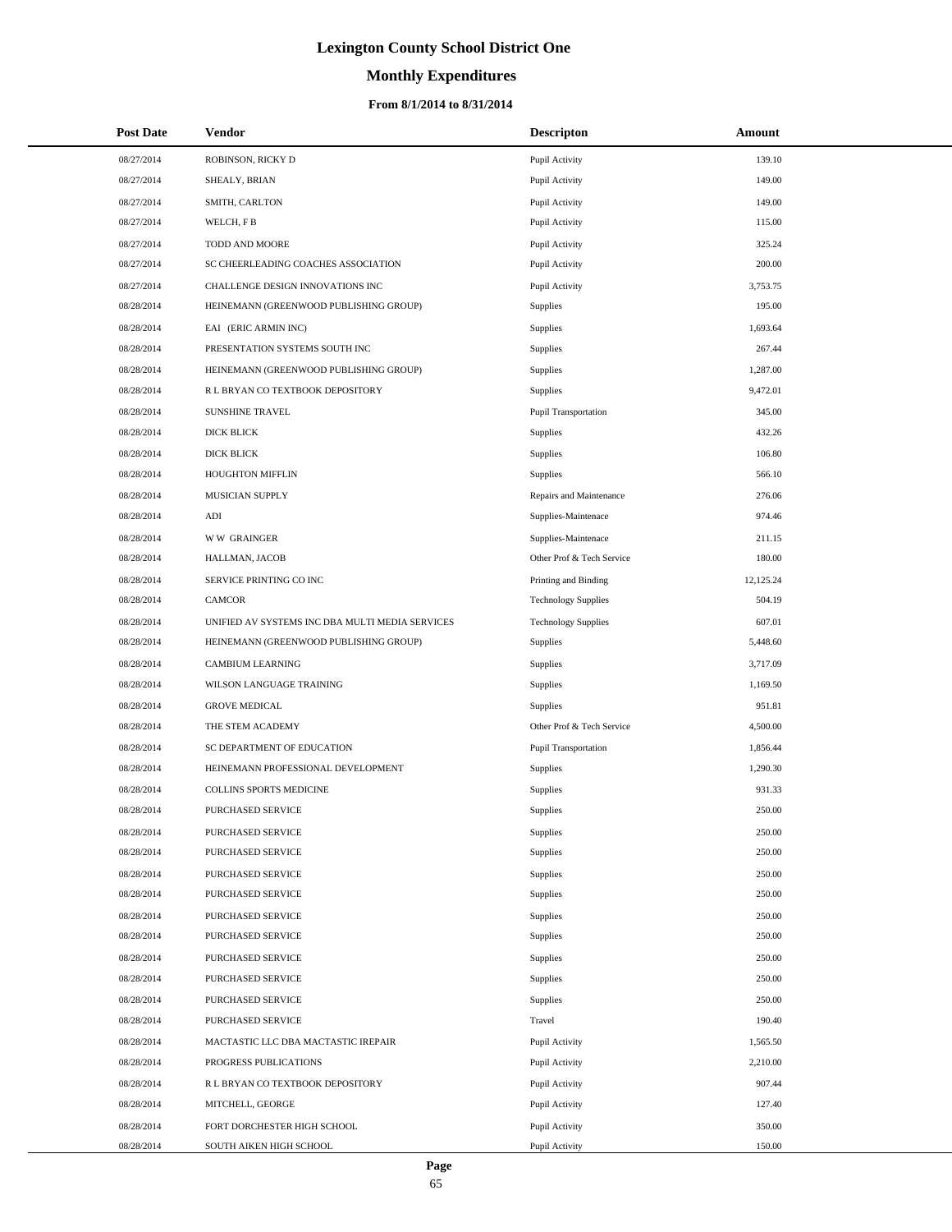# **Monthly Expenditures**

| <b>Post Date</b> | <b>Vendor</b>                                   | <b>Descripton</b>          | Amount    |
|------------------|-------------------------------------------------|----------------------------|-----------|
| 08/27/2014       | ROBINSON, RICKY D                               | Pupil Activity             | 139.10    |
| 08/27/2014       | SHEALY, BRIAN                                   | Pupil Activity             | 149.00    |
| 08/27/2014       | SMITH, CARLTON                                  | Pupil Activity             | 149.00    |
| 08/27/2014       | WELCH, F B                                      | Pupil Activity             | 115.00    |
| 08/27/2014       | TODD AND MOORE                                  | Pupil Activity             | 325.24    |
| 08/27/2014       | SC CHEERLEADING COACHES ASSOCIATION             | Pupil Activity             | 200.00    |
| 08/27/2014       | CHALLENGE DESIGN INNOVATIONS INC                | Pupil Activity             | 3,753.75  |
| 08/28/2014       | HEINEMANN (GREENWOOD PUBLISHING GROUP)          | Supplies                   | 195.00    |
| 08/28/2014       | EAI (ERIC ARMIN INC)                            | Supplies                   | 1,693.64  |
| 08/28/2014       | PRESENTATION SYSTEMS SOUTH INC                  | Supplies                   | 267.44    |
| 08/28/2014       | HEINEMANN (GREENWOOD PUBLISHING GROUP)          | Supplies                   | 1,287.00  |
| 08/28/2014       | R L BRYAN CO TEXTBOOK DEPOSITORY                | Supplies                   | 9,472.01  |
| 08/28/2014       | <b>SUNSHINE TRAVEL</b>                          | Pupil Transportation       | 345.00    |
| 08/28/2014       | DICK BLICK                                      | Supplies                   | 432.26    |
| 08/28/2014       | DICK BLICK                                      | Supplies                   | 106.80    |
| 08/28/2014       | HOUGHTON MIFFLIN                                | Supplies                   | 566.10    |
| 08/28/2014       | MUSICIAN SUPPLY                                 | Repairs and Maintenance    | 276.06    |
| 08/28/2014       | ADI                                             | Supplies-Maintenace        | 974.46    |
| 08/28/2014       | <b>WW GRAINGER</b>                              | Supplies-Maintenace        | 211.15    |
| 08/28/2014       | HALLMAN, JACOB                                  | Other Prof & Tech Service  | 180.00    |
| 08/28/2014       | SERVICE PRINTING CO INC                         | Printing and Binding       | 12,125.24 |
| 08/28/2014       | <b>CAMCOR</b>                                   | <b>Technology Supplies</b> | 504.19    |
| 08/28/2014       | UNIFIED AV SYSTEMS INC DBA MULTI MEDIA SERVICES | <b>Technology Supplies</b> | 607.01    |
| 08/28/2014       | HEINEMANN (GREENWOOD PUBLISHING GROUP)          | Supplies                   | 5,448.60  |
| 08/28/2014       | <b>CAMBIUM LEARNING</b>                         | Supplies                   | 3,717.09  |
| 08/28/2014       | WILSON LANGUAGE TRAINING                        | Supplies                   | 1,169.50  |
| 08/28/2014       | <b>GROVE MEDICAL</b>                            | Supplies                   | 951.81    |
| 08/28/2014       | THE STEM ACADEMY                                | Other Prof & Tech Service  | 4,500.00  |
| 08/28/2014       | SC DEPARTMENT OF EDUCATION                      | Pupil Transportation       | 1,856.44  |
| 08/28/2014       | HEINEMANN PROFESSIONAL DEVELOPMENT              | Supplies                   | 1,290.30  |
| 08/28/2014       | COLLINS SPORTS MEDICINE                         | Supplies                   | 931.33    |
| 08/28/2014       | PURCHASED SERVICE                               | Supplies                   | 250.00    |
| 08/28/2014       | PURCHASED SERVICE                               | Supplies                   | 250.00    |
| 08/28/2014       | PURCHASED SERVICE                               | Supplies                   | 250.00    |
| 08/28/2014       | PURCHASED SERVICE                               | Supplies                   | 250.00    |
| 08/28/2014       | PURCHASED SERVICE                               | Supplies                   | 250.00    |
| 08/28/2014       | PURCHASED SERVICE                               | Supplies                   | 250.00    |
| 08/28/2014       | PURCHASED SERVICE                               | Supplies                   | 250.00    |
| 08/28/2014       | PURCHASED SERVICE                               | Supplies                   | 250.00    |
| 08/28/2014       | PURCHASED SERVICE                               | Supplies                   | 250.00    |
| 08/28/2014       | PURCHASED SERVICE                               | Supplies                   | 250.00    |
| 08/28/2014       | PURCHASED SERVICE                               | Travel                     | 190.40    |
| 08/28/2014       | MACTASTIC LLC DBA MACTASTIC IREPAIR             | Pupil Activity             | 1,565.50  |
| 08/28/2014       | PROGRESS PUBLICATIONS                           | Pupil Activity             | 2,210.00  |
| 08/28/2014       | R L BRYAN CO TEXTBOOK DEPOSITORY                | Pupil Activity             | 907.44    |
| 08/28/2014       | MITCHELL, GEORGE                                | Pupil Activity             | 127.40    |
| 08/28/2014       | FORT DORCHESTER HIGH SCHOOL                     | Pupil Activity             | 350.00    |
| 08/28/2014       | SOUTH AIKEN HIGH SCHOOL                         | Pupil Activity             | 150.00    |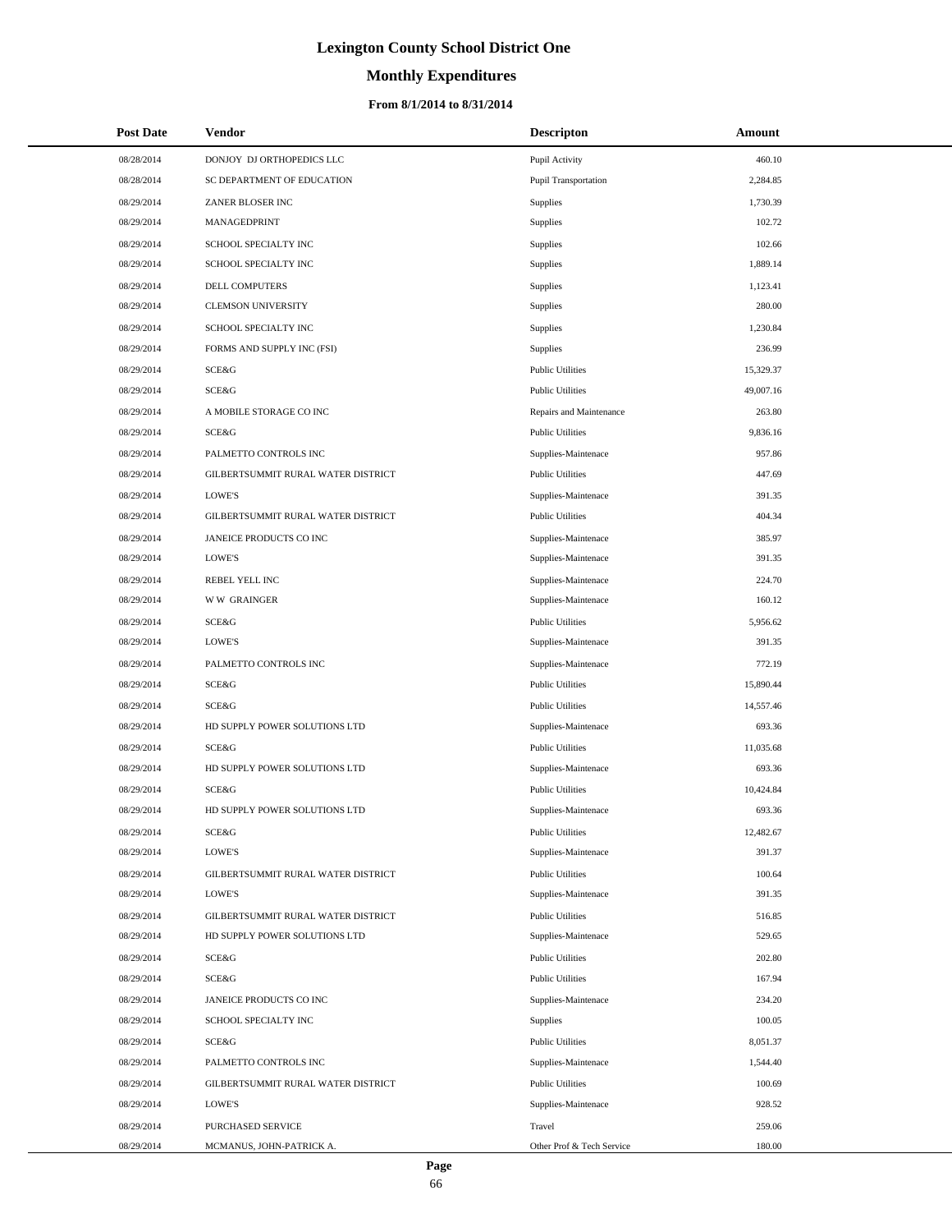# **Monthly Expenditures**

| <b>Post Date</b> | Vendor                             | <b>Descripton</b>         | Amount    |  |
|------------------|------------------------------------|---------------------------|-----------|--|
| 08/28/2014       | DONJOY DJ ORTHOPEDICS LLC          | Pupil Activity            | 460.10    |  |
| 08/28/2014       | SC DEPARTMENT OF EDUCATION         | Pupil Transportation      | 2,284.85  |  |
| 08/29/2014       | ZANER BLOSER INC                   | Supplies                  | 1,730.39  |  |
| 08/29/2014       | <b>MANAGEDPRINT</b>                | Supplies                  | 102.72    |  |
| 08/29/2014       | SCHOOL SPECIALTY INC               | Supplies                  | 102.66    |  |
| 08/29/2014       | SCHOOL SPECIALTY INC               | Supplies                  | 1,889.14  |  |
| 08/29/2014       | DELL COMPUTERS                     | Supplies                  | 1,123.41  |  |
| 08/29/2014       | <b>CLEMSON UNIVERSITY</b>          | Supplies                  | 280.00    |  |
| 08/29/2014       | SCHOOL SPECIALTY INC               | Supplies                  | 1,230.84  |  |
| 08/29/2014       | FORMS AND SUPPLY INC (FSI)         | Supplies                  | 236.99    |  |
| 08/29/2014       | SCE&G                              | <b>Public Utilities</b>   | 15,329.37 |  |
| 08/29/2014       | SCE&G                              | <b>Public Utilities</b>   | 49,007.16 |  |
| 08/29/2014       | A MOBILE STORAGE CO INC            | Repairs and Maintenance   | 263.80    |  |
| 08/29/2014       | SCE&G                              | <b>Public Utilities</b>   | 9,836.16  |  |
| 08/29/2014       | PALMETTO CONTROLS INC              | Supplies-Maintenace       | 957.86    |  |
| 08/29/2014       | GILBERTSUMMIT RURAL WATER DISTRICT | <b>Public Utilities</b>   | 447.69    |  |
| 08/29/2014       | <b>LOWE'S</b>                      | Supplies-Maintenace       | 391.35    |  |
| 08/29/2014       | GILBERTSUMMIT RURAL WATER DISTRICT | <b>Public Utilities</b>   | 404.34    |  |
| 08/29/2014       | JANEICE PRODUCTS CO INC            | Supplies-Maintenace       | 385.97    |  |
| 08/29/2014       | <b>LOWE'S</b>                      | Supplies-Maintenace       | 391.35    |  |
| 08/29/2014       | REBEL YELL INC                     | Supplies-Maintenace       | 224.70    |  |
| 08/29/2014       | <b>WW GRAINGER</b>                 | Supplies-Maintenace       | 160.12    |  |
| 08/29/2014       | SCE&G                              | <b>Public Utilities</b>   | 5,956.62  |  |
| 08/29/2014       | <b>LOWE'S</b>                      | Supplies-Maintenace       | 391.35    |  |
| 08/29/2014       | PALMETTO CONTROLS INC              | Supplies-Maintenace       | 772.19    |  |
| 08/29/2014       | SCE&G                              | <b>Public Utilities</b>   | 15,890.44 |  |
| 08/29/2014       | SCE&G                              | <b>Public Utilities</b>   | 14,557.46 |  |
| 08/29/2014       | HD SUPPLY POWER SOLUTIONS LTD      | Supplies-Maintenace       | 693.36    |  |
| 08/29/2014       | SCE&G                              | <b>Public Utilities</b>   | 11,035.68 |  |
| 08/29/2014       | HD SUPPLY POWER SOLUTIONS LTD      | Supplies-Maintenace       | 693.36    |  |
| 08/29/2014       | SCE&G                              | <b>Public Utilities</b>   | 10,424.84 |  |
| 08/29/2014       | HD SUPPLY POWER SOLUTIONS LTD      | Supplies-Maintenace       | 693.36    |  |
| 08/29/2014       | SCE&G                              | <b>Public Utilities</b>   | 12,482.67 |  |
| 08/29/2014       | <b>LOWE'S</b>                      | Supplies-Maintenace       | 391.37    |  |
| 08/29/2014       | GILBERTSUMMIT RURAL WATER DISTRICT | <b>Public Utilities</b>   | 100.64    |  |
| 08/29/2014       | <b>LOWE'S</b>                      | Supplies-Maintenace       | 391.35    |  |
| 08/29/2014       | GILBERTSUMMIT RURAL WATER DISTRICT | <b>Public Utilities</b>   | 516.85    |  |
| 08/29/2014       | HD SUPPLY POWER SOLUTIONS LTD      | Supplies-Maintenace       | 529.65    |  |
| 08/29/2014       | <b>SCE&amp;G</b>                   | <b>Public Utilities</b>   | 202.80    |  |
| 08/29/2014       | <b>SCE&amp;G</b>                   | <b>Public Utilities</b>   | 167.94    |  |
| 08/29/2014       | JANEICE PRODUCTS CO INC            | Supplies-Maintenace       | 234.20    |  |
| 08/29/2014       | SCHOOL SPECIALTY INC               | Supplies                  | 100.05    |  |
| 08/29/2014       | SCE&G                              | <b>Public Utilities</b>   | 8,051.37  |  |
| 08/29/2014       | PALMETTO CONTROLS INC              | Supplies-Maintenace       | 1,544.40  |  |
| 08/29/2014       | GILBERTSUMMIT RURAL WATER DISTRICT | <b>Public Utilities</b>   | 100.69    |  |
| 08/29/2014       | <b>LOWE'S</b>                      | Supplies-Maintenace       | 928.52    |  |
| 08/29/2014       | PURCHASED SERVICE                  | Travel                    | 259.06    |  |
| 08/29/2014       | MCMANUS, JOHN-PATRICK A.           | Other Prof & Tech Service | 180.00    |  |